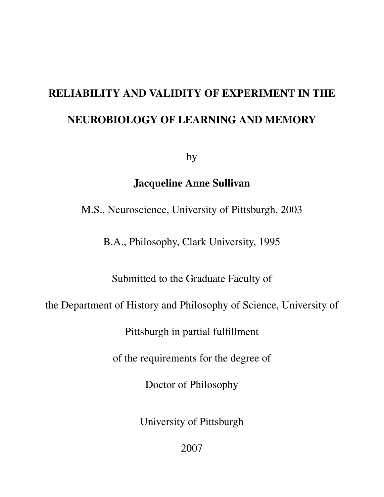# RELIABILITY AND VALIDITY OF EXPERIMENT IN THE NEUROBIOLOGY OF LEARNING AND MEMORY

by

# Jacqueline Anne Sullivan

M.S., Neuroscience, University of Pittsburgh, 2003

B.A., Philosophy, Clark University, 1995

Submitted to the Graduate Faculty of

the Department of History and Philosophy of Science, University of

Pittsburgh in partial fulfillment

of the requirements for the degree of

Doctor of Philosophy

University of Pittsburgh

2007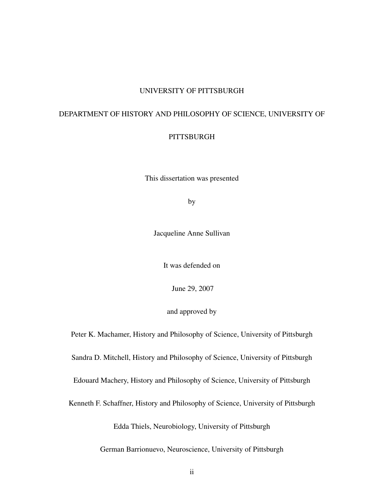#### UNIVERSITY OF PITTSBURGH

### DEPARTMENT OF HISTORY AND PHILOSOPHY OF SCIENCE, UNIVERSITY OF

#### **PITTSBURGH**

This dissertation was presented

by

Jacqueline Anne Sullivan

It was defended on

June 29, 2007

and approved by

Peter K. Machamer, History and Philosophy of Science, University of Pittsburgh Sandra D. Mitchell, History and Philosophy of Science, University of Pittsburgh Edouard Machery, History and Philosophy of Science, University of Pittsburgh Kenneth F. Schaffner, History and Philosophy of Science, University of Pittsburgh Edda Thiels, Neurobiology, University of Pittsburgh

German Barrionuevo, Neuroscience, University of Pittsburgh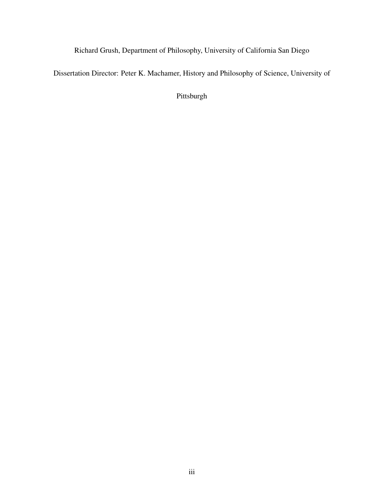Richard Grush, Department of Philosophy, University of California San Diego

Dissertation Director: Peter K. Machamer, History and Philosophy of Science, University of

Pittsburgh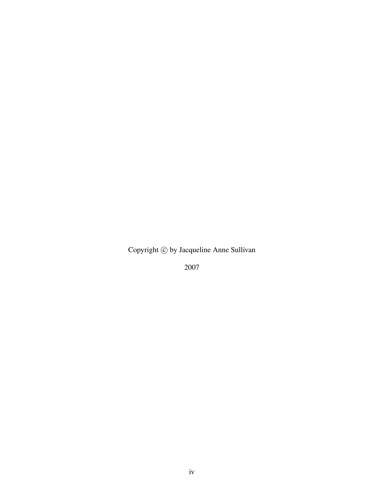Copyright  $\odot$  by Jacqueline Anne Sullivan

2007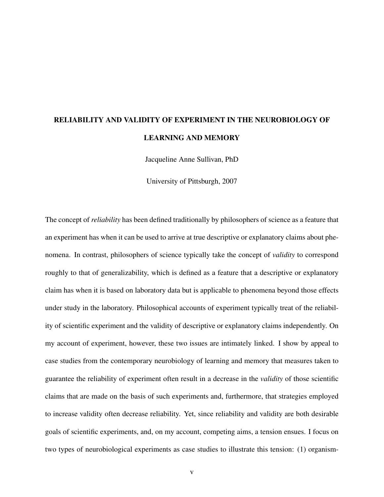# RELIABILITY AND VALIDITY OF EXPERIMENT IN THE NEUROBIOLOGY OF LEARNING AND MEMORY

Jacqueline Anne Sullivan, PhD

University of Pittsburgh, 2007

The concept of *reliability* has been defined traditionally by philosophers of science as a feature that an experiment has when it can be used to arrive at true descriptive or explanatory claims about phenomena. In contrast, philosophers of science typically take the concept of *validity* to correspond roughly to that of generalizability, which is defined as a feature that a descriptive or explanatory claim has when it is based on laboratory data but is applicable to phenomena beyond those effects under study in the laboratory. Philosophical accounts of experiment typically treat of the reliability of scientific experiment and the validity of descriptive or explanatory claims independently. On my account of experiment, however, these two issues are intimately linked. I show by appeal to case studies from the contemporary neurobiology of learning and memory that measures taken to guarantee the reliability of experiment often result in a decrease in the *validity* of those scientific claims that are made on the basis of such experiments and, furthermore, that strategies employed to increase validity often decrease reliability. Yet, since reliability and validity are both desirable goals of scientific experiments, and, on my account, competing aims, a tension ensues. I focus on two types of neurobiological experiments as case studies to illustrate this tension: (1) organism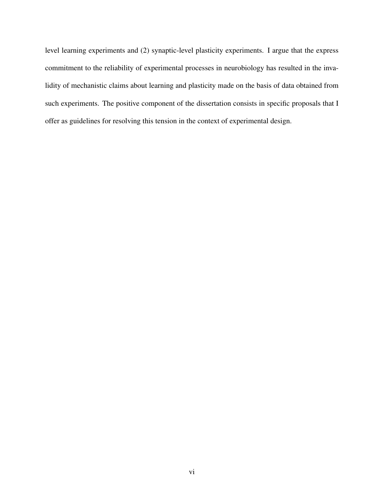level learning experiments and (2) synaptic-level plasticity experiments. I argue that the express commitment to the reliability of experimental processes in neurobiology has resulted in the invalidity of mechanistic claims about learning and plasticity made on the basis of data obtained from such experiments. The positive component of the dissertation consists in specific proposals that I offer as guidelines for resolving this tension in the context of experimental design.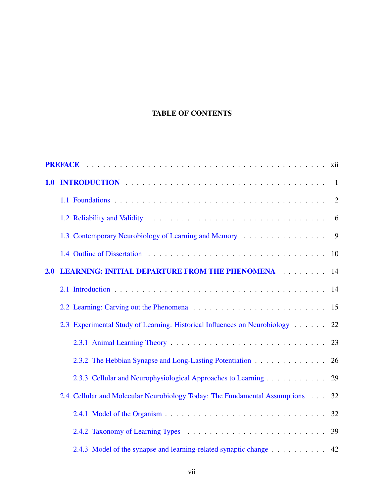## TABLE OF CONTENTS

| 1.0 |                                                                                |                |
|-----|--------------------------------------------------------------------------------|----------------|
|     |                                                                                | $\overline{2}$ |
|     |                                                                                | 6              |
|     | 1.3 Contemporary Neurobiology of Learning and Memory                           | 9              |
|     |                                                                                | 10             |
| 2.0 | <b>LEARNING: INITIAL DEPARTURE FROM THE PHENOMENA ACCEPTED FOR A LEARNING:</b> | 14             |
|     |                                                                                | 14             |
|     |                                                                                | 15             |
|     | 2.3 Experimental Study of Learning: Historical Influences on Neurobiology      | 22             |
|     |                                                                                | 23             |
|     | 2.3.2 The Hebbian Synapse and Long-Lasting Potentiation                        | 26             |
|     | 2.3.3 Cellular and Neurophysiological Approaches to Learning                   | 29             |
|     | 2.4 Cellular and Molecular Neurobiology Today: The Fundamental Assumptions     | 32             |
|     |                                                                                | 32             |
|     |                                                                                | 39             |
|     | 2.4.3 Model of the synapse and learning-related synaptic change 42             |                |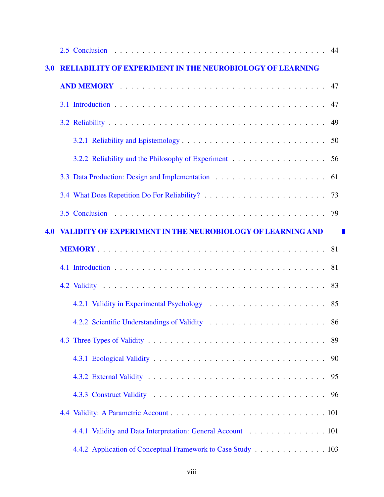| 3.0 | <b>RELIABILITY OF EXPERIMENT IN THE NEUROBIOLOGY OF LEARNING</b>  |      |
|-----|-------------------------------------------------------------------|------|
|     |                                                                   |      |
|     |                                                                   | - 47 |
|     |                                                                   | 49   |
|     |                                                                   |      |
|     |                                                                   | 56   |
|     |                                                                   | 61   |
|     |                                                                   |      |
|     |                                                                   |      |
| 4.0 | <b>VALIDITY OF EXPERIMENT IN THE NEUROBIOLOGY OF LEARNING AND</b> |      |
|     |                                                                   |      |
|     |                                                                   | -81  |
|     |                                                                   | 83   |
|     |                                                                   | 85   |
|     |                                                                   |      |
|     |                                                                   |      |
|     |                                                                   | 90   |
|     |                                                                   | 95   |
|     |                                                                   | 96   |
|     |                                                                   |      |
|     | 4.4.1 Validity and Data Interpretation: General Account 101       |      |
|     | 4.4.2 Application of Conceptual Framework to Case Study 103       |      |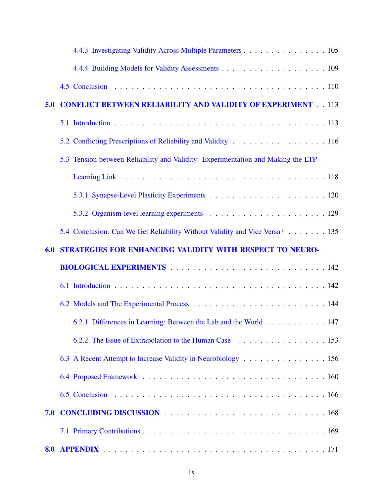|     | 4.4.3 Investigating Validity Across Multiple Parameters 105                       |
|-----|-----------------------------------------------------------------------------------|
|     |                                                                                   |
|     |                                                                                   |
| 5.0 | <b>CONFLICT BETWEEN RELIABILITY AND VALIDITY OF EXPERIMENT 113</b>                |
|     |                                                                                   |
|     |                                                                                   |
|     | 5.3 Tension between Reliability and Validity: Experimentation and Making the LTP- |
|     |                                                                                   |
|     |                                                                                   |
|     |                                                                                   |
|     | 5.4 Conclusion: Can We Get Reliability Without Validity and Vice Versa? 135       |
| 6.0 | STRATEGIES FOR ENHANCING VALIDITY WITH RESPECT TO NEURO-                          |
|     |                                                                                   |
|     |                                                                                   |
|     |                                                                                   |
|     | 6.2.1 Differences in Learning: Between the Lab and the World 147                  |
|     | 6.2.2 The Issue of Extrapolation to the Human Case 153                            |
|     | 6.3 A Recent Attempt to Increase Validity in Neurobiology 156                     |
|     |                                                                                   |
|     |                                                                                   |
| 7.0 |                                                                                   |
|     |                                                                                   |
| 8.0 |                                                                                   |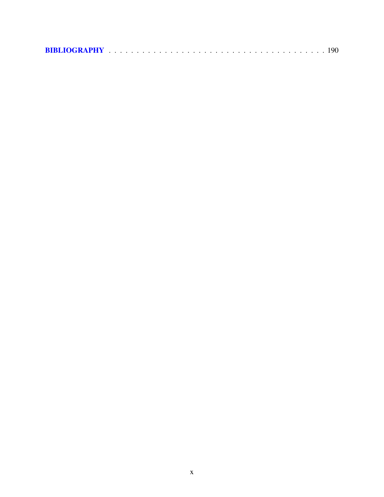|--|--|--|--|--|--|--|--|--|--|--|--|--|--|--|--|--|--|--|--|--|--|--|--|--|--|--|--|--|--|--|--|--|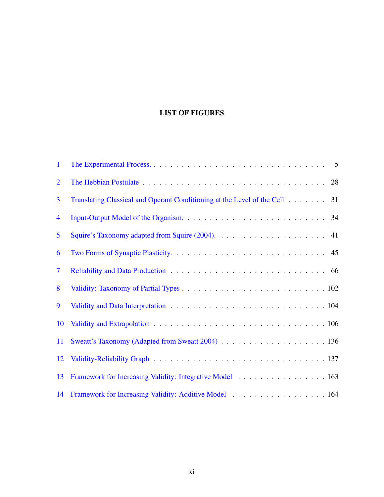## LIST OF FIGURES

| $\mathbf{1}$   |                                                                               |
|----------------|-------------------------------------------------------------------------------|
| $\overline{2}$ |                                                                               |
| 3              | Translating Classical and Operant Conditioning at the Level of the Cell<br>31 |
| 4              |                                                                               |
| 5              |                                                                               |
| 6              |                                                                               |
| $\overline{7}$ |                                                                               |
| 8              |                                                                               |
| 9              |                                                                               |
| 10             |                                                                               |
| 11             |                                                                               |
| 12             |                                                                               |
| 13             | Framework for Increasing Validity: Integrative Model 163                      |
| 14             | Framework for Increasing Validity: Additive Model 164                         |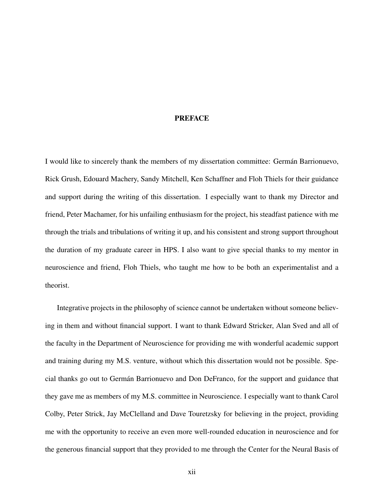#### **PREFACE**

<span id="page-11-0"></span>I would like to sincerely thank the members of my dissertation committee: German Barrionuevo, ´ Rick Grush, Edouard Machery, Sandy Mitchell, Ken Schaffner and Floh Thiels for their guidance and support during the writing of this dissertation. I especially want to thank my Director and friend, Peter Machamer, for his unfailing enthusiasm for the project, his steadfast patience with me through the trials and tribulations of writing it up, and his consistent and strong support throughout the duration of my graduate career in HPS. I also want to give special thanks to my mentor in neuroscience and friend, Floh Thiels, who taught me how to be both an experimentalist and a theorist.

Integrative projects in the philosophy of science cannot be undertaken without someone believing in them and without financial support. I want to thank Edward Stricker, Alan Sved and all of the faculty in the Department of Neuroscience for providing me with wonderful academic support and training during my M.S. venture, without which this dissertation would not be possible. Special thanks go out to Germán Barrionuevo and Don DeFranco, for the support and guidance that they gave me as members of my M.S. committee in Neuroscience. I especially want to thank Carol Colby, Peter Strick, Jay McClelland and Dave Touretzsky for believing in the project, providing me with the opportunity to receive an even more well-rounded education in neuroscience and for the generous financial support that they provided to me through the Center for the Neural Basis of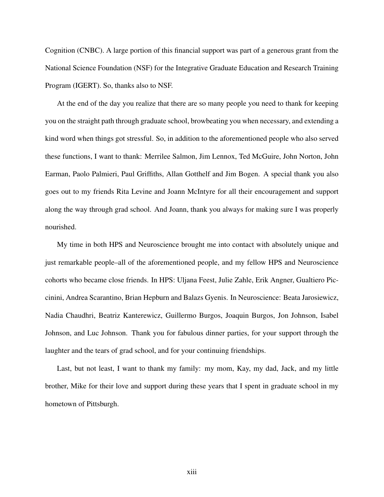Cognition (CNBC). A large portion of this financial support was part of a generous grant from the National Science Foundation (NSF) for the Integrative Graduate Education and Research Training Program (IGERT). So, thanks also to NSF.

At the end of the day you realize that there are so many people you need to thank for keeping you on the straight path through graduate school, browbeating you when necessary, and extending a kind word when things got stressful. So, in addition to the aforementioned people who also served these functions, I want to thank: Merrilee Salmon, Jim Lennox, Ted McGuire, John Norton, John Earman, Paolo Palmieri, Paul Griffiths, Allan Gotthelf and Jim Bogen. A special thank you also goes out to my friends Rita Levine and Joann McIntyre for all their encouragement and support along the way through grad school. And Joann, thank you always for making sure I was properly nourished.

My time in both HPS and Neuroscience brought me into contact with absolutely unique and just remarkable people–all of the aforementioned people, and my fellow HPS and Neuroscience cohorts who became close friends. In HPS: Uljana Feest, Julie Zahle, Erik Angner, Gualtiero Piccinini, Andrea Scarantino, Brian Hepburn and Balazs Gyenis. In Neuroscience: Beata Jarosiewicz, Nadia Chaudhri, Beatriz Kanterewicz, Guillermo Burgos, Joaquin Burgos, Jon Johnson, Isabel Johnson, and Luc Johnson. Thank you for fabulous dinner parties, for your support through the laughter and the tears of grad school, and for your continuing friendships.

Last, but not least, I want to thank my family: my mom, Kay, my dad, Jack, and my little brother, Mike for their love and support during these years that I spent in graduate school in my hometown of Pittsburgh.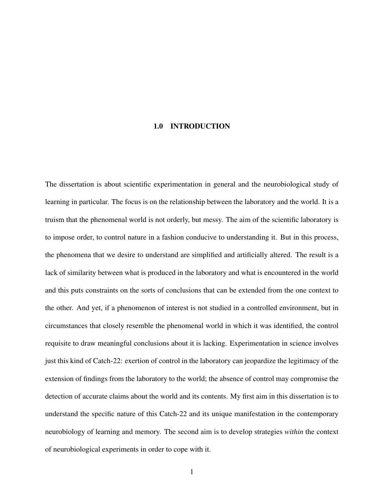#### <span id="page-13-0"></span>1.0 INTRODUCTION

The dissertation is about scientific experimentation in general and the neurobiological study of learning in particular. The focus is on the relationship between the laboratory and the world. It is a truism that the phenomenal world is not orderly, but messy. The aim of the scientific laboratory is to impose order, to control nature in a fashion conducive to understanding it. But in this process, the phenomena that we desire to understand are simplified and artificially altered. The result is a lack of similarity between what is produced in the laboratory and what is encountered in the world and this puts constraints on the sorts of conclusions that can be extended from the one context to the other. And yet, if a phenomenon of interest is not studied in a controlled environment, but in circumstances that closely resemble the phenomenal world in which it was identified, the control requisite to draw meaningful conclusions about it is lacking. Experimentation in science involves just this kind of Catch-22: exertion of control in the laboratory can jeopardize the legitimacy of the extension of findings from the laboratory to the world; the absence of control may compromise the detection of accurate claims about the world and its contents. My first aim in this dissertation is to understand the specific nature of this Catch-22 and its unique manifestation in the contemporary neurobiology of learning and memory. The second aim is to develop strategies *within* the context of neurobiological experiments in order to cope with it.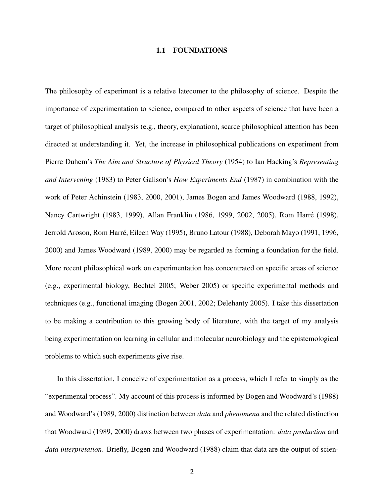#### 1.1 FOUNDATIONS

<span id="page-14-0"></span>The philosophy of experiment is a relative latecomer to the philosophy of science. Despite the importance of experimentation to science, compared to other aspects of science that have been a target of philosophical analysis (e.g., theory, explanation), scarce philosophical attention has been directed at understanding it. Yet, the increase in philosophical publications on experiment from Pierre Duhem's *The Aim and Structure of Physical Theory* (1954) to Ian Hacking's *Representing and Intervening* (1983) to Peter Galison's *How Experiments End* (1987) in combination with the work of Peter Achinstein (1983, 2000, 2001), James Bogen and James Woodward (1988, 1992), Nancy Cartwright (1983, 1999), Allan Franklin (1986, 1999, 2002, 2005), Rom Harre (1998), ´ Jerrold Aroson, Rom Harré, Eileen Way (1995), Bruno Latour (1988), Deborah Mayo (1991, 1996, 2000) and James Woodward (1989, 2000) may be regarded as forming a foundation for the field. More recent philosophical work on experimentation has concentrated on specific areas of science (e.g., experimental biology, Bechtel 2005; Weber 2005) or specific experimental methods and techniques (e.g., functional imaging (Bogen 2001, 2002; Delehanty 2005). I take this dissertation to be making a contribution to this growing body of literature, with the target of my analysis being experimentation on learning in cellular and molecular neurobiology and the epistemological problems to which such experiments give rise.

In this dissertation, I conceive of experimentation as a process, which I refer to simply as the "experimental process". My account of this process is informed by Bogen and Woodward's (1988) and Woodward's (1989, 2000) distinction between *data* and *phenomena* and the related distinction that Woodward (1989, 2000) draws between two phases of experimentation: *data production* and *data interpretation*. Briefly, Bogen and Woodward (1988) claim that data are the output of scien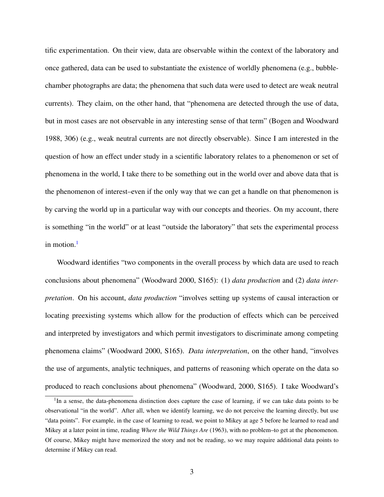tific experimentation. On their view, data are observable within the context of the laboratory and once gathered, data can be used to substantiate the existence of worldly phenomena (e.g., bubblechamber photographs are data; the phenomena that such data were used to detect are weak neutral currents). They claim, on the other hand, that "phenomena are detected through the use of data, but in most cases are not observable in any interesting sense of that term" (Bogen and Woodward 1988, 306) (e.g., weak neutral currents are not directly observable). Since I am interested in the question of how an effect under study in a scientific laboratory relates to a phenomenon or set of phenomena in the world, I take there to be something out in the world over and above data that is the phenomenon of interest–even if the only way that we can get a handle on that phenomenon is by carving the world up in a particular way with our concepts and theories. On my account, there is something "in the world" or at least "outside the laboratory" that sets the experimental process in motion. $<sup>1</sup>$  $<sup>1</sup>$  $<sup>1</sup>$ </sup>

Woodward identifies "two components in the overall process by which data are used to reach conclusions about phenomena" (Woodward 2000, S165): (1) *data production* and (2) *data interpretation*. On his account, *data production* "involves setting up systems of causal interaction or locating preexisting systems which allow for the production of effects which can be perceived and interpreted by investigators and which permit investigators to discriminate among competing phenomena claims" (Woodward 2000, S165). *Data interpretation*, on the other hand, "involves the use of arguments, analytic techniques, and patterns of reasoning which operate on the data so produced to reach conclusions about phenomena" (Woodward, 2000, S165). I take Woodward's

<span id="page-15-0"></span><sup>&</sup>lt;sup>1</sup>In a sense, the data-phenomena distinction does capture the case of learning, if we can take data points to be observational "in the world". After all, when we identify learning, we do not perceive the learning directly, but use "data points". For example, in the case of learning to read, we point to Mikey at age 5 before he learned to read and Mikey at a later point in time, reading *Where the Wild Things Are* (1963), with no problem–to get at the phenomenon. Of course, Mikey might have memorized the story and not be reading, so we may require additional data points to determine if Mikey can read.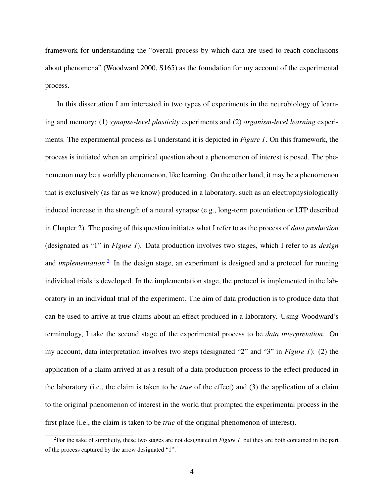framework for understanding the "overall process by which data are used to reach conclusions about phenomena" (Woodward 2000, S165) as the foundation for my account of the experimental process.

In this dissertation I am interested in two types of experiments in the neurobiology of learning and memory: (1) *synapse-level plasticity* experiments and (2) *organism-level learning* experiments. The experimental process as I understand it is depicted in *Figure 1*. On this framework, the process is initiated when an empirical question about a phenomenon of interest is posed. The phenomenon may be a worldly phenomenon, like learning. On the other hand, it may be a phenomenon that is exclusively (as far as we know) produced in a laboratory, such as an electrophysiologically induced increase in the strength of a neural synapse (e.g., long-term potentiation or LTP described in Chapter 2). The posing of this question initiates what I refer to as the process of *data production* (designated as "1" in *Figure 1*). Data production involves two stages, which I refer to as *design* and *implementation*. [2](#page-16-0) In the design stage, an experiment is designed and a protocol for running individual trials is developed. In the implementation stage, the protocol is implemented in the laboratory in an individual trial of the experiment. The aim of data production is to produce data that can be used to arrive at true claims about an effect produced in a laboratory. Using Woodward's terminology, I take the second stage of the experimental process to be *data interpretation*. On my account, data interpretation involves two steps (designated "2" and "3" in *Figure 1*): (2) the application of a claim arrived at as a result of a data production process to the effect produced in the laboratory (i.e., the claim is taken to be *true* of the effect) and (3) the application of a claim to the original phenomenon of interest in the world that prompted the experimental process in the first place (i.e., the claim is taken to be *true* of the original phenomenon of interest).

<span id="page-16-0"></span><sup>2</sup>For the sake of simplicity, these two stages are not designated in *Figure 1*, but they are both contained in the part of the process captured by the arrow designated "1".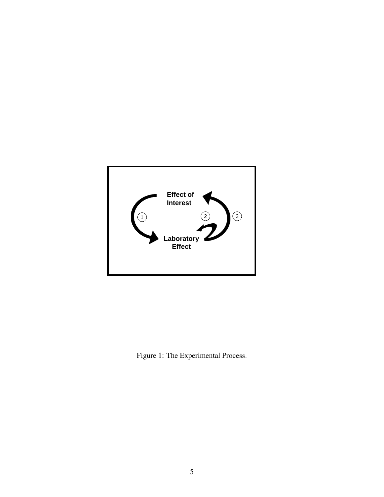

<span id="page-17-0"></span>Figure 1: The Experimental Process.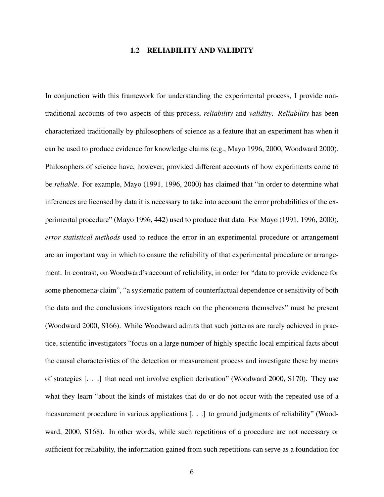#### 1.2 RELIABILITY AND VALIDITY

<span id="page-18-0"></span>In conjunction with this framework for understanding the experimental process, I provide nontraditional accounts of two aspects of this process, *reliability* and *validity*. *Reliability* has been characterized traditionally by philosophers of science as a feature that an experiment has when it can be used to produce evidence for knowledge claims (e.g., Mayo 1996, 2000, Woodward 2000). Philosophers of science have, however, provided different accounts of how experiments come to be *reliable*. For example, Mayo (1991, 1996, 2000) has claimed that "in order to determine what inferences are licensed by data it is necessary to take into account the error probabilities of the experimental procedure" (Mayo 1996, 442) used to produce that data. For Mayo (1991, 1996, 2000), *error statistical methods* used to reduce the error in an experimental procedure or arrangement are an important way in which to ensure the reliability of that experimental procedure or arrangement. In contrast, on Woodward's account of reliability, in order for "data to provide evidence for some phenomena-claim", "a systematic pattern of counterfactual dependence or sensitivity of both the data and the conclusions investigators reach on the phenomena themselves" must be present (Woodward 2000, S166). While Woodward admits that such patterns are rarely achieved in practice, scientific investigators "focus on a large number of highly specific local empirical facts about the causal characteristics of the detection or measurement process and investigate these by means of strategies [. . .] that need not involve explicit derivation" (Woodward 2000, S170). They use what they learn "about the kinds of mistakes that do or do not occur with the repeated use of a measurement procedure in various applications [. . .] to ground judgments of reliability" (Woodward, 2000, S168). In other words, while such repetitions of a procedure are not necessary or sufficient for reliability, the information gained from such repetitions can serve as a foundation for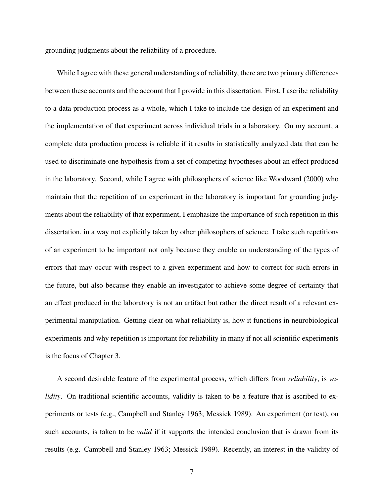grounding judgments about the reliability of a procedure.

While I agree with these general understandings of reliability, there are two primary differences between these accounts and the account that I provide in this dissertation. First, I ascribe reliability to a data production process as a whole, which I take to include the design of an experiment and the implementation of that experiment across individual trials in a laboratory. On my account, a complete data production process is reliable if it results in statistically analyzed data that can be used to discriminate one hypothesis from a set of competing hypotheses about an effect produced in the laboratory. Second, while I agree with philosophers of science like Woodward (2000) who maintain that the repetition of an experiment in the laboratory is important for grounding judgments about the reliability of that experiment, I emphasize the importance of such repetition in this dissertation, in a way not explicitly taken by other philosophers of science. I take such repetitions of an experiment to be important not only because they enable an understanding of the types of errors that may occur with respect to a given experiment and how to correct for such errors in the future, but also because they enable an investigator to achieve some degree of certainty that an effect produced in the laboratory is not an artifact but rather the direct result of a relevant experimental manipulation. Getting clear on what reliability is, how it functions in neurobiological experiments and why repetition is important for reliability in many if not all scientific experiments is the focus of Chapter 3.

A second desirable feature of the experimental process, which differs from *reliability*, is *validity*. On traditional scientific accounts, validity is taken to be a feature that is ascribed to experiments or tests (e.g., Campbell and Stanley 1963; Messick 1989). An experiment (or test), on such accounts, is taken to be *valid* if it supports the intended conclusion that is drawn from its results (e.g. Campbell and Stanley 1963; Messick 1989). Recently, an interest in the validity of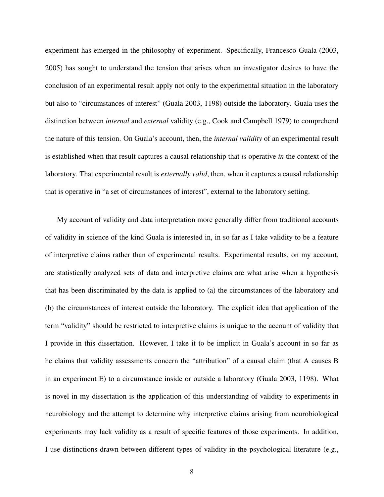experiment has emerged in the philosophy of experiment. Specifically, Francesco Guala (2003, 2005) has sought to understand the tension that arises when an investigator desires to have the conclusion of an experimental result apply not only to the experimental situation in the laboratory but also to "circumstances of interest" (Guala 2003, 1198) outside the laboratory. Guala uses the distinction between *internal* and *external* validity (e.g., Cook and Campbell 1979) to comprehend the nature of this tension. On Guala's account, then, the *internal validity* of an experimental result is established when that result captures a causal relationship that *is* operative *in* the context of the laboratory. That experimental result is *externally valid*, then, when it captures a causal relationship that is operative in "a set of circumstances of interest", external to the laboratory setting.

My account of validity and data interpretation more generally differ from traditional accounts of validity in science of the kind Guala is interested in, in so far as I take validity to be a feature of interpretive claims rather than of experimental results. Experimental results, on my account, are statistically analyzed sets of data and interpretive claims are what arise when a hypothesis that has been discriminated by the data is applied to (a) the circumstances of the laboratory and (b) the circumstances of interest outside the laboratory. The explicit idea that application of the term "validity" should be restricted to interpretive claims is unique to the account of validity that I provide in this dissertation. However, I take it to be implicit in Guala's account in so far as he claims that validity assessments concern the "attribution" of a causal claim (that A causes B in an experiment E) to a circumstance inside or outside a laboratory (Guala 2003, 1198). What is novel in my dissertation is the application of this understanding of validity to experiments in neurobiology and the attempt to determine why interpretive claims arising from neurobiological experiments may lack validity as a result of specific features of those experiments. In addition, I use distinctions drawn between different types of validity in the psychological literature (e.g.,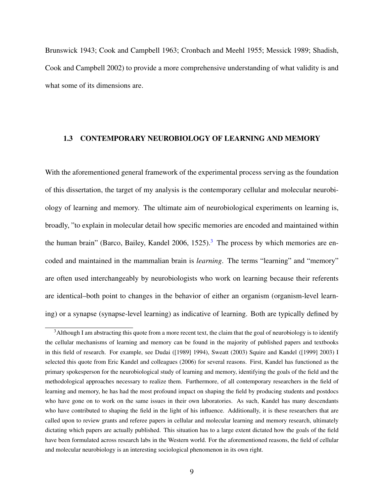Brunswick 1943; Cook and Campbell 1963; Cronbach and Meehl 1955; Messick 1989; Shadish, Cook and Campbell 2002) to provide a more comprehensive understanding of what validity is and what some of its dimensions are.

#### <span id="page-21-0"></span>1.3 CONTEMPORARY NEUROBIOLOGY OF LEARNING AND MEMORY

With the aforementioned general framework of the experimental process serving as the foundation of this dissertation, the target of my analysis is the contemporary cellular and molecular neurobiology of learning and memory. The ultimate aim of neurobiological experiments on learning is, broadly, "to explain in molecular detail how specific memories are encoded and maintained within the human brain" (Barco, Bailey, Kandel 2006, 1525).<sup>[3](#page-21-1)</sup> The process by which memories are encoded and maintained in the mammalian brain is *learning*. The terms "learning" and "memory" are often used interchangeably by neurobiologists who work on learning because their referents are identical–both point to changes in the behavior of either an organism (organism-level learning) or a synapse (synapse-level learning) as indicative of learning. Both are typically defined by

<span id="page-21-1"></span> $3$ Although I am abstracting this quote from a more recent text, the claim that the goal of neurobiology is to identify the cellular mechanisms of learning and memory can be found in the majority of published papers and textbooks in this field of research. For example, see Dudai ([1989] 1994), Sweatt (2003) Squire and Kandel ([1999] 2003) I selected this quote from Eric Kandel and colleagues (2006) for several reasons. First, Kandel has functioned as the primary spokesperson for the neurobiological study of learning and memory, identifying the goals of the field and the methodological approaches necessary to realize them. Furthermore, of all contemporary researchers in the field of learning and memory, he has had the most profound impact on shaping the field by producing students and postdocs who have gone on to work on the same issues in their own laboratories. As such, Kandel has many descendants who have contributed to shaping the field in the light of his influence. Additionally, it is these researchers that are called upon to review grants and referee papers in cellular and molecular learning and memory research, ultimately dictating which papers are actually published. This situation has to a large extent dictated how the goals of the field have been formulated across research labs in the Western world. For the aforementioned reasons, the field of cellular and molecular neurobiology is an interesting sociological phenomenon in its own right.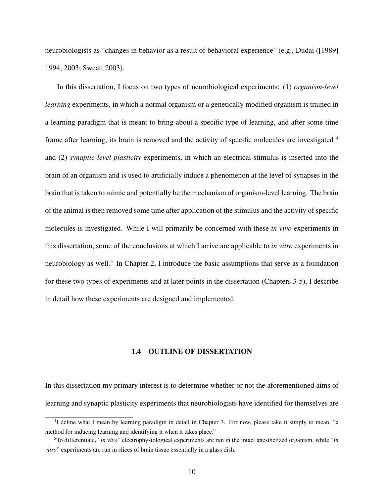neurobiologists as "changes in behavior as a result of behavioral experience" (e.g., Dudai ([1989] 1994, 2003; Sweatt 2003).

In this dissertation, I focus on two types of neurobiological experiments: (1) *organism-level learning* experiments, in which a normal organism or a genetically modified organism is trained in a learning paradigm that is meant to bring about a specific type of learning, and after some time frame after learning, its brain is removed and the activity of specific molecules are investigated <sup>[4](#page-22-1)</sup> and (2) *synaptic-level plasticity* experiments, in which an electrical stimulus is inserted into the brain of an organism and is used to artificially induce a phenomenon at the level of synapses in the brain that is taken to mimic and potentially be the mechanism of organism-level learning. The brain of the animal is then removed some time after application of the stimulus and the activity of specific molecules is investigated. While I will primarily be concerned with these *in vivo* experiments in this dissertation, some of the conclusions at which I arrive are applicable to *in vitro* experiments in neurobiology as well.<sup>[5](#page-22-2)</sup> In Chapter 2, I introduce the basic assumptions that serve as a foundation for these two types of experiments and at later points in the dissertation (Chapters 3-5), I describe in detail how these experiments are designed and implemented.

#### 1.4 OUTLINE OF DISSERTATION

<span id="page-22-0"></span>In this dissertation my primary interest is to determine whether or not the aforementioned aims of learning and synaptic plasticity experiments that neurobiologists have identified for themselves are

<span id="page-22-1"></span><sup>&</sup>lt;sup>4</sup>I define what I mean by learning paradigm in detail in Chapter 3. For now, please take it simply to mean, "a method for inducing learning and identifying it when it takes place."

<span id="page-22-2"></span><sup>5</sup>To differentiate, "*in vivo*" electrophysiological experiments are run in the intact anesthetized organism, while "*in vitro*" experiments are run in slices of brain tissue essentially in a glass dish.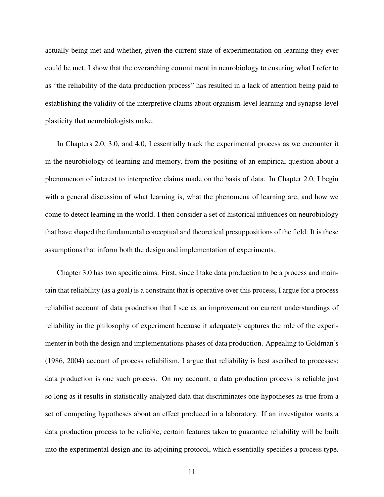actually being met and whether, given the current state of experimentation on learning they ever could be met. I show that the overarching commitment in neurobiology to ensuring what I refer to as "the reliability of the data production process" has resulted in a lack of attention being paid to establishing the validity of the interpretive claims about organism-level learning and synapse-level plasticity that neurobiologists make.

In Chapters 2.0, 3.0, and 4.0, I essentially track the experimental process as we encounter it in the neurobiology of learning and memory, from the positing of an empirical question about a phenomenon of interest to interpretive claims made on the basis of data. In Chapter 2.0, I begin with a general discussion of what learning is, what the phenomena of learning are, and how we come to detect learning in the world. I then consider a set of historical influences on neurobiology that have shaped the fundamental conceptual and theoretical presuppositions of the field. It is these assumptions that inform both the design and implementation of experiments.

Chapter 3.0 has two specific aims. First, since I take data production to be a process and maintain that reliability (as a goal) is a constraint that is operative over this process, I argue for a process reliabilist account of data production that I see as an improvement on current understandings of reliability in the philosophy of experiment because it adequately captures the role of the experimenter in both the design and implementations phases of data production. Appealing to Goldman's (1986, 2004) account of process reliabilism, I argue that reliability is best ascribed to processes; data production is one such process. On my account, a data production process is reliable just so long as it results in statistically analyzed data that discriminates one hypotheses as true from a set of competing hypotheses about an effect produced in a laboratory. If an investigator wants a data production process to be reliable, certain features taken to guarantee reliability will be built into the experimental design and its adjoining protocol, which essentially specifies a process type.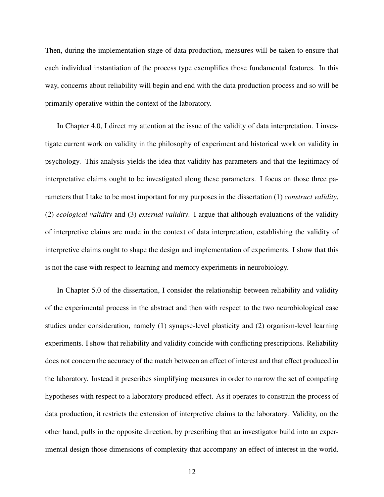Then, during the implementation stage of data production, measures will be taken to ensure that each individual instantiation of the process type exemplifies those fundamental features. In this way, concerns about reliability will begin and end with the data production process and so will be primarily operative within the context of the laboratory.

In Chapter 4.0, I direct my attention at the issue of the validity of data interpretation. I investigate current work on validity in the philosophy of experiment and historical work on validity in psychology. This analysis yields the idea that validity has parameters and that the legitimacy of interpretative claims ought to be investigated along these parameters. I focus on those three parameters that I take to be most important for my purposes in the dissertation (1) *construct validity*, (2) *ecological validity* and (3) *external validity*. I argue that although evaluations of the validity of interpretive claims are made in the context of data interpretation, establishing the validity of interpretive claims ought to shape the design and implementation of experiments. I show that this is not the case with respect to learning and memory experiments in neurobiology.

In Chapter 5.0 of the dissertation, I consider the relationship between reliability and validity of the experimental process in the abstract and then with respect to the two neurobiological case studies under consideration, namely (1) synapse-level plasticity and (2) organism-level learning experiments. I show that reliability and validity coincide with conflicting prescriptions. Reliability does not concern the accuracy of the match between an effect of interest and that effect produced in the laboratory. Instead it prescribes simplifying measures in order to narrow the set of competing hypotheses with respect to a laboratory produced effect. As it operates to constrain the process of data production, it restricts the extension of interpretive claims to the laboratory. Validity, on the other hand, pulls in the opposite direction, by prescribing that an investigator build into an experimental design those dimensions of complexity that accompany an effect of interest in the world.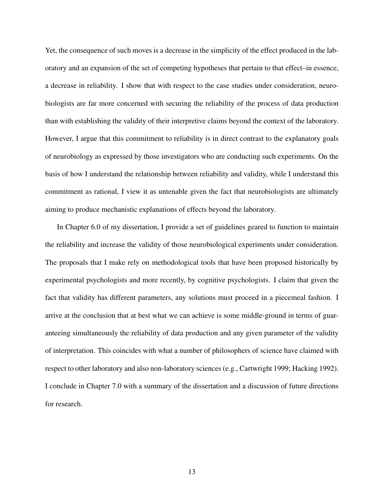Yet, the consequence of such moves is a decrease in the simplicity of the effect produced in the laboratory and an expansion of the set of competing hypotheses that pertain to that effect–in essence, a decrease in reliability. I show that with respect to the case studies under consideration, neurobiologists are far more concerned with securing the reliability of the process of data production than with establishing the validity of their interpretive claims beyond the context of the laboratory. However, I argue that this commitment to reliability is in direct contrast to the explanatory goals of neurobiology as expressed by those investigators who are conducting such experiments. On the basis of how I understand the relationship between reliability and validity, while I understand this commitment as rational, I view it as untenable given the fact that neurobiologists are ultimately aiming to produce mechanistic explanations of effects beyond the laboratory.

In Chapter 6.0 of my dissertation, I provide a set of guidelines geared to function to maintain the reliability and increase the validity of those neurobiological experiments under consideration. The proposals that I make rely on methodological tools that have been proposed historically by experimental psychologists and more recently, by cognitive psychologists. I claim that given the fact that validity has different parameters, any solutions must proceed in a piecemeal fashion. I arrive at the conclusion that at best what we can achieve is some middle-ground in terms of guaranteeing simultaneously the reliability of data production and any given parameter of the validity of interpretation. This coincides with what a number of philosophers of science have claimed with respect to other laboratory and also non-laboratory sciences (e.g., Cartwright 1999; Hacking 1992). I conclude in Chapter 7.0 with a summary of the dissertation and a discussion of future directions for research.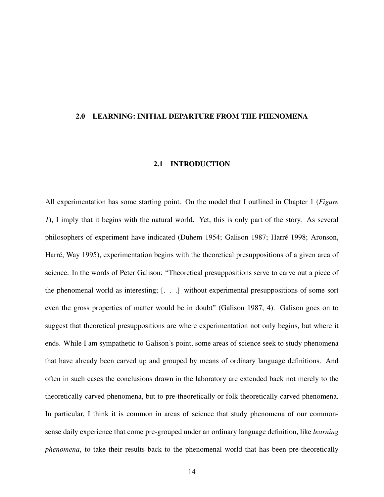#### <span id="page-26-1"></span><span id="page-26-0"></span>2.0 LEARNING: INITIAL DEPARTURE FROM THE PHENOMENA

#### 2.1 INTRODUCTION

All experimentation has some starting point. On the model that I outlined in Chapter 1 (*Figure 1*), I imply that it begins with the natural world. Yet, this is only part of the story. As several philosophers of experiment have indicated (Duhem 1954; Galison 1987; Harre 1998; Aronson, ´ Harré, Way 1995), experimentation begins with the theoretical presuppositions of a given area of science. In the words of Peter Galison: "Theoretical presuppositions serve to carve out a piece of the phenomenal world as interesting; [. . .] without experimental presuppositions of some sort even the gross properties of matter would be in doubt" (Galison 1987, 4). Galison goes on to suggest that theoretical presuppositions are where experimentation not only begins, but where it ends. While I am sympathetic to Galison's point, some areas of science seek to study phenomena that have already been carved up and grouped by means of ordinary language definitions. And often in such cases the conclusions drawn in the laboratory are extended back not merely to the theoretically carved phenomena, but to pre-theoretically or folk theoretically carved phenomena. In particular, I think it is common in areas of science that study phenomena of our commonsense daily experience that come pre-grouped under an ordinary language definition, like *learning phenomena*, to take their results back to the phenomenal world that has been pre-theoretically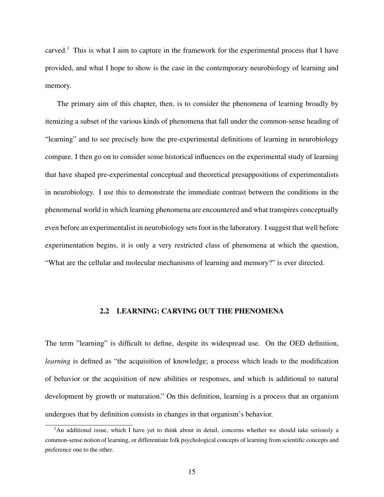carved.<sup>[1](#page-27-1)</sup> This is what I aim to capture in the framework for the experimental process that I have provided, and what I hope to show is the case in the contemporary neurobiology of learning and memory.

The primary aim of this chapter, then, is to consider the phenomena of learning broadly by itemizing a subset of the various kinds of phenomena that fall under the common-sense heading of "learning" and to see precisely how the pre-experimental definitions of learning in neurobiology compare. I then go on to consider some historical influences on the experimental study of learning that have shaped pre-experimental conceptual and theoretical presuppositions of experimentalists in neurobiology. I use this to demonstrate the immediate contrast between the conditions in the phenomenal world in which learning phenomena are encountered and what transpires conceptually even before an experimentalist in neurobiology sets foot in the laboratory. I suggest that well before experimentation begins, it is only a very restricted class of phenomena at which the question, "What are the cellular and molecular mechanisms of learning and memory?" is ever directed.

### 2.2 LEARNING: CARVING OUT THE PHENOMENA

<span id="page-27-0"></span>The term "learning" is difficult to define, despite its widespread use. On the OED definition, *learning* is defined as "the acquisition of knowledge; a process which leads to the modification of behavior or the acquisition of new abilities or responses, and which is additional to natural development by growth or maturation." On this definition, learning is a process that an organism undergoes that by definition consists in changes in that organism's behavior.

<span id="page-27-1"></span><sup>&</sup>lt;sup>1</sup>An additional issue, which I have yet to think about in detail, concerns whether we should take seriously a common-sense notion of learning, or differentiate folk psychological concepts of learning from scientific concepts and preference one to the other.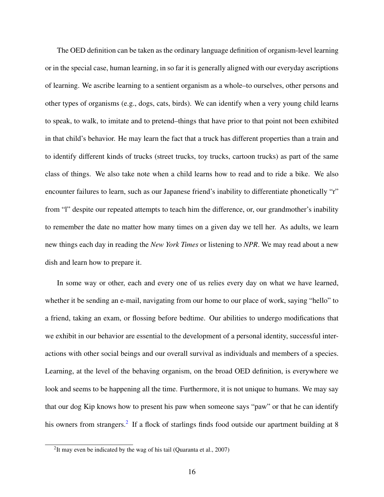The OED definition can be taken as the ordinary language definition of organism-level learning or in the special case, human learning, in so far it is generally aligned with our everyday ascriptions of learning. We ascribe learning to a sentient organism as a whole–to ourselves, other persons and other types of organisms (e.g., dogs, cats, birds). We can identify when a very young child learns to speak, to walk, to imitate and to pretend–things that have prior to that point not been exhibited in that child's behavior. He may learn the fact that a truck has different properties than a train and to identify different kinds of trucks (street trucks, toy trucks, cartoon trucks) as part of the same class of things. We also take note when a child learns how to read and to ride a bike. We also encounter failures to learn, such as our Japanese friend's inability to differentiate phonetically "r" from "l" despite our repeated attempts to teach him the difference, or, our grandmother's inability to remember the date no matter how many times on a given day we tell her. As adults, we learn new things each day in reading the *New York Times* or listening to *NPR*. We may read about a new dish and learn how to prepare it.

In some way or other, each and every one of us relies every day on what we have learned, whether it be sending an e-mail, navigating from our home to our place of work, saying "hello" to a friend, taking an exam, or flossing before bedtime. Our abilities to undergo modifications that we exhibit in our behavior are essential to the development of a personal identity, successful interactions with other social beings and our overall survival as individuals and members of a species. Learning, at the level of the behaving organism, on the broad OED definition, is everywhere we look and seems to be happening all the time. Furthermore, it is not unique to humans. We may say that our dog Kip knows how to present his paw when someone says "paw" or that he can identify his owners from strangers.<sup>[2](#page-28-0)</sup> If a flock of starlings finds food outside our apartment building at 8

<span id="page-28-0"></span><sup>&</sup>lt;sup>2</sup>It may even be indicated by the wag of his tail (Quaranta et al., 2007)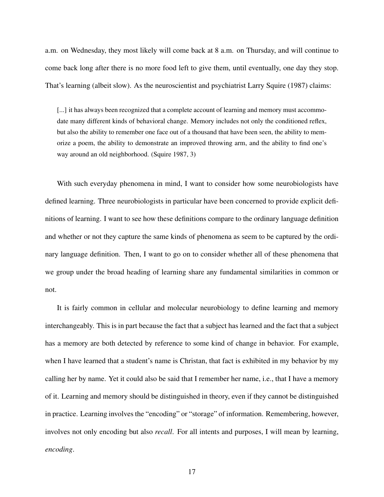a.m. on Wednesday, they most likely will come back at 8 a.m. on Thursday, and will continue to come back long after there is no more food left to give them, until eventually, one day they stop. That's learning (albeit slow). As the neuroscientist and psychiatrist Larry Squire (1987) claims:

[...] it has always been recognized that a complete account of learning and memory must accommodate many different kinds of behavioral change. Memory includes not only the conditioned reflex, but also the ability to remember one face out of a thousand that have been seen, the ability to memorize a poem, the ability to demonstrate an improved throwing arm, and the ability to find one's way around an old neighborhood. (Squire 1987, 3)

With such everyday phenomena in mind, I want to consider how some neurobiologists have defined learning. Three neurobiologists in particular have been concerned to provide explicit definitions of learning. I want to see how these definitions compare to the ordinary language definition and whether or not they capture the same kinds of phenomena as seem to be captured by the ordinary language definition. Then, I want to go on to consider whether all of these phenomena that we group under the broad heading of learning share any fundamental similarities in common or not.

It is fairly common in cellular and molecular neurobiology to define learning and memory interchangeably. This is in part because the fact that a subject has learned and the fact that a subject has a memory are both detected by reference to some kind of change in behavior. For example, when I have learned that a student's name is Christan, that fact is exhibited in my behavior by my calling her by name. Yet it could also be said that I remember her name, i.e., that I have a memory of it. Learning and memory should be distinguished in theory, even if they cannot be distinguished in practice. Learning involves the "encoding" or "storage" of information. Remembering, however, involves not only encoding but also *recall*. For all intents and purposes, I will mean by learning, *encoding*.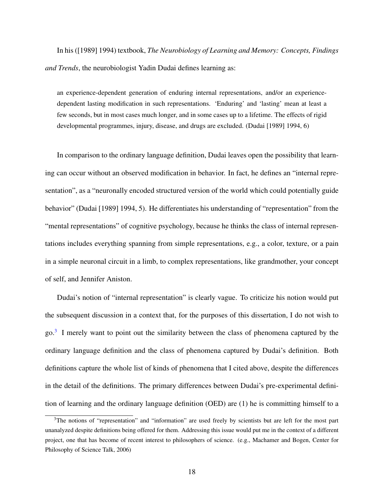In his ([1989] 1994) textbook, *The Neurobiology of Learning and Memory: Concepts, Findings and Trends*, the neurobiologist Yadin Dudai defines learning as:

an experience-dependent generation of enduring internal representations, and/or an experiencedependent lasting modification in such representations. 'Enduring' and 'lasting' mean at least a few seconds, but in most cases much longer, and in some cases up to a lifetime. The effects of rigid developmental programmes, injury, disease, and drugs are excluded. (Dudai [1989] 1994, 6)

In comparison to the ordinary language definition, Dudai leaves open the possibility that learning can occur without an observed modification in behavior. In fact, he defines an "internal representation", as a "neuronally encoded structured version of the world which could potentially guide behavior" (Dudai [1989] 1994, 5). He differentiates his understanding of "representation" from the "mental representations" of cognitive psychology, because he thinks the class of internal representations includes everything spanning from simple representations, e.g., a color, texture, or a pain in a simple neuronal circuit in a limb, to complex representations, like grandmother, your concept of self, and Jennifer Aniston.

Dudai's notion of "internal representation" is clearly vague. To criticize his notion would put the subsequent discussion in a context that, for the purposes of this dissertation, I do not wish to go.<sup>[3](#page-30-0)</sup> I merely want to point out the similarity between the class of phenomena captured by the ordinary language definition and the class of phenomena captured by Dudai's definition. Both definitions capture the whole list of kinds of phenomena that I cited above, despite the differences in the detail of the definitions. The primary differences between Dudai's pre-experimental definition of learning and the ordinary language definition (OED) are (1) he is committing himself to a

<span id="page-30-0"></span><sup>&</sup>lt;sup>3</sup>The notions of "representation" and "information" are used freely by scientists but are left for the most part unanalyzed despite definitions being offered for them. Addressing this issue would put me in the context of a different project, one that has become of recent interest to philosophers of science. (e.g., Machamer and Bogen, Center for Philosophy of Science Talk, 2006)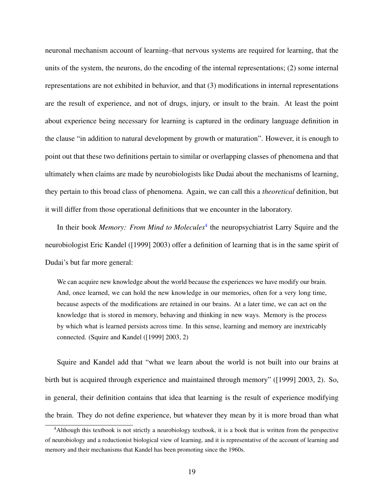neuronal mechanism account of learning–that nervous systems are required for learning, that the units of the system, the neurons, do the encoding of the internal representations; (2) some internal representations are not exhibited in behavior, and that (3) modifications in internal representations are the result of experience, and not of drugs, injury, or insult to the brain. At least the point about experience being necessary for learning is captured in the ordinary language definition in the clause "in addition to natural development by growth or maturation". However, it is enough to point out that these two definitions pertain to similar or overlapping classes of phenomena and that ultimately when claims are made by neurobiologists like Dudai about the mechanisms of learning, they pertain to this broad class of phenomena. Again, we can call this a *theoretical* definition, but it will differ from those operational definitions that we encounter in the laboratory.

In their book *Memory: From Mind to Molecules*<sup>[4](#page-31-0)</sup> the neuropsychiatrist Larry Squire and the neurobiologist Eric Kandel ([1999] 2003) offer a definition of learning that is in the same spirit of Dudai's but far more general:

We can acquire new knowledge about the world because the experiences we have modify our brain. And, once learned, we can hold the new knowledge in our memories, often for a very long time, because aspects of the modifications are retained in our brains. At a later time, we can act on the knowledge that is stored in memory, behaving and thinking in new ways. Memory is the process by which what is learned persists across time. In this sense, learning and memory are inextricably connected. (Squire and Kandel ([1999] 2003, 2)

Squire and Kandel add that "what we learn about the world is not built into our brains at birth but is acquired through experience and maintained through memory" ([1999] 2003, 2). So, in general, their definition contains that idea that learning is the result of experience modifying the brain. They do not define experience, but whatever they mean by it is more broad than what

<span id="page-31-0"></span><sup>4</sup>Although this textbook is not strictly a neurobiology textbook, it is a book that is written from the perspective of neurobiology and a reductionist biological view of learning, and it is representative of the account of learning and memory and their mechanisms that Kandel has been promoting since the 1960s.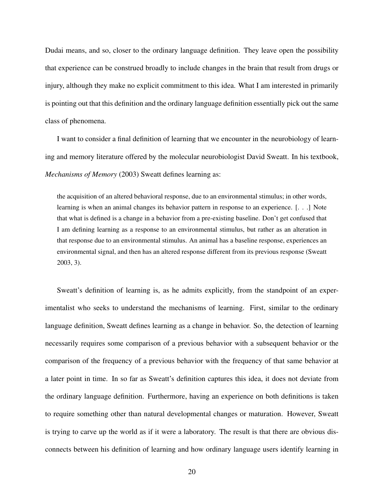Dudai means, and so, closer to the ordinary language definition. They leave open the possibility that experience can be construed broadly to include changes in the brain that result from drugs or injury, although they make no explicit commitment to this idea. What I am interested in primarily is pointing out that this definition and the ordinary language definition essentially pick out the same class of phenomena.

I want to consider a final definition of learning that we encounter in the neurobiology of learning and memory literature offered by the molecular neurobiologist David Sweatt. In his textbook, *Mechanisms of Memory* (2003) Sweatt defines learning as:

the acquisition of an altered behavioral response, due to an environmental stimulus; in other words, learning is when an animal changes its behavior pattern in response to an experience. [. . .] Note that what is defined is a change in a behavior from a pre-existing baseline. Don't get confused that I am defining learning as a response to an environmental stimulus, but rather as an alteration in that response due to an environmental stimulus. An animal has a baseline response, experiences an environmental signal, and then has an altered response different from its previous response (Sweatt 2003, 3).

Sweatt's definition of learning is, as he admits explicitly, from the standpoint of an experimentalist who seeks to understand the mechanisms of learning. First, similar to the ordinary language definition, Sweatt defines learning as a change in behavior. So, the detection of learning necessarily requires some comparison of a previous behavior with a subsequent behavior or the comparison of the frequency of a previous behavior with the frequency of that same behavior at a later point in time. In so far as Sweatt's definition captures this idea, it does not deviate from the ordinary language definition. Furthermore, having an experience on both definitions is taken to require something other than natural developmental changes or maturation. However, Sweatt is trying to carve up the world as if it were a laboratory. The result is that there are obvious disconnects between his definition of learning and how ordinary language users identify learning in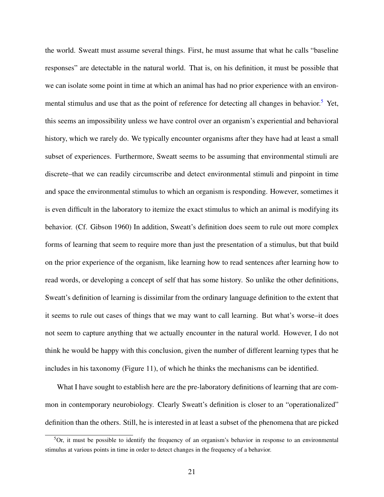the world. Sweatt must assume several things. First, he must assume that what he calls "baseline responses" are detectable in the natural world. That is, on his definition, it must be possible that we can isolate some point in time at which an animal has had no prior experience with an environ-mental stimulus and use that as the point of reference for detecting all changes in behavior.<sup>[5](#page-33-0)</sup> Yet, this seems an impossibility unless we have control over an organism's experiential and behavioral history, which we rarely do. We typically encounter organisms after they have had at least a small subset of experiences. Furthermore, Sweatt seems to be assuming that environmental stimuli are discrete–that we can readily circumscribe and detect environmental stimuli and pinpoint in time and space the environmental stimulus to which an organism is responding. However, sometimes it is even difficult in the laboratory to itemize the exact stimulus to which an animal is modifying its behavior. (Cf. Gibson 1960) In addition, Sweatt's definition does seem to rule out more complex forms of learning that seem to require more than just the presentation of a stimulus, but that build on the prior experience of the organism, like learning how to read sentences after learning how to read words, or developing a concept of self that has some history. So unlike the other definitions, Sweatt's definition of learning is dissimilar from the ordinary language definition to the extent that it seems to rule out cases of things that we may want to call learning. But what's worse–it does not seem to capture anything that we actually encounter in the natural world. However, I do not think he would be happy with this conclusion, given the number of different learning types that he includes in his taxonomy (Figure 11), of which he thinks the mechanisms can be identified.

What I have sought to establish here are the pre-laboratory definitions of learning that are common in contemporary neurobiology. Clearly Sweatt's definition is closer to an "operationalized" definition than the others. Still, he is interested in at least a subset of the phenomena that are picked

<span id="page-33-0"></span> ${}^{5}$ Or, it must be possible to identify the frequency of an organism's behavior in response to an environmental stimulus at various points in time in order to detect changes in the frequency of a behavior.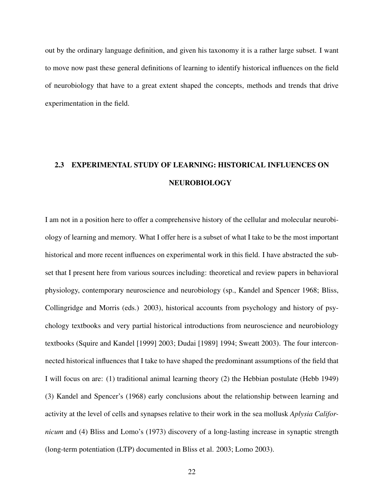out by the ordinary language definition, and given his taxonomy it is a rather large subset. I want to move now past these general definitions of learning to identify historical influences on the field of neurobiology that have to a great extent shaped the concepts, methods and trends that drive experimentation in the field.

# <span id="page-34-0"></span>2.3 EXPERIMENTAL STUDY OF LEARNING: HISTORICAL INFLUENCES ON NEUROBIOLOGY

I am not in a position here to offer a comprehensive history of the cellular and molecular neurobiology of learning and memory. What I offer here is a subset of what I take to be the most important historical and more recent influences on experimental work in this field. I have abstracted the subset that I present here from various sources including: theoretical and review papers in behavioral physiology, contemporary neuroscience and neurobiology (sp., Kandel and Spencer 1968; Bliss, Collingridge and Morris (eds.) 2003), historical accounts from psychology and history of psychology textbooks and very partial historical introductions from neuroscience and neurobiology textbooks (Squire and Kandel [1999] 2003; Dudai [1989] 1994; Sweatt 2003). The four interconnected historical influences that I take to have shaped the predominant assumptions of the field that I will focus on are: (1) traditional animal learning theory (2) the Hebbian postulate (Hebb 1949) (3) Kandel and Spencer's (1968) early conclusions about the relationship between learning and activity at the level of cells and synapses relative to their work in the sea mollusk *Aplysia Californicum* and (4) Bliss and Lomo's (1973) discovery of a long-lasting increase in synaptic strength (long-term potentiation (LTP) documented in Bliss et al. 2003; Lomo 2003).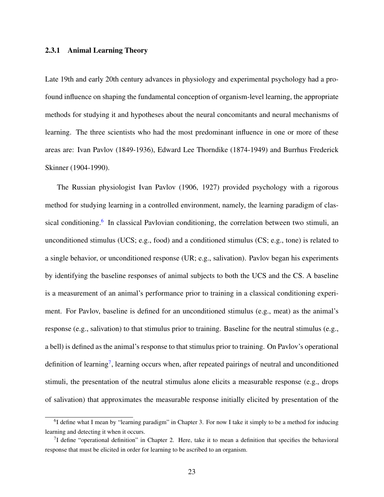#### <span id="page-35-0"></span>2.3.1 Animal Learning Theory

Late 19th and early 20th century advances in physiology and experimental psychology had a profound influence on shaping the fundamental conception of organism-level learning, the appropriate methods for studying it and hypotheses about the neural concomitants and neural mechanisms of learning. The three scientists who had the most predominant influence in one or more of these areas are: Ivan Pavlov (1849-1936), Edward Lee Thorndike (1874-1949) and Burrhus Frederick Skinner (1904-1990).

The Russian physiologist Ivan Pavlov (1906, 1927) provided psychology with a rigorous method for studying learning in a controlled environment, namely, the learning paradigm of clas-sical conditioning.<sup>[6](#page-35-1)</sup> In classical Pavlovian conditioning, the correlation between two stimuli, an unconditioned stimulus (UCS; e.g., food) and a conditioned stimulus (CS; e.g., tone) is related to a single behavior, or unconditioned response (UR; e.g., salivation). Pavlov began his experiments by identifying the baseline responses of animal subjects to both the UCS and the CS. A baseline is a measurement of an animal's performance prior to training in a classical conditioning experiment. For Pavlov, baseline is defined for an unconditioned stimulus (e.g., meat) as the animal's response (e.g., salivation) to that stimulus prior to training. Baseline for the neutral stimulus (e.g., a bell) is defined as the animal's response to that stimulus prior to training. On Pavlov's operational definition of learning<sup>[7](#page-35-2)</sup>, learning occurs when, after repeated pairings of neutral and unconditioned stimuli, the presentation of the neutral stimulus alone elicits a measurable response (e.g., drops of salivation) that approximates the measurable response initially elicited by presentation of the

<span id="page-35-1"></span><sup>&</sup>lt;sup>6</sup>I define what I mean by "learning paradigm" in Chapter 3. For now I take it simply to be a method for inducing learning and detecting it when it occurs.

<span id="page-35-2"></span><sup>&</sup>lt;sup>7</sup>I define "operational definition" in Chapter 2. Here, take it to mean a definition that specifies the behavioral response that must be elicited in order for learning to be ascribed to an organism.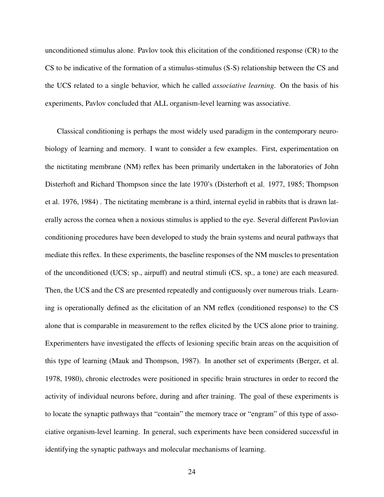unconditioned stimulus alone. Pavlov took this elicitation of the conditioned response (CR) to the CS to be indicative of the formation of a stimulus-stimulus (S-S) relationship between the CS and the UCS related to a single behavior, which he called *associative learning*. On the basis of his experiments, Pavlov concluded that ALL organism-level learning was associative.

Classical conditioning is perhaps the most widely used paradigm in the contemporary neurobiology of learning and memory. I want to consider a few examples. First, experimentation on the nictitating membrane (NM) reflex has been primarily undertaken in the laboratories of John Disterhoft and Richard Thompson since the late 1970's (Disterhoft et al. 1977, 1985; Thompson et al. 1976, 1984) . The nictitating membrane is a third, internal eyelid in rabbits that is drawn laterally across the cornea when a noxious stimulus is applied to the eye. Several different Pavlovian conditioning procedures have been developed to study the brain systems and neural pathways that mediate this reflex. In these experiments, the baseline responses of the NM muscles to presentation of the unconditioned (UCS; sp., airpuff) and neutral stimuli (CS, sp., a tone) are each measured. Then, the UCS and the CS are presented repeatedly and contiguously over numerous trials. Learning is operationally defined as the elicitation of an NM reflex (conditioned response) to the CS alone that is comparable in measurement to the reflex elicited by the UCS alone prior to training. Experimenters have investigated the effects of lesioning specific brain areas on the acquisition of this type of learning (Mauk and Thompson, 1987). In another set of experiments (Berger, et al. 1978, 1980), chronic electrodes were positioned in specific brain structures in order to record the activity of individual neurons before, during and after training. The goal of these experiments is to locate the synaptic pathways that "contain" the memory trace or "engram" of this type of associative organism-level learning. In general, such experiments have been considered successful in identifying the synaptic pathways and molecular mechanisms of learning.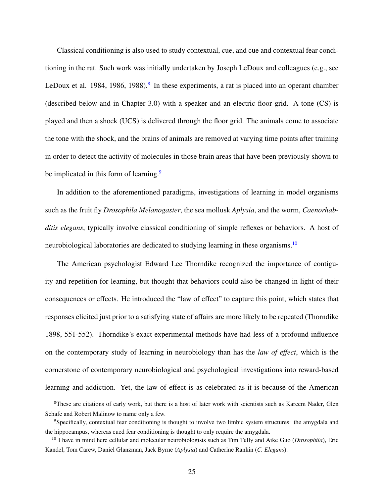Classical conditioning is also used to study contextual, cue, and cue and contextual fear conditioning in the rat. Such work was initially undertaken by Joseph LeDoux and colleagues (e.g., see LeDoux et al. 19[8](#page-37-0)4, 1986, 1988).<sup>8</sup> In these experiments, a rat is placed into an operant chamber (described below and in Chapter 3.0) with a speaker and an electric floor grid. A tone (CS) is played and then a shock (UCS) is delivered through the floor grid. The animals come to associate the tone with the shock, and the brains of animals are removed at varying time points after training in order to detect the activity of molecules in those brain areas that have been previously shown to be implicated in this form of learning.<sup>[9](#page-37-1)</sup>

In addition to the aforementioned paradigms, investigations of learning in model organisms such as the fruit fly *Drosophila Melanogaster*, the sea mollusk *Aplysia*, and the worm, *Caenorhabditis elegans*, typically involve classical conditioning of simple reflexes or behaviors. A host of neurobiological laboratories are dedicated to studying learning in these organisms.<sup>[10](#page-37-2)</sup>

The American psychologist Edward Lee Thorndike recognized the importance of contiguity and repetition for learning, but thought that behaviors could also be changed in light of their consequences or effects. He introduced the "law of effect" to capture this point, which states that responses elicited just prior to a satisfying state of affairs are more likely to be repeated (Thorndike 1898, 551-552). Thorndike's exact experimental methods have had less of a profound influence on the contemporary study of learning in neurobiology than has the *law of effect*, which is the cornerstone of contemporary neurobiological and psychological investigations into reward-based learning and addiction. Yet, the law of effect is as celebrated as it is because of the American

<span id="page-37-0"></span><sup>&</sup>lt;sup>8</sup>These are citations of early work, but there is a host of later work with scientists such as Kareem Nader, Glen Schafe and Robert Malinow to name only a few.

<span id="page-37-1"></span><sup>9</sup>Specifically, contextual fear conditioning is thought to involve two limbic system structures: the amygdala and the hippocampus, whereas cued fear conditioning is thought to only require the amygdala.

<span id="page-37-2"></span><sup>10</sup> I have in mind here cellular and molecular neurobiologists such as Tim Tully and Aike Guo (*Drosophila*), Eric Kandel, Tom Carew, Daniel Glanzman, Jack Byrne (*Aplysia*) and Catherine Rankin (*C. Elegans*).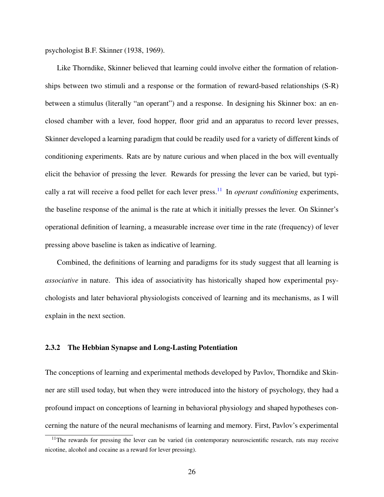psychologist B.F. Skinner (1938, 1969).

Like Thorndike, Skinner believed that learning could involve either the formation of relationships between two stimuli and a response or the formation of reward-based relationships (S-R) between a stimulus (literally "an operant") and a response. In designing his Skinner box: an enclosed chamber with a lever, food hopper, floor grid and an apparatus to record lever presses, Skinner developed a learning paradigm that could be readily used for a variety of different kinds of conditioning experiments. Rats are by nature curious and when placed in the box will eventually elicit the behavior of pressing the lever. Rewards for pressing the lever can be varied, but typically a rat will receive a food pellet for each lever press.[11](#page-38-0) In *operant conditioning* experiments, the baseline response of the animal is the rate at which it initially presses the lever. On Skinner's operational definition of learning, a measurable increase over time in the rate (frequency) of lever pressing above baseline is taken as indicative of learning.

Combined, the definitions of learning and paradigms for its study suggest that all learning is *associative* in nature. This idea of associativity has historically shaped how experimental psychologists and later behavioral physiologists conceived of learning and its mechanisms, as I will explain in the next section.

#### 2.3.2 The Hebbian Synapse and Long-Lasting Potentiation

The conceptions of learning and experimental methods developed by Pavlov, Thorndike and Skinner are still used today, but when they were introduced into the history of psychology, they had a profound impact on conceptions of learning in behavioral physiology and shaped hypotheses concerning the nature of the neural mechanisms of learning and memory. First, Pavlov's experimental

<span id="page-38-0"></span> $11$ The rewards for pressing the lever can be varied (in contemporary neuroscientific research, rats may receive nicotine, alcohol and cocaine as a reward for lever pressing).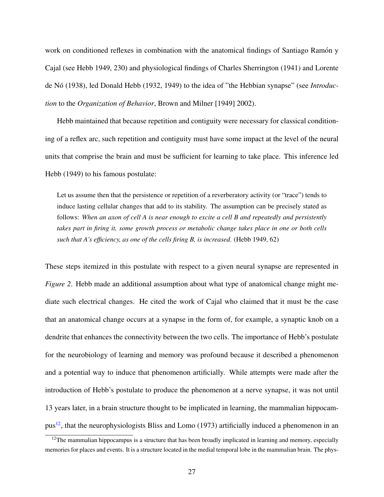work on conditioned reflexes in combination with the anatomical findings of Santiago Ramón y Cajal (see Hebb 1949, 230) and physiological findings of Charles Sherrington (1941) and Lorente de Nó (1938), led Donald Hebb (1932, 1949) to the idea of "the Hebbian synapse" (see *Introduction* to the *Organization of Behavior*, Brown and Milner [1949] 2002).

Hebb maintained that because repetition and contiguity were necessary for classical conditioning of a reflex arc, such repetition and contiguity must have some impact at the level of the neural units that comprise the brain and must be sufficient for learning to take place. This inference led Hebb (1949) to his famous postulate:

Let us assume then that the persistence or repetition of a reverberatory activity (or "trace") tends to induce lasting cellular changes that add to its stability. The assumption can be precisely stated as follows: *When an axon of cell A is near enough to excite a cell B and repeatedly and persistently takes part in firing it, some growth process or metabolic change takes place in one or both cells such that A's efficiency, as one of the cells firing B, is increased*. (Hebb 1949, 62)

These steps itemized in this postulate with respect to a given neural synapse are represented in *Figure 2*. Hebb made an additional assumption about what type of anatomical change might mediate such electrical changes. He cited the work of Cajal who claimed that it must be the case that an anatomical change occurs at a synapse in the form of, for example, a synaptic knob on a dendrite that enhances the connectivity between the two cells. The importance of Hebb's postulate for the neurobiology of learning and memory was profound because it described a phenomenon and a potential way to induce that phenomenon artificially. While attempts were made after the introduction of Hebb's postulate to produce the phenomenon at a nerve synapse, it was not until 13 years later, in a brain structure thought to be implicated in learning, the mammalian hippocam- $pus<sup>12</sup>$  $pus<sup>12</sup>$  $pus<sup>12</sup>$ , that the neurophysiologists Bliss and Lomo (1973) artificially induced a phenomenon in an

<span id="page-39-0"></span><sup>&</sup>lt;sup>12</sup>The mammalian hippocampus is a structure that has been broadly implicated in learning and memory, especially memories for places and events. It is a structure located in the medial temporal lobe in the mammalian brain. The phys-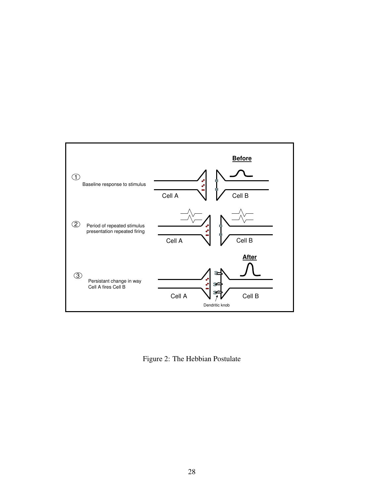

Figure 2: The Hebbian Postulate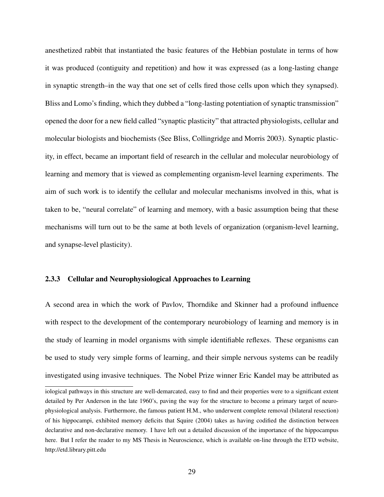anesthetized rabbit that instantiated the basic features of the Hebbian postulate in terms of how it was produced (contiguity and repetition) and how it was expressed (as a long-lasting change in synaptic strength–in the way that one set of cells fired those cells upon which they synapsed). Bliss and Lomo's finding, which they dubbed a "long-lasting potentiation of synaptic transmission" opened the door for a new field called "synaptic plasticity" that attracted physiologists, cellular and molecular biologists and biochemists (See Bliss, Collingridge and Morris 2003). Synaptic plasticity, in effect, became an important field of research in the cellular and molecular neurobiology of learning and memory that is viewed as complementing organism-level learning experiments. The aim of such work is to identify the cellular and molecular mechanisms involved in this, what is taken to be, "neural correlate" of learning and memory, with a basic assumption being that these mechanisms will turn out to be the same at both levels of organization (organism-level learning, and synapse-level plasticity).

## 2.3.3 Cellular and Neurophysiological Approaches to Learning

A second area in which the work of Pavlov, Thorndike and Skinner had a profound influence with respect to the development of the contemporary neurobiology of learning and memory is in the study of learning in model organisms with simple identifiable reflexes. These organisms can be used to study very simple forms of learning, and their simple nervous systems can be readily investigated using invasive techniques. The Nobel Prize winner Eric Kandel may be attributed as

iological pathways in this structure are well-demarcated, easy to find and their properties were to a significant extent detailed by Per Anderson in the late 1960's, paving the way for the structure to become a primary target of neurophysiological analysis. Furthermore, the famous patient H.M., who underwent complete removal (bilateral resection) of his hippocampi, exhibited memory deficits that Squire (2004) takes as having codified the distinction between declarative and non-declarative memory. I have left out a detailed discussion of the importance of the hippocampus here. But I refer the reader to my MS Thesis in Neuroscience, which is available on-line through the ETD website, http://etd.library.pitt.edu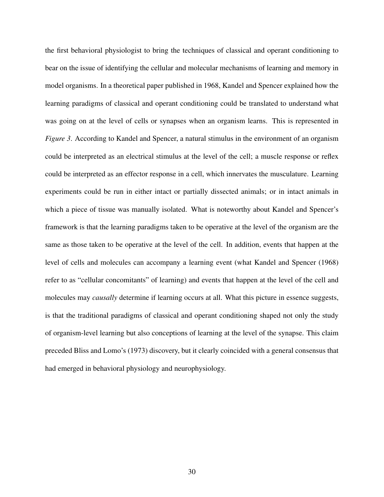the first behavioral physiologist to bring the techniques of classical and operant conditioning to bear on the issue of identifying the cellular and molecular mechanisms of learning and memory in model organisms. In a theoretical paper published in 1968, Kandel and Spencer explained how the learning paradigms of classical and operant conditioning could be translated to understand what was going on at the level of cells or synapses when an organism learns. This is represented in *Figure 3.* According to Kandel and Spencer, a natural stimulus in the environment of an organism could be interpreted as an electrical stimulus at the level of the cell; a muscle response or reflex could be interpreted as an effector response in a cell, which innervates the musculature. Learning experiments could be run in either intact or partially dissected animals; or in intact animals in which a piece of tissue was manually isolated. What is noteworthy about Kandel and Spencer's framework is that the learning paradigms taken to be operative at the level of the organism are the same as those taken to be operative at the level of the cell. In addition, events that happen at the level of cells and molecules can accompany a learning event (what Kandel and Spencer (1968) refer to as "cellular concomitants" of learning) and events that happen at the level of the cell and molecules may *causally* determine if learning occurs at all. What this picture in essence suggests, is that the traditional paradigms of classical and operant conditioning shaped not only the study of organism-level learning but also conceptions of learning at the level of the synapse. This claim preceded Bliss and Lomo's (1973) discovery, but it clearly coincided with a general consensus that had emerged in behavioral physiology and neurophysiology.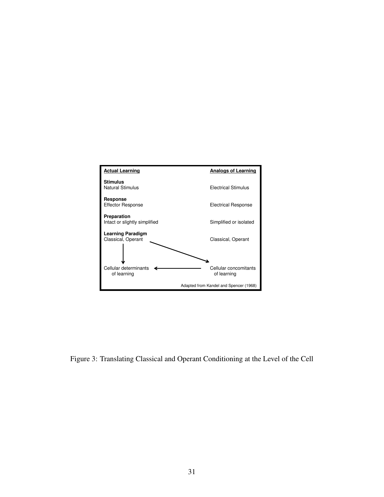

Figure 3: Translating Classical and Operant Conditioning at the Level of the Cell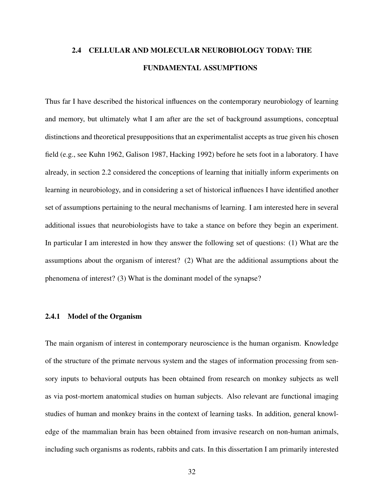# 2.4 CELLULAR AND MOLECULAR NEUROBIOLOGY TODAY: THE FUNDAMENTAL ASSUMPTIONS

Thus far I have described the historical influences on the contemporary neurobiology of learning and memory, but ultimately what I am after are the set of background assumptions, conceptual distinctions and theoretical presuppositions that an experimentalist accepts as true given his chosen field (e.g., see Kuhn 1962, Galison 1987, Hacking 1992) before he sets foot in a laboratory. I have already, in section 2.2 considered the conceptions of learning that initially inform experiments on learning in neurobiology, and in considering a set of historical influences I have identified another set of assumptions pertaining to the neural mechanisms of learning. I am interested here in several additional issues that neurobiologists have to take a stance on before they begin an experiment. In particular I am interested in how they answer the following set of questions: (1) What are the assumptions about the organism of interest? (2) What are the additional assumptions about the phenomena of interest? (3) What is the dominant model of the synapse?

#### 2.4.1 Model of the Organism

The main organism of interest in contemporary neuroscience is the human organism. Knowledge of the structure of the primate nervous system and the stages of information processing from sensory inputs to behavioral outputs has been obtained from research on monkey subjects as well as via post-mortem anatomical studies on human subjects. Also relevant are functional imaging studies of human and monkey brains in the context of learning tasks. In addition, general knowledge of the mammalian brain has been obtained from invasive research on non-human animals, including such organisms as rodents, rabbits and cats. In this dissertation I am primarily interested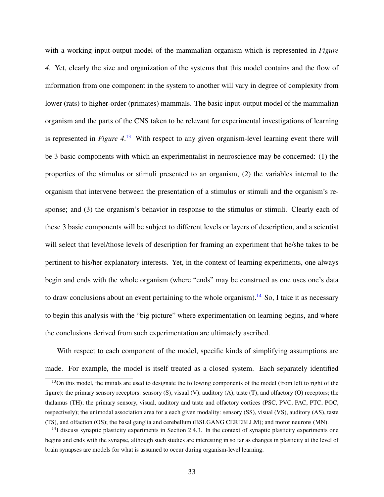with a working input-output model of the mammalian organism which is represented in *Figure 4*. Yet, clearly the size and organization of the systems that this model contains and the flow of information from one component in the system to another will vary in degree of complexity from lower (rats) to higher-order (primates) mammals. The basic input-output model of the mammalian organism and the parts of the CNS taken to be relevant for experimental investigations of learning is represented in *Figure 4*. [13](#page-45-0) With respect to any given organism-level learning event there will be 3 basic components with which an experimentalist in neuroscience may be concerned: (1) the properties of the stimulus or stimuli presented to an organism, (2) the variables internal to the organism that intervene between the presentation of a stimulus or stimuli and the organism's response; and (3) the organism's behavior in response to the stimulus or stimuli. Clearly each of these 3 basic components will be subject to different levels or layers of description, and a scientist will select that level/those levels of description for framing an experiment that he/she takes to be pertinent to his/her explanatory interests. Yet, in the context of learning experiments, one always begin and ends with the whole organism (where "ends" may be construed as one uses one's data to draw conclusions about an event pertaining to the whole organism).<sup>[14](#page-45-1)</sup> So, I take it as necessary to begin this analysis with the "big picture" where experimentation on learning begins, and where the conclusions derived from such experimentation are ultimately ascribed.

With respect to each component of the model, specific kinds of simplifying assumptions are made. For example, the model is itself treated as a closed system. Each separately identified

<span id="page-45-0"></span><sup>&</sup>lt;sup>13</sup>On this model, the initials are used to designate the following components of the model (from left to right of the figure): the primary sensory receptors: sensory (S), visual (V), auditory (A), taste (T), and olfactory (O) receptors; the thalamus (TH); the primary sensory, visual, auditory and taste and olfactory cortices (PSC, PVC, PAC, PTC, POC, respectively); the unimodal association area for a each given modality: sensory (SS), visual (VS), auditory (AS), taste (TS), and olfaction (OS); the basal ganglia and cerebellum (BSLGANG CEREBLLM); and motor neurons (MN).

<span id="page-45-1"></span> $14$ I discuss synaptic plasticity experiments in Section 2.4.3. In the context of synaptic plasticity experiments one begins and ends with the synapse, although such studies are interesting in so far as changes in plasticity at the level of brain synapses are models for what is assumed to occur during organism-level learning.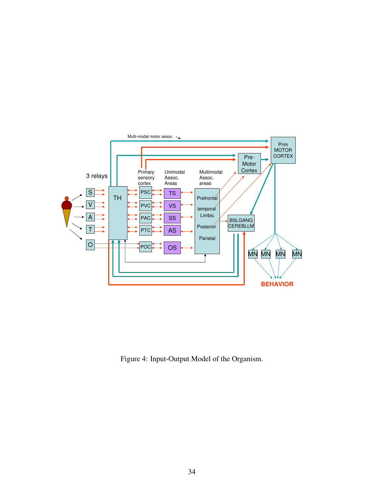

Figure 4: Input-Output Model of the Organism.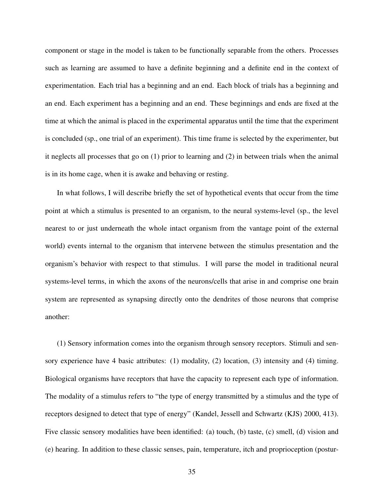component or stage in the model is taken to be functionally separable from the others. Processes such as learning are assumed to have a definite beginning and a definite end in the context of experimentation. Each trial has a beginning and an end. Each block of trials has a beginning and an end. Each experiment has a beginning and an end. These beginnings and ends are fixed at the time at which the animal is placed in the experimental apparatus until the time that the experiment is concluded (sp., one trial of an experiment). This time frame is selected by the experimenter, but it neglects all processes that go on (1) prior to learning and (2) in between trials when the animal is in its home cage, when it is awake and behaving or resting.

In what follows, I will describe briefly the set of hypothetical events that occur from the time point at which a stimulus is presented to an organism, to the neural systems-level (sp., the level nearest to or just underneath the whole intact organism from the vantage point of the external world) events internal to the organism that intervene between the stimulus presentation and the organism's behavior with respect to that stimulus. I will parse the model in traditional neural systems-level terms, in which the axons of the neurons/cells that arise in and comprise one brain system are represented as synapsing directly onto the dendrites of those neurons that comprise another:

(1) Sensory information comes into the organism through sensory receptors. Stimuli and sensory experience have 4 basic attributes: (1) modality, (2) location, (3) intensity and (4) timing. Biological organisms have receptors that have the capacity to represent each type of information. The modality of a stimulus refers to "the type of energy transmitted by a stimulus and the type of receptors designed to detect that type of energy" (Kandel, Jessell and Schwartz (KJS) 2000, 413). Five classic sensory modalities have been identified: (a) touch, (b) taste, (c) smell, (d) vision and (e) hearing. In addition to these classic senses, pain, temperature, itch and proprioception (postur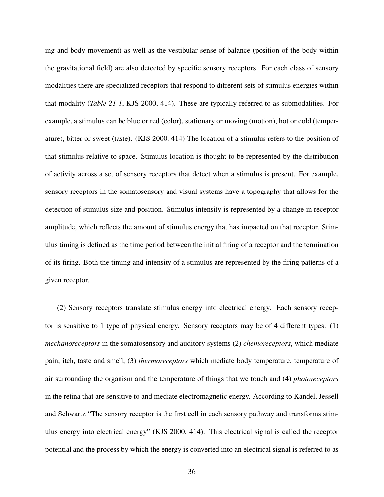ing and body movement) as well as the vestibular sense of balance (position of the body within the gravitational field) are also detected by specific sensory receptors. For each class of sensory modalities there are specialized receptors that respond to different sets of stimulus energies within that modality (*Table 21-1*, KJS 2000, 414). These are typically referred to as submodalities. For example, a stimulus can be blue or red (color), stationary or moving (motion), hot or cold (temperature), bitter or sweet (taste). (KJS 2000, 414) The location of a stimulus refers to the position of that stimulus relative to space. Stimulus location is thought to be represented by the distribution of activity across a set of sensory receptors that detect when a stimulus is present. For example, sensory receptors in the somatosensory and visual systems have a topography that allows for the detection of stimulus size and position. Stimulus intensity is represented by a change in receptor amplitude, which reflects the amount of stimulus energy that has impacted on that receptor. Stimulus timing is defined as the time period between the initial firing of a receptor and the termination of its firing. Both the timing and intensity of a stimulus are represented by the firing patterns of a given receptor.

(2) Sensory receptors translate stimulus energy into electrical energy. Each sensory receptor is sensitive to 1 type of physical energy. Sensory receptors may be of 4 different types: (1) *mechanoreceptors* in the somatosensory and auditory systems (2) *chemoreceptors*, which mediate pain, itch, taste and smell, (3) *thermoreceptors* which mediate body temperature, temperature of air surrounding the organism and the temperature of things that we touch and (4) *photoreceptors* in the retina that are sensitive to and mediate electromagnetic energy. According to Kandel, Jessell and Schwartz "The sensory receptor is the first cell in each sensory pathway and transforms stimulus energy into electrical energy" (KJS 2000, 414). This electrical signal is called the receptor potential and the process by which the energy is converted into an electrical signal is referred to as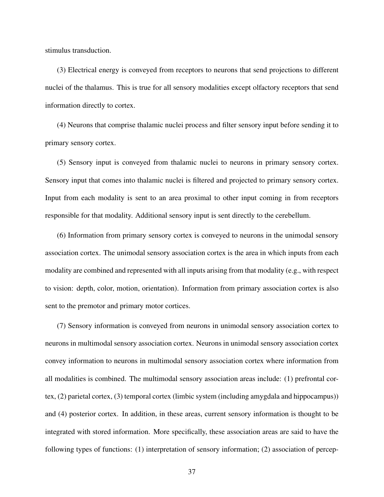stimulus transduction.

(3) Electrical energy is conveyed from receptors to neurons that send projections to different nuclei of the thalamus. This is true for all sensory modalities except olfactory receptors that send information directly to cortex.

(4) Neurons that comprise thalamic nuclei process and filter sensory input before sending it to primary sensory cortex.

(5) Sensory input is conveyed from thalamic nuclei to neurons in primary sensory cortex. Sensory input that comes into thalamic nuclei is filtered and projected to primary sensory cortex. Input from each modality is sent to an area proximal to other input coming in from receptors responsible for that modality. Additional sensory input is sent directly to the cerebellum.

(6) Information from primary sensory cortex is conveyed to neurons in the unimodal sensory association cortex. The unimodal sensory association cortex is the area in which inputs from each modality are combined and represented with all inputs arising from that modality (e.g., with respect to vision: depth, color, motion, orientation). Information from primary association cortex is also sent to the premotor and primary motor cortices.

(7) Sensory information is conveyed from neurons in unimodal sensory association cortex to neurons in multimodal sensory association cortex. Neurons in unimodal sensory association cortex convey information to neurons in multimodal sensory association cortex where information from all modalities is combined. The multimodal sensory association areas include: (1) prefrontal cortex, (2) parietal cortex, (3) temporal cortex (limbic system (including amygdala and hippocampus)) and (4) posterior cortex. In addition, in these areas, current sensory information is thought to be integrated with stored information. More specifically, these association areas are said to have the following types of functions: (1) interpretation of sensory information; (2) association of percep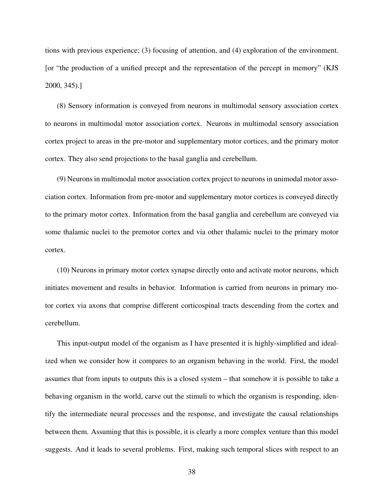tions with previous experience; (3) focusing of attention, and (4) exploration of the environment. [or "the production of a unified precept and the representation of the percept in memory" (KJS 2000, 345).]

(8) Sensory information is conveyed from neurons in multimodal sensory association cortex to neurons in multimodal motor association cortex. Neurons in multimodal sensory association cortex project to areas in the pre-motor and supplementary motor cortices, and the primary motor cortex. They also send projections to the basal ganglia and cerebellum.

(9) Neurons in multimodal motor association cortex project to neurons in unimodal motor association cortex. Information from pre-motor and supplementary motor cortices is conveyed directly to the primary motor cortex. Information from the basal ganglia and cerebellum are conveyed via some thalamic nuclei to the premotor cortex and via other thalamic nuclei to the primary motor cortex.

(10) Neurons in primary motor cortex synapse directly onto and activate motor neurons, which initiates movement and results in behavior. Information is carried from neurons in primary motor cortex via axons that comprise different corticospinal tracts descending from the cortex and cerebellum.

This input-output model of the organism as I have presented it is highly-simplified and idealized when we consider how it compares to an organism behaving in the world. First, the model assumes that from inputs to outputs this is a closed system – that somehow it is possible to take a behaving organism in the world, carve out the stimuli to which the organism is responding, identify the intermediate neural processes and the response, and investigate the causal relationships between them. Assuming that this is possible, it is clearly a more complex venture than this model suggests. And it leads to several problems. First, making such temporal slices with respect to an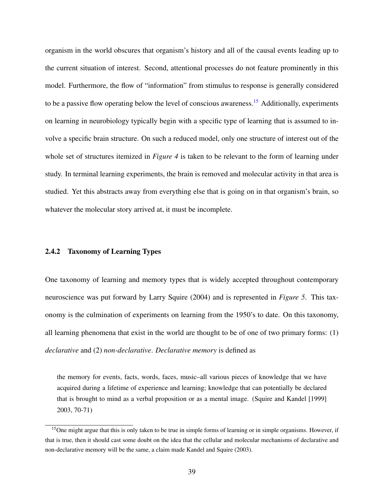organism in the world obscures that organism's history and all of the causal events leading up to the current situation of interest. Second, attentional processes do not feature prominently in this model. Furthermore, the flow of "information" from stimulus to response is generally considered to be a passive flow operating below the level of conscious awareness.<sup>[15](#page-51-0)</sup> Additionally, experiments on learning in neurobiology typically begin with a specific type of learning that is assumed to involve a specific brain structure. On such a reduced model, only one structure of interest out of the whole set of structures itemized in *Figure 4* is taken to be relevant to the form of learning under study. In terminal learning experiments, the brain is removed and molecular activity in that area is studied. Yet this abstracts away from everything else that is going on in that organism's brain, so whatever the molecular story arrived at, it must be incomplete.

## 2.4.2 Taxonomy of Learning Types

One taxonomy of learning and memory types that is widely accepted throughout contemporary neuroscience was put forward by Larry Squire (2004) and is represented in *Figure 5*. This taxonomy is the culmination of experiments on learning from the 1950's to date. On this taxonomy, all learning phenomena that exist in the world are thought to be of one of two primary forms: (1) *declarative* and (2) *non-declarative*. *Declarative memory* is defined as

the memory for events, facts, words, faces, music–all various pieces of knowledge that we have acquired during a lifetime of experience and learning; knowledge that can potentially be declared that is brought to mind as a verbal proposition or as a mental image. (Squire and Kandel [1999] 2003, 70-71)

<span id="page-51-0"></span><sup>&</sup>lt;sup>15</sup>One might argue that this is only taken to be true in simple forms of learning or in simple organisms. However, if that is true, then it should cast some doubt on the idea that the cellular and molecular mechanisms of declarative and non-declarative memory will be the same, a claim made Kandel and Squire (2003).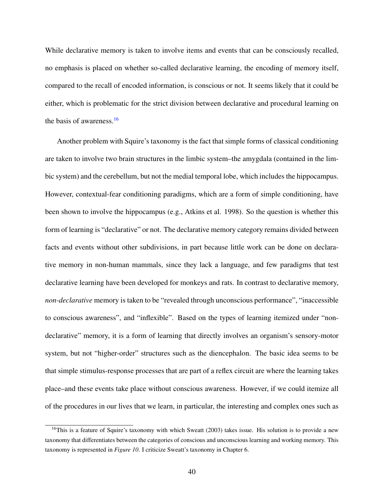While declarative memory is taken to involve items and events that can be consciously recalled, no emphasis is placed on whether so-called declarative learning, the encoding of memory itself, compared to the recall of encoded information, is conscious or not. It seems likely that it could be either, which is problematic for the strict division between declarative and procedural learning on the basis of awareness.[16](#page-52-0)

Another problem with Squire's taxonomy is the fact that simple forms of classical conditioning are taken to involve two brain structures in the limbic system–the amygdala (contained in the limbic system) and the cerebellum, but not the medial temporal lobe, which includes the hippocampus. However, contextual-fear conditioning paradigms, which are a form of simple conditioning, have been shown to involve the hippocampus (e.g., Atkins et al. 1998). So the question is whether this form of learning is "declarative" or not. The declarative memory category remains divided between facts and events without other subdivisions, in part because little work can be done on declarative memory in non-human mammals, since they lack a language, and few paradigms that test declarative learning have been developed for monkeys and rats. In contrast to declarative memory, *non-declarative* memory is taken to be "revealed through unconscious performance", "inaccessible to conscious awareness", and "inflexible". Based on the types of learning itemized under "nondeclarative" memory, it is a form of learning that directly involves an organism's sensory-motor system, but not "higher-order" structures such as the diencephalon. The basic idea seems to be that simple stimulus-response processes that are part of a reflex circuit are where the learning takes place–and these events take place without conscious awareness. However, if we could itemize all of the procedures in our lives that we learn, in particular, the interesting and complex ones such as

<span id="page-52-0"></span> $16$ This is a feature of Squire's taxonomy with which Sweatt (2003) takes issue. His solution is to provide a new taxonomy that differentiates between the categories of conscious and unconscious learning and working memory. This taxonomy is represented in *Figure 10*. I criticize Sweatt's taxonomy in Chapter 6.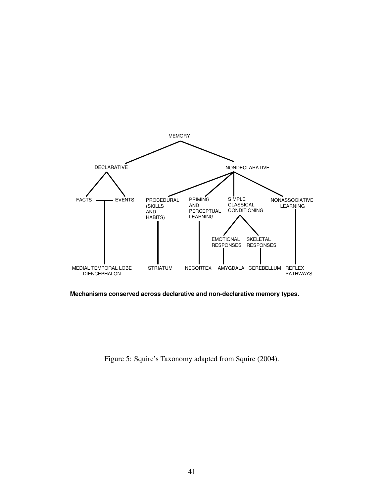

**Mechanisms conserved across declarative and non-declarative memory types.**

Figure 5: Squire's Taxonomy adapted from Squire (2004).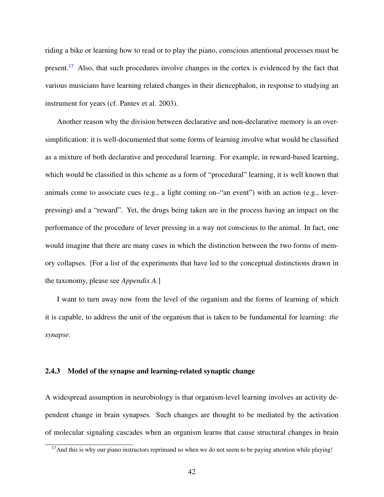riding a bike or learning how to read or to play the piano, conscious attentional processes must be present.<sup>[17](#page-54-0)</sup> Also, that such procedures involve changes in the cortex is evidenced by the fact that various musicians have learning related changes in their diencephalon, in response to studying an instrument for years (cf. Pantev et al. 2003).

Another reason why the division between declarative and non-declarative memory is an oversimplification: it is well-documented that some forms of learning involve what would be classified as a mixture of both declarative and procedural learning. For example, in reward-based learning, which would be classified in this scheme as a form of "procedural" learning, it is well known that animals come to associate cues (e.g., a light coming on–"an event") with an action (e.g., leverpressing) and a "reward". Yet, the drugs being taken are in the process having an impact on the performance of the procedure of lever pressing in a way not conscious to the animal. In fact, one would imagine that there are many cases in which the distinction between the two forms of memory collapses. [For a list of the experiments that have led to the conceptual distinctions drawn in the taxonomy, please see *Appendix A.*]

I want to turn away now from the level of the organism and the forms of learning of which it is capable, to address the unit of the organism that is taken to be fundamental for learning: *the synapse*.

## 2.4.3 Model of the synapse and learning-related synaptic change

A widespread assumption in neurobiology is that organism-level learning involves an activity dependent change in brain synapses. Such changes are thought to be mediated by the activation of molecular signaling cascades when an organism learns that cause structural changes in brain

<span id="page-54-0"></span> $17$ And this is why our piano instructors reprimand us when we do not seem to be paying attention while playing!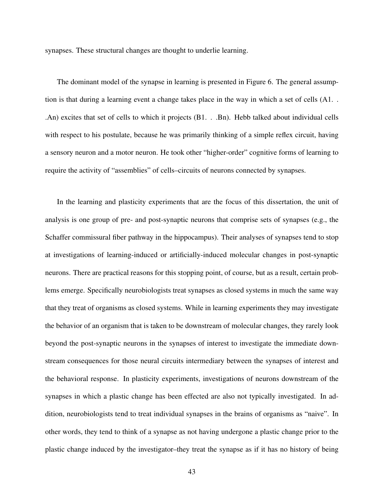synapses. These structural changes are thought to underlie learning.

The dominant model of the synapse in learning is presented in Figure 6. The general assumption is that during a learning event a change takes place in the way in which a set of cells (A1. . .An) excites that set of cells to which it projects (B1. . .Bn). Hebb talked about individual cells with respect to his postulate, because he was primarily thinking of a simple reflex circuit, having a sensory neuron and a motor neuron. He took other "higher-order" cognitive forms of learning to require the activity of "assemblies" of cells–circuits of neurons connected by synapses.

In the learning and plasticity experiments that are the focus of this dissertation, the unit of analysis is one group of pre- and post-synaptic neurons that comprise sets of synapses (e.g., the Schaffer commissural fiber pathway in the hippocampus). Their analyses of synapses tend to stop at investigations of learning-induced or artificially-induced molecular changes in post-synaptic neurons. There are practical reasons for this stopping point, of course, but as a result, certain problems emerge. Specifically neurobiologists treat synapses as closed systems in much the same way that they treat of organisms as closed systems. While in learning experiments they may investigate the behavior of an organism that is taken to be downstream of molecular changes, they rarely look beyond the post-synaptic neurons in the synapses of interest to investigate the immediate downstream consequences for those neural circuits intermediary between the synapses of interest and the behavioral response. In plasticity experiments, investigations of neurons downstream of the synapses in which a plastic change has been effected are also not typically investigated. In addition, neurobiologists tend to treat individual synapses in the brains of organisms as "naive". In other words, they tend to think of a synapse as not having undergone a plastic change prior to the plastic change induced by the investigator–they treat the synapse as if it has no history of being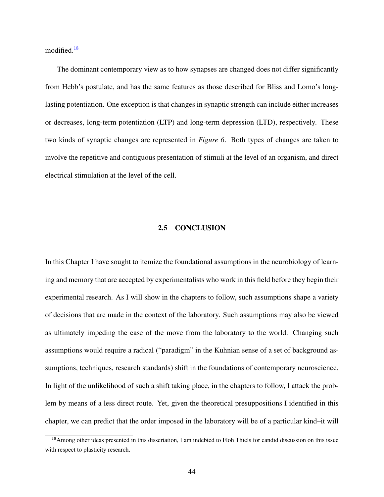modified.<sup>[18](#page-56-0)</sup>

The dominant contemporary view as to how synapses are changed does not differ significantly from Hebb's postulate, and has the same features as those described for Bliss and Lomo's longlasting potentiation. One exception is that changes in synaptic strength can include either increases or decreases, long-term potentiation (LTP) and long-term depression (LTD), respectively. These two kinds of synaptic changes are represented in *Figure 6*. Both types of changes are taken to involve the repetitive and contiguous presentation of stimuli at the level of an organism, and direct electrical stimulation at the level of the cell.

# 2.5 CONCLUSION

In this Chapter I have sought to itemize the foundational assumptions in the neurobiology of learning and memory that are accepted by experimentalists who work in this field before they begin their experimental research. As I will show in the chapters to follow, such assumptions shape a variety of decisions that are made in the context of the laboratory. Such assumptions may also be viewed as ultimately impeding the ease of the move from the laboratory to the world. Changing such assumptions would require a radical ("paradigm" in the Kuhnian sense of a set of background assumptions, techniques, research standards) shift in the foundations of contemporary neuroscience. In light of the unlikelihood of such a shift taking place, in the chapters to follow, I attack the problem by means of a less direct route. Yet, given the theoretical presuppositions I identified in this chapter, we can predict that the order imposed in the laboratory will be of a particular kind–it will

<span id="page-56-0"></span><sup>&</sup>lt;sup>18</sup>Among other ideas presented in this dissertation, I am indebted to Floh Thiels for candid discussion on this issue with respect to plasticity research.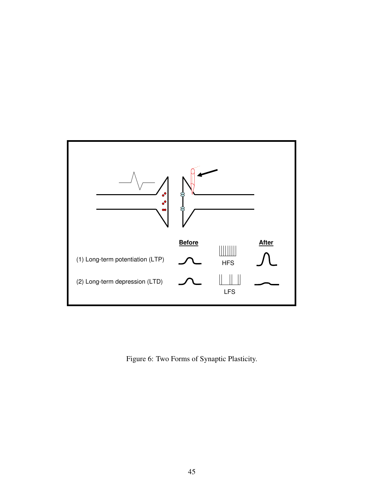

Figure 6: Two Forms of Synaptic Plasticity.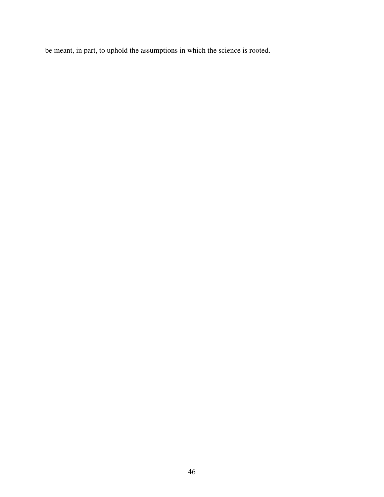be meant, in part, to uphold the assumptions in which the science is rooted.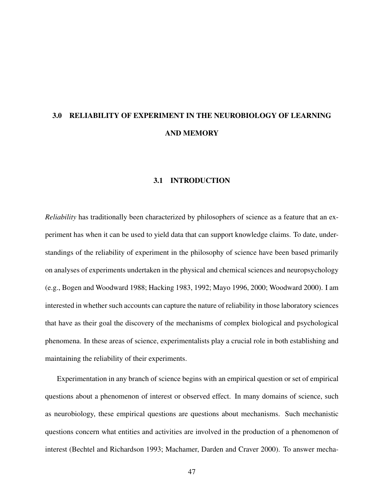# 3.0 RELIABILITY OF EXPERIMENT IN THE NEUROBIOLOGY OF LEARNING AND MEMORY

## 3.1 INTRODUCTION

*Reliability* has traditionally been characterized by philosophers of science as a feature that an experiment has when it can be used to yield data that can support knowledge claims. To date, understandings of the reliability of experiment in the philosophy of science have been based primarily on analyses of experiments undertaken in the physical and chemical sciences and neuropsychology (e.g., Bogen and Woodward 1988; Hacking 1983, 1992; Mayo 1996, 2000; Woodward 2000). I am interested in whether such accounts can capture the nature of reliability in those laboratory sciences that have as their goal the discovery of the mechanisms of complex biological and psychological phenomena. In these areas of science, experimentalists play a crucial role in both establishing and maintaining the reliability of their experiments.

Experimentation in any branch of science begins with an empirical question or set of empirical questions about a phenomenon of interest or observed effect. In many domains of science, such as neurobiology, these empirical questions are questions about mechanisms. Such mechanistic questions concern what entities and activities are involved in the production of a phenomenon of interest (Bechtel and Richardson 1993; Machamer, Darden and Craver 2000). To answer mecha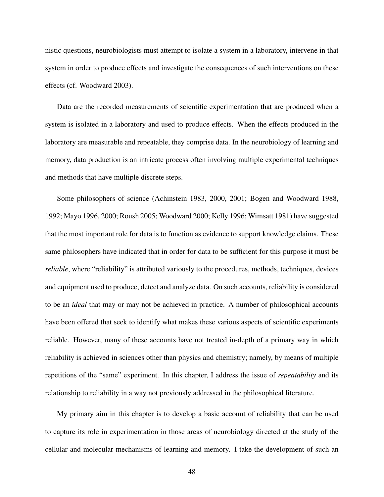nistic questions, neurobiologists must attempt to isolate a system in a laboratory, intervene in that system in order to produce effects and investigate the consequences of such interventions on these effects (cf. Woodward 2003).

Data are the recorded measurements of scientific experimentation that are produced when a system is isolated in a laboratory and used to produce effects. When the effects produced in the laboratory are measurable and repeatable, they comprise data. In the neurobiology of learning and memory, data production is an intricate process often involving multiple experimental techniques and methods that have multiple discrete steps.

Some philosophers of science (Achinstein 1983, 2000, 2001; Bogen and Woodward 1988, 1992; Mayo 1996, 2000; Roush 2005; Woodward 2000; Kelly 1996; Wimsatt 1981) have suggested that the most important role for data is to function as evidence to support knowledge claims. These same philosophers have indicated that in order for data to be sufficient for this purpose it must be *reliable*, where "reliability" is attributed variously to the procedures, methods, techniques, devices and equipment used to produce, detect and analyze data. On such accounts, reliability is considered to be an *ideal* that may or may not be achieved in practice. A number of philosophical accounts have been offered that seek to identify what makes these various aspects of scientific experiments reliable. However, many of these accounts have not treated in-depth of a primary way in which reliability is achieved in sciences other than physics and chemistry; namely, by means of multiple repetitions of the "same" experiment. In this chapter, I address the issue of *repeatability* and its relationship to reliability in a way not previously addressed in the philosophical literature.

My primary aim in this chapter is to develop a basic account of reliability that can be used to capture its role in experimentation in those areas of neurobiology directed at the study of the cellular and molecular mechanisms of learning and memory. I take the development of such an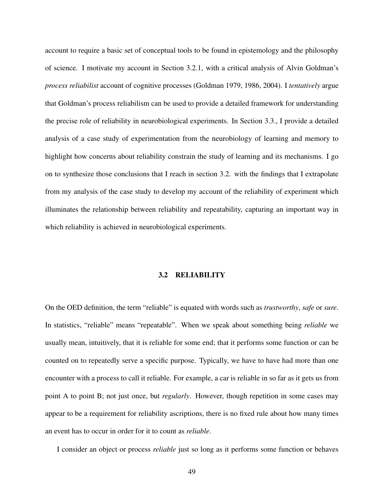account to require a basic set of conceptual tools to be found in epistemology and the philosophy of science. I motivate my account in Section 3.2.1, with a critical analysis of Alvin Goldman's *process reliabilist* account of cognitive processes (Goldman 1979, 1986, 2004). I *tentatively* argue that Goldman's process reliabilism can be used to provide a detailed framework for understanding the precise role of reliability in neurobiological experiments. In Section 3.3., I provide a detailed analysis of a case study of experimentation from the neurobiology of learning and memory to highlight how concerns about reliability constrain the study of learning and its mechanisms. I go on to synthesize those conclusions that I reach in section 3.2. with the findings that I extrapolate from my analysis of the case study to develop my account of the reliability of experiment which illuminates the relationship between reliability and repeatability, capturing an important way in which reliability is achieved in neurobiological experiments.

### 3.2 RELIABILITY

On the OED definition, the term "reliable" is equated with words such as *trustworthy*, *safe* or *sure*. In statistics, "reliable" means "repeatable". When we speak about something being *reliable* we usually mean, intuitively, that it is reliable for some end; that it performs some function or can be counted on to repeatedly serve a specific purpose. Typically, we have to have had more than one encounter with a process to call it reliable. For example, a car is reliable in so far as it gets us from point A to point B; not just once, but *regularly*. However, though repetition in some cases may appear to be a requirement for reliability ascriptions, there is no fixed rule about how many times an event has to occur in order for it to count as *reliable*.

I consider an object or process *reliable* just so long as it performs some function or behaves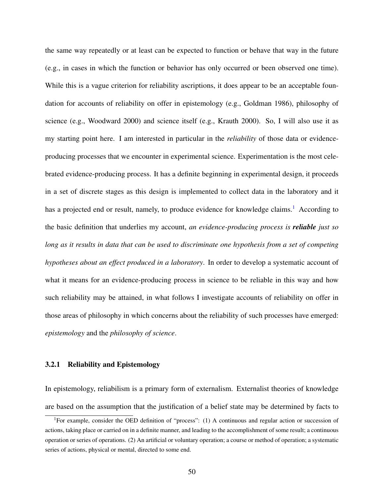the same way repeatedly or at least can be expected to function or behave that way in the future (e.g., in cases in which the function or behavior has only occurred or been observed one time). While this is a vague criterion for reliability ascriptions, it does appear to be an acceptable foundation for accounts of reliability on offer in epistemology (e.g., Goldman 1986), philosophy of science (e.g., Woodward 2000) and science itself (e.g., Krauth 2000). So, I will also use it as my starting point here. I am interested in particular in the *reliability* of those data or evidenceproducing processes that we encounter in experimental science. Experimentation is the most celebrated evidence-producing process. It has a definite beginning in experimental design, it proceeds in a set of discrete stages as this design is implemented to collect data in the laboratory and it has a projected end or result, namely, to produce evidence for knowledge claims.<sup>[1](#page-62-0)</sup> According to the basic definition that underlies my account, *an evidence-producing process is reliable just so long as it results in data that can be used to discriminate one hypothesis from a set of competing hypotheses about an effect produced in a laboratory*. In order to develop a systematic account of what it means for an evidence-producing process in science to be reliable in this way and how such reliability may be attained, in what follows I investigate accounts of reliability on offer in those areas of philosophy in which concerns about the reliability of such processes have emerged: *epistemology* and the *philosophy of science*.

## 3.2.1 Reliability and Epistemology

In epistemology, reliabilism is a primary form of externalism. Externalist theories of knowledge are based on the assumption that the justification of a belief state may be determined by facts to

<span id="page-62-0"></span><sup>&</sup>lt;sup>1</sup>For example, consider the OED definition of "process": (1) A continuous and regular action or succession of actions, taking place or carried on in a definite manner, and leading to the accomplishment of some result; a continuous operation or series of operations. (2) An artificial or voluntary operation; a course or method of operation; a systematic series of actions, physical or mental, directed to some end.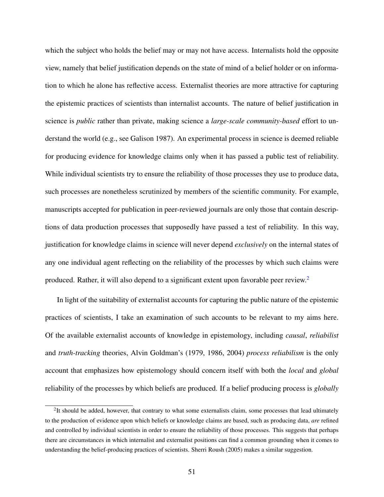which the subject who holds the belief may or may not have access. Internalists hold the opposite view, namely that belief justification depends on the state of mind of a belief holder or on information to which he alone has reflective access. Externalist theories are more attractive for capturing the epistemic practices of scientists than internalist accounts. The nature of belief justification in science is *public* rather than private, making science a *large-scale community-based* effort to understand the world (e.g., see Galison 1987). An experimental process in science is deemed reliable for producing evidence for knowledge claims only when it has passed a public test of reliability. While individual scientists try to ensure the reliability of those processes they use to produce data, such processes are nonetheless scrutinized by members of the scientific community. For example, manuscripts accepted for publication in peer-reviewed journals are only those that contain descriptions of data production processes that supposedly have passed a test of reliability. In this way, justification for knowledge claims in science will never depend *exclusively* on the internal states of any one individual agent reflecting on the reliability of the processes by which such claims were produced. Rather, it will also depend to a significant extent upon favorable peer review.[2](#page-63-0)

In light of the suitability of externalist accounts for capturing the public nature of the epistemic practices of scientists, I take an examination of such accounts to be relevant to my aims here. Of the available externalist accounts of knowledge in epistemology, including *causal*, *reliabilist* and *truth-tracking* theories, Alvin Goldman's (1979, 1986, 2004) *process reliabilism* is the only account that emphasizes how epistemology should concern itself with both the *local* and *global* reliability of the processes by which beliefs are produced. If a belief producing process is *globally*

<span id="page-63-0"></span> $2$ It should be added, however, that contrary to what some externalists claim, some processes that lead ultimately to the production of evidence upon which beliefs or knowledge claims are based, such as producing data, *are* refined and controlled by individual scientists in order to ensure the reliability of those processes. This suggests that perhaps there are circumstances in which internalist and externalist positions can find a common grounding when it comes to understanding the belief-producing practices of scientists. Sherri Roush (2005) makes a similar suggestion.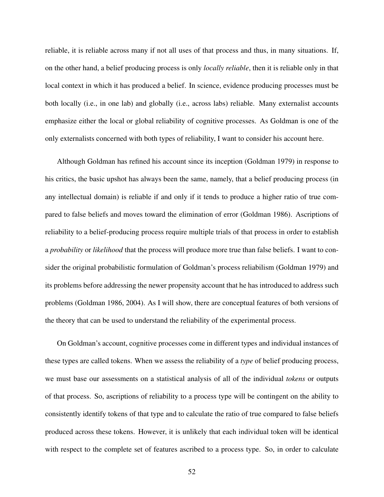reliable, it is reliable across many if not all uses of that process and thus, in many situations. If, on the other hand, a belief producing process is only *locally reliable*, then it is reliable only in that local context in which it has produced a belief. In science, evidence producing processes must be both locally (i.e., in one lab) and globally (i.e., across labs) reliable. Many externalist accounts emphasize either the local or global reliability of cognitive processes. As Goldman is one of the only externalists concerned with both types of reliability, I want to consider his account here.

Although Goldman has refined his account since its inception (Goldman 1979) in response to his critics, the basic upshot has always been the same, namely, that a belief producing process (in any intellectual domain) is reliable if and only if it tends to produce a higher ratio of true compared to false beliefs and moves toward the elimination of error (Goldman 1986). Ascriptions of reliability to a belief-producing process require multiple trials of that process in order to establish a *probability* or *likelihood* that the process will produce more true than false beliefs. I want to consider the original probabilistic formulation of Goldman's process reliabilism (Goldman 1979) and its problems before addressing the newer propensity account that he has introduced to address such problems (Goldman 1986, 2004). As I will show, there are conceptual features of both versions of the theory that can be used to understand the reliability of the experimental process.

On Goldman's account, cognitive processes come in different types and individual instances of these types are called tokens. When we assess the reliability of a *type* of belief producing process, we must base our assessments on a statistical analysis of all of the individual *tokens* or outputs of that process. So, ascriptions of reliability to a process type will be contingent on the ability to consistently identify tokens of that type and to calculate the ratio of true compared to false beliefs produced across these tokens. However, it is unlikely that each individual token will be identical with respect to the complete set of features ascribed to a process type. So, in order to calculate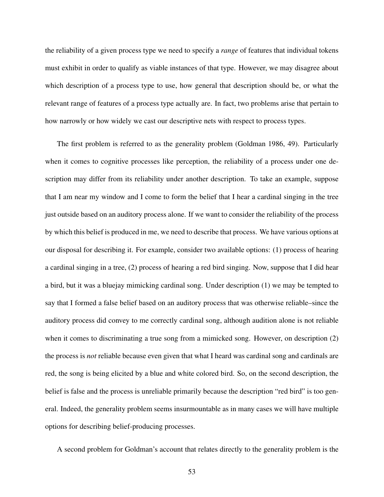the reliability of a given process type we need to specify a *range* of features that individual tokens must exhibit in order to qualify as viable instances of that type. However, we may disagree about which description of a process type to use, how general that description should be, or what the relevant range of features of a process type actually are. In fact, two problems arise that pertain to how narrowly or how widely we cast our descriptive nets with respect to process types.

The first problem is referred to as the generality problem (Goldman 1986, 49). Particularly when it comes to cognitive processes like perception, the reliability of a process under one description may differ from its reliability under another description. To take an example, suppose that I am near my window and I come to form the belief that I hear a cardinal singing in the tree just outside based on an auditory process alone. If we want to consider the reliability of the process by which this belief is produced in me, we need to describe that process. We have various options at our disposal for describing it. For example, consider two available options: (1) process of hearing a cardinal singing in a tree, (2) process of hearing a red bird singing. Now, suppose that I did hear a bird, but it was a bluejay mimicking cardinal song. Under description (1) we may be tempted to say that I formed a false belief based on an auditory process that was otherwise reliable–since the auditory process did convey to me correctly cardinal song, although audition alone is not reliable when it comes to discriminating a true song from a mimicked song. However, on description (2) the process is *not* reliable because even given that what I heard was cardinal song and cardinals are red, the song is being elicited by a blue and white colored bird. So, on the second description, the belief is false and the process is unreliable primarily because the description "red bird" is too general. Indeed, the generality problem seems insurmountable as in many cases we will have multiple options for describing belief-producing processes.

A second problem for Goldman's account that relates directly to the generality problem is the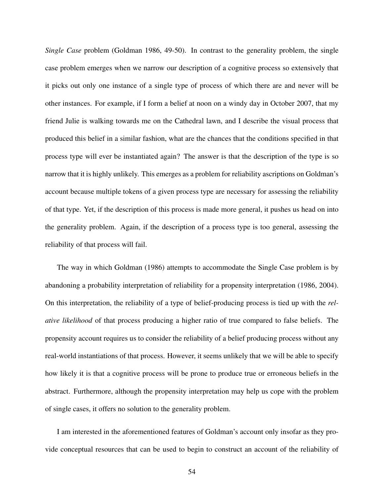*Single Case* problem (Goldman 1986, 49-50). In contrast to the generality problem, the single case problem emerges when we narrow our description of a cognitive process so extensively that it picks out only one instance of a single type of process of which there are and never will be other instances. For example, if I form a belief at noon on a windy day in October 2007, that my friend Julie is walking towards me on the Cathedral lawn, and I describe the visual process that produced this belief in a similar fashion, what are the chances that the conditions specified in that process type will ever be instantiated again? The answer is that the description of the type is so narrow that it is highly unlikely. This emerges as a problem for reliability ascriptions on Goldman's account because multiple tokens of a given process type are necessary for assessing the reliability of that type. Yet, if the description of this process is made more general, it pushes us head on into the generality problem. Again, if the description of a process type is too general, assessing the reliability of that process will fail.

The way in which Goldman (1986) attempts to accommodate the Single Case problem is by abandoning a probability interpretation of reliability for a propensity interpretation (1986, 2004). On this interpretation, the reliability of a type of belief-producing process is tied up with the *relative likelihood* of that process producing a higher ratio of true compared to false beliefs. The propensity account requires us to consider the reliability of a belief producing process without any real-world instantiations of that process. However, it seems unlikely that we will be able to specify how likely it is that a cognitive process will be prone to produce true or erroneous beliefs in the abstract. Furthermore, although the propensity interpretation may help us cope with the problem of single cases, it offers no solution to the generality problem.

I am interested in the aforementioned features of Goldman's account only insofar as they provide conceptual resources that can be used to begin to construct an account of the reliability of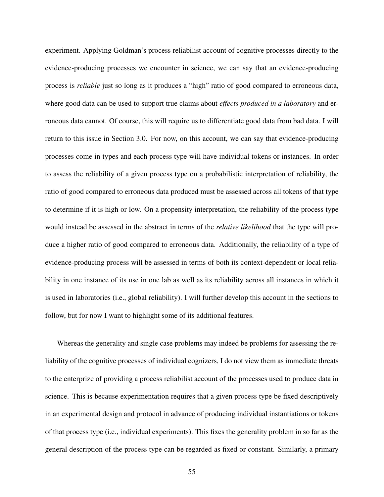experiment. Applying Goldman's process reliabilist account of cognitive processes directly to the evidence-producing processes we encounter in science, we can say that an evidence-producing process is *reliable* just so long as it produces a "high" ratio of good compared to erroneous data, where good data can be used to support true claims about *effects produced in a laboratory* and erroneous data cannot. Of course, this will require us to differentiate good data from bad data. I will return to this issue in Section 3.0. For now, on this account, we can say that evidence-producing processes come in types and each process type will have individual tokens or instances. In order to assess the reliability of a given process type on a probabilistic interpretation of reliability, the ratio of good compared to erroneous data produced must be assessed across all tokens of that type to determine if it is high or low. On a propensity interpretation, the reliability of the process type would instead be assessed in the abstract in terms of the *relative likelihood* that the type will produce a higher ratio of good compared to erroneous data. Additionally, the reliability of a type of evidence-producing process will be assessed in terms of both its context-dependent or local reliability in one instance of its use in one lab as well as its reliability across all instances in which it is used in laboratories (i.e., global reliability). I will further develop this account in the sections to follow, but for now I want to highlight some of its additional features.

Whereas the generality and single case problems may indeed be problems for assessing the reliability of the cognitive processes of individual cognizers, I do not view them as immediate threats to the enterprize of providing a process reliabilist account of the processes used to produce data in science. This is because experimentation requires that a given process type be fixed descriptively in an experimental design and protocol in advance of producing individual instantiations or tokens of that process type (i.e., individual experiments). This fixes the generality problem in so far as the general description of the process type can be regarded as fixed or constant. Similarly, a primary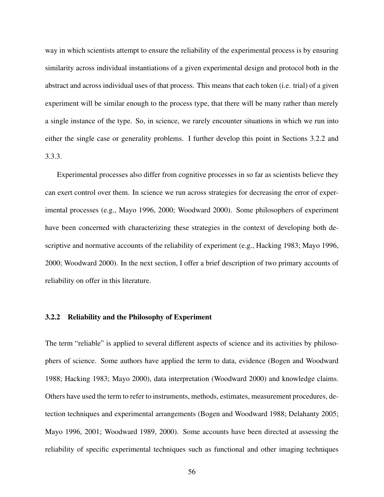way in which scientists attempt to ensure the reliability of the experimental process is by ensuring similarity across individual instantiations of a given experimental design and protocol both in the abstract and across individual uses of that process. This means that each token (i.e. trial) of a given experiment will be similar enough to the process type, that there will be many rather than merely a single instance of the type. So, in science, we rarely encounter situations in which we run into either the single case or generality problems. I further develop this point in Sections 3.2.2 and 3.3.3.

Experimental processes also differ from cognitive processes in so far as scientists believe they can exert control over them. In science we run across strategies for decreasing the error of experimental processes (e.g., Mayo 1996, 2000; Woodward 2000). Some philosophers of experiment have been concerned with characterizing these strategies in the context of developing both descriptive and normative accounts of the reliability of experiment (e.g., Hacking 1983; Mayo 1996, 2000; Woodward 2000). In the next section, I offer a brief description of two primary accounts of reliability on offer in this literature.

## 3.2.2 Reliability and the Philosophy of Experiment

The term "reliable" is applied to several different aspects of science and its activities by philosophers of science. Some authors have applied the term to data, evidence (Bogen and Woodward 1988; Hacking 1983; Mayo 2000), data interpretation (Woodward 2000) and knowledge claims. Others have used the term to refer to instruments, methods, estimates, measurement procedures, detection techniques and experimental arrangements (Bogen and Woodward 1988; Delahanty 2005; Mayo 1996, 2001; Woodward 1989, 2000). Some accounts have been directed at assessing the reliability of specific experimental techniques such as functional and other imaging techniques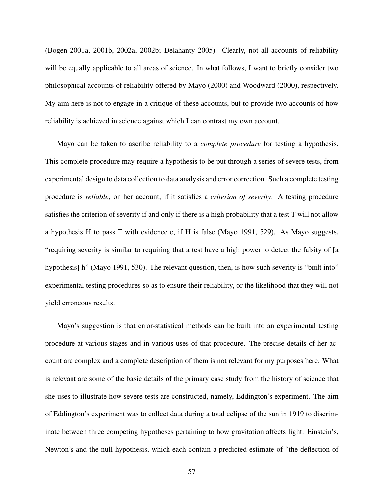(Bogen 2001a, 2001b, 2002a, 2002b; Delahanty 2005). Clearly, not all accounts of reliability will be equally applicable to all areas of science. In what follows, I want to briefly consider two philosophical accounts of reliability offered by Mayo (2000) and Woodward (2000), respectively. My aim here is not to engage in a critique of these accounts, but to provide two accounts of how reliability is achieved in science against which I can contrast my own account.

Mayo can be taken to ascribe reliability to a *complete procedure* for testing a hypothesis. This complete procedure may require a hypothesis to be put through a series of severe tests, from experimental design to data collection to data analysis and error correction. Such a complete testing procedure is *reliable*, on her account, if it satisfies a *criterion of severity*. A testing procedure satisfies the criterion of severity if and only if there is a high probability that a test T will not allow a hypothesis H to pass T with evidence e, if H is false (Mayo 1991, 529). As Mayo suggests, "requiring severity is similar to requiring that a test have a high power to detect the falsity of [a hypothesis] h" (Mayo 1991, 530). The relevant question, then, is how such severity is "built into" experimental testing procedures so as to ensure their reliability, or the likelihood that they will not yield erroneous results.

Mayo's suggestion is that error-statistical methods can be built into an experimental testing procedure at various stages and in various uses of that procedure. The precise details of her account are complex and a complete description of them is not relevant for my purposes here. What is relevant are some of the basic details of the primary case study from the history of science that she uses to illustrate how severe tests are constructed, namely, Eddington's experiment. The aim of Eddington's experiment was to collect data during a total eclipse of the sun in 1919 to discriminate between three competing hypotheses pertaining to how gravitation affects light: Einstein's, Newton's and the null hypothesis, which each contain a predicted estimate of "the deflection of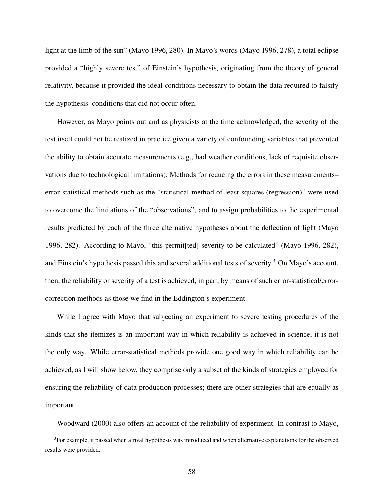light at the limb of the sun" (Mayo 1996, 280). In Mayo's words (Mayo 1996, 278), a total eclipse provided a "highly severe test" of Einstein's hypothesis, originating from the theory of general relativity, because it provided the ideal conditions necessary to obtain the data required to falsify the hypothesis–conditions that did not occur often.

However, as Mayo points out and as physicists at the time acknowledged, the severity of the test itself could not be realized in practice given a variety of confounding variables that prevented the ability to obtain accurate measurements (e.g., bad weather conditions, lack of requisite observations due to technological limitations). Methods for reducing the errors in these measurements– error statistical methods such as the "statistical method of least squares (regression)" were used to overcome the limitations of the "observations", and to assign probabilities to the experimental results predicted by each of the three alternative hypotheses about the deflection of light (Mayo 1996, 282). According to Mayo, "this permit[ted] severity to be calculated" (Mayo 1996, 282), and Einstein's hypothesis passed this and several additional tests of severity.<sup>[3](#page-70-0)</sup> On Mayo's account, then, the reliability or severity of a test is achieved, in part, by means of such error-statistical/errorcorrection methods as those we find in the Eddington's experiment.

While I agree with Mayo that subjecting an experiment to severe testing procedures of the kinds that she itemizes is an important way in which reliability is achieved in science, it is not the only way. While error-statistical methods provide one good way in which reliability can be achieved, as I will show below, they comprise only a subset of the kinds of strategies employed for ensuring the reliability of data production processes; there are other strategies that are equally as important.

<span id="page-70-0"></span>Woodward (2000) also offers an account of the reliability of experiment. In contrast to Mayo,

 $3$ For example, it passed when a rival hypothesis was introduced and when alternative explanations for the observed results were provided.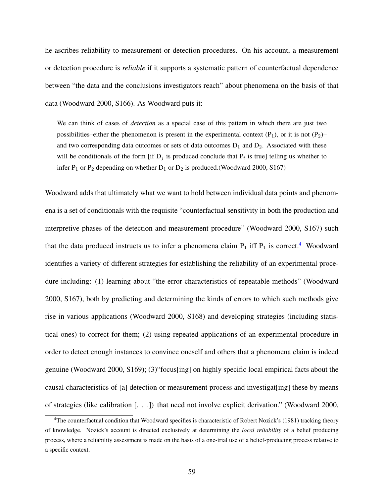he ascribes reliability to measurement or detection procedures. On his account, a measurement or detection procedure is *reliable* if it supports a systematic pattern of counterfactual dependence between "the data and the conclusions investigators reach" about phenomena on the basis of that data (Woodward 2000, S166). As Woodward puts it:

We can think of cases of *detection* as a special case of this pattern in which there are just two possibilities–either the phenomenon is present in the experimental context  $(P_1)$ , or it is not  $(P_2)$ – and two corresponding data outcomes or sets of data outcomes  $D_1$  and  $D_2$ . Associated with these will be conditionals of the form [if  $D_j$  is produced conclude that  $P_i$  is true] telling us whether to infer  $P_1$  or  $P_2$  depending on whether  $D_1$  or  $D_2$  is produced.(Woodward 2000, S167)

Woodward adds that ultimately what we want to hold between individual data points and phenomena is a set of conditionals with the requisite "counterfactual sensitivity in both the production and interpretive phases of the detection and measurement procedure" (Woodward 2000, S167) such that the data produced instructs us to infer a phenomena claim  $P_1$  iff  $P_1$  is correct.<sup>[4](#page-71-0)</sup> Woodward identifies a variety of different strategies for establishing the reliability of an experimental procedure including: (1) learning about "the error characteristics of repeatable methods" (Woodward 2000, S167), both by predicting and determining the kinds of errors to which such methods give rise in various applications (Woodward 2000, S168) and developing strategies (including statistical ones) to correct for them; (2) using repeated applications of an experimental procedure in order to detect enough instances to convince oneself and others that a phenomena claim is indeed genuine (Woodward 2000, S169); (3)"focus[ing] on highly specific local empirical facts about the causal characteristics of [a] detection or measurement process and investigat[ing] these by means of strategies (like calibration [. . .]) that need not involve explicit derivation." (Woodward 2000,

<span id="page-71-0"></span><sup>&</sup>lt;sup>4</sup>The counterfactual condition that Woodward specifies is characteristic of Robert Nozick's (1981) tracking theory of knowledge. Nozick's account is directed exclusively at determining the *local reliability* of a belief producing process, where a reliability assessment is made on the basis of a one-trial use of a belief-producing process relative to a specific context.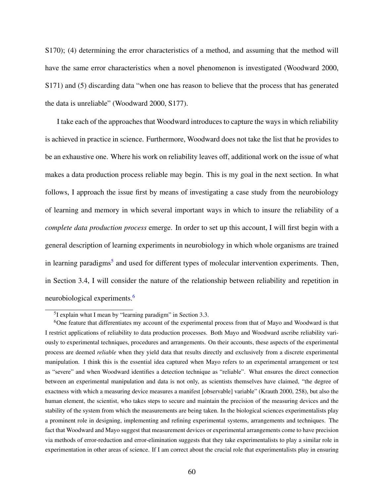S170); (4) determining the error characteristics of a method, and assuming that the method will have the same error characteristics when a novel phenomenon is investigated (Woodward 2000, S171) and (5) discarding data "when one has reason to believe that the process that has generated the data is unreliable" (Woodward 2000, S177).

I take each of the approaches that Woodward introduces to capture the ways in which reliability is achieved in practice in science. Furthermore, Woodward does not take the list that he provides to be an exhaustive one. Where his work on reliability leaves off, additional work on the issue of what makes a data production process reliable may begin. This is my goal in the next section. In what follows, I approach the issue first by means of investigating a case study from the neurobiology of learning and memory in which several important ways in which to insure the reliability of a *complete data production process* emerge. In order to set up this account, I will first begin with a general description of learning experiments in neurobiology in which whole organisms are trained in learning paradigms<sup>[5](#page-72-0)</sup> and used for different types of molecular intervention experiments. Then, in Section 3.4, I will consider the nature of the relationship between reliability and repetition in neurobiological experiments.[6](#page-72-1)

<span id="page-72-1"></span><span id="page-72-0"></span><sup>&</sup>lt;sup>5</sup>I explain what I mean by "learning paradigm" in Section 3.3.

<sup>6</sup>One feature that differentiates my account of the experimental process from that of Mayo and Woodward is that I restrict applications of reliability to data production processes. Both Mayo and Woodward ascribe reliability variously to experimental techniques, procedures and arrangements. On their accounts, these aspects of the experimental process are deemed *reliable* when they yield data that results directly and exclusively from a discrete experimental manipulation. I think this is the essential idea captured when Mayo refers to an experimental arrangement or test as "severe" and when Woodward identifies a detection technique as "reliable". What ensures the direct connection between an experimental manipulation and data is not only, as scientists themselves have claimed, "the degree of exactness with which a measuring device measures a manifest [observable] variable" (Krauth 2000, 258), but also the human element, the scientist, who takes steps to secure and maintain the precision of the measuring devices and the stability of the system from which the measurements are being taken. In the biological sciences experimentalists play a prominent role in designing, implementing and refining experimental systems, arrangements and techniques. The fact that Woodward and Mayo suggest that measurement devices or experimental arrangements come to have precision via methods of error-reduction and error-elimination suggests that they take experimentalists to play a similar role in experimentation in other areas of science. If I am correct about the crucial role that experimentalists play in ensuring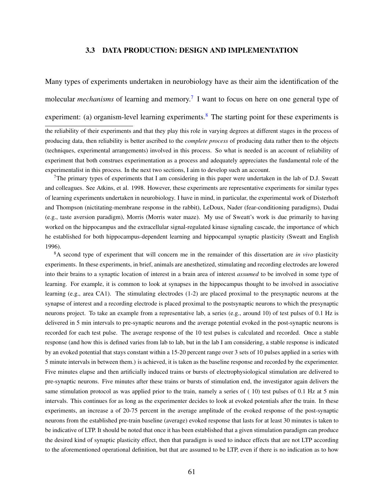# 3.3 DATA PRODUCTION: DESIGN AND IMPLEMENTATION

Many types of experiments undertaken in neurobiology have as their aim the identification of the molecular *mechanisms* of learning and memory.<sup>[7](#page-73-0)</sup> I want to focus on here on one general type of

experiment: (a) organism-level learning experiments.<sup>[8](#page-73-1)</sup> The starting point for these experiments is

the reliability of their experiments and that they play this role in varying degrees at different stages in the process of producing data, then reliability is better ascribed to the *complete process* of producing data rather then to the objects (techniques, experimental arrangements) involved in this process. So what is needed is an account of reliability of experiment that both construes experimentation as a process and adequately appreciates the fundamental role of the experimentalist in this process. In the next two sections, I aim to develop such an account.

<span id="page-73-0"></span> $7$ The primary types of experiments that I am considering in this paper were undertaken in the lab of D.J. Sweatt and colleagues. See Atkins, et al. 1998. However, these experiments are representative experiments for similar types of learning experiments undertaken in neurobiology. I have in mind, in particular, the experimental work of Disterhoft and Thompson (nictitating-membrane response in the rabbit), LeDoux, Nader (fear-conditioning paradigms), Dudai (e.g., taste aversion paradigm), Morris (Morris water maze). My use of Sweatt's work is due primarily to having worked on the hippocampus and the extracellular signal-regulated kinase signaling cascade, the importance of which he established for both hippocampus-dependent learning and hippocampal synaptic plasticity (Sweatt and English 1996).

<span id="page-73-1"></span><sup>8</sup>A second type of experiment that will concern me in the remainder of this dissertation are *in vivo* plasticity experiments. In these experiments, in brief, animals are anesthetized, stimulating and recording electrodes are lowered into their brains to a synaptic location of interest in a brain area of interest *assumed* to be involved in some type of learning. For example, it is common to look at synapses in the hippocampus thought to be involved in associative learning (e.g., area CA1). The stimulating electrodes (1-2) are placed proximal to the presynaptic neurons at the synapse of interest and a recording electrode is placed proximal to the postsynaptic neurons to which the presynaptic neurons project. To take an example from a representative lab, a series (e.g., around 10) of test pulses of 0.1 Hz is delivered in 5 min intervals to pre-synaptic neurons and the average potential evoked in the post-synaptic neurons is recorded for each test pulse. The average response of the 10 test pulses is calculated and recorded. Once a stable response (and how this is defined varies from lab to lab, but in the lab I am considering, a stable response is indicated by an evoked potential that stays constant within a 15-20 percent range over 3 sets of 10 pulses applied in a series with 5 minute intervals in between them.) is achieved, it is taken as the baseline response and recorded by the experimenter. Five minutes elapse and then artificially induced trains or bursts of electrophysiological stimulation are delivered to pre-synaptic neurons. Five minutes after these trains or bursts of stimulation end, the investigator again delivers the same stimulation protocol as was applied prior to the train, namely a series of (10) test pulses of 0.1 Hz at 5 min intervals. This continues for as long as the experimenter decides to look at evoked potentials after the train. In these experiments, an increase a of 20-75 percent in the average amplitude of the evoked response of the post-synaptic neurons from the established pre-train baseline (average) evoked response that lasts for at least 30 minutes is taken to be indicative of LTP. It should be noted that once it has been established that a given stimulation paradigm can produce the desired kind of synaptic plasticity effect, then that paradigm is used to induce effects that are not LTP according to the aforementioned operational definition, but that are assumed to be LTP, even if there is no indication as to how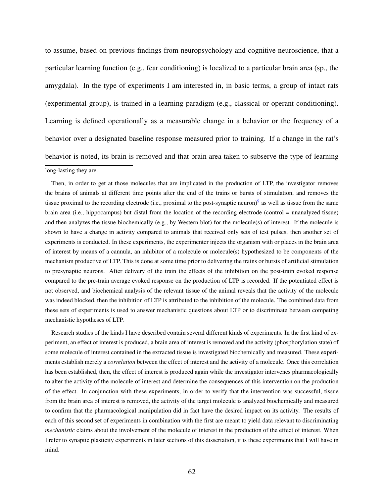to assume, based on previous findings from neuropsychology and cognitive neuroscience, that a particular learning function (e.g., fear conditioning) is localized to a particular brain area (sp., the amygdala). In the type of experiments I am interested in, in basic terms, a group of intact rats (experimental group), is trained in a learning paradigm (e.g., classical or operant conditioning). Learning is defined operationally as a measurable change in a behavior or the frequency of a behavior over a designated baseline response measured prior to training. If a change in the rat's behavior is noted, its brain is removed and that brain area taken to subserve the type of learning long-lasting they are.

Then, in order to get at those molecules that are implicated in the production of LTP, the investigator removes the brains of animals at different time points after the end of the trains or bursts of stimulation, and removes the tissue proximal to the recording electrode (i.e., proximal to the post-synaptic neuron)<sup>[9](#page-0-0)</sup> as well as tissue from the same brain area (i.e., hippocampus) but distal from the location of the recording electrode (control = unanalyzed tissue) and then analyzes the tissue biochemically (e.g., by Western blot) for the molecule(s) of interest. If the molecule is shown to have a change in activity compared to animals that received only sets of test pulses, then another set of experiments is conducted. In these experiments, the experimenter injects the organism with or places in the brain area of interest by means of a cannula, an inhibitor of a molecule or molecule(s) hypothesized to be components of the mechanism productive of LTP. This is done at some time prior to delivering the trains or bursts of artificial stimulation to presynaptic neurons. After delivery of the train the effects of the inhibition on the post-train evoked response compared to the pre-train average evoked response on the production of LTP is recorded. If the potentiated effect is not observed, and biochemical analysis of the relevant tissue of the animal reveals that the activity of the molecule was indeed blocked, then the inhibition of LTP is attributed to the inhibition of the molecule. The combined data from these sets of experiments is used to answer mechanistic questions about LTP or to discriminate between competing mechanistic hypotheses of LTP.

Research studies of the kinds I have described contain several different kinds of experiments. In the first kind of experiment, an effect of interest is produced, a brain area of interest is removed and the activity (phosphorylation state) of some molecule of interest contained in the extracted tissue is investigated biochemically and measured. These experiments establish merely a *correlation* between the effect of interest and the activity of a molecule. Once this correlation has been established, then, the effect of interest is produced again while the investigator intervenes pharmacologically to alter the activity of the molecule of interest and determine the consequences of this intervention on the production of the effect. In conjunction with these experiments, in order to verify that the intervention was successful, tissue from the brain area of interest is removed, the activity of the target molecule is analyzed biochemically and measured to confirm that the pharmacological manipulation did in fact have the desired impact on its activity. The results of each of this second set of experiments in combination with the first are meant to yield data relevant to discriminating *mechanistic* claims about the involvement of the molecule of interest in the production of the effect of interest. When I refer to synaptic plasticity experiments in later sections of this dissertation, it is these experiments that I will have in mind.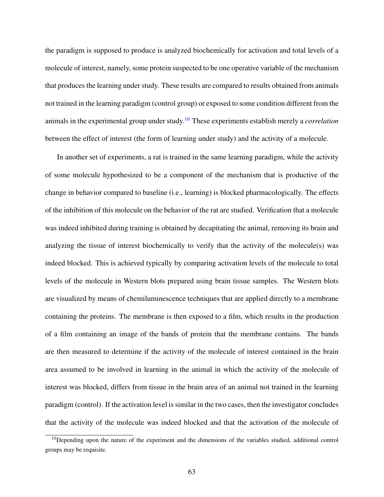the paradigm is supposed to produce is analyzed biochemically for activation and total levels of a molecule of interest, namely, some protein suspected to be one operative variable of the mechanism that produces the learning under study. These results are compared to results obtained from animals not trained in the learning paradigm (control group) or exposed to some condition different from the animals in the experimental group under study.[10](#page-75-0) These experiments establish merely a *correlation* between the effect of interest (the form of learning under study) and the activity of a molecule.

In another set of experiments, a rat is trained in the same learning paradigm, while the activity of some molecule hypothesized to be a component of the mechanism that is productive of the change in behavior compared to baseline (i.e., learning) is blocked pharmacologically. The effects of the inhibition of this molecule on the behavior of the rat are studied. Verification that a molecule was indeed inhibited during training is obtained by decapitating the animal, removing its brain and analyzing the tissue of interest biochemically to verify that the activity of the molecule(s) was indeed blocked. This is achieved typically by comparing activation levels of the molecule to total levels of the molecule in Western blots prepared using brain tissue samples. The Western blots are visualized by means of chemiluminescence techniques that are applied directly to a membrane containing the proteins. The membrane is then exposed to a film, which results in the production of a film containing an image of the bands of protein that the membrane contains. The bands are then measured to determine if the activity of the molecule of interest contained in the brain area assumed to be involved in learning in the animal in which the activity of the molecule of interest was blocked, differs from tissue in the brain area of an animal not trained in the learning paradigm (control). If the activation level is similar in the two cases, then the investigator concludes that the activity of the molecule was indeed blocked and that the activation of the molecule of

<span id="page-75-0"></span> $10$ Depending upon the nature of the experiment and the dimensions of the variables studied, additional control groups may be requisite.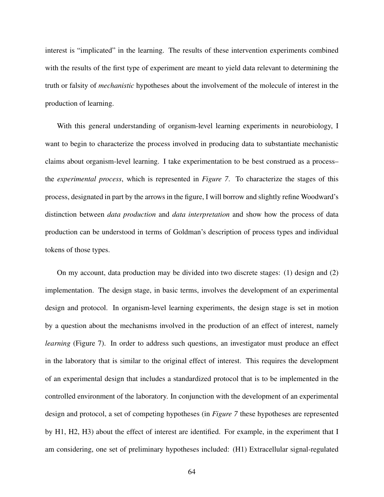interest is "implicated" in the learning. The results of these intervention experiments combined with the results of the first type of experiment are meant to yield data relevant to determining the truth or falsity of *mechanistic* hypotheses about the involvement of the molecule of interest in the production of learning.

With this general understanding of organism-level learning experiments in neurobiology, I want to begin to characterize the process involved in producing data to substantiate mechanistic claims about organism-level learning. I take experimentation to be best construed as a process– the *experimental process*, which is represented in *Figure 7*. To characterize the stages of this process, designated in part by the arrows in the figure, I will borrow and slightly refine Woodward's distinction between *data production* and *data interpretation* and show how the process of data production can be understood in terms of Goldman's description of process types and individual tokens of those types.

On my account, data production may be divided into two discrete stages: (1) design and (2) implementation. The design stage, in basic terms, involves the development of an experimental design and protocol. In organism-level learning experiments, the design stage is set in motion by a question about the mechanisms involved in the production of an effect of interest, namely *learning* (Figure 7). In order to address such questions, an investigator must produce an effect in the laboratory that is similar to the original effect of interest. This requires the development of an experimental design that includes a standardized protocol that is to be implemented in the controlled environment of the laboratory. In conjunction with the development of an experimental design and protocol, a set of competing hypotheses (in *Figure 7* these hypotheses are represented by H1, H2, H3) about the effect of interest are identified. For example, in the experiment that I am considering, one set of preliminary hypotheses included: (H1) Extracellular signal-regulated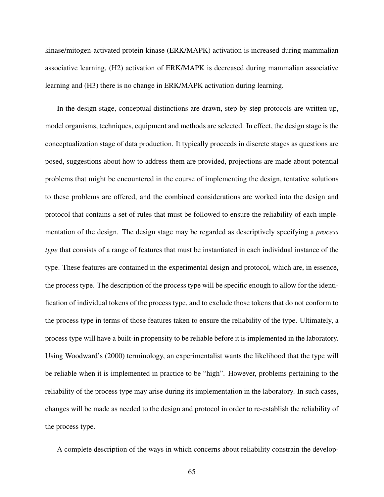kinase/mitogen-activated protein kinase (ERK/MAPK) activation is increased during mammalian associative learning, (H2) activation of ERK/MAPK is decreased during mammalian associative learning and (H3) there is no change in ERK/MAPK activation during learning.

In the design stage, conceptual distinctions are drawn, step-by-step protocols are written up, model organisms, techniques, equipment and methods are selected. In effect, the design stage is the conceptualization stage of data production. It typically proceeds in discrete stages as questions are posed, suggestions about how to address them are provided, projections are made about potential problems that might be encountered in the course of implementing the design, tentative solutions to these problems are offered, and the combined considerations are worked into the design and protocol that contains a set of rules that must be followed to ensure the reliability of each implementation of the design. The design stage may be regarded as descriptively specifying a *process type* that consists of a range of features that must be instantiated in each individual instance of the type. These features are contained in the experimental design and protocol, which are, in essence, the process type. The description of the process type will be specific enough to allow for the identification of individual tokens of the process type, and to exclude those tokens that do not conform to the process type in terms of those features taken to ensure the reliability of the type. Ultimately, a process type will have a built-in propensity to be reliable before it is implemented in the laboratory. Using Woodward's (2000) terminology, an experimentalist wants the likelihood that the type will be reliable when it is implemented in practice to be "high". However, problems pertaining to the reliability of the process type may arise during its implementation in the laboratory. In such cases, changes will be made as needed to the design and protocol in order to re-establish the reliability of the process type.

A complete description of the ways in which concerns about reliability constrain the develop-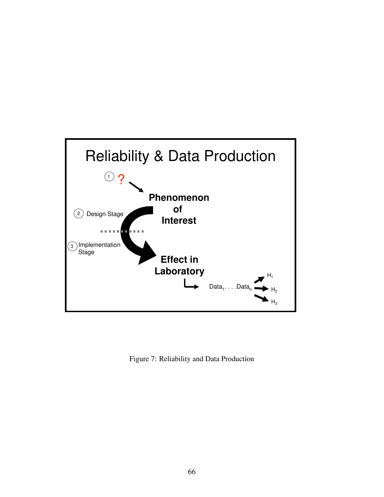

Figure 7: Reliability and Data Production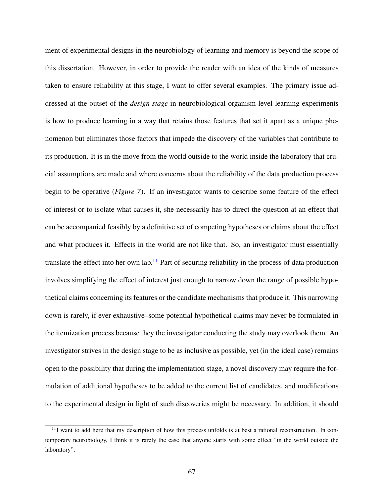ment of experimental designs in the neurobiology of learning and memory is beyond the scope of this dissertation. However, in order to provide the reader with an idea of the kinds of measures taken to ensure reliability at this stage, I want to offer several examples. The primary issue addressed at the outset of the *design stage* in neurobiological organism-level learning experiments is how to produce learning in a way that retains those features that set it apart as a unique phenomenon but eliminates those factors that impede the discovery of the variables that contribute to its production. It is in the move from the world outside to the world inside the laboratory that crucial assumptions are made and where concerns about the reliability of the data production process begin to be operative (*Figure 7*). If an investigator wants to describe some feature of the effect of interest or to isolate what causes it, she necessarily has to direct the question at an effect that can be accompanied feasibly by a definitive set of competing hypotheses or claims about the effect and what produces it. Effects in the world are not like that. So, an investigator must essentially translate the effect into her own lab.[11](#page-79-0) Part of securing reliability in the process of data production involves simplifying the effect of interest just enough to narrow down the range of possible hypothetical claims concerning its features or the candidate mechanisms that produce it. This narrowing down is rarely, if ever exhaustive–some potential hypothetical claims may never be formulated in the itemization process because they the investigator conducting the study may overlook them. An investigator strives in the design stage to be as inclusive as possible, yet (in the ideal case) remains open to the possibility that during the implementation stage, a novel discovery may require the formulation of additional hypotheses to be added to the current list of candidates, and modifications to the experimental design in light of such discoveries might be necessary. In addition, it should

<span id="page-79-0"></span> $11$ I want to add here that my description of how this process unfolds is at best a rational reconstruction. In contemporary neurobiology, I think it is rarely the case that anyone starts with some effect "in the world outside the laboratory".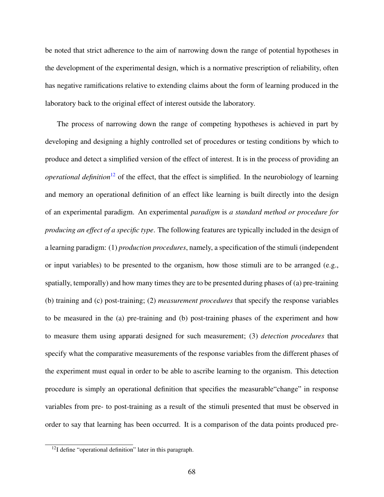be noted that strict adherence to the aim of narrowing down the range of potential hypotheses in the development of the experimental design, which is a normative prescription of reliability, often has negative ramifications relative to extending claims about the form of learning produced in the laboratory back to the original effect of interest outside the laboratory.

The process of narrowing down the range of competing hypotheses is achieved in part by developing and designing a highly controlled set of procedures or testing conditions by which to produce and detect a simplified version of the effect of interest. It is in the process of providing an *operational definition*<sup>[12](#page-80-0)</sup> of the effect, that the effect is simplified. In the neurobiology of learning and memory an operational definition of an effect like learning is built directly into the design of an experimental paradigm. An experimental *paradigm* is *a standard method or procedure for producing an effect of a specific type*. The following features are typically included in the design of a learning paradigm: (1) *production procedures*, namely, a specification of the stimuli (independent or input variables) to be presented to the organism, how those stimuli are to be arranged (e.g., spatially, temporally) and how many times they are to be presented during phases of (a) pre-training (b) training and (c) post-training; (2) *measurement procedures* that specify the response variables to be measured in the (a) pre-training and (b) post-training phases of the experiment and how to measure them using apparati designed for such measurement; (3) *detection procedures* that specify what the comparative measurements of the response variables from the different phases of the experiment must equal in order to be able to ascribe learning to the organism. This detection procedure is simply an operational definition that specifies the measurable"change" in response variables from pre- to post-training as a result of the stimuli presented that must be observed in order to say that learning has been occurred. It is a comparison of the data points produced pre-

<span id="page-80-0"></span><sup>12</sup>I define "operational definition" later in this paragraph.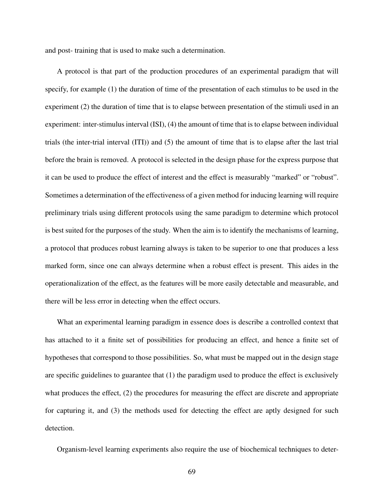and post- training that is used to make such a determination.

A protocol is that part of the production procedures of an experimental paradigm that will specify, for example (1) the duration of time of the presentation of each stimulus to be used in the experiment (2) the duration of time that is to elapse between presentation of the stimuli used in an experiment: inter-stimulus interval (ISI), (4) the amount of time that is to elapse between individual trials (the inter-trial interval (ITI)) and (5) the amount of time that is to elapse after the last trial before the brain is removed. A protocol is selected in the design phase for the express purpose that it can be used to produce the effect of interest and the effect is measurably "marked" or "robust". Sometimes a determination of the effectiveness of a given method for inducing learning will require preliminary trials using different protocols using the same paradigm to determine which protocol is best suited for the purposes of the study. When the aim is to identify the mechanisms of learning, a protocol that produces robust learning always is taken to be superior to one that produces a less marked form, since one can always determine when a robust effect is present. This aides in the operationalization of the effect, as the features will be more easily detectable and measurable, and there will be less error in detecting when the effect occurs.

What an experimental learning paradigm in essence does is describe a controlled context that has attached to it a finite set of possibilities for producing an effect, and hence a finite set of hypotheses that correspond to those possibilities. So, what must be mapped out in the design stage are specific guidelines to guarantee that (1) the paradigm used to produce the effect is exclusively what produces the effect, (2) the procedures for measuring the effect are discrete and appropriate for capturing it, and (3) the methods used for detecting the effect are aptly designed for such detection.

Organism-level learning experiments also require the use of biochemical techniques to deter-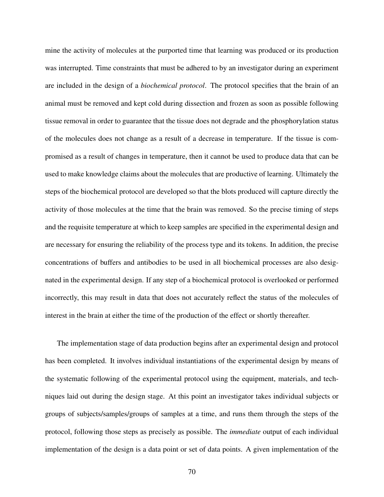mine the activity of molecules at the purported time that learning was produced or its production was interrupted. Time constraints that must be adhered to by an investigator during an experiment are included in the design of a *biochemical protocol*. The protocol specifies that the brain of an animal must be removed and kept cold during dissection and frozen as soon as possible following tissue removal in order to guarantee that the tissue does not degrade and the phosphorylation status of the molecules does not change as a result of a decrease in temperature. If the tissue is compromised as a result of changes in temperature, then it cannot be used to produce data that can be used to make knowledge claims about the molecules that are productive of learning. Ultimately the steps of the biochemical protocol are developed so that the blots produced will capture directly the activity of those molecules at the time that the brain was removed. So the precise timing of steps and the requisite temperature at which to keep samples are specified in the experimental design and are necessary for ensuring the reliability of the process type and its tokens. In addition, the precise concentrations of buffers and antibodies to be used in all biochemical processes are also designated in the experimental design. If any step of a biochemical protocol is overlooked or performed incorrectly, this may result in data that does not accurately reflect the status of the molecules of interest in the brain at either the time of the production of the effect or shortly thereafter.

The implementation stage of data production begins after an experimental design and protocol has been completed. It involves individual instantiations of the experimental design by means of the systematic following of the experimental protocol using the equipment, materials, and techniques laid out during the design stage. At this point an investigator takes individual subjects or groups of subjects/samples/groups of samples at a time, and runs them through the steps of the protocol, following those steps as precisely as possible. The *immediate* output of each individual implementation of the design is a data point or set of data points. A given implementation of the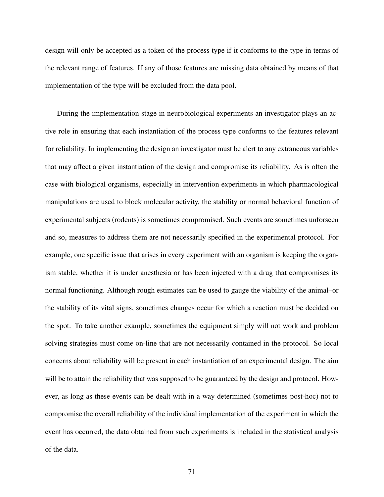design will only be accepted as a token of the process type if it conforms to the type in terms of the relevant range of features. If any of those features are missing data obtained by means of that implementation of the type will be excluded from the data pool.

During the implementation stage in neurobiological experiments an investigator plays an active role in ensuring that each instantiation of the process type conforms to the features relevant for reliability. In implementing the design an investigator must be alert to any extraneous variables that may affect a given instantiation of the design and compromise its reliability. As is often the case with biological organisms, especially in intervention experiments in which pharmacological manipulations are used to block molecular activity, the stability or normal behavioral function of experimental subjects (rodents) is sometimes compromised. Such events are sometimes unforseen and so, measures to address them are not necessarily specified in the experimental protocol. For example, one specific issue that arises in every experiment with an organism is keeping the organism stable, whether it is under anesthesia or has been injected with a drug that compromises its normal functioning. Although rough estimates can be used to gauge the viability of the animal–or the stability of its vital signs, sometimes changes occur for which a reaction must be decided on the spot. To take another example, sometimes the equipment simply will not work and problem solving strategies must come on-line that are not necessarily contained in the protocol. So local concerns about reliability will be present in each instantiation of an experimental design. The aim will be to attain the reliability that was supposed to be guaranteed by the design and protocol. However, as long as these events can be dealt with in a way determined (sometimes post-hoc) not to compromise the overall reliability of the individual implementation of the experiment in which the event has occurred, the data obtained from such experiments is included in the statistical analysis of the data.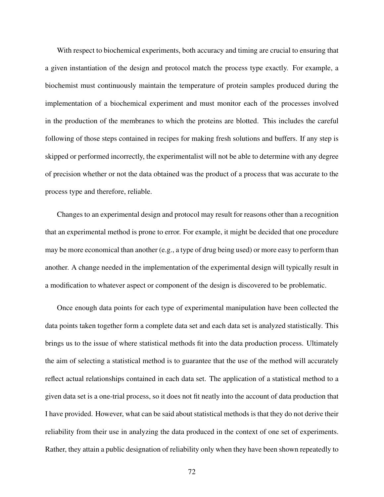With respect to biochemical experiments, both accuracy and timing are crucial to ensuring that a given instantiation of the design and protocol match the process type exactly. For example, a biochemist must continuously maintain the temperature of protein samples produced during the implementation of a biochemical experiment and must monitor each of the processes involved in the production of the membranes to which the proteins are blotted. This includes the careful following of those steps contained in recipes for making fresh solutions and buffers. If any step is skipped or performed incorrectly, the experimentalist will not be able to determine with any degree of precision whether or not the data obtained was the product of a process that was accurate to the process type and therefore, reliable.

Changes to an experimental design and protocol may result for reasons other than a recognition that an experimental method is prone to error. For example, it might be decided that one procedure may be more economical than another (e.g., a type of drug being used) or more easy to perform than another. A change needed in the implementation of the experimental design will typically result in a modification to whatever aspect or component of the design is discovered to be problematic.

Once enough data points for each type of experimental manipulation have been collected the data points taken together form a complete data set and each data set is analyzed statistically. This brings us to the issue of where statistical methods fit into the data production process. Ultimately the aim of selecting a statistical method is to guarantee that the use of the method will accurately reflect actual relationships contained in each data set. The application of a statistical method to a given data set is a one-trial process, so it does not fit neatly into the account of data production that I have provided. However, what can be said about statistical methods is that they do not derive their reliability from their use in analyzing the data produced in the context of one set of experiments. Rather, they attain a public designation of reliability only when they have been shown repeatedly to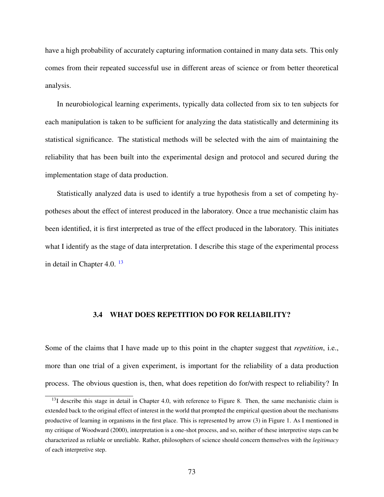have a high probability of accurately capturing information contained in many data sets. This only comes from their repeated successful use in different areas of science or from better theoretical analysis.

In neurobiological learning experiments, typically data collected from six to ten subjects for each manipulation is taken to be sufficient for analyzing the data statistically and determining its statistical significance. The statistical methods will be selected with the aim of maintaining the reliability that has been built into the experimental design and protocol and secured during the implementation stage of data production.

Statistically analyzed data is used to identify a true hypothesis from a set of competing hypotheses about the effect of interest produced in the laboratory. Once a true mechanistic claim has been identified, it is first interpreted as true of the effect produced in the laboratory. This initiates what I identify as the stage of data interpretation. I describe this stage of the experimental process in detail in Chapter 4.0.<sup>[13](#page-85-0)</sup>

# 3.4 WHAT DOES REPETITION DO FOR RELIABILITY?

Some of the claims that I have made up to this point in the chapter suggest that *repetition*, i.e., more than one trial of a given experiment, is important for the reliability of a data production process. The obvious question is, then, what does repetition do for/with respect to reliability? In

<span id="page-85-0"></span> $13$ I describe this stage in detail in Chapter 4.0, with reference to Figure 8. Then, the same mechanistic claim is extended back to the original effect of interest in the world that prompted the empirical question about the mechanisms productive of learning in organisms in the first place. This is represented by arrow (3) in Figure 1. As I mentioned in my critique of Woodward (2000), interpretation is a one-shot process, and so, neither of these interpretive steps can be characterized as reliable or unreliable. Rather, philosophers of science should concern themselves with the *legitimacy* of each interpretive step.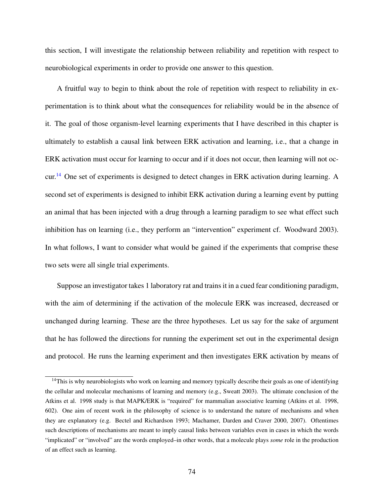this section, I will investigate the relationship between reliability and repetition with respect to neurobiological experiments in order to provide one answer to this question.

A fruitful way to begin to think about the role of repetition with respect to reliability in experimentation is to think about what the consequences for reliability would be in the absence of it. The goal of those organism-level learning experiments that I have described in this chapter is ultimately to establish a causal link between ERK activation and learning, i.e., that a change in ERK activation must occur for learning to occur and if it does not occur, then learning will not oc-cur.<sup>[14](#page-86-0)</sup> One set of experiments is designed to detect changes in ERK activation during learning. A second set of experiments is designed to inhibit ERK activation during a learning event by putting an animal that has been injected with a drug through a learning paradigm to see what effect such inhibition has on learning (i.e., they perform an "intervention" experiment cf. Woodward 2003). In what follows, I want to consider what would be gained if the experiments that comprise these two sets were all single trial experiments.

Suppose an investigator takes 1 laboratory rat and trains it in a cued fear conditioning paradigm, with the aim of determining if the activation of the molecule ERK was increased, decreased or unchanged during learning. These are the three hypotheses. Let us say for the sake of argument that he has followed the directions for running the experiment set out in the experimental design and protocol. He runs the learning experiment and then investigates ERK activation by means of

<span id="page-86-0"></span> $14$ This is why neurobiologists who work on learning and memory typically describe their goals as one of identifying the cellular and molecular mechanisms of learning and memory (e.g., Sweatt 2003). The ultimate conclusion of the Atkins et al. 1998 study is that MAPK/ERK is "required" for mammalian associative learning (Atkins et al. 1998, 602). One aim of recent work in the philosophy of science is to understand the nature of mechanisms and when they are explanatory (e.g. Bectel and Richardson 1993; Machamer, Darden and Craver 2000, 2007). Oftentimes such descriptions of mechanisms are meant to imply causal links between variables even in cases in which the words "implicated" or "involved" are the words employed–in other words, that a molecule plays *some* role in the production of an effect such as learning.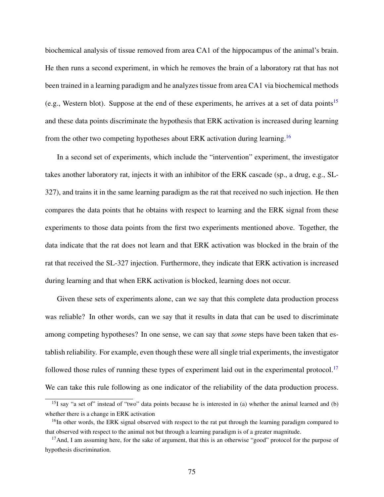biochemical analysis of tissue removed from area CA1 of the hippocampus of the animal's brain. He then runs a second experiment, in which he removes the brain of a laboratory rat that has not been trained in a learning paradigm and he analyzes tissue from area CA1 via biochemical methods (e.g., Western blot). Suppose at the end of these experiments, he arrives at a set of data points<sup>[15](#page-87-0)</sup> and these data points discriminate the hypothesis that ERK activation is increased during learning from the other two competing hypotheses about ERK activation during learning.<sup>[16](#page-87-1)</sup>

In a second set of experiments, which include the "intervention" experiment, the investigator takes another laboratory rat, injects it with an inhibitor of the ERK cascade (sp., a drug, e.g., SL-327), and trains it in the same learning paradigm as the rat that received no such injection. He then compares the data points that he obtains with respect to learning and the ERK signal from these experiments to those data points from the first two experiments mentioned above. Together, the data indicate that the rat does not learn and that ERK activation was blocked in the brain of the rat that received the SL-327 injection. Furthermore, they indicate that ERK activation is increased during learning and that when ERK activation is blocked, learning does not occur.

Given these sets of experiments alone, can we say that this complete data production process was reliable? In other words, can we say that it results in data that can be used to discriminate among competing hypotheses? In one sense, we can say that *some* steps have been taken that establish reliability. For example, even though these were all single trial experiments, the investigator followed those rules of running these types of experiment laid out in the experimental protocol.<sup>[17](#page-87-2)</sup> We can take this rule following as one indicator of the reliability of the data production process.

<span id="page-87-0"></span> $15I$  say "a set of" instead of "two" data points because he is interested in (a) whether the animal learned and (b) whether there is a change in ERK activation

<span id="page-87-1"></span><sup>&</sup>lt;sup>16</sup>In other words, the ERK signal observed with respect to the rat put through the learning paradigm compared to that observed with respect to the animal not but through a learning paradigm is of a greater magnitude.

<span id="page-87-2"></span> $17$ And, I am assuming here, for the sake of argument, that this is an otherwise "good" protocol for the purpose of hypothesis discrimination.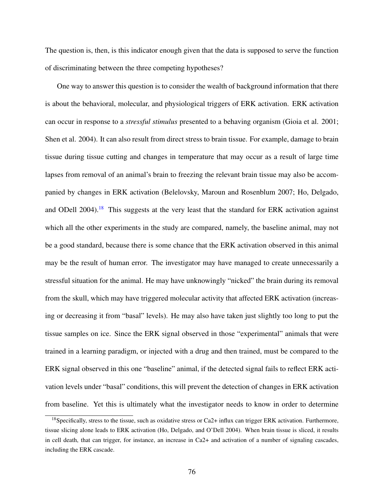The question is, then, is this indicator enough given that the data is supposed to serve the function of discriminating between the three competing hypotheses?

One way to answer this question is to consider the wealth of background information that there is about the behavioral, molecular, and physiological triggers of ERK activation. ERK activation can occur in response to a *stressful stimulus* presented to a behaving organism (Gioia et al. 2001; Shen et al. 2004). It can also result from direct stress to brain tissue. For example, damage to brain tissue during tissue cutting and changes in temperature that may occur as a result of large time lapses from removal of an animal's brain to freezing the relevant brain tissue may also be accompanied by changes in ERK activation (Belelovsky, Maroun and Rosenblum 2007; Ho, Delgado, and ODell 2004).<sup>[18](#page-88-0)</sup> This suggests at the very least that the standard for ERK activation against which all the other experiments in the study are compared, namely, the baseline animal, may not be a good standard, because there is some chance that the ERK activation observed in this animal may be the result of human error. The investigator may have managed to create unnecessarily a stressful situation for the animal. He may have unknowingly "nicked" the brain during its removal from the skull, which may have triggered molecular activity that affected ERK activation (increasing or decreasing it from "basal" levels). He may also have taken just slightly too long to put the tissue samples on ice. Since the ERK signal observed in those "experimental" animals that were trained in a learning paradigm, or injected with a drug and then trained, must be compared to the ERK signal observed in this one "baseline" animal, if the detected signal fails to reflect ERK activation levels under "basal" conditions, this will prevent the detection of changes in ERK activation from baseline. Yet this is ultimately what the investigator needs to know in order to determine

<span id="page-88-0"></span><sup>&</sup>lt;sup>18</sup>Specifically, stress to the tissue, such as oxidative stress or Ca2+ influx can trigger ERK activation. Furthermore, tissue slicing alone leads to ERK activation (Ho, Delgado, and O'Dell 2004). When brain tissue is sliced, it results in cell death, that can trigger, for instance, an increase in Ca2+ and activation of a number of signaling cascades, including the ERK cascade.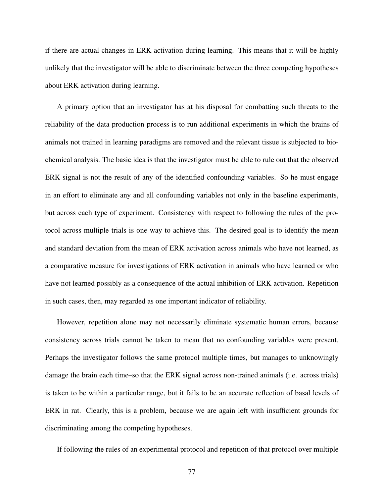if there are actual changes in ERK activation during learning. This means that it will be highly unlikely that the investigator will be able to discriminate between the three competing hypotheses about ERK activation during learning.

A primary option that an investigator has at his disposal for combatting such threats to the reliability of the data production process is to run additional experiments in which the brains of animals not trained in learning paradigms are removed and the relevant tissue is subjected to biochemical analysis. The basic idea is that the investigator must be able to rule out that the observed ERK signal is not the result of any of the identified confounding variables. So he must engage in an effort to eliminate any and all confounding variables not only in the baseline experiments, but across each type of experiment. Consistency with respect to following the rules of the protocol across multiple trials is one way to achieve this. The desired goal is to identify the mean and standard deviation from the mean of ERK activation across animals who have not learned, as a comparative measure for investigations of ERK activation in animals who have learned or who have not learned possibly as a consequence of the actual inhibition of ERK activation. Repetition in such cases, then, may regarded as one important indicator of reliability.

However, repetition alone may not necessarily eliminate systematic human errors, because consistency across trials cannot be taken to mean that no confounding variables were present. Perhaps the investigator follows the same protocol multiple times, but manages to unknowingly damage the brain each time–so that the ERK signal across non-trained animals (i.e. across trials) is taken to be within a particular range, but it fails to be an accurate reflection of basal levels of ERK in rat. Clearly, this is a problem, because we are again left with insufficient grounds for discriminating among the competing hypotheses.

If following the rules of an experimental protocol and repetition of that protocol over multiple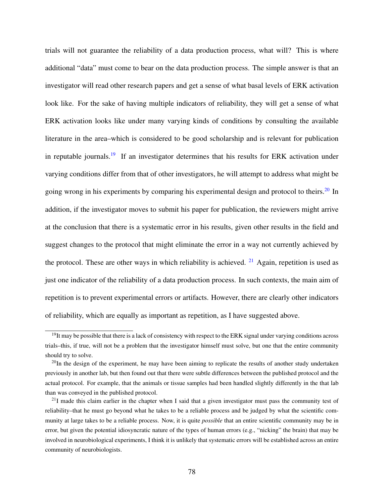trials will not guarantee the reliability of a data production process, what will? This is where additional "data" must come to bear on the data production process. The simple answer is that an investigator will read other research papers and get a sense of what basal levels of ERK activation look like. For the sake of having multiple indicators of reliability, they will get a sense of what ERK activation looks like under many varying kinds of conditions by consulting the available literature in the area–which is considered to be good scholarship and is relevant for publication in reputable journals.<sup>[19](#page-90-0)</sup> If an investigator determines that his results for ERK activation under varying conditions differ from that of other investigators, he will attempt to address what might be going wrong in his experiments by comparing his experimental design and protocol to theirs.<sup>[20](#page-90-1)</sup> In addition, if the investigator moves to submit his paper for publication, the reviewers might arrive at the conclusion that there is a systematic error in his results, given other results in the field and suggest changes to the protocol that might eliminate the error in a way not currently achieved by the protocol. These are other ways in which reliability is achieved.  $21$  Again, repetition is used as just one indicator of the reliability of a data production process. In such contexts, the main aim of repetition is to prevent experimental errors or artifacts. However, there are clearly other indicators of reliability, which are equally as important as repetition, as I have suggested above.

<span id="page-90-0"></span> $19$ It may be possible that there is a lack of consistency with respect to the ERK signal under varying conditions across trials–this, if true, will not be a problem that the investigator himself must solve, but one that the entire community should try to solve.

<span id="page-90-1"></span> $^{20}$ In the design of the experiment, he may have been aiming to replicate the results of another study undertaken previously in another lab, but then found out that there were subtle differences between the published protocol and the actual protocol. For example, that the animals or tissue samples had been handled slightly differently in the that lab than was conveyed in the published protocol.

<span id="page-90-2"></span> $^{21}$ I made this claim earlier in the chapter when I said that a given investigator must pass the community test of reliability–that he must go beyond what he takes to be a reliable process and be judged by what the scientific community at large takes to be a reliable process. Now, it is quite *possible* that an entire scientific community may be in error, but given the potential idiosyncratic nature of the types of human errors (e.g., "nicking" the brain) that may be involved in neurobiological experiments, I think it is unlikely that systematic errors will be established across an entire community of neurobiologists.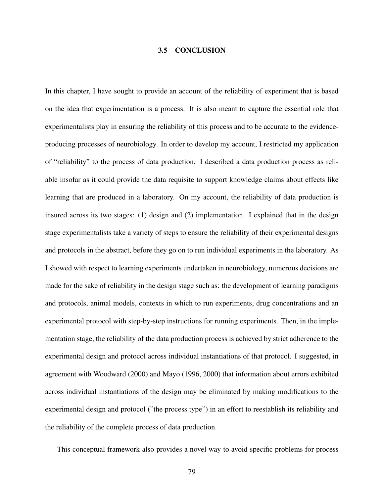#### 3.5 CONCLUSION

In this chapter, I have sought to provide an account of the reliability of experiment that is based on the idea that experimentation is a process. It is also meant to capture the essential role that experimentalists play in ensuring the reliability of this process and to be accurate to the evidenceproducing processes of neurobiology. In order to develop my account, I restricted my application of "reliability" to the process of data production. I described a data production process as reliable insofar as it could provide the data requisite to support knowledge claims about effects like learning that are produced in a laboratory. On my account, the reliability of data production is insured across its two stages: (1) design and (2) implementation. I explained that in the design stage experimentalists take a variety of steps to ensure the reliability of their experimental designs and protocols in the abstract, before they go on to run individual experiments in the laboratory. As I showed with respect to learning experiments undertaken in neurobiology, numerous decisions are made for the sake of reliability in the design stage such as: the development of learning paradigms and protocols, animal models, contexts in which to run experiments, drug concentrations and an experimental protocol with step-by-step instructions for running experiments. Then, in the implementation stage, the reliability of the data production process is achieved by strict adherence to the experimental design and protocol across individual instantiations of that protocol. I suggested, in agreement with Woodward (2000) and Mayo (1996, 2000) that information about errors exhibited across individual instantiations of the design may be eliminated by making modifications to the experimental design and protocol ("the process type") in an effort to reestablish its reliability and the reliability of the complete process of data production.

This conceptual framework also provides a novel way to avoid specific problems for process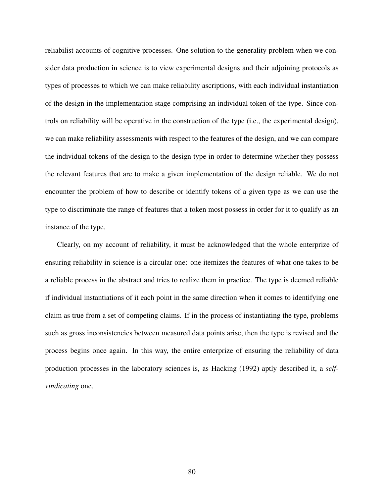reliabilist accounts of cognitive processes. One solution to the generality problem when we consider data production in science is to view experimental designs and their adjoining protocols as types of processes to which we can make reliability ascriptions, with each individual instantiation of the design in the implementation stage comprising an individual token of the type. Since controls on reliability will be operative in the construction of the type (i.e., the experimental design), we can make reliability assessments with respect to the features of the design, and we can compare the individual tokens of the design to the design type in order to determine whether they possess the relevant features that are to make a given implementation of the design reliable. We do not encounter the problem of how to describe or identify tokens of a given type as we can use the type to discriminate the range of features that a token most possess in order for it to qualify as an instance of the type.

Clearly, on my account of reliability, it must be acknowledged that the whole enterprize of ensuring reliability in science is a circular one: one itemizes the features of what one takes to be a reliable process in the abstract and tries to realize them in practice. The type is deemed reliable if individual instantiations of it each point in the same direction when it comes to identifying one claim as true from a set of competing claims. If in the process of instantiating the type, problems such as gross inconsistencies between measured data points arise, then the type is revised and the process begins once again. In this way, the entire enterprize of ensuring the reliability of data production processes in the laboratory sciences is, as Hacking (1992) aptly described it, a *selfvindicating* one.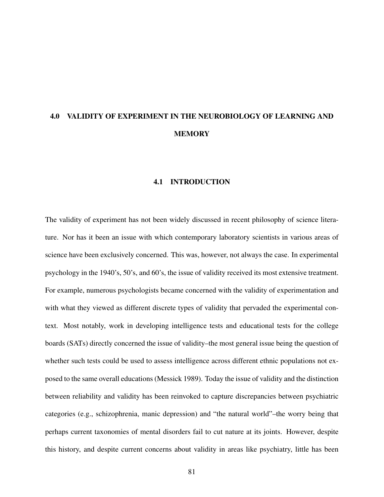# 4.0 VALIDITY OF EXPERIMENT IN THE NEUROBIOLOGY OF LEARNING AND **MEMORY**

#### 4.1 INTRODUCTION

The validity of experiment has not been widely discussed in recent philosophy of science literature. Nor has it been an issue with which contemporary laboratory scientists in various areas of science have been exclusively concerned. This was, however, not always the case. In experimental psychology in the 1940's, 50's, and 60's, the issue of validity received its most extensive treatment. For example, numerous psychologists became concerned with the validity of experimentation and with what they viewed as different discrete types of validity that pervaded the experimental context. Most notably, work in developing intelligence tests and educational tests for the college boards (SATs) directly concerned the issue of validity–the most general issue being the question of whether such tests could be used to assess intelligence across different ethnic populations not exposed to the same overall educations (Messick 1989). Today the issue of validity and the distinction between reliability and validity has been reinvoked to capture discrepancies between psychiatric categories (e.g., schizophrenia, manic depression) and "the natural world"–the worry being that perhaps current taxonomies of mental disorders fail to cut nature at its joints. However, despite this history, and despite current concerns about validity in areas like psychiatry, little has been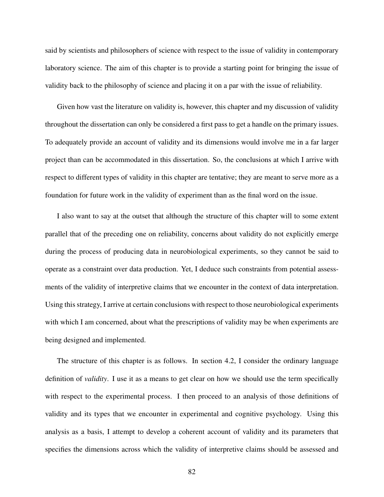said by scientists and philosophers of science with respect to the issue of validity in contemporary laboratory science. The aim of this chapter is to provide a starting point for bringing the issue of validity back to the philosophy of science and placing it on a par with the issue of reliability.

Given how vast the literature on validity is, however, this chapter and my discussion of validity throughout the dissertation can only be considered a first pass to get a handle on the primary issues. To adequately provide an account of validity and its dimensions would involve me in a far larger project than can be accommodated in this dissertation. So, the conclusions at which I arrive with respect to different types of validity in this chapter are tentative; they are meant to serve more as a foundation for future work in the validity of experiment than as the final word on the issue.

I also want to say at the outset that although the structure of this chapter will to some extent parallel that of the preceding one on reliability, concerns about validity do not explicitly emerge during the process of producing data in neurobiological experiments, so they cannot be said to operate as a constraint over data production. Yet, I deduce such constraints from potential assessments of the validity of interpretive claims that we encounter in the context of data interpretation. Using this strategy, I arrive at certain conclusions with respect to those neurobiological experiments with which I am concerned, about what the prescriptions of validity may be when experiments are being designed and implemented.

The structure of this chapter is as follows. In section 4.2, I consider the ordinary language definition of *validity*. I use it as a means to get clear on how we should use the term specifically with respect to the experimental process. I then proceed to an analysis of those definitions of validity and its types that we encounter in experimental and cognitive psychology. Using this analysis as a basis, I attempt to develop a coherent account of validity and its parameters that specifies the dimensions across which the validity of interpretive claims should be assessed and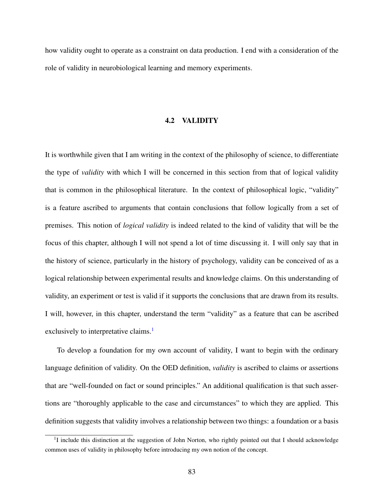how validity ought to operate as a constraint on data production. I end with a consideration of the role of validity in neurobiological learning and memory experiments.

# 4.2 VALIDITY

It is worthwhile given that I am writing in the context of the philosophy of science, to differentiate the type of *validity* with which I will be concerned in this section from that of logical validity that is common in the philosophical literature. In the context of philosophical logic, "validity" is a feature ascribed to arguments that contain conclusions that follow logically from a set of premises. This notion of *logical validity* is indeed related to the kind of validity that will be the focus of this chapter, although I will not spend a lot of time discussing it. I will only say that in the history of science, particularly in the history of psychology, validity can be conceived of as a logical relationship between experimental results and knowledge claims. On this understanding of validity, an experiment or test is valid if it supports the conclusions that are drawn from its results. I will, however, in this chapter, understand the term "validity" as a feature that can be ascribed exclusively to interpretative claims.<sup>[1](#page-95-0)</sup>

To develop a foundation for my own account of validity, I want to begin with the ordinary language definition of validity. On the OED definition, *validity* is ascribed to claims or assertions that are "well-founded on fact or sound principles." An additional qualification is that such assertions are "thoroughly applicable to the case and circumstances" to which they are applied. This definition suggests that validity involves a relationship between two things: a foundation or a basis

<span id="page-95-0"></span><sup>&</sup>lt;sup>1</sup>I include this distinction at the suggestion of John Norton, who rightly pointed out that I should acknowledge common uses of validity in philosophy before introducing my own notion of the concept.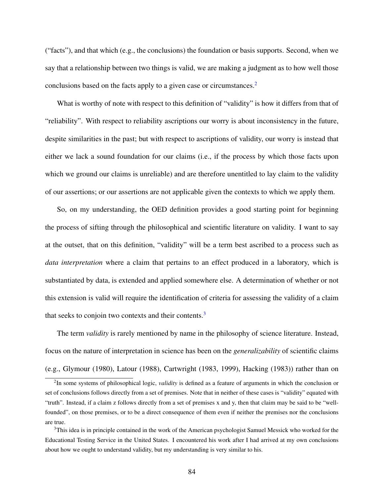("facts"), and that which (e.g., the conclusions) the foundation or basis supports. Second, when we say that a relationship between two things is valid, we are making a judgment as to how well those conclusions based on the facts apply to a given case or circumstances.[2](#page-96-0)

What is worthy of note with respect to this definition of "validity" is how it differs from that of "reliability". With respect to reliability ascriptions our worry is about inconsistency in the future, despite similarities in the past; but with respect to ascriptions of validity, our worry is instead that either we lack a sound foundation for our claims (i.e., if the process by which those facts upon which we ground our claims is unreliable) and are therefore unentitled to lay claim to the validity of our assertions; or our assertions are not applicable given the contexts to which we apply them.

So, on my understanding, the OED definition provides a good starting point for beginning the process of sifting through the philosophical and scientific literature on validity. I want to say at the outset, that on this definition, "validity" will be a term best ascribed to a process such as *data interpretation* where a claim that pertains to an effect produced in a laboratory, which is substantiated by data, is extended and applied somewhere else. A determination of whether or not this extension is valid will require the identification of criteria for assessing the validity of a claim that seeks to conjoin two contexts and their contents.<sup>[3](#page-96-1)</sup>

The term *validity* is rarely mentioned by name in the philosophy of science literature. Instead, focus on the nature of interpretation in science has been on the *generalizability* of scientific claims (e.g., Glymour (1980), Latour (1988), Cartwright (1983, 1999), Hacking (1983)) rather than on

<span id="page-96-0"></span><sup>2</sup> In some systems of philosophical logic, *validity* is defined as a feature of arguments in which the conclusion or set of conclusions follows directly from a set of premises. Note that in neither of these cases is "validity" equated with "truth". Instead, if a claim z follows directly from a set of premises x and y, then that claim may be said to be "wellfounded", on those premises, or to be a direct consequence of them even if neither the premises nor the conclusions are true.

<span id="page-96-1"></span><sup>&</sup>lt;sup>3</sup>This idea is in principle contained in the work of the American psychologist Samuel Messick who worked for the Educational Testing Service in the United States. I encountered his work after I had arrived at my own conclusions about how we ought to understand validity, but my understanding is very similar to his.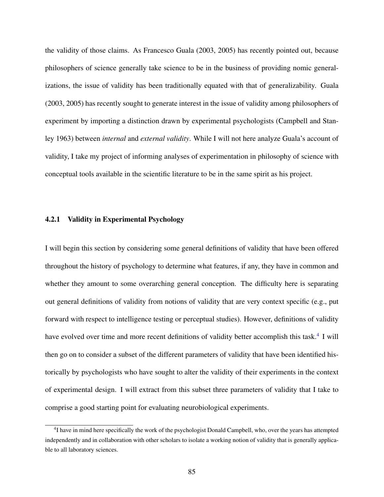the validity of those claims. As Francesco Guala (2003, 2005) has recently pointed out, because philosophers of science generally take science to be in the business of providing nomic generalizations, the issue of validity has been traditionally equated with that of generalizability. Guala (2003, 2005) has recently sought to generate interest in the issue of validity among philosophers of experiment by importing a distinction drawn by experimental psychologists (Campbell and Stanley 1963) between *internal* and *external validity*. While I will not here analyze Guala's account of validity, I take my project of informing analyses of experimentation in philosophy of science with conceptual tools available in the scientific literature to be in the same spirit as his project.

# 4.2.1 Validity in Experimental Psychology

I will begin this section by considering some general definitions of validity that have been offered throughout the history of psychology to determine what features, if any, they have in common and whether they amount to some overarching general conception. The difficulty here is separating out general definitions of validity from notions of validity that are very context specific (e.g., put forward with respect to intelligence testing or perceptual studies). However, definitions of validity have evolved over time and more recent definitions of validity better accomplish this task.<sup>[4](#page-97-0)</sup> I will then go on to consider a subset of the different parameters of validity that have been identified historically by psychologists who have sought to alter the validity of their experiments in the context of experimental design. I will extract from this subset three parameters of validity that I take to comprise a good starting point for evaluating neurobiological experiments.

<span id="page-97-0"></span><sup>&</sup>lt;sup>4</sup>I have in mind here specifically the work of the psychologist Donald Campbell, who, over the years has attempted independently and in collaboration with other scholars to isolate a working notion of validity that is generally applicable to all laboratory sciences.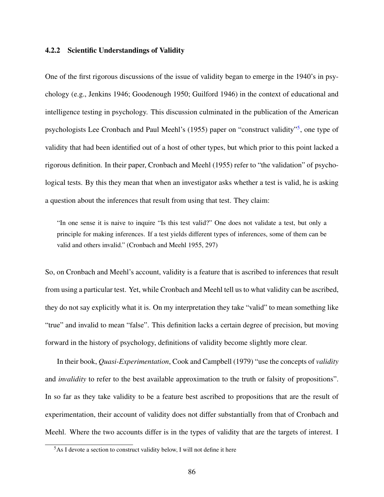#### 4.2.2 Scientific Understandings of Validity

One of the first rigorous discussions of the issue of validity began to emerge in the 1940's in psychology (e.g., Jenkins 1946; Goodenough 1950; Guilford 1946) in the context of educational and intelligence testing in psychology. This discussion culminated in the publication of the American psychologists Lee Cronbach and Paul Meehl's (19[5](#page-98-0)5) paper on "construct validity"<sup>5</sup>, one type of validity that had been identified out of a host of other types, but which prior to this point lacked a rigorous definition. In their paper, Cronbach and Meehl (1955) refer to "the validation" of psychological tests. By this they mean that when an investigator asks whether a test is valid, he is asking a question about the inferences that result from using that test. They claim:

"In one sense it is naive to inquire "Is this test valid?" One does not validate a test, but only a principle for making inferences. If a test yields different types of inferences, some of them can be valid and others invalid." (Cronbach and Meehl 1955, 297)

So, on Cronbach and Meehl's account, validity is a feature that is ascribed to inferences that result from using a particular test. Yet, while Cronbach and Meehl tell us to what validity can be ascribed, they do not say explicitly what it is. On my interpretation they take "valid" to mean something like "true" and invalid to mean "false". This definition lacks a certain degree of precision, but moving forward in the history of psychology, definitions of validity become slightly more clear.

In their book, *Quasi-Experimentation*, Cook and Campbell (1979) "use the concepts of *validity* and *invalidity* to refer to the best available approximation to the truth or falsity of propositions". In so far as they take validity to be a feature best ascribed to propositions that are the result of experimentation, their account of validity does not differ substantially from that of Cronbach and Meehl. Where the two accounts differ is in the types of validity that are the targets of interest. I

<span id="page-98-0"></span><sup>5</sup>As I devote a section to construct validity below, I will not define it here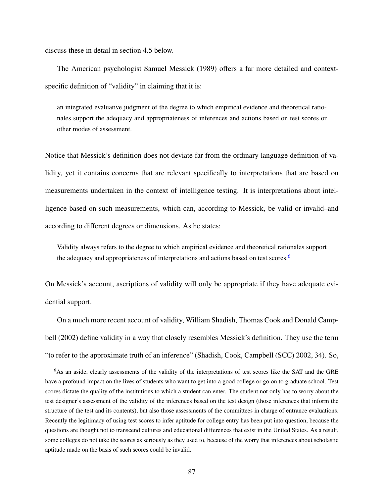discuss these in detail in section 4.5 below.

The American psychologist Samuel Messick (1989) offers a far more detailed and contextspecific definition of "validity" in claiming that it is:

an integrated evaluative judgment of the degree to which empirical evidence and theoretical rationales support the adequacy and appropriateness of inferences and actions based on test scores or other modes of assessment.

Notice that Messick's definition does not deviate far from the ordinary language definition of validity, yet it contains concerns that are relevant specifically to interpretations that are based on measurements undertaken in the context of intelligence testing. It is interpretations about intelligence based on such measurements, which can, according to Messick, be valid or invalid–and according to different degrees or dimensions. As he states:

Validity always refers to the degree to which empirical evidence and theoretical rationales support the adequacy and appropriateness of interpretations and actions based on test scores.<sup>[6](#page-99-0)</sup>

On Messick's account, ascriptions of validity will only be appropriate if they have adequate evidential support.

On a much more recent account of validity, William Shadish, Thomas Cook and Donald Campbell (2002) define validity in a way that closely resembles Messick's definition. They use the term "to refer to the approximate truth of an inference" (Shadish, Cook, Campbell (SCC) 2002, 34). So,

<span id="page-99-0"></span><sup>6</sup>As an aside, clearly assessments of the validity of the interpretations of test scores like the SAT and the GRE have a profound impact on the lives of students who want to get into a good college or go on to graduate school. Test scores dictate the quality of the institutions to which a student can enter. The student not only has to worry about the test designer's assessment of the validity of the inferences based on the test design (those inferences that inform the structure of the test and its contents), but also those assessments of the committees in charge of entrance evaluations. Recently the legitimacy of using test scores to infer aptitude for college entry has been put into question, because the questions are thought not to transcend cultures and educational differences that exist in the United States. As a result, some colleges do not take the scores as seriously as they used to, because of the worry that inferences about scholastic aptitude made on the basis of such scores could be invalid.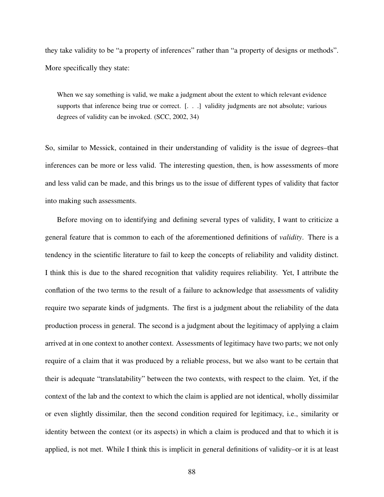they take validity to be "a property of inferences" rather than "a property of designs or methods". More specifically they state:

When we say something is valid, we make a judgment about the extent to which relevant evidence supports that inference being true or correct. [...] validity judgments are not absolute; various degrees of validity can be invoked. (SCC, 2002, 34)

So, similar to Messick, contained in their understanding of validity is the issue of degrees–that inferences can be more or less valid. The interesting question, then, is how assessments of more and less valid can be made, and this brings us to the issue of different types of validity that factor into making such assessments.

Before moving on to identifying and defining several types of validity, I want to criticize a general feature that is common to each of the aforementioned definitions of *validity*. There is a tendency in the scientific literature to fail to keep the concepts of reliability and validity distinct. I think this is due to the shared recognition that validity requires reliability. Yet, I attribute the conflation of the two terms to the result of a failure to acknowledge that assessments of validity require two separate kinds of judgments. The first is a judgment about the reliability of the data production process in general. The second is a judgment about the legitimacy of applying a claim arrived at in one context to another context. Assessments of legitimacy have two parts; we not only require of a claim that it was produced by a reliable process, but we also want to be certain that their is adequate "translatability" between the two contexts, with respect to the claim. Yet, if the context of the lab and the context to which the claim is applied are not identical, wholly dissimilar or even slightly dissimilar, then the second condition required for legitimacy, i.e., similarity or identity between the context (or its aspects) in which a claim is produced and that to which it is applied, is not met. While I think this is implicit in general definitions of validity–or it is at least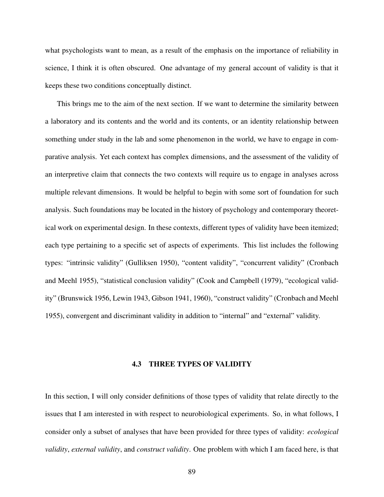what psychologists want to mean, as a result of the emphasis on the importance of reliability in science, I think it is often obscured. One advantage of my general account of validity is that it keeps these two conditions conceptually distinct.

This brings me to the aim of the next section. If we want to determine the similarity between a laboratory and its contents and the world and its contents, or an identity relationship between something under study in the lab and some phenomenon in the world, we have to engage in comparative analysis. Yet each context has complex dimensions, and the assessment of the validity of an interpretive claim that connects the two contexts will require us to engage in analyses across multiple relevant dimensions. It would be helpful to begin with some sort of foundation for such analysis. Such foundations may be located in the history of psychology and contemporary theoretical work on experimental design. In these contexts, different types of validity have been itemized; each type pertaining to a specific set of aspects of experiments. This list includes the following types: "intrinsic validity" (Gulliksen 1950), "content validity", "concurrent validity" (Cronbach and Meehl 1955), "statistical conclusion validity" (Cook and Campbell (1979), "ecological validity" (Brunswick 1956, Lewin 1943, Gibson 1941, 1960), "construct validity" (Cronbach and Meehl 1955), convergent and discriminant validity in addition to "internal" and "external" validity.

# 4.3 THREE TYPES OF VALIDITY

In this section, I will only consider definitions of those types of validity that relate directly to the issues that I am interested in with respect to neurobiological experiments. So, in what follows, I consider only a subset of analyses that have been provided for three types of validity: *ecological validity*, *external validity*, and *construct validity*. One problem with which I am faced here, is that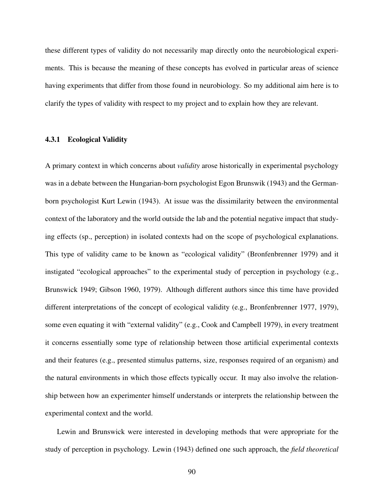these different types of validity do not necessarily map directly onto the neurobiological experiments. This is because the meaning of these concepts has evolved in particular areas of science having experiments that differ from those found in neurobiology. So my additional aim here is to clarify the types of validity with respect to my project and to explain how they are relevant.

#### 4.3.1 Ecological Validity

A primary context in which concerns about *validity* arose historically in experimental psychology was in a debate between the Hungarian-born psychologist Egon Brunswik (1943) and the Germanborn psychologist Kurt Lewin (1943). At issue was the dissimilarity between the environmental context of the laboratory and the world outside the lab and the potential negative impact that studying effects (sp., perception) in isolated contexts had on the scope of psychological explanations. This type of validity came to be known as "ecological validity" (Bronfenbrenner 1979) and it instigated "ecological approaches" to the experimental study of perception in psychology (e.g., Brunswick 1949; Gibson 1960, 1979). Although different authors since this time have provided different interpretations of the concept of ecological validity (e.g., Bronfenbrenner 1977, 1979), some even equating it with "external validity" (e.g., Cook and Campbell 1979), in every treatment it concerns essentially some type of relationship between those artificial experimental contexts and their features (e.g., presented stimulus patterns, size, responses required of an organism) and the natural environments in which those effects typically occur. It may also involve the relationship between how an experimenter himself understands or interprets the relationship between the experimental context and the world.

Lewin and Brunswick were interested in developing methods that were appropriate for the study of perception in psychology. Lewin (1943) defined one such approach, the *field theoretical*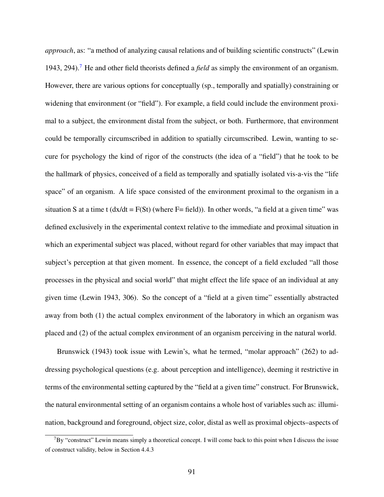*approach*, as: "a method of analyzing causal relations and of building scientific constructs" (Lewin 1943, 294).[7](#page-103-0) He and other field theorists defined a *field* as simply the environment of an organism. However, there are various options for conceptually (sp., temporally and spatially) constraining or widening that environment (or "field"). For example, a field could include the environment proximal to a subject, the environment distal from the subject, or both. Furthermore, that environment could be temporally circumscribed in addition to spatially circumscribed. Lewin, wanting to secure for psychology the kind of rigor of the constructs (the idea of a "field") that he took to be the hallmark of physics, conceived of a field as temporally and spatially isolated vis-a-vis the "life space" of an organism. A life space consisted of the environment proximal to the organism in a situation S at a time t  $\frac{dx}{dt} = F(St)$  (where F= field)). In other words, "a field at a given time" was defined exclusively in the experimental context relative to the immediate and proximal situation in which an experimental subject was placed, without regard for other variables that may impact that subject's perception at that given moment. In essence, the concept of a field excluded "all those processes in the physical and social world" that might effect the life space of an individual at any given time (Lewin 1943, 306). So the concept of a "field at a given time" essentially abstracted away from both (1) the actual complex environment of the laboratory in which an organism was placed and (2) of the actual complex environment of an organism perceiving in the natural world.

Brunswick (1943) took issue with Lewin's, what he termed, "molar approach" (262) to addressing psychological questions (e.g. about perception and intelligence), deeming it restrictive in terms of the environmental setting captured by the "field at a given time" construct. For Brunswick, the natural environmental setting of an organism contains a whole host of variables such as: illumination, background and foreground, object size, color, distal as well as proximal objects–aspects of

<span id="page-103-0"></span> $7By$  "construct" Lewin means simply a theoretical concept. I will come back to this point when I discuss the issue of construct validity, below in Section 4.4.3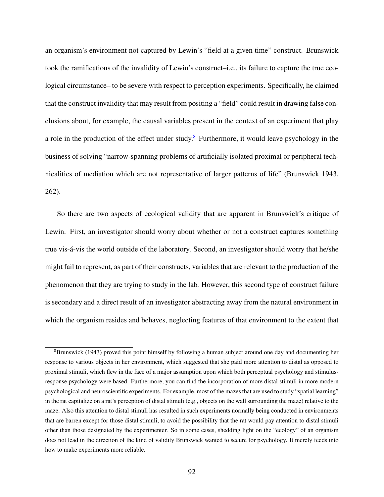an organism's environment not captured by Lewin's "field at a given time" construct. Brunswick took the ramifications of the invalidity of Lewin's construct–i.e., its failure to capture the true ecological circumstance– to be severe with respect to perception experiments. Specifically, he claimed that the construct invalidity that may result from positing a "field" could result in drawing false conclusions about, for example, the causal variables present in the context of an experiment that play a role in the production of the effect under study.[8](#page-104-0) Furthermore, it would leave psychology in the business of solving "narrow-spanning problems of artificially isolated proximal or peripheral technicalities of mediation which are not representative of larger patterns of life" (Brunswick 1943, 262).

So there are two aspects of ecological validity that are apparent in Brunswick's critique of Lewin. First, an investigator should worry about whether or not a construct captures something true vis-á-vis the world outside of the laboratory. Second, an investigator should worry that he/she might fail to represent, as part of their constructs, variables that are relevant to the production of the phenomenon that they are trying to study in the lab. However, this second type of construct failure is secondary and a direct result of an investigator abstracting away from the natural environment in which the organism resides and behaves, neglecting features of that environment to the extent that

<span id="page-104-0"></span><sup>8</sup>Brunswick (1943) proved this point himself by following a human subject around one day and documenting her response to various objects in her environment, which suggested that she paid more attention to distal as opposed to proximal stimuli, which flew in the face of a major assumption upon which both perceptual psychology and stimulusresponse psychology were based. Furthermore, you can find the incorporation of more distal stimuli in more modern psychological and neuroscientific experiments. For example, most of the mazes that are used to study "spatial learning" in the rat capitalize on a rat's perception of distal stimuli (e.g., objects on the wall surrounding the maze) relative to the maze. Also this attention to distal stimuli has resulted in such experiments normally being conducted in environments that are barren except for those distal stimuli, to avoid the possibility that the rat would pay attention to distal stimuli other than those designated by the experimenter. So in some cases, shedding light on the "ecology" of an organism does not lead in the direction of the kind of validity Brunswick wanted to secure for psychology. It merely feeds into how to make experiments more reliable.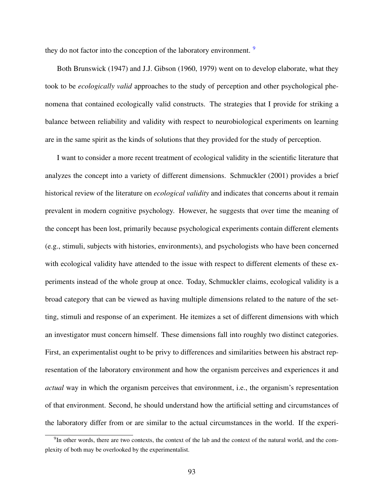they do not factor into the conception of the laboratory environment. <sup>[9](#page-105-0)</sup>

Both Brunswick (1947) and J.J. Gibson (1960, 1979) went on to develop elaborate, what they took to be *ecologically valid* approaches to the study of perception and other psychological phenomena that contained ecologically valid constructs. The strategies that I provide for striking a balance between reliability and validity with respect to neurobiological experiments on learning are in the same spirit as the kinds of solutions that they provided for the study of perception.

I want to consider a more recent treatment of ecological validity in the scientific literature that analyzes the concept into a variety of different dimensions. Schmuckler (2001) provides a brief historical review of the literature on *ecological validity* and indicates that concerns about it remain prevalent in modern cognitive psychology. However, he suggests that over time the meaning of the concept has been lost, primarily because psychological experiments contain different elements (e.g., stimuli, subjects with histories, environments), and psychologists who have been concerned with ecological validity have attended to the issue with respect to different elements of these experiments instead of the whole group at once. Today, Schmuckler claims, ecological validity is a broad category that can be viewed as having multiple dimensions related to the nature of the setting, stimuli and response of an experiment. He itemizes a set of different dimensions with which an investigator must concern himself. These dimensions fall into roughly two distinct categories. First, an experimentalist ought to be privy to differences and similarities between his abstract representation of the laboratory environment and how the organism perceives and experiences it and *actual* way in which the organism perceives that environment, i.e., the organism's representation of that environment. Second, he should understand how the artificial setting and circumstances of the laboratory differ from or are similar to the actual circumstances in the world. If the experi-

<span id="page-105-0"></span><sup>&</sup>lt;sup>9</sup>In other words, there are two contexts, the context of the lab and the context of the natural world, and the complexity of both may be overlooked by the experimentalist.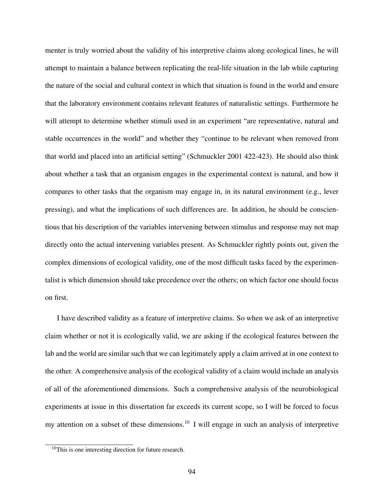menter is truly worried about the validity of his interpretive claims along ecological lines, he will attempt to maintain a balance between replicating the real-life situation in the lab while capturing the nature of the social and cultural context in which that situation is found in the world and ensure that the laboratory environment contains relevant features of naturalistic settings. Furthermore he will attempt to determine whether stimuli used in an experiment "are representative, natural and stable occurrences in the world" and whether they "continue to be relevant when removed from that world and placed into an artificial setting" (Schmuckler 2001 422-423). He should also think about whether a task that an organism engages in the experimental context is natural, and how it compares to other tasks that the organism may engage in, in its natural environment (e.g., lever pressing), and what the implications of such differences are. In addition, he should be conscientious that his description of the variables intervening between stimulus and response may not map directly onto the actual intervening variables present. As Schmuckler rightly points out, given the complex dimensions of ecological validity, one of the most difficult tasks faced by the experimentalist is which dimension should take precedence over the others; on which factor one should focus on first.

I have described validity as a feature of interpretive claims. So when we ask of an interpretive claim whether or not it is ecologically valid, we are asking if the ecological features between the lab and the world are similar such that we can legitimately apply a claim arrived at in one context to the other. A comprehensive analysis of the ecological validity of a claim would include an analysis of all of the aforementioned dimensions. Such a comprehensive analysis of the neurobiological experiments at issue in this dissertation far exceeds its current scope, so I will be forced to focus my attention on a subset of these dimensions.<sup>[10](#page-106-0)</sup> I will engage in such an analysis of interpretive

<span id="page-106-0"></span><sup>10</sup>This is one interesting direction for future research.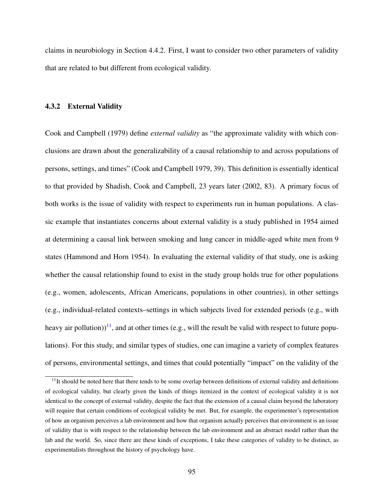claims in neurobiology in Section 4.4.2. First, I want to consider two other parameters of validity that are related to but different from ecological validity.

#### 4.3.2 External Validity

Cook and Campbell (1979) define *external validity* as "the approximate validity with which conclusions are drawn about the generalizability of a causal relationship to and across populations of persons, settings, and times" (Cook and Campbell 1979, 39). This definition is essentially identical to that provided by Shadish, Cook and Campbell, 23 years later (2002, 83). A primary focus of both works is the issue of validity with respect to experiments run in human populations. A classic example that instantiates concerns about external validity is a study published in 1954 aimed at determining a causal link between smoking and lung cancer in middle-aged white men from 9 states (Hammond and Horn 1954). In evaluating the external validity of that study, one is asking whether the causal relationship found to exist in the study group holds true for other populations (e.g., women, adolescents, African Americans, populations in other countries), in other settings (e.g., individual-related contexts–settings in which subjects lived for extended periods (e.g., with heavy air pollution))<sup>[11](#page-107-0)</sup>, and at other times (e.g., will the result be valid with respect to future populations). For this study, and similar types of studies, one can imagine a variety of complex features of persons, environmental settings, and times that could potentially "impact" on the validity of the

<span id="page-107-0"></span> $11$ It should be noted here that there tends to be some overlap between definitions of external validity and definitions of ecological validity, but clearly given the kinds of things itemized in the context of ecological validity it is not identical to the concept of external validity, despite the fact that the extension of a causal claim beyond the laboratory will require that certain conditions of ecological validity be met. But, for example, the experimenter's representation of how an organism perceives a lab environment and how that organism actually perceives that environment is an issue of validity that is with respect to the relationship between the lab environment and an abstract model rather than the lab and the world. So, since there are these kinds of exceptions, I take these categories of validity to be distinct, as experimentalists throughout the history of psychology have.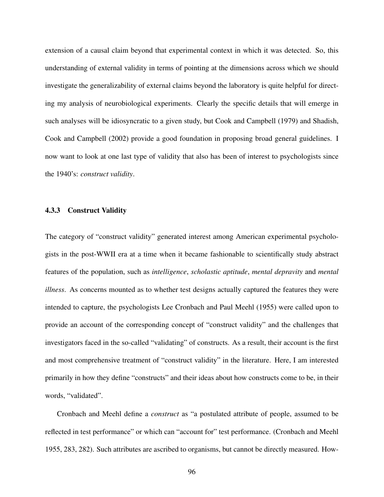extension of a causal claim beyond that experimental context in which it was detected. So, this understanding of external validity in terms of pointing at the dimensions across which we should investigate the generalizability of external claims beyond the laboratory is quite helpful for directing my analysis of neurobiological experiments. Clearly the specific details that will emerge in such analyses will be idiosyncratic to a given study, but Cook and Campbell (1979) and Shadish, Cook and Campbell (2002) provide a good foundation in proposing broad general guidelines. I now want to look at one last type of validity that also has been of interest to psychologists since the 1940's: *construct validity*.

## 4.3.3 Construct Validity

The category of "construct validity" generated interest among American experimental psychologists in the post-WWII era at a time when it became fashionable to scientifically study abstract features of the population, such as *intelligence*, *scholastic aptitude*, *mental depravity* and *mental illness*. As concerns mounted as to whether test designs actually captured the features they were intended to capture, the psychologists Lee Cronbach and Paul Meehl (1955) were called upon to provide an account of the corresponding concept of "construct validity" and the challenges that investigators faced in the so-called "validating" of constructs. As a result, their account is the first and most comprehensive treatment of "construct validity" in the literature. Here, I am interested primarily in how they define "constructs" and their ideas about how constructs come to be, in their words, "validated".

Cronbach and Meehl define a *construct* as "a postulated attribute of people, assumed to be reflected in test performance" or which can "account for" test performance. (Cronbach and Meehl 1955, 283, 282). Such attributes are ascribed to organisms, but cannot be directly measured. How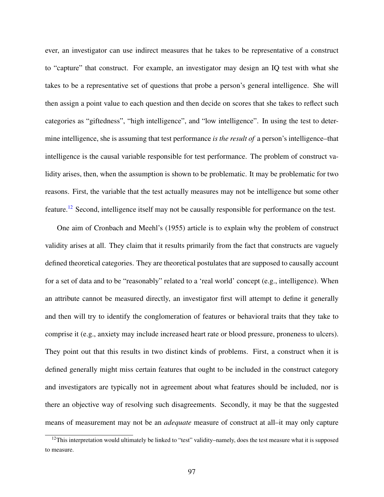ever, an investigator can use indirect measures that he takes to be representative of a construct to "capture" that construct. For example, an investigator may design an IQ test with what she takes to be a representative set of questions that probe a person's general intelligence. She will then assign a point value to each question and then decide on scores that she takes to reflect such categories as "giftedness", "high intelligence", and "low intelligence". In using the test to determine intelligence, she is assuming that test performance *is the result of* a person's intelligence–that intelligence is the causal variable responsible for test performance. The problem of construct validity arises, then, when the assumption is shown to be problematic. It may be problematic for two reasons. First, the variable that the test actually measures may not be intelligence but some other feature.[12](#page-109-0) Second, intelligence itself may not be causally responsible for performance on the test.

One aim of Cronbach and Meehl's (1955) article is to explain why the problem of construct validity arises at all. They claim that it results primarily from the fact that constructs are vaguely defined theoretical categories. They are theoretical postulates that are supposed to causally account for a set of data and to be "reasonably" related to a 'real world' concept (e.g., intelligence). When an attribute cannot be measured directly, an investigator first will attempt to define it generally and then will try to identify the conglomeration of features or behavioral traits that they take to comprise it (e.g., anxiety may include increased heart rate or blood pressure, proneness to ulcers). They point out that this results in two distinct kinds of problems. First, a construct when it is defined generally might miss certain features that ought to be included in the construct category and investigators are typically not in agreement about what features should be included, nor is there an objective way of resolving such disagreements. Secondly, it may be that the suggested means of measurement may not be an *adequate* measure of construct at all–it may only capture

<span id="page-109-0"></span> $12$ This interpretation would ultimately be linked to "test" validity–namely, does the test measure what it is supposed to measure.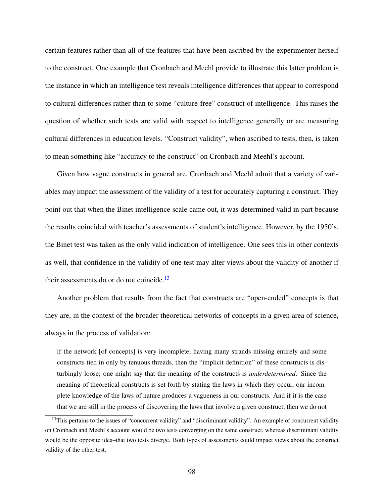certain features rather than all of the features that have been ascribed by the experimenter herself to the construct. One example that Cronbach and Meehl provide to illustrate this latter problem is the instance in which an intelligence test reveals intelligence differences that appear to correspond to cultural differences rather than to some "culture-free" construct of intelligence. This raises the question of whether such tests are valid with respect to intelligence generally or are measuring cultural differences in education levels. "Construct validity", when ascribed to tests, then, is taken to mean something like "accuracy to the construct" on Cronbach and Meehl's account.

Given how vague constructs in general are, Cronbach and Meehl admit that a variety of variables may impact the assessment of the validity of a test for accurately capturing a construct. They point out that when the Binet intelligence scale came out, it was determined valid in part because the results coincided with teacher's assessments of student's intelligence. However, by the 1950's, the Binet test was taken as the only valid indication of intelligence. One sees this in other contexts as well, that confidence in the validity of one test may alter views about the validity of another if their assessments do or do not coincide.<sup>[13](#page-110-0)</sup>

Another problem that results from the fact that constructs are "open-ended" concepts is that they are, in the context of the broader theoretical networks of concepts in a given area of science, always in the process of validation:

if the network [of concepts] is very incomplete, having many strands missing entirely and some constructs tied in only by tenuous threads, then the "implicit definition" of these constructs is disturbingly loose; one might say that the meaning of the constructs is *underdetermined*. Since the meaning of theoretical constructs is set forth by stating the laws in which they occur, our incomplete knowledge of the laws of nature produces a vagueness in our constructs. And if it is the case that we are still in the process of discovering the laws that involve a given construct, then we do not

<span id="page-110-0"></span><sup>&</sup>lt;sup>13</sup>This pertains to the issues of "concurrent validity" and "discriminant validity". An example of concurrent validity on Cronbach and Meehl's account would be two tests converging on the same construct, whereas discriminant validity would be the opposite idea–that two tests diverge. Both types of assessments could impact views about the construct validity of the other test.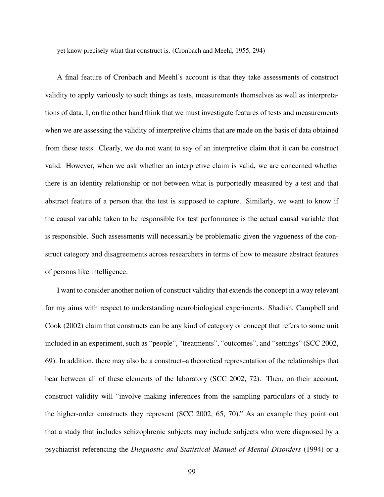yet know precisely what that construct is. (Cronbach and Meehl, 1955, 294)

A final feature of Cronbach and Meehl's account is that they take assessments of construct validity to apply variously to such things as tests, measurements themselves as well as interpretations of data. I, on the other hand think that we must investigate features of tests and measurements when we are assessing the validity of interpretive claims that are made on the basis of data obtained from these tests. Clearly, we do not want to say of an interpretive claim that it can be construct valid. However, when we ask whether an interpretive claim is valid, we are concerned whether there is an identity relationship or not between what is purportedly measured by a test and that abstract feature of a person that the test is supposed to capture. Similarly, we want to know if the causal variable taken to be responsible for test performance is the actual causal variable that is responsible. Such assessments will necessarily be problematic given the vagueness of the construct category and disagreements across researchers in terms of how to measure abstract features of persons like intelligence.

I want to consider another notion of construct validity that extends the concept in a way relevant for my aims with respect to understanding neurobiological experiments. Shadish, Campbell and Cook (2002) claim that constructs can be any kind of category or concept that refers to some unit included in an experiment, such as "people", "treatments", "outcomes", and "settings" (SCC 2002, 69). In addition, there may also be a construct–a theoretical representation of the relationships that bear between all of these elements of the laboratory (SCC 2002, 72). Then, on their account, construct validity will "involve making inferences from the sampling particulars of a study to the higher-order constructs they represent (SCC 2002, 65, 70)." As an example they point out that a study that includes schizophrenic subjects may include subjects who were diagnosed by a psychiatrist referencing the *Diagnostic and Statistical Manual of Mental Disorders* (1994) or a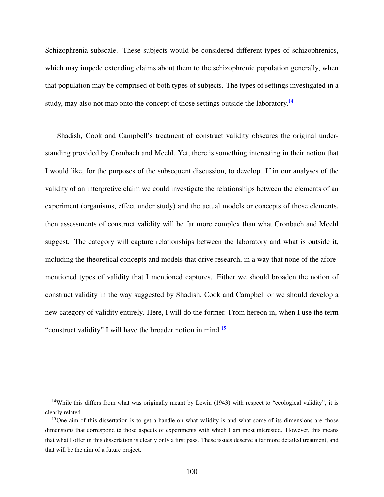Schizophrenia subscale. These subjects would be considered different types of schizophrenics, which may impede extending claims about them to the schizophrenic population generally, when that population may be comprised of both types of subjects. The types of settings investigated in a study, may also not map onto the concept of those settings outside the laboratory.<sup>[14](#page-112-0)</sup>

Shadish, Cook and Campbell's treatment of construct validity obscures the original understanding provided by Cronbach and Meehl. Yet, there is something interesting in their notion that I would like, for the purposes of the subsequent discussion, to develop. If in our analyses of the validity of an interpretive claim we could investigate the relationships between the elements of an experiment (organisms, effect under study) and the actual models or concepts of those elements, then assessments of construct validity will be far more complex than what Cronbach and Meehl suggest. The category will capture relationships between the laboratory and what is outside it, including the theoretical concepts and models that drive research, in a way that none of the aforementioned types of validity that I mentioned captures. Either we should broaden the notion of construct validity in the way suggested by Shadish, Cook and Campbell or we should develop a new category of validity entirely. Here, I will do the former. From hereon in, when I use the term "construct validity" I will have the broader notion in mind.<sup>[15](#page-112-1)</sup>

<span id="page-112-0"></span><sup>&</sup>lt;sup>14</sup>While this differs from what was originally meant by Lewin (1943) with respect to "ecological validity", it is clearly related.

<span id="page-112-1"></span><sup>&</sup>lt;sup>15</sup>One aim of this dissertation is to get a handle on what validity is and what some of its dimensions are–those dimensions that correspond to those aspects of experiments with which I am most interested. However, this means that what I offer in this dissertation is clearly only a first pass. These issues deserve a far more detailed treatment, and that will be the aim of a future project.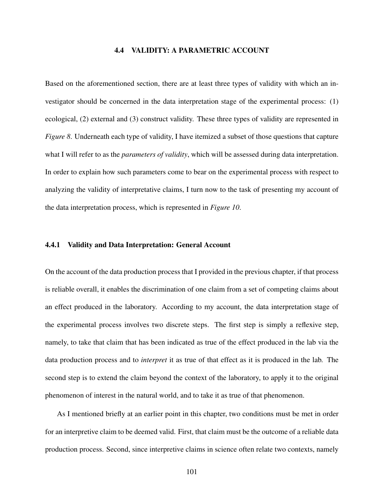## 4.4 VALIDITY: A PARAMETRIC ACCOUNT

Based on the aforementioned section, there are at least three types of validity with which an investigator should be concerned in the data interpretation stage of the experimental process: (1) ecological, (2) external and (3) construct validity. These three types of validity are represented in *Figure 8*. Underneath each type of validity, I have itemized a subset of those questions that capture what I will refer to as the *parameters of validity*, which will be assessed during data interpretation. In order to explain how such parameters come to bear on the experimental process with respect to analyzing the validity of interpretative claims, I turn now to the task of presenting my account of the data interpretation process, which is represented in *Figure 10*.

## 4.4.1 Validity and Data Interpretation: General Account

On the account of the data production process that I provided in the previous chapter, if that process is reliable overall, it enables the discrimination of one claim from a set of competing claims about an effect produced in the laboratory. According to my account, the data interpretation stage of the experimental process involves two discrete steps. The first step is simply a reflexive step, namely, to take that claim that has been indicated as true of the effect produced in the lab via the data production process and to *interpret* it as true of that effect as it is produced in the lab. The second step is to extend the claim beyond the context of the laboratory, to apply it to the original phenomenon of interest in the natural world, and to take it as true of that phenomenon.

As I mentioned briefly at an earlier point in this chapter, two conditions must be met in order for an interpretive claim to be deemed valid. First, that claim must be the outcome of a reliable data production process. Second, since interpretive claims in science often relate two contexts, namely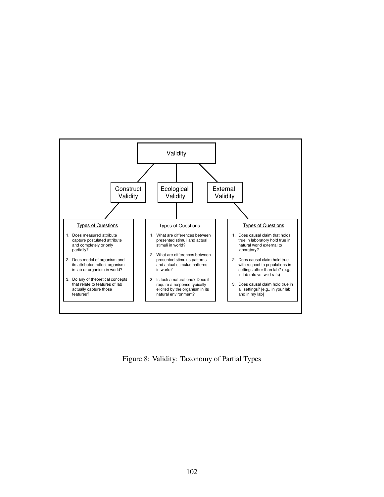

Figure 8: Validity: Taxonomy of Partial Types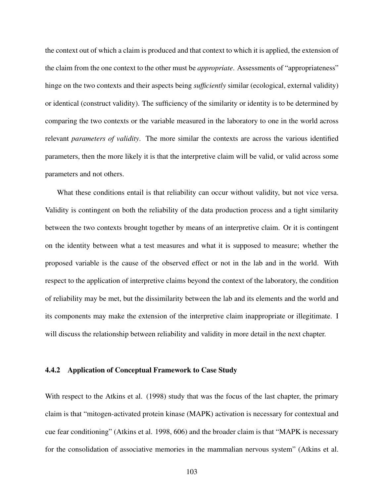the context out of which a claim is produced and that context to which it is applied, the extension of the claim from the one context to the other must be *appropriate*. Assessments of "appropriateness" hinge on the two contexts and their aspects being *sufficiently* similar (ecological, external validity) or identical (construct validity). The sufficiency of the similarity or identity is to be determined by comparing the two contexts or the variable measured in the laboratory to one in the world across relevant *parameters of validity*. The more similar the contexts are across the various identified parameters, then the more likely it is that the interpretive claim will be valid, or valid across some parameters and not others.

What these conditions entail is that reliability can occur without validity, but not vice versa. Validity is contingent on both the reliability of the data production process and a tight similarity between the two contexts brought together by means of an interpretive claim. Or it is contingent on the identity between what a test measures and what it is supposed to measure; whether the proposed variable is the cause of the observed effect or not in the lab and in the world. With respect to the application of interpretive claims beyond the context of the laboratory, the condition of reliability may be met, but the dissimilarity between the lab and its elements and the world and its components may make the extension of the interpretive claim inappropriate or illegitimate. I will discuss the relationship between reliability and validity in more detail in the next chapter.

## 4.4.2 Application of Conceptual Framework to Case Study

With respect to the Atkins et al. (1998) study that was the focus of the last chapter, the primary claim is that "mitogen-activated protein kinase (MAPK) activation is necessary for contextual and cue fear conditioning" (Atkins et al. 1998, 606) and the broader claim is that "MAPK is necessary for the consolidation of associative memories in the mammalian nervous system" (Atkins et al.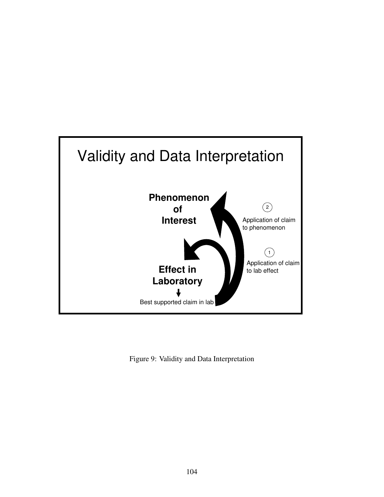

Figure 9: Validity and Data Interpretation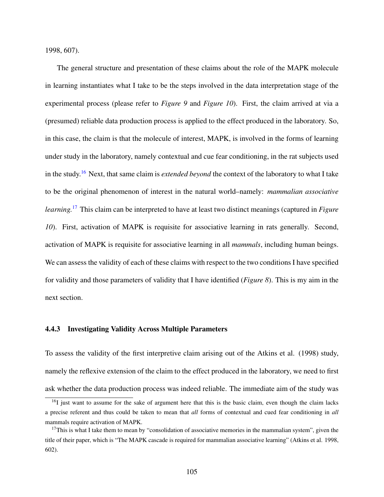1998, 607).

The general structure and presentation of these claims about the role of the MAPK molecule in learning instantiates what I take to be the steps involved in the data interpretation stage of the experimental process (please refer to *Figure 9* and *Figure 10*). First, the claim arrived at via a (presumed) reliable data production process is applied to the effect produced in the laboratory. So, in this case, the claim is that the molecule of interest, MAPK, is involved in the forms of learning under study in the laboratory, namely contextual and cue fear conditioning, in the rat subjects used in the study.[16](#page-117-0) Next, that same claim is *extended beyond* the context of the laboratory to what I take to be the original phenomenon of interest in the natural world–namely: *mammalian associative learning.*[17](#page-117-1) This claim can be interpreted to have at least two distinct meanings (captured in *Figure 10*). First, activation of MAPK is requisite for associative learning in rats generally. Second, activation of MAPK is requisite for associative learning in all *mammals*, including human beings. We can assess the validity of each of these claims with respect to the two conditions I have specified for validity and those parameters of validity that I have identified (*Figure 8*). This is my aim in the next section.

## 4.4.3 Investigating Validity Across Multiple Parameters

To assess the validity of the first interpretive claim arising out of the Atkins et al. (1998) study, namely the reflexive extension of the claim to the effect produced in the laboratory, we need to first ask whether the data production process was indeed reliable. The immediate aim of the study was

<span id="page-117-0"></span><sup>&</sup>lt;sup>16</sup>I just want to assume for the sake of argument here that this is the basic claim, even though the claim lacks a precise referent and thus could be taken to mean that *all* forms of contextual and cued fear conditioning in *all* mammals require activation of MAPK.

<span id="page-117-1"></span><sup>&</sup>lt;sup>17</sup>This is what I take them to mean by "consolidation of associative memories in the mammalian system", given the title of their paper, which is "The MAPK cascade is required for mammalian associative learning" (Atkins et al. 1998, 602).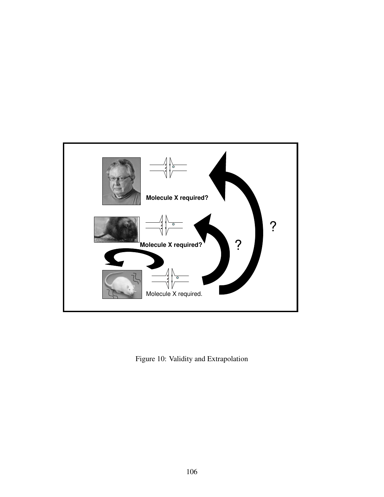

Figure 10: Validity and Extrapolation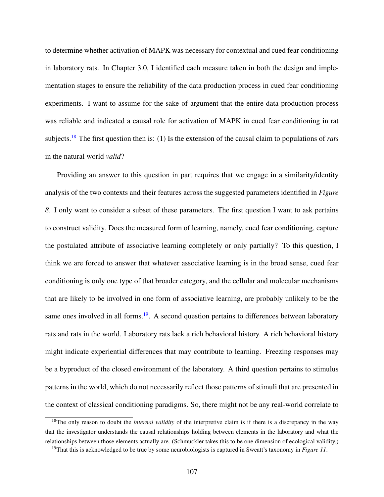to determine whether activation of MAPK was necessary for contextual and cued fear conditioning in laboratory rats. In Chapter 3.0, I identified each measure taken in both the design and implementation stages to ensure the reliability of the data production process in cued fear conditioning experiments. I want to assume for the sake of argument that the entire data production process was reliable and indicated a causal role for activation of MAPK in cued fear conditioning in rat subjects.[18](#page-119-0) The first question then is: (1) Is the extension of the causal claim to populations of *rats* in the natural world *valid*?

Providing an answer to this question in part requires that we engage in a similarity/identity analysis of the two contexts and their features across the suggested parameters identified in *Figure 8*. I only want to consider a subset of these parameters. The first question I want to ask pertains to construct validity. Does the measured form of learning, namely, cued fear conditioning, capture the postulated attribute of associative learning completely or only partially? To this question, I think we are forced to answer that whatever associative learning is in the broad sense, cued fear conditioning is only one type of that broader category, and the cellular and molecular mechanisms that are likely to be involved in one form of associative learning, are probably unlikely to be the same ones involved in all forms.<sup>[19](#page-119-1)</sup>. A second question pertains to differences between laboratory rats and rats in the world. Laboratory rats lack a rich behavioral history. A rich behavioral history might indicate experiential differences that may contribute to learning. Freezing responses may be a byproduct of the closed environment of the laboratory. A third question pertains to stimulus patterns in the world, which do not necessarily reflect those patterns of stimuli that are presented in the context of classical conditioning paradigms. So, there might not be any real-world correlate to

<span id="page-119-0"></span><sup>&</sup>lt;sup>18</sup>The only reason to doubt the *internal validity* of the interpretive claim is if there is a discrepancy in the way that the investigator understands the causal relationships holding between elements in the laboratory and what the relationships between those elements actually are. (Schmuckler takes this to be one dimension of ecological validity.)

<span id="page-119-1"></span><sup>19</sup>That this is acknowledged to be true by some neurobiologists is captured in Sweatt's taxonomy in *Figure 11*.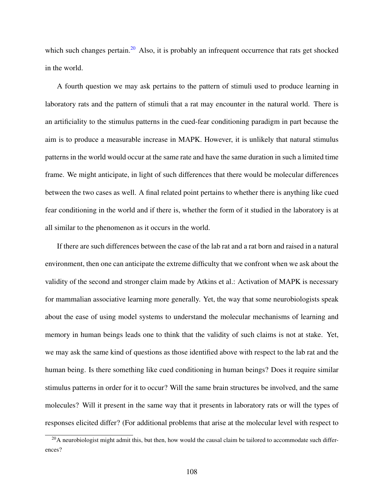which such changes pertain.<sup>[20](#page-120-0)</sup> Also, it is probably an infrequent occurrence that rats get shocked in the world.

A fourth question we may ask pertains to the pattern of stimuli used to produce learning in laboratory rats and the pattern of stimuli that a rat may encounter in the natural world. There is an artificiality to the stimulus patterns in the cued-fear conditioning paradigm in part because the aim is to produce a measurable increase in MAPK. However, it is unlikely that natural stimulus patterns in the world would occur at the same rate and have the same duration in such a limited time frame. We might anticipate, in light of such differences that there would be molecular differences between the two cases as well. A final related point pertains to whether there is anything like cued fear conditioning in the world and if there is, whether the form of it studied in the laboratory is at all similar to the phenomenon as it occurs in the world.

If there are such differences between the case of the lab rat and a rat born and raised in a natural environment, then one can anticipate the extreme difficulty that we confront when we ask about the validity of the second and stronger claim made by Atkins et al.: Activation of MAPK is necessary for mammalian associative learning more generally. Yet, the way that some neurobiologists speak about the ease of using model systems to understand the molecular mechanisms of learning and memory in human beings leads one to think that the validity of such claims is not at stake. Yet, we may ask the same kind of questions as those identified above with respect to the lab rat and the human being. Is there something like cued conditioning in human beings? Does it require similar stimulus patterns in order for it to occur? Will the same brain structures be involved, and the same molecules? Will it present in the same way that it presents in laboratory rats or will the types of responses elicited differ? (For additional problems that arise at the molecular level with respect to

<span id="page-120-0"></span> $^{20}$ A neurobiologist might admit this, but then, how would the causal claim be tailored to accommodate such differences?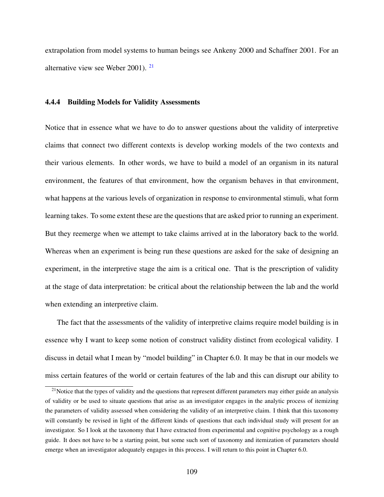extrapolation from model systems to human beings see Ankeny 2000 and Schaffner 2001. For an alternative view see Weber 2001). [21](#page-121-0)

## 4.4.4 Building Models for Validity Assessments

Notice that in essence what we have to do to answer questions about the validity of interpretive claims that connect two different contexts is develop working models of the two contexts and their various elements. In other words, we have to build a model of an organism in its natural environment, the features of that environment, how the organism behaves in that environment, what happens at the various levels of organization in response to environmental stimuli, what form learning takes. To some extent these are the questions that are asked prior to running an experiment. But they reemerge when we attempt to take claims arrived at in the laboratory back to the world. Whereas when an experiment is being run these questions are asked for the sake of designing an experiment, in the interpretive stage the aim is a critical one. That is the prescription of validity at the stage of data interpretation: be critical about the relationship between the lab and the world when extending an interpretive claim.

The fact that the assessments of the validity of interpretive claims require model building is in essence why I want to keep some notion of construct validity distinct from ecological validity. I discuss in detail what I mean by "model building" in Chapter 6.0. It may be that in our models we miss certain features of the world or certain features of the lab and this can disrupt our ability to

<span id="page-121-0"></span> $2<sup>1</sup>$ Notice that the types of validity and the questions that represent different parameters may either guide an analysis of validity or be used to situate questions that arise as an investigator engages in the analytic process of itemizing the parameters of validity assessed when considering the validity of an interpretive claim. I think that this taxonomy will constantly be revised in light of the different kinds of questions that each individual study will present for an investigator. So I look at the taxonomy that I have extracted from experimental and cognitive psychology as a rough guide. It does not have to be a starting point, but some such sort of taxonomy and itemization of parameters should emerge when an investigator adequately engages in this process. I will return to this point in Chapter 6.0.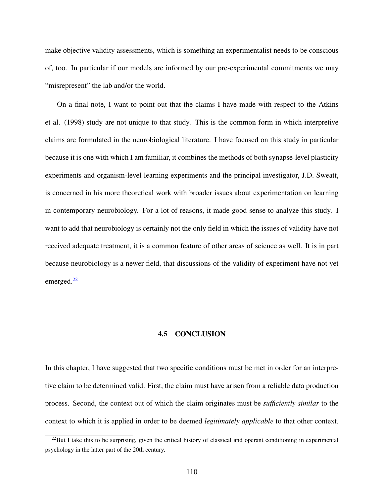make objective validity assessments, which is something an experimentalist needs to be conscious of, too. In particular if our models are informed by our pre-experimental commitments we may "misrepresent" the lab and/or the world.

On a final note, I want to point out that the claims I have made with respect to the Atkins et al. (1998) study are not unique to that study. This is the common form in which interpretive claims are formulated in the neurobiological literature. I have focused on this study in particular because it is one with which I am familiar, it combines the methods of both synapse-level plasticity experiments and organism-level learning experiments and the principal investigator, J.D. Sweatt, is concerned in his more theoretical work with broader issues about experimentation on learning in contemporary neurobiology. For a lot of reasons, it made good sense to analyze this study. I want to add that neurobiology is certainly not the only field in which the issues of validity have not received adequate treatment, it is a common feature of other areas of science as well. It is in part because neurobiology is a newer field, that discussions of the validity of experiment have not yet emerged. $^{22}$  $^{22}$  $^{22}$ 

## 4.5 CONCLUSION

In this chapter, I have suggested that two specific conditions must be met in order for an interpretive claim to be determined valid. First, the claim must have arisen from a reliable data production process. Second, the context out of which the claim originates must be *sufficiently similar* to the context to which it is applied in order to be deemed *legitimately applicable* to that other context.

<span id="page-122-0"></span> $^{22}$ But I take this to be surprising, given the critical history of classical and operant conditioning in experimental psychology in the latter part of the 20th century.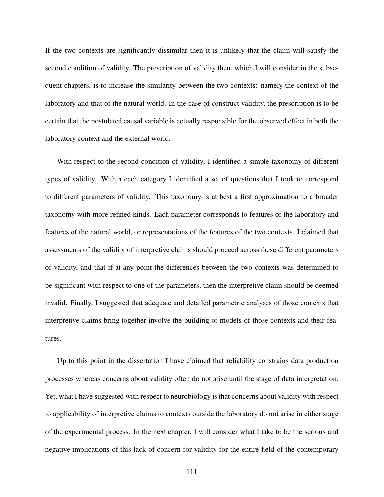If the two contexts are significantly dissimilar then it is unlikely that the claim will satisfy the second condition of validity. The prescription of validity then, which I will consider in the subsequent chapters, is to increase the similarity between the two contexts: namely the context of the laboratory and that of the natural world. In the case of construct validity, the prescription is to be certain that the postulated causal variable is actually responsible for the observed effect in both the laboratory context and the external world.

With respect to the second condition of validity, I identified a simple taxonomy of different types of validity. Within each category I identified a set of questions that I took to correspond to different parameters of validity. This taxonomy is at best a first approximation to a broader taxonomy with more refined kinds. Each parameter corresponds to features of the laboratory and features of the natural world, or representations of the features of the two contexts. I claimed that assessments of the validity of interpretive claims should proceed across these different parameters of validity, and that if at any point the differences between the two contexts was determined to be significant with respect to one of the parameters, then the interpretive claim should be deemed invalid. Finally, I suggested that adequate and detailed parametric analyses of those contexts that interpretive claims bring together involve the building of models of those contexts and their features.

Up to this point in the dissertation I have claimed that reliability constrains data production processes whereas concerns about validity often do not arise until the stage of data interpretation. Yet, what I have suggested with respect to neurobiology is that concerns about validity with respect to applicability of interpretive claims to contexts outside the laboratory do not arise in either stage of the experimental process. In the next chapter, I will consider what I take to be the serious and negative implications of this lack of concern for validity for the entire field of the contemporary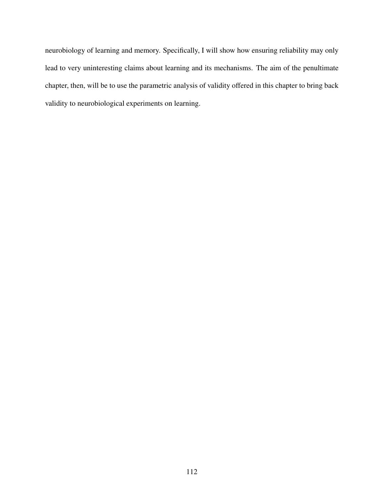neurobiology of learning and memory. Specifically, I will show how ensuring reliability may only lead to very uninteresting claims about learning and its mechanisms. The aim of the penultimate chapter, then, will be to use the parametric analysis of validity offered in this chapter to bring back validity to neurobiological experiments on learning.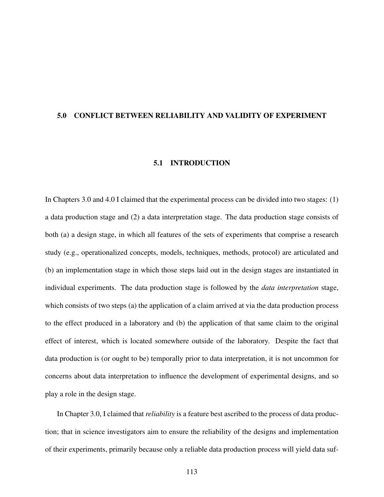## 5.0 CONFLICT BETWEEN RELIABILITY AND VALIDITY OF EXPERIMENT

## 5.1 INTRODUCTION

In Chapters 3.0 and 4.0 I claimed that the experimental process can be divided into two stages: (1) a data production stage and (2) a data interpretation stage. The data production stage consists of both (a) a design stage, in which all features of the sets of experiments that comprise a research study (e.g., operationalized concepts, models, techniques, methods, protocol) are articulated and (b) an implementation stage in which those steps laid out in the design stages are instantiated in individual experiments. The data production stage is followed by the *data interpretation* stage, which consists of two steps (a) the application of a claim arrived at via the data production process to the effect produced in a laboratory and (b) the application of that same claim to the original effect of interest, which is located somewhere outside of the laboratory. Despite the fact that data production is (or ought to be) temporally prior to data interpretation, it is not uncommon for concerns about data interpretation to influence the development of experimental designs, and so play a role in the design stage.

In Chapter 3.0, I claimed that *reliability* is a feature best ascribed to the process of data production; that in science investigators aim to ensure the reliability of the designs and implementation of their experiments, primarily because only a reliable data production process will yield data suf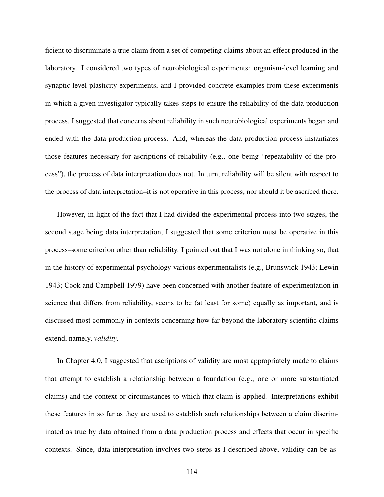ficient to discriminate a true claim from a set of competing claims about an effect produced in the laboratory. I considered two types of neurobiological experiments: organism-level learning and synaptic-level plasticity experiments, and I provided concrete examples from these experiments in which a given investigator typically takes steps to ensure the reliability of the data production process. I suggested that concerns about reliability in such neurobiological experiments began and ended with the data production process. And, whereas the data production process instantiates those features necessary for ascriptions of reliability (e.g., one being "repeatability of the process"), the process of data interpretation does not. In turn, reliability will be silent with respect to the process of data interpretation–it is not operative in this process, nor should it be ascribed there.

However, in light of the fact that I had divided the experimental process into two stages, the second stage being data interpretation, I suggested that some criterion must be operative in this process–some criterion other than reliability. I pointed out that I was not alone in thinking so, that in the history of experimental psychology various experimentalists (e.g., Brunswick 1943; Lewin 1943; Cook and Campbell 1979) have been concerned with another feature of experimentation in science that differs from reliability, seems to be (at least for some) equally as important, and is discussed most commonly in contexts concerning how far beyond the laboratory scientific claims extend, namely, *validity*.

In Chapter 4.0, I suggested that ascriptions of validity are most appropriately made to claims that attempt to establish a relationship between a foundation (e.g., one or more substantiated claims) and the context or circumstances to which that claim is applied. Interpretations exhibit these features in so far as they are used to establish such relationships between a claim discriminated as true by data obtained from a data production process and effects that occur in specific contexts. Since, data interpretation involves two steps as I described above, validity can be as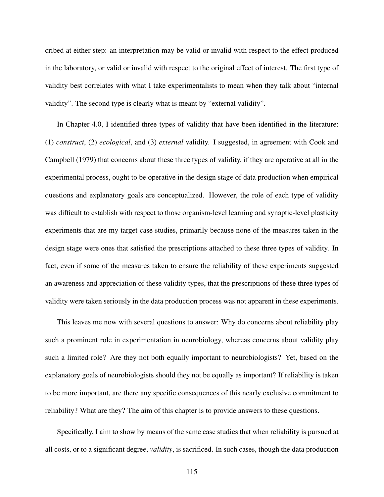cribed at either step: an interpretation may be valid or invalid with respect to the effect produced in the laboratory, or valid or invalid with respect to the original effect of interest. The first type of validity best correlates with what I take experimentalists to mean when they talk about "internal validity". The second type is clearly what is meant by "external validity".

In Chapter 4.0, I identified three types of validity that have been identified in the literature: (1) *construct*, (2) *ecological*, and (3) *external* validity. I suggested, in agreement with Cook and Campbell (1979) that concerns about these three types of validity, if they are operative at all in the experimental process, ought to be operative in the design stage of data production when empirical questions and explanatory goals are conceptualized. However, the role of each type of validity was difficult to establish with respect to those organism-level learning and synaptic-level plasticity experiments that are my target case studies, primarily because none of the measures taken in the design stage were ones that satisfied the prescriptions attached to these three types of validity. In fact, even if some of the measures taken to ensure the reliability of these experiments suggested an awareness and appreciation of these validity types, that the prescriptions of these three types of validity were taken seriously in the data production process was not apparent in these experiments.

This leaves me now with several questions to answer: Why do concerns about reliability play such a prominent role in experimentation in neurobiology, whereas concerns about validity play such a limited role? Are they not both equally important to neurobiologists? Yet, based on the explanatory goals of neurobiologists should they not be equally as important? If reliability is taken to be more important, are there any specific consequences of this nearly exclusive commitment to reliability? What are they? The aim of this chapter is to provide answers to these questions.

Specifically, I aim to show by means of the same case studies that when reliability is pursued at all costs, or to a significant degree, *validity*, is sacrificed. In such cases, though the data production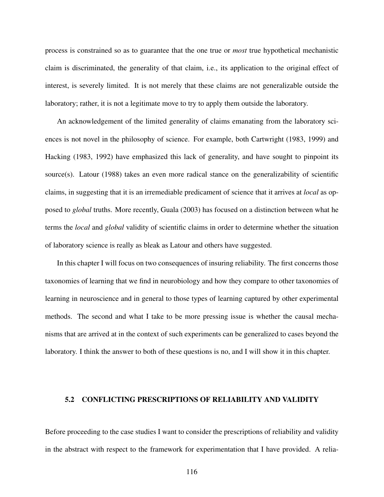process is constrained so as to guarantee that the one true or *most* true hypothetical mechanistic claim is discriminated, the generality of that claim, i.e., its application to the original effect of interest, is severely limited. It is not merely that these claims are not generalizable outside the laboratory; rather, it is not a legitimate move to try to apply them outside the laboratory.

An acknowledgement of the limited generality of claims emanating from the laboratory sciences is not novel in the philosophy of science. For example, both Cartwright (1983, 1999) and Hacking (1983, 1992) have emphasized this lack of generality, and have sought to pinpoint its source(s). Latour  $(1988)$  takes an even more radical stance on the generalizability of scientific claims, in suggesting that it is an irremediable predicament of science that it arrives at *local* as opposed to *global* truths. More recently, Guala (2003) has focused on a distinction between what he terms the *local* and *global* validity of scientific claims in order to determine whether the situation of laboratory science is really as bleak as Latour and others have suggested.

In this chapter I will focus on two consequences of insuring reliability. The first concerns those taxonomies of learning that we find in neurobiology and how they compare to other taxonomies of learning in neuroscience and in general to those types of learning captured by other experimental methods. The second and what I take to be more pressing issue is whether the causal mechanisms that are arrived at in the context of such experiments can be generalized to cases beyond the laboratory. I think the answer to both of these questions is no, and I will show it in this chapter.

#### 5.2 CONFLICTING PRESCRIPTIONS OF RELIABILITY AND VALIDITY

Before proceeding to the case studies I want to consider the prescriptions of reliability and validity in the abstract with respect to the framework for experimentation that I have provided. A relia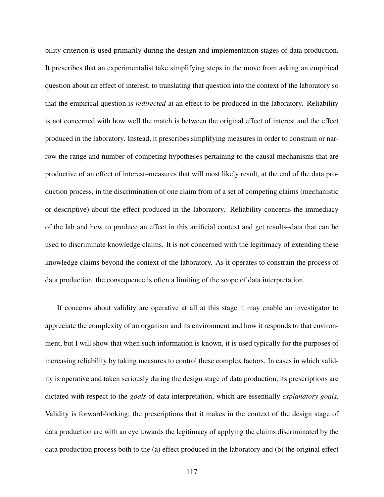bility criterion is used primarily during the design and implementation stages of data production. It prescribes that an experimentalist take simplifying steps in the move from asking an empirical question about an effect of interest, to translating that question into the context of the laboratory so that the empirical question is *redirected* at an effect to be produced in the laboratory. Reliability is not concerned with how well the match is between the original effect of interest and the effect produced in the laboratory. Instead, it prescribes simplifying measures in order to constrain or narrow the range and number of competing hypotheses pertaining to the causal mechanisms that are productive of an effect of interest–measures that will most likely result, at the end of the data production process, in the discrimination of one claim from of a set of competing claims (mechanistic or descriptive) about the effect produced in the laboratory. Reliability concerns the immediacy of the lab and how to produce an effect in this artificial context and get results–data that can be used to discriminate knowledge claims. It is not concerned with the legitimacy of extending these knowledge claims beyond the context of the laboratory. As it operates to constrain the process of data production, the consequence is often a limiting of the scope of data interpretation.

If concerns about validity are operative at all at this stage it may enable an investigator to appreciate the complexity of an organism and its environment and how it responds to that environment, but I will show that when such information is known, it is used typically for the purposes of increasing reliability by taking measures to control these complex factors. In cases in which validity is operative and taken seriously during the design stage of data production, its prescriptions are dictated with respect to the *goals* of data interpretation, which are essentially *explanatory goals*. Validity is forward-looking; the prescriptions that it makes in the context of the design stage of data production are with an eye towards the legitimacy of applying the claims discriminated by the data production process both to the (a) effect produced in the laboratory and (b) the original effect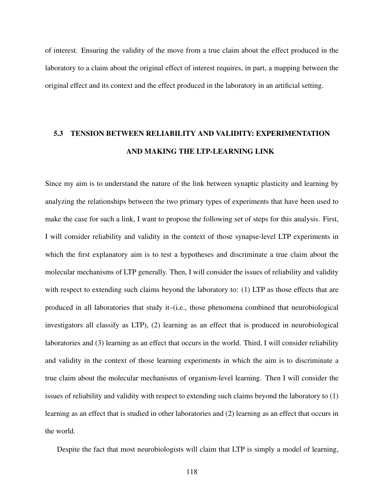of interest. Ensuring the validity of the move from a true claim about the effect produced in the laboratory to a claim about the original effect of interest requires, in part, a mapping between the original effect and its context and the effect produced in the laboratory in an artificial setting.

# 5.3 TENSION BETWEEN RELIABILITY AND VALIDITY: EXPERIMENTATION AND MAKING THE LTP-LEARNING LINK

Since my aim is to understand the nature of the link between synaptic plasticity and learning by analyzing the relationships between the two primary types of experiments that have been used to make the case for such a link, I want to propose the following set of steps for this analysis. First, I will consider reliability and validity in the context of those synapse-level LTP experiments in which the first explanatory aim is to test a hypotheses and discriminate a true claim about the molecular mechanisms of LTP generally. Then, I will consider the issues of reliability and validity with respect to extending such claims beyond the laboratory to: (1) LTP as those effects that are produced in all laboratories that study it–(i.e., those phenomena combined that neurobiological investigators all classify as LTP), (2) learning as an effect that is produced in neurobiological laboratories and (3) learning as an effect that occurs in the world. Third, I will consider reliability and validity in the context of those learning experiments in which the aim is to discriminate a true claim about the molecular mechanisms of organism-level learning. Then I will consider the issues of reliability and validity with respect to extending such claims beyond the laboratory to (1) learning as an effect that is studied in other laboratories and (2) learning as an effect that occurs in the world.

Despite the fact that most neurobiologists will claim that LTP is simply a model of learning,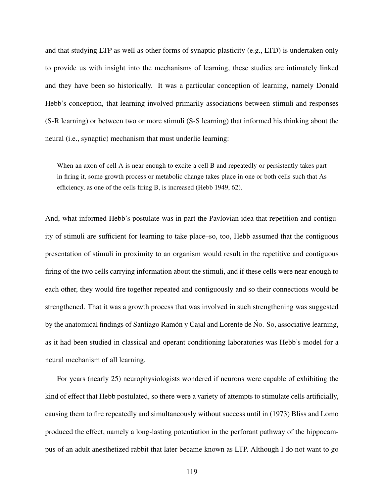and that studying LTP as well as other forms of synaptic plasticity (e.g., LTD) is undertaken only to provide us with insight into the mechanisms of learning, these studies are intimately linked and they have been so historically. It was a particular conception of learning, namely Donald Hebb's conception, that learning involved primarily associations between stimuli and responses (S-R learning) or between two or more stimuli (S-S learning) that informed his thinking about the neural (i.e., synaptic) mechanism that must underlie learning:

When an axon of cell A is near enough to excite a cell B and repeatedly or persistently takes part in firing it, some growth process or metabolic change takes place in one or both cells such that As efficiency, as one of the cells firing B, is increased (Hebb 1949, 62).

And, what informed Hebb's postulate was in part the Pavlovian idea that repetition and contiguity of stimuli are sufficient for learning to take place–so, too, Hebb assumed that the contiguous presentation of stimuli in proximity to an organism would result in the repetitive and contiguous firing of the two cells carrying information about the stimuli, and if these cells were near enough to each other, they would fire together repeated and contiguously and so their connections would be strengthened. That it was a growth process that was involved in such strengthening was suggested by the anatomical findings of Santiago Ramón y Cajal and Lorente de No. So, associative learning, as it had been studied in classical and operant conditioning laboratories was Hebb's model for a neural mechanism of all learning.

For years (nearly 25) neurophysiologists wondered if neurons were capable of exhibiting the kind of effect that Hebb postulated, so there were a variety of attempts to stimulate cells artificially, causing them to fire repeatedly and simultaneously without success until in (1973) Bliss and Lomo produced the effect, namely a long-lasting potentiation in the perforant pathway of the hippocampus of an adult anesthetized rabbit that later became known as LTP. Although I do not want to go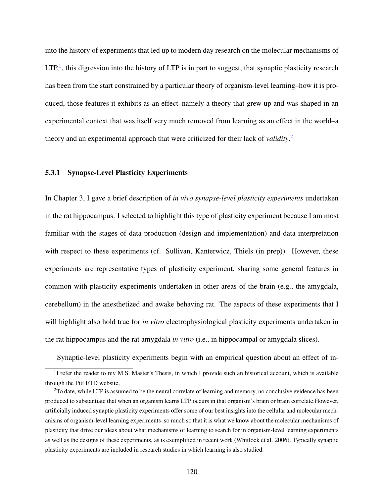into the history of experiments that led up to modern day research on the molecular mechanisms of  $LTP<sup>1</sup>$  $LTP<sup>1</sup>$  $LTP<sup>1</sup>$ , this digression into the history of LTP is in part to suggest, that synaptic plasticity research has been from the start constrained by a particular theory of organism-level learning–how it is produced, those features it exhibits as an effect–namely a theory that grew up and was shaped in an experimental context that was itself very much removed from learning as an effect in the world–a theory and an experimental approach that were criticized for their lack of *validity*. [2](#page-132-1)

## 5.3.1 Synapse-Level Plasticity Experiments

In Chapter 3, I gave a brief description of *in vivo synapse-level plasticity experiments* undertaken in the rat hippocampus. I selected to highlight this type of plasticity experiment because I am most familiar with the stages of data production (design and implementation) and data interpretation with respect to these experiments (cf. Sullivan, Kanterwicz, Thiels (in prep)). However, these experiments are representative types of plasticity experiment, sharing some general features in common with plasticity experiments undertaken in other areas of the brain (e.g., the amygdala, cerebellum) in the anesthetized and awake behaving rat. The aspects of these experiments that I will highlight also hold true for *in vitro* electrophysiological plasticity experiments undertaken in the rat hippocampus and the rat amygdala *in vitro* (i.e., in hippocampal or amygdala slices).

<span id="page-132-0"></span>Synaptic-level plasticity experiments begin with an empirical question about an effect of in-

<sup>&</sup>lt;sup>1</sup>I refer the reader to my M.S. Master's Thesis, in which I provide such an historical account, which is available through the Pitt ETD website.

<span id="page-132-1"></span> $2$ To date, while LTP is assumed to be the neural correlate of learning and memory, no conclusive evidence has been produced to substantiate that when an organism learns LTP occurs in that organism's brain or brain correlate.However, artificially induced synaptic plasticity experiments offer some of our best insights into the cellular and molecular mechanisms of organism-level learning experiments–so much so that it is what we know about the molecular mechanisms of plasticity that drive our ideas about what mechanisms of learning to search for in organism-level learning experiments as well as the designs of these experiments, as is exemplified in recent work (Whitlock et al. 2006). Typically synaptic plasticity experiments are included in research studies in which learning is also studied.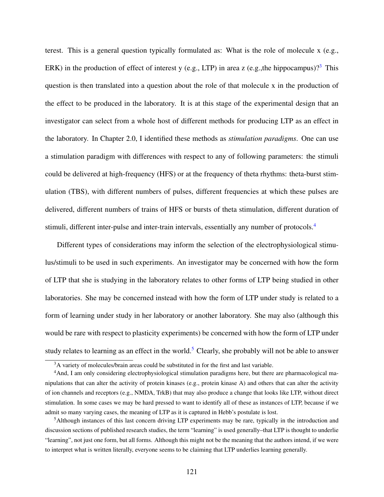terest. This is a general question typically formulated as: What is the role of molecule x (e.g., ERK) in the production of effect of interest y (e.g., LTP) in area z (e.g., the hippocampus)?<sup>[3](#page-133-0)</sup> This question is then translated into a question about the role of that molecule x in the production of the effect to be produced in the laboratory. It is at this stage of the experimental design that an investigator can select from a whole host of different methods for producing LTP as an effect in the laboratory. In Chapter 2.0, I identified these methods as *stimulation paradigms*. One can use a stimulation paradigm with differences with respect to any of following parameters: the stimuli could be delivered at high-frequency (HFS) or at the frequency of theta rhythms: theta-burst stimulation (TBS), with different numbers of pulses, different frequencies at which these pulses are delivered, different numbers of trains of HFS or bursts of theta stimulation, different duration of stimuli, different inter-pulse and inter-train intervals, essentially any number of protocols.[4](#page-133-1)

Different types of considerations may inform the selection of the electrophysiological stimulus/stimuli to be used in such experiments. An investigator may be concerned with how the form of LTP that she is studying in the laboratory relates to other forms of LTP being studied in other laboratories. She may be concerned instead with how the form of LTP under study is related to a form of learning under study in her laboratory or another laboratory. She may also (although this would be rare with respect to plasticity experiments) be concerned with how the form of LTP under study relates to learning as an effect in the world.<sup>[5](#page-133-2)</sup> Clearly, she probably will not be able to answer

<span id="page-133-1"></span><span id="page-133-0"></span><sup>&</sup>lt;sup>3</sup>A variety of molecules/brain areas could be substituted in for the first and last variable.

<sup>&</sup>lt;sup>4</sup>And, I am only considering electrophysiological stimulation paradigms here, but there are pharmacological manipulations that can alter the activity of protein kinases (e.g., protein kinase A) and others that can alter the activity of ion channels and receptors (e.g., NMDA, TrkB) that may also produce a change that looks like LTP, without direct stimulation. In some cases we may be hard pressed to want to identify all of these as instances of LTP, because if we admit so many varying cases, the meaning of LTP as it is captured in Hebb's postulate is lost.

<span id="page-133-2"></span><sup>5</sup>Although instances of this last concern driving LTP experiments may be rare, typically in the introduction and discussion sections of published research studies, the term "learning" is used generally–that LTP is thought to underlie "learning", not just one form, but all forms. Although this might not be the meaning that the authors intend, if we were to interpret what is written literally, everyone seems to be claiming that LTP underlies learning generally.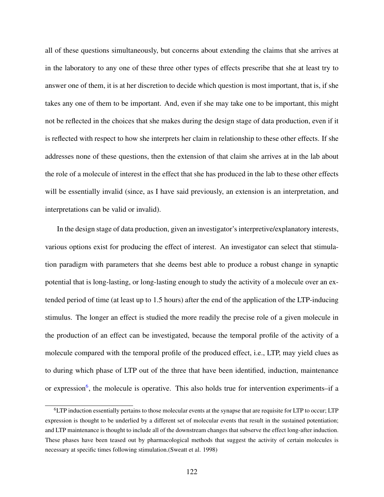all of these questions simultaneously, but concerns about extending the claims that she arrives at in the laboratory to any one of these three other types of effects prescribe that she at least try to answer one of them, it is at her discretion to decide which question is most important, that is, if she takes any one of them to be important. And, even if she may take one to be important, this might not be reflected in the choices that she makes during the design stage of data production, even if it is reflected with respect to how she interprets her claim in relationship to these other effects. If she addresses none of these questions, then the extension of that claim she arrives at in the lab about the role of a molecule of interest in the effect that she has produced in the lab to these other effects will be essentially invalid (since, as I have said previously, an extension is an interpretation, and interpretations can be valid or invalid).

In the design stage of data production, given an investigator's interpretive/explanatory interests, various options exist for producing the effect of interest. An investigator can select that stimulation paradigm with parameters that she deems best able to produce a robust change in synaptic potential that is long-lasting, or long-lasting enough to study the activity of a molecule over an extended period of time (at least up to 1.5 hours) after the end of the application of the LTP-inducing stimulus. The longer an effect is studied the more readily the precise role of a given molecule in the production of an effect can be investigated, because the temporal profile of the activity of a molecule compared with the temporal profile of the produced effect, i.e., LTP, may yield clues as to during which phase of LTP out of the three that have been identified, induction, maintenance or expression<sup>[6](#page-134-0)</sup>, the molecule is operative. This also holds true for intervention experiments–if a

<span id="page-134-0"></span><sup>6</sup>LTP induction essentially pertains to those molecular events at the synapse that are requisite for LTP to occur; LTP expression is thought to be underlied by a different set of molecular events that result in the sustained potentiation; and LTP maintenance is thought to include all of the downstream changes that subserve the effect long-after induction. These phases have been teased out by pharmacological methods that suggest the activity of certain molecules is necessary at specific times following stimulation.(Sweatt et al. 1998)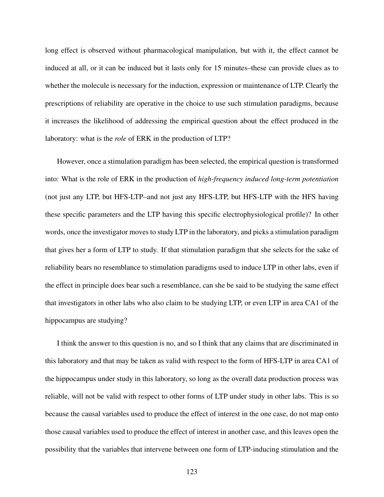long effect is observed without pharmacological manipulation, but with it, the effect cannot be induced at all, or it can be induced but it lasts only for 15 minutes–these can provide clues as to whether the molecule is necessary for the induction, expression or maintenance of LTP. Clearly the prescriptions of reliability are operative in the choice to use such stimulation paradigms, because it increases the likelihood of addressing the empirical question about the effect produced in the laboratory: what is the *role* of ERK in the production of LTP?

However, once a stimulation paradigm has been selected, the empirical question is transformed into: What is the role of ERK in the production of *high-frequency induced long-term potentiation* (not just any LTP, but HFS-LTP–and not just any HFS-LTP, but HFS-LTP with the HFS having these specific parameters and the LTP having this specific electrophysiological profile)? In other words, once the investigator moves to study LTP in the laboratory, and picks a stimulation paradigm that gives her a form of LTP to study. If that stimulation paradigm that she selects for the sake of reliability bears no resemblance to stimulation paradigms used to induce LTP in other labs, even if the effect in principle does bear such a resemblance, can she be said to be studying the same effect that investigators in other labs who also claim to be studying LTP, or even LTP in area CA1 of the hippocampus are studying?

I think the answer to this question is no, and so I think that any claims that are discriminated in this laboratory and that may be taken as valid with respect to the form of HFS-LTP in area CA1 of the hippocampus under study in this laboratory, so long as the overall data production process was reliable, will not be valid with respect to other forms of LTP under study in other labs. This is so because the causal variables used to produce the effect of interest in the one case, do not map onto those causal variables used to produce the effect of interest in another case, and this leaves open the possibility that the variables that intervene between one form of LTP-inducing stimulation and the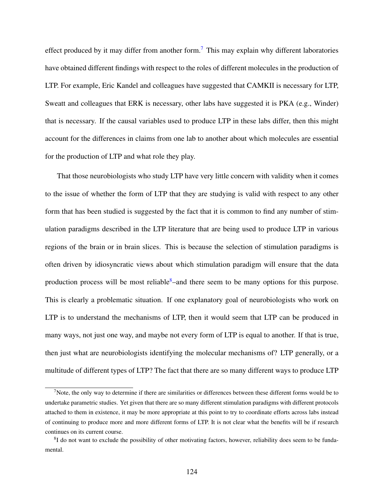effect produced by it may differ from another form.<sup>[7](#page-136-0)</sup> This may explain why different laboratories have obtained different findings with respect to the roles of different molecules in the production of LTP. For example, Eric Kandel and colleagues have suggested that CAMKII is necessary for LTP, Sweatt and colleagues that ERK is necessary, other labs have suggested it is PKA (e.g., Winder) that is necessary. If the causal variables used to produce LTP in these labs differ, then this might account for the differences in claims from one lab to another about which molecules are essential for the production of LTP and what role they play.

That those neurobiologists who study LTP have very little concern with validity when it comes to the issue of whether the form of LTP that they are studying is valid with respect to any other form that has been studied is suggested by the fact that it is common to find any number of stimulation paradigms described in the LTP literature that are being used to produce LTP in various regions of the brain or in brain slices. This is because the selection of stimulation paradigms is often driven by idiosyncratic views about which stimulation paradigm will ensure that the data production process will be most reliable<sup>[8](#page-136-1)</sup>–and there seem to be many options for this purpose. This is clearly a problematic situation. If one explanatory goal of neurobiologists who work on LTP is to understand the mechanisms of LTP, then it would seem that LTP can be produced in many ways, not just one way, and maybe not every form of LTP is equal to another. If that is true, then just what are neurobiologists identifying the molecular mechanisms of? LTP generally, or a multitude of different types of LTP? The fact that there are so many different ways to produce LTP

<span id="page-136-0"></span> $<sup>7</sup>$ Note, the only way to determine if there are similarities or differences between these different forms would be to</sup> undertake parametric studies. Yet given that there are so many different stimulation paradigms with different protocols attached to them in existence, it may be more appropriate at this point to try to coordinate efforts across labs instead of continuing to produce more and more different forms of LTP. It is not clear what the benefits will be if research continues on its current course.

<span id="page-136-1"></span> ${}^{8}$ I do not want to exclude the possibility of other motivating factors, however, reliability does seem to be fundamental.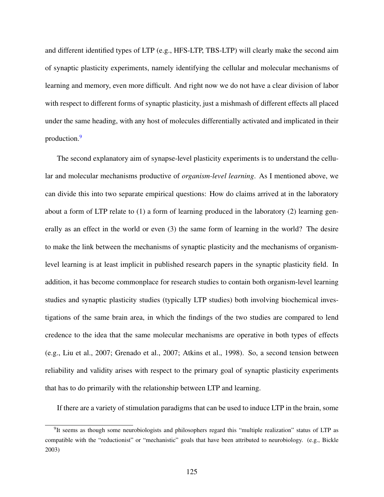and different identified types of LTP (e.g., HFS-LTP, TBS-LTP) will clearly make the second aim of synaptic plasticity experiments, namely identifying the cellular and molecular mechanisms of learning and memory, even more difficult. And right now we do not have a clear division of labor with respect to different forms of synaptic plasticity, just a mishmash of different effects all placed under the same heading, with any host of molecules differentially activated and implicated in their production.[9](#page-137-0)

The second explanatory aim of synapse-level plasticity experiments is to understand the cellular and molecular mechanisms productive of *organism-level learning*. As I mentioned above, we can divide this into two separate empirical questions: How do claims arrived at in the laboratory about a form of LTP relate to (1) a form of learning produced in the laboratory (2) learning generally as an effect in the world or even (3) the same form of learning in the world? The desire to make the link between the mechanisms of synaptic plasticity and the mechanisms of organismlevel learning is at least implicit in published research papers in the synaptic plasticity field. In addition, it has become commonplace for research studies to contain both organism-level learning studies and synaptic plasticity studies (typically LTP studies) both involving biochemical investigations of the same brain area, in which the findings of the two studies are compared to lend credence to the idea that the same molecular mechanisms are operative in both types of effects (e.g., Liu et al., 2007; Grenado et al., 2007; Atkins et al., 1998). So, a second tension between reliability and validity arises with respect to the primary goal of synaptic plasticity experiments that has to do primarily with the relationship between LTP and learning.

If there are a variety of stimulation paradigms that can be used to induce LTP in the brain, some

<span id="page-137-0"></span><sup>&</sup>lt;sup>9</sup>It seems as though some neurobiologists and philosophers regard this "multiple realization" status of LTP as compatible with the "reductionist" or "mechanistic" goals that have been attributed to neurobiology. (e.g., Bickle 2003)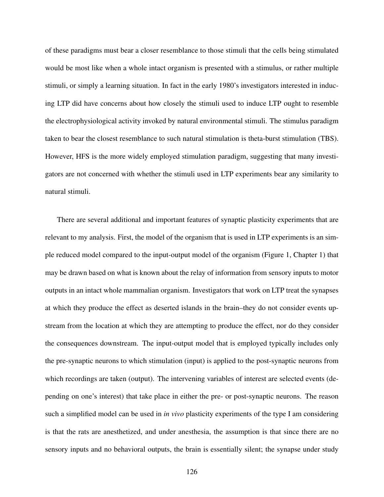of these paradigms must bear a closer resemblance to those stimuli that the cells being stimulated would be most like when a whole intact organism is presented with a stimulus, or rather multiple stimuli, or simply a learning situation. In fact in the early 1980's investigators interested in inducing LTP did have concerns about how closely the stimuli used to induce LTP ought to resemble the electrophysiological activity invoked by natural environmental stimuli. The stimulus paradigm taken to bear the closest resemblance to such natural stimulation is theta-burst stimulation (TBS). However, HFS is the more widely employed stimulation paradigm, suggesting that many investigators are not concerned with whether the stimuli used in LTP experiments bear any similarity to natural stimuli.

There are several additional and important features of synaptic plasticity experiments that are relevant to my analysis. First, the model of the organism that is used in LTP experiments is an simple reduced model compared to the input-output model of the organism (Figure 1, Chapter 1) that may be drawn based on what is known about the relay of information from sensory inputs to motor outputs in an intact whole mammalian organism. Investigators that work on LTP treat the synapses at which they produce the effect as deserted islands in the brain–they do not consider events upstream from the location at which they are attempting to produce the effect, nor do they consider the consequences downstream. The input-output model that is employed typically includes only the pre-synaptic neurons to which stimulation (input) is applied to the post-synaptic neurons from which recordings are taken (output). The intervening variables of interest are selected events (depending on one's interest) that take place in either the pre- or post-synaptic neurons. The reason such a simplified model can be used in *in vivo* plasticity experiments of the type I am considering is that the rats are anesthetized, and under anesthesia, the assumption is that since there are no sensory inputs and no behavioral outputs, the brain is essentially silent; the synapse under study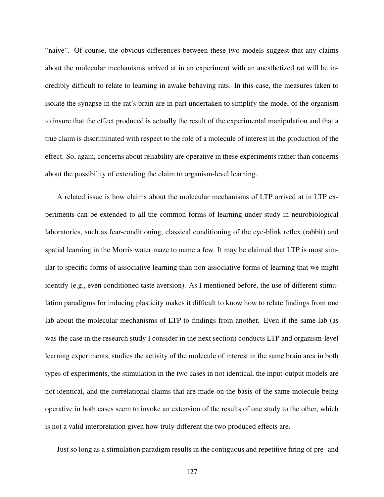"naive". Of course, the obvious differences between these two models suggest that any claims about the molecular mechanisms arrived at in an experiment with an anesthetized rat will be incredibly difficult to relate to learning in awake behaving rats. In this case, the measures taken to isolate the synapse in the rat's brain are in part undertaken to simplify the model of the organism to insure that the effect produced is actually the result of the experimental manipulation and that a true claim is discriminated with respect to the role of a molecule of interest in the production of the effect. So, again, concerns about reliability are operative in these experiments rather than concerns about the possibility of extending the claim to organism-level learning.

A related issue is how claims about the molecular mechanisms of LTP arrived at in LTP experiments can be extended to all the common forms of learning under study in neurobiological laboratories, such as fear-conditioning, classical conditioning of the eye-blink reflex (rabbit) and spatial learning in the Morris water maze to name a few. It may be claimed that LTP is most similar to specific forms of associative learning than non-associative forms of learning that we might identify (e.g., even conditioned taste aversion). As I mentioned before, the use of different stimulation paradigms for inducing plasticity makes it difficult to know how to relate findings from one lab about the molecular mechanisms of LTP to findings from another. Even if the same lab (as was the case in the research study I consider in the next section) conducts LTP and organism-level learning experiments, studies the activity of the molecule of interest in the same brain area in both types of experiments, the stimulation in the two cases in not identical, the input-output models are not identical, and the correlational claims that are made on the basis of the same molecule being operative in both cases seem to invoke an extension of the results of one study to the other, which is not a valid interpretation given how truly different the two produced effects are.

Just so long as a stimulation paradigm results in the contiguous and repetitive firing of pre- and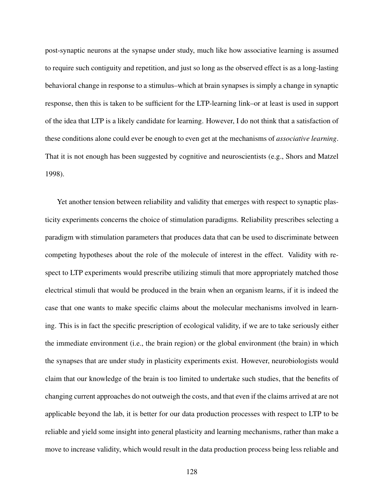post-synaptic neurons at the synapse under study, much like how associative learning is assumed to require such contiguity and repetition, and just so long as the observed effect is as a long-lasting behavioral change in response to a stimulus–which at brain synapses is simply a change in synaptic response, then this is taken to be sufficient for the LTP-learning link–or at least is used in support of the idea that LTP is a likely candidate for learning. However, I do not think that a satisfaction of these conditions alone could ever be enough to even get at the mechanisms of *associative learning*. That it is not enough has been suggested by cognitive and neuroscientists (e.g., Shors and Matzel 1998).

Yet another tension between reliability and validity that emerges with respect to synaptic plasticity experiments concerns the choice of stimulation paradigms. Reliability prescribes selecting a paradigm with stimulation parameters that produces data that can be used to discriminate between competing hypotheses about the role of the molecule of interest in the effect. Validity with respect to LTP experiments would prescribe utilizing stimuli that more appropriately matched those electrical stimuli that would be produced in the brain when an organism learns, if it is indeed the case that one wants to make specific claims about the molecular mechanisms involved in learning. This is in fact the specific prescription of ecological validity, if we are to take seriously either the immediate environment (i.e., the brain region) or the global environment (the brain) in which the synapses that are under study in plasticity experiments exist. However, neurobiologists would claim that our knowledge of the brain is too limited to undertake such studies, that the benefits of changing current approaches do not outweigh the costs, and that even if the claims arrived at are not applicable beyond the lab, it is better for our data production processes with respect to LTP to be reliable and yield some insight into general plasticity and learning mechanisms, rather than make a move to increase validity, which would result in the data production process being less reliable and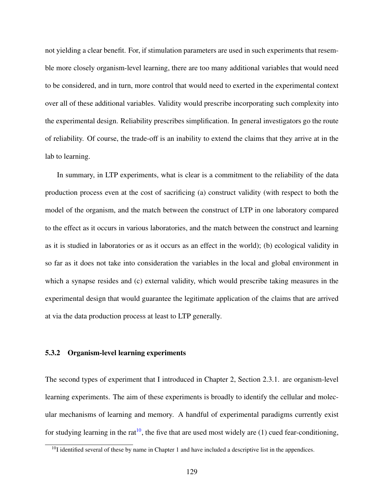not yielding a clear benefit. For, if stimulation parameters are used in such experiments that resemble more closely organism-level learning, there are too many additional variables that would need to be considered, and in turn, more control that would need to exerted in the experimental context over all of these additional variables. Validity would prescribe incorporating such complexity into the experimental design. Reliability prescribes simplification. In general investigators go the route of reliability. Of course, the trade-off is an inability to extend the claims that they arrive at in the lab to learning.

In summary, in LTP experiments, what is clear is a commitment to the reliability of the data production process even at the cost of sacrificing (a) construct validity (with respect to both the model of the organism, and the match between the construct of LTP in one laboratory compared to the effect as it occurs in various laboratories, and the match between the construct and learning as it is studied in laboratories or as it occurs as an effect in the world); (b) ecological validity in so far as it does not take into consideration the variables in the local and global environment in which a synapse resides and (c) external validity, which would prescribe taking measures in the experimental design that would guarantee the legitimate application of the claims that are arrived at via the data production process at least to LTP generally.

## 5.3.2 Organism-level learning experiments

The second types of experiment that I introduced in Chapter 2, Section 2.3.1. are organism-level learning experiments. The aim of these experiments is broadly to identify the cellular and molecular mechanisms of learning and memory. A handful of experimental paradigms currently exist for studying learning in the rat<sup>[10](#page-141-0)</sup>, the five that are used most widely are (1) cued fear-conditioning,

<span id="page-141-0"></span> $10$ I identified several of these by name in Chapter 1 and have included a descriptive list in the appendices.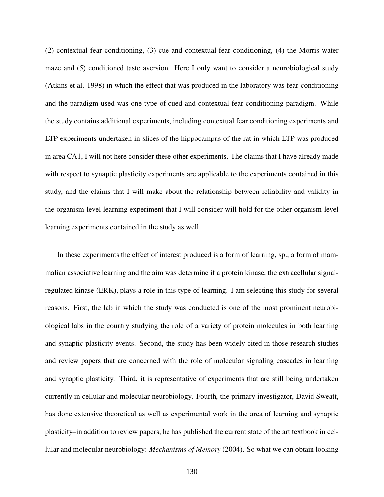(2) contextual fear conditioning, (3) cue and contextual fear conditioning, (4) the Morris water maze and (5) conditioned taste aversion. Here I only want to consider a neurobiological study (Atkins et al. 1998) in which the effect that was produced in the laboratory was fear-conditioning and the paradigm used was one type of cued and contextual fear-conditioning paradigm. While the study contains additional experiments, including contextual fear conditioning experiments and LTP experiments undertaken in slices of the hippocampus of the rat in which LTP was produced in area CA1, I will not here consider these other experiments. The claims that I have already made with respect to synaptic plasticity experiments are applicable to the experiments contained in this study, and the claims that I will make about the relationship between reliability and validity in the organism-level learning experiment that I will consider will hold for the other organism-level learning experiments contained in the study as well.

In these experiments the effect of interest produced is a form of learning, sp., a form of mammalian associative learning and the aim was determine if a protein kinase, the extracellular signalregulated kinase (ERK), plays a role in this type of learning. I am selecting this study for several reasons. First, the lab in which the study was conducted is one of the most prominent neurobiological labs in the country studying the role of a variety of protein molecules in both learning and synaptic plasticity events. Second, the study has been widely cited in those research studies and review papers that are concerned with the role of molecular signaling cascades in learning and synaptic plasticity. Third, it is representative of experiments that are still being undertaken currently in cellular and molecular neurobiology. Fourth, the primary investigator, David Sweatt, has done extensive theoretical as well as experimental work in the area of learning and synaptic plasticity–in addition to review papers, he has published the current state of the art textbook in cellular and molecular neurobiology: *Mechanisms of Memory* (2004). So what we can obtain looking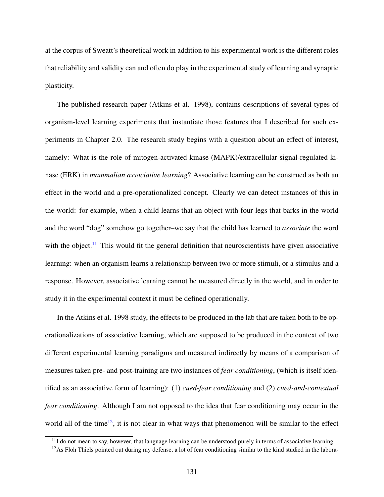at the corpus of Sweatt's theoretical work in addition to his experimental work is the different roles that reliability and validity can and often do play in the experimental study of learning and synaptic plasticity.

The published research paper (Atkins et al. 1998), contains descriptions of several types of organism-level learning experiments that instantiate those features that I described for such experiments in Chapter 2.0. The research study begins with a question about an effect of interest, namely: What is the role of mitogen-activated kinase (MAPK)/extracellular signal-regulated kinase (ERK) in *mammalian associative learning*? Associative learning can be construed as both an effect in the world and a pre-operationalized concept. Clearly we can detect instances of this in the world: for example, when a child learns that an object with four legs that barks in the world and the word "dog" somehow go together–we say that the child has learned to *associate* the word with the object.<sup>[11](#page-143-0)</sup> This would fit the general definition that neuroscientists have given associative learning: when an organism learns a relationship between two or more stimuli, or a stimulus and a response. However, associative learning cannot be measured directly in the world, and in order to study it in the experimental context it must be defined operationally.

In the Atkins et al. 1998 study, the effects to be produced in the lab that are taken both to be operationalizations of associative learning, which are supposed to be produced in the context of two different experimental learning paradigms and measured indirectly by means of a comparison of measures taken pre- and post-training are two instances of *fear conditioning*, (which is itself identified as an associative form of learning): (1) *cued-fear conditioning* and (2) *cued-and-contextual fear conditioning*. Although I am not opposed to the idea that fear conditioning may occur in the world all of the time<sup>[12](#page-143-1)</sup>, it is not clear in what ways that phenomenon will be similar to the effect

<span id="page-143-1"></span><span id="page-143-0"></span> $11$ I do not mean to say, however, that language learning can be understood purely in terms of associative learning.

 $12$ As Floh Thiels pointed out during my defense, a lot of fear conditioning similar to the kind studied in the labora-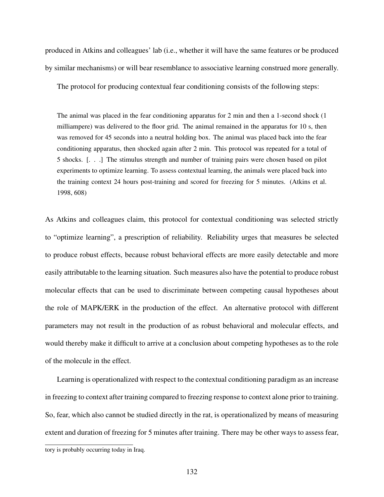produced in Atkins and colleagues' lab (i.e., whether it will have the same features or be produced by similar mechanisms) or will bear resemblance to associative learning construed more generally.

The protocol for producing contextual fear conditioning consists of the following steps:

The animal was placed in the fear conditioning apparatus for 2 min and then a 1-second shock (1 milliampere) was delivered to the floor grid. The animal remained in the apparatus for 10 s, then was removed for 45 seconds into a neutral holding box. The animal was placed back into the fear conditioning apparatus, then shocked again after 2 min. This protocol was repeated for a total of 5 shocks. [. . .] The stimulus strength and number of training pairs were chosen based on pilot experiments to optimize learning. To assess contextual learning, the animals were placed back into the training context 24 hours post-training and scored for freezing for 5 minutes. (Atkins et al. 1998, 608)

As Atkins and colleagues claim, this protocol for contextual conditioning was selected strictly to "optimize learning", a prescription of reliability. Reliability urges that measures be selected to produce robust effects, because robust behavioral effects are more easily detectable and more easily attributable to the learning situation. Such measures also have the potential to produce robust molecular effects that can be used to discriminate between competing causal hypotheses about the role of MAPK/ERK in the production of the effect. An alternative protocol with different parameters may not result in the production of as robust behavioral and molecular effects, and would thereby make it difficult to arrive at a conclusion about competing hypotheses as to the role of the molecule in the effect.

Learning is operationalized with respect to the contextual conditioning paradigm as an increase in freezing to context after training compared to freezing response to context alone prior to training. So, fear, which also cannot be studied directly in the rat, is operationalized by means of measuring extent and duration of freezing for 5 minutes after training. There may be other ways to assess fear,

tory is probably occurring today in Iraq.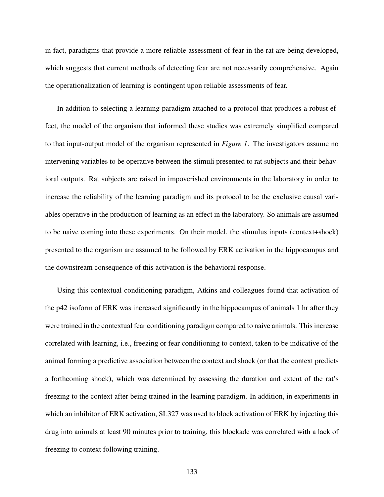in fact, paradigms that provide a more reliable assessment of fear in the rat are being developed, which suggests that current methods of detecting fear are not necessarily comprehensive. Again the operationalization of learning is contingent upon reliable assessments of fear.

In addition to selecting a learning paradigm attached to a protocol that produces a robust effect, the model of the organism that informed these studies was extremely simplified compared to that input-output model of the organism represented in *Figure 1*. The investigators assume no intervening variables to be operative between the stimuli presented to rat subjects and their behavioral outputs. Rat subjects are raised in impoverished environments in the laboratory in order to increase the reliability of the learning paradigm and its protocol to be the exclusive causal variables operative in the production of learning as an effect in the laboratory. So animals are assumed to be naive coming into these experiments. On their model, the stimulus inputs (context+shock) presented to the organism are assumed to be followed by ERK activation in the hippocampus and the downstream consequence of this activation is the behavioral response.

Using this contextual conditioning paradigm, Atkins and colleagues found that activation of the p42 isoform of ERK was increased significantly in the hippocampus of animals 1 hr after they were trained in the contextual fear conditioning paradigm compared to naive animals. This increase correlated with learning, i.e., freezing or fear conditioning to context, taken to be indicative of the animal forming a predictive association between the context and shock (or that the context predicts a forthcoming shock), which was determined by assessing the duration and extent of the rat's freezing to the context after being trained in the learning paradigm. In addition, in experiments in which an inhibitor of ERK activation, SL327 was used to block activation of ERK by injecting this drug into animals at least 90 minutes prior to training, this blockade was correlated with a lack of freezing to context following training.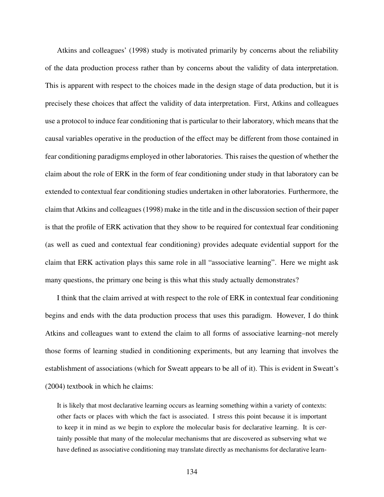Atkins and colleagues' (1998) study is motivated primarily by concerns about the reliability of the data production process rather than by concerns about the validity of data interpretation. This is apparent with respect to the choices made in the design stage of data production, but it is precisely these choices that affect the validity of data interpretation. First, Atkins and colleagues use a protocol to induce fear conditioning that is particular to their laboratory, which means that the causal variables operative in the production of the effect may be different from those contained in fear conditioning paradigms employed in other laboratories. This raises the question of whether the claim about the role of ERK in the form of fear conditioning under study in that laboratory can be extended to contextual fear conditioning studies undertaken in other laboratories. Furthermore, the claim that Atkins and colleagues (1998) make in the title and in the discussion section of their paper is that the profile of ERK activation that they show to be required for contextual fear conditioning (as well as cued and contextual fear conditioning) provides adequate evidential support for the claim that ERK activation plays this same role in all "associative learning". Here we might ask many questions, the primary one being is this what this study actually demonstrates?

I think that the claim arrived at with respect to the role of ERK in contextual fear conditioning begins and ends with the data production process that uses this paradigm. However, I do think Atkins and colleagues want to extend the claim to all forms of associative learning–not merely those forms of learning studied in conditioning experiments, but any learning that involves the establishment of associations (which for Sweatt appears to be all of it). This is evident in Sweatt's (2004) textbook in which he claims:

It is likely that most declarative learning occurs as learning something within a variety of contexts: other facts or places with which the fact is associated. I stress this point because it is important to keep it in mind as we begin to explore the molecular basis for declarative learning. It is certainly possible that many of the molecular mechanisms that are discovered as subserving what we have defined as associative conditioning may translate directly as mechanisms for declarative learn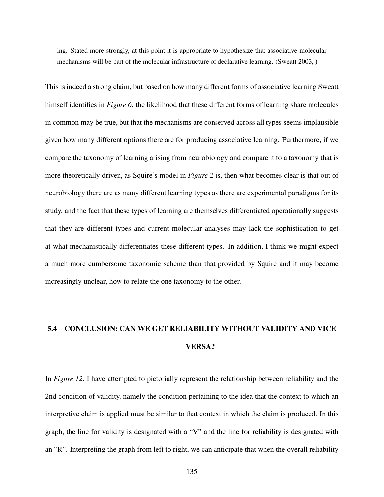ing. Stated more strongly, at this point it is appropriate to hypothesize that associative molecular mechanisms will be part of the molecular infrastructure of declarative learning. (Sweatt 2003, )

This is indeed a strong claim, but based on how many different forms of associative learning Sweatt himself identifies in *Figure 6*, the likelihood that these different forms of learning share molecules in common may be true, but that the mechanisms are conserved across all types seems implausible given how many different options there are for producing associative learning. Furthermore, if we compare the taxonomy of learning arising from neurobiology and compare it to a taxonomy that is more theoretically driven, as Squire's model in *Figure 2* is, then what becomes clear is that out of neurobiology there are as many different learning types as there are experimental paradigms for its study, and the fact that these types of learning are themselves differentiated operationally suggests that they are different types and current molecular analyses may lack the sophistication to get at what mechanistically differentiates these different types. In addition, I think we might expect a much more cumbersome taxonomic scheme than that provided by Squire and it may become increasingly unclear, how to relate the one taxonomy to the other.

# 5.4 CONCLUSION: CAN WE GET RELIABILITY WITHOUT VALIDITY AND VICE VERSA?

In *Figure 12*, I have attempted to pictorially represent the relationship between reliability and the 2nd condition of validity, namely the condition pertaining to the idea that the context to which an interpretive claim is applied must be similar to that context in which the claim is produced. In this graph, the line for validity is designated with a "V" and the line for reliability is designated with an "R". Interpreting the graph from left to right, we can anticipate that when the overall reliability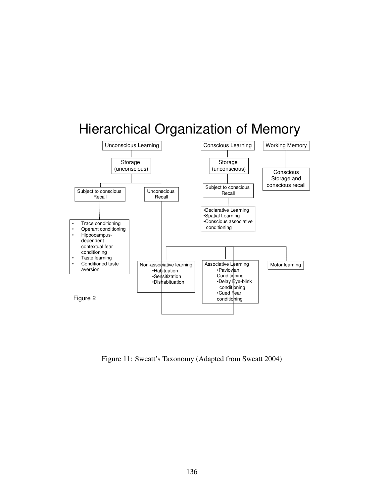

Figure 11: Sweatt's Taxonomy (Adapted from Sweatt 2004)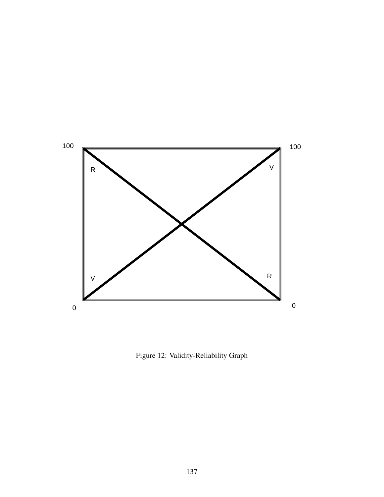

Figure 12: Validity-Reliability Graph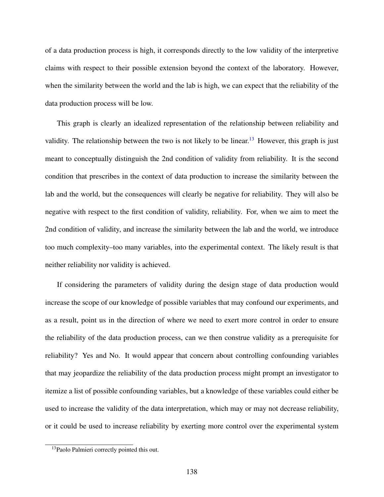of a data production process is high, it corresponds directly to the low validity of the interpretive claims with respect to their possible extension beyond the context of the laboratory. However, when the similarity between the world and the lab is high, we can expect that the reliability of the data production process will be low.

This graph is clearly an idealized representation of the relationship between reliability and validity. The relationship between the two is not likely to be linear.<sup>[13](#page-150-0)</sup> However, this graph is just meant to conceptually distinguish the 2nd condition of validity from reliability. It is the second condition that prescribes in the context of data production to increase the similarity between the lab and the world, but the consequences will clearly be negative for reliability. They will also be negative with respect to the first condition of validity, reliability. For, when we aim to meet the 2nd condition of validity, and increase the similarity between the lab and the world, we introduce too much complexity–too many variables, into the experimental context. The likely result is that neither reliability nor validity is achieved.

If considering the parameters of validity during the design stage of data production would increase the scope of our knowledge of possible variables that may confound our experiments, and as a result, point us in the direction of where we need to exert more control in order to ensure the reliability of the data production process, can we then construe validity as a prerequisite for reliability? Yes and No. It would appear that concern about controlling confounding variables that may jeopardize the reliability of the data production process might prompt an investigator to itemize a list of possible confounding variables, but a knowledge of these variables could either be used to increase the validity of the data interpretation, which may or may not decrease reliability, or it could be used to increase reliability by exerting more control over the experimental system

<span id="page-150-0"></span> $13$ Paolo Palmieri correctly pointed this out.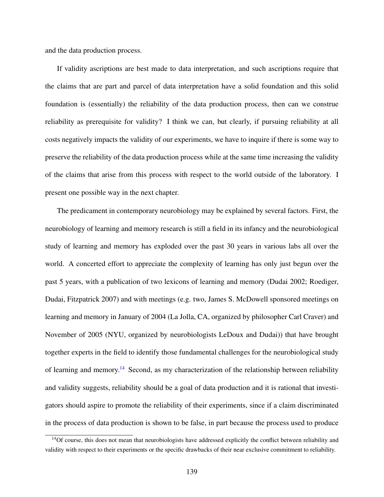and the data production process.

If validity ascriptions are best made to data interpretation, and such ascriptions require that the claims that are part and parcel of data interpretation have a solid foundation and this solid foundation is (essentially) the reliability of the data production process, then can we construe reliability as prerequisite for validity? I think we can, but clearly, if pursuing reliability at all costs negatively impacts the validity of our experiments, we have to inquire if there is some way to preserve the reliability of the data production process while at the same time increasing the validity of the claims that arise from this process with respect to the world outside of the laboratory. I present one possible way in the next chapter.

The predicament in contemporary neurobiology may be explained by several factors. First, the neurobiology of learning and memory research is still a field in its infancy and the neurobiological study of learning and memory has exploded over the past 30 years in various labs all over the world. A concerted effort to appreciate the complexity of learning has only just begun over the past 5 years, with a publication of two lexicons of learning and memory (Dudai 2002; Roediger, Dudai, Fitzpatrick 2007) and with meetings (e.g. two, James S. McDowell sponsored meetings on learning and memory in January of 2004 (La Jolla, CA, organized by philosopher Carl Craver) and November of 2005 (NYU, organized by neurobiologists LeDoux and Dudai)) that have brought together experts in the field to identify those fundamental challenges for the neurobiological study of learning and memory.[14](#page-151-0) Second, as my characterization of the relationship between reliability and validity suggests, reliability should be a goal of data production and it is rational that investigators should aspire to promote the reliability of their experiments, since if a claim discriminated in the process of data production is shown to be false, in part because the process used to produce

<span id="page-151-0"></span> $14$ Of course, this does not mean that neurobiologists have addressed explicitly the conflict between reliability and validity with respect to their experiments or the specific drawbacks of their near exclusive commitment to reliability.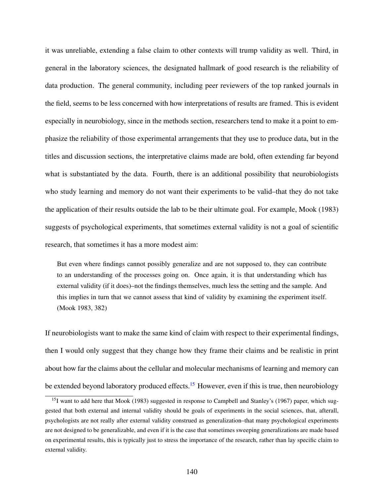it was unreliable, extending a false claim to other contexts will trump validity as well. Third, in general in the laboratory sciences, the designated hallmark of good research is the reliability of data production. The general community, including peer reviewers of the top ranked journals in the field, seems to be less concerned with how interpretations of results are framed. This is evident especially in neurobiology, since in the methods section, researchers tend to make it a point to emphasize the reliability of those experimental arrangements that they use to produce data, but in the titles and discussion sections, the interpretative claims made are bold, often extending far beyond what is substantiated by the data. Fourth, there is an additional possibility that neurobiologists who study learning and memory do not want their experiments to be valid–that they do not take the application of their results outside the lab to be their ultimate goal. For example, Mook (1983) suggests of psychological experiments, that sometimes external validity is not a goal of scientific research, that sometimes it has a more modest aim:

But even where findings cannot possibly generalize and are not supposed to, they can contribute to an understanding of the processes going on. Once again, it is that understanding which has external validity (if it does)–not the findings themselves, much less the setting and the sample. And this implies in turn that we cannot assess that kind of validity by examining the experiment itself. (Mook 1983, 382)

If neurobiologists want to make the same kind of claim with respect to their experimental findings, then I would only suggest that they change how they frame their claims and be realistic in print about how far the claims about the cellular and molecular mechanisms of learning and memory can be extended beyond laboratory produced effects.<sup>[15](#page-152-0)</sup> However, even if this is true, then neurobiology

<span id="page-152-0"></span><sup>&</sup>lt;sup>15</sup>I want to add here that Mook (1983) suggested in response to Campbell and Stanley's (1967) paper, which suggested that both external and internal validity should be goals of experiments in the social sciences, that, afterall, psychologists are not really after external validity construed as generalization–that many psychological experiments are not designed to be generalizable, and even if it is the case that sometimes sweeping generalizations are made based on experimental results, this is typically just to stress the importance of the research, rather than lay specific claim to external validity.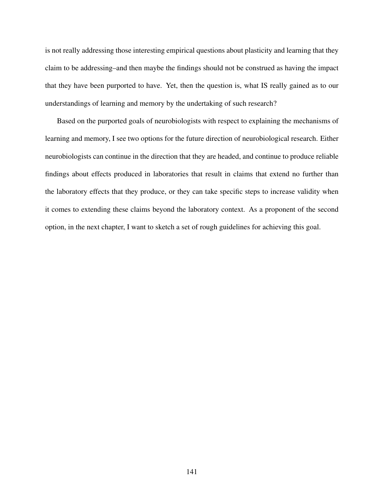is not really addressing those interesting empirical questions about plasticity and learning that they claim to be addressing–and then maybe the findings should not be construed as having the impact that they have been purported to have. Yet, then the question is, what IS really gained as to our understandings of learning and memory by the undertaking of such research?

Based on the purported goals of neurobiologists with respect to explaining the mechanisms of learning and memory, I see two options for the future direction of neurobiological research. Either neurobiologists can continue in the direction that they are headed, and continue to produce reliable findings about effects produced in laboratories that result in claims that extend no further than the laboratory effects that they produce, or they can take specific steps to increase validity when it comes to extending these claims beyond the laboratory context. As a proponent of the second option, in the next chapter, I want to sketch a set of rough guidelines for achieving this goal.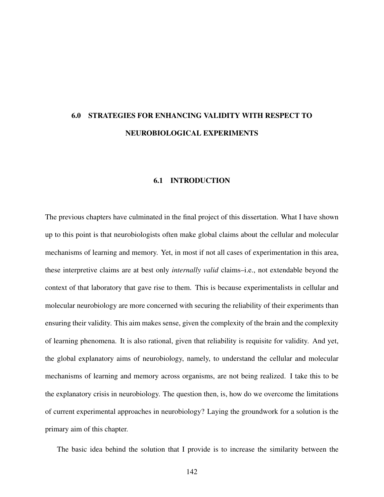## 6.0 STRATEGIES FOR ENHANCING VALIDITY WITH RESPECT TO NEUROBIOLOGICAL EXPERIMENTS

#### 6.1 INTRODUCTION

The previous chapters have culminated in the final project of this dissertation. What I have shown up to this point is that neurobiologists often make global claims about the cellular and molecular mechanisms of learning and memory. Yet, in most if not all cases of experimentation in this area, these interpretive claims are at best only *internally valid* claims–i.e., not extendable beyond the context of that laboratory that gave rise to them. This is because experimentalists in cellular and molecular neurobiology are more concerned with securing the reliability of their experiments than ensuring their validity. This aim makes sense, given the complexity of the brain and the complexity of learning phenomena. It is also rational, given that reliability is requisite for validity. And yet, the global explanatory aims of neurobiology, namely, to understand the cellular and molecular mechanisms of learning and memory across organisms, are not being realized. I take this to be the explanatory crisis in neurobiology. The question then, is, how do we overcome the limitations of current experimental approaches in neurobiology? Laying the groundwork for a solution is the primary aim of this chapter.

The basic idea behind the solution that I provide is to increase the similarity between the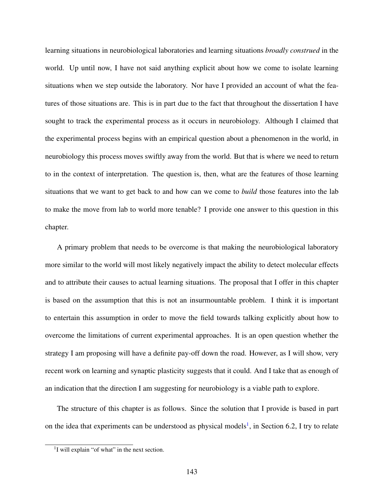learning situations in neurobiological laboratories and learning situations *broadly construed* in the world. Up until now, I have not said anything explicit about how we come to isolate learning situations when we step outside the laboratory. Nor have I provided an account of what the features of those situations are. This is in part due to the fact that throughout the dissertation I have sought to track the experimental process as it occurs in neurobiology. Although I claimed that the experimental process begins with an empirical question about a phenomenon in the world, in neurobiology this process moves swiftly away from the world. But that is where we need to return to in the context of interpretation. The question is, then, what are the features of those learning situations that we want to get back to and how can we come to *build* those features into the lab to make the move from lab to world more tenable? I provide one answer to this question in this chapter.

A primary problem that needs to be overcome is that making the neurobiological laboratory more similar to the world will most likely negatively impact the ability to detect molecular effects and to attribute their causes to actual learning situations. The proposal that I offer in this chapter is based on the assumption that this is not an insurmountable problem. I think it is important to entertain this assumption in order to move the field towards talking explicitly about how to overcome the limitations of current experimental approaches. It is an open question whether the strategy I am proposing will have a definite pay-off down the road. However, as I will show, very recent work on learning and synaptic plasticity suggests that it could. And I take that as enough of an indication that the direction I am suggesting for neurobiology is a viable path to explore.

The structure of this chapter is as follows. Since the solution that I provide is based in part on the idea that experiments can be understood as physical models<sup>[1](#page-155-0)</sup>, in Section 6.2, I try to relate

<span id="page-155-0"></span><sup>&</sup>lt;sup>1</sup>I will explain "of what" in the next section.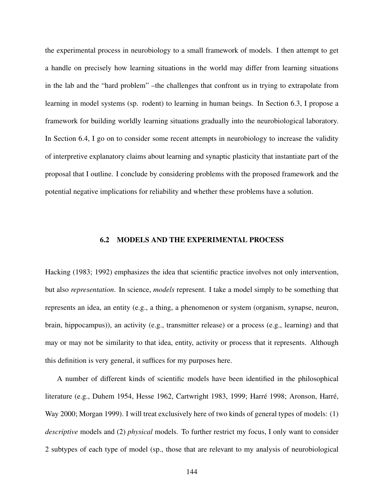the experimental process in neurobiology to a small framework of models. I then attempt to get a handle on precisely how learning situations in the world may differ from learning situations in the lab and the "hard problem" –the challenges that confront us in trying to extrapolate from learning in model systems (sp. rodent) to learning in human beings. In Section 6.3, I propose a framework for building worldly learning situations gradually into the neurobiological laboratory. In Section 6.4, I go on to consider some recent attempts in neurobiology to increase the validity of interpretive explanatory claims about learning and synaptic plasticity that instantiate part of the proposal that I outline. I conclude by considering problems with the proposed framework and the potential negative implications for reliability and whether these problems have a solution.

#### 6.2 MODELS AND THE EXPERIMENTAL PROCESS

Hacking (1983; 1992) emphasizes the idea that scientific practice involves not only intervention, but also *representation*. In science, *models* represent. I take a model simply to be something that represents an idea, an entity (e.g., a thing, a phenomenon or system (organism, synapse, neuron, brain, hippocampus)), an activity (e.g., transmitter release) or a process (e.g., learning) and that may or may not be similarity to that idea, entity, activity or process that it represents. Although this definition is very general, it suffices for my purposes here.

A number of different kinds of scientific models have been identified in the philosophical literature (e.g., Duhem 1954, Hesse 1962, Cartwright 1983, 1999; Harré 1998; Aronson, Harré, Way 2000; Morgan 1999). I will treat exclusively here of two kinds of general types of models: (1) *descriptive* models and (2) *physical* models. To further restrict my focus, I only want to consider 2 subtypes of each type of model (sp., those that are relevant to my analysis of neurobiological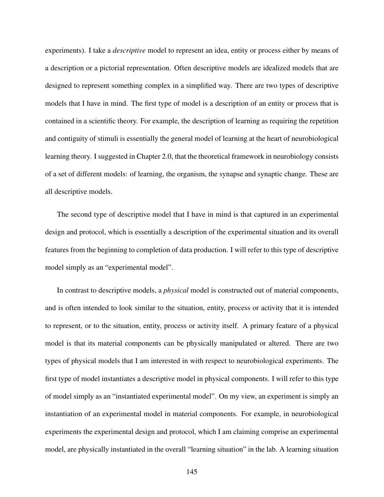experiments). I take a *descriptive* model to represent an idea, entity or process either by means of a description or a pictorial representation. Often descriptive models are idealized models that are designed to represent something complex in a simplified way. There are two types of descriptive models that I have in mind. The first type of model is a description of an entity or process that is contained in a scientific theory. For example, the description of learning as requiring the repetition and contiguity of stimuli is essentially the general model of learning at the heart of neurobiological learning theory. I suggested in Chapter 2.0, that the theoretical framework in neurobiology consists of a set of different models: of learning, the organism, the synapse and synaptic change. These are all descriptive models.

The second type of descriptive model that I have in mind is that captured in an experimental design and protocol, which is essentially a description of the experimental situation and its overall features from the beginning to completion of data production. I will refer to this type of descriptive model simply as an "experimental model".

In contrast to descriptive models, a *physical* model is constructed out of material components, and is often intended to look similar to the situation, entity, process or activity that it is intended to represent, or to the situation, entity, process or activity itself. A primary feature of a physical model is that its material components can be physically manipulated or altered. There are two types of physical models that I am interested in with respect to neurobiological experiments. The first type of model instantiates a descriptive model in physical components. I will refer to this type of model simply as an "instantiated experimental model". On my view, an experiment is simply an instantiation of an experimental model in material components. For example, in neurobiological experiments the experimental design and protocol, which I am claiming comprise an experimental model, are physically instantiated in the overall "learning situation" in the lab. A learning situation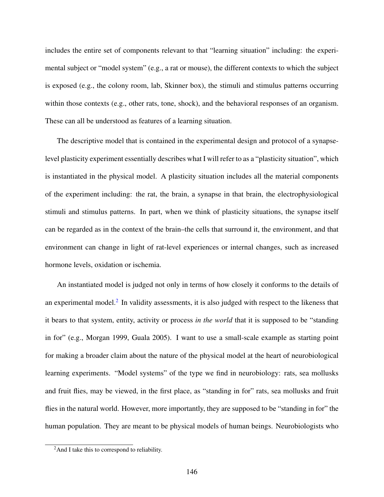includes the entire set of components relevant to that "learning situation" including: the experimental subject or "model system" (e.g., a rat or mouse), the different contexts to which the subject is exposed (e.g., the colony room, lab, Skinner box), the stimuli and stimulus patterns occurring within those contexts (e.g., other rats, tone, shock), and the behavioral responses of an organism. These can all be understood as features of a learning situation.

The descriptive model that is contained in the experimental design and protocol of a synapselevel plasticity experiment essentially describes what I will refer to as a "plasticity situation", which is instantiated in the physical model. A plasticity situation includes all the material components of the experiment including: the rat, the brain, a synapse in that brain, the electrophysiological stimuli and stimulus patterns. In part, when we think of plasticity situations, the synapse itself can be regarded as in the context of the brain–the cells that surround it, the environment, and that environment can change in light of rat-level experiences or internal changes, such as increased hormone levels, oxidation or ischemia.

An instantiated model is judged not only in terms of how closely it conforms to the details of an experimental model. $2$  In validity assessments, it is also judged with respect to the likeness that it bears to that system, entity, activity or process *in the world* that it is supposed to be "standing in for" (e.g., Morgan 1999, Guala 2005). I want to use a small-scale example as starting point for making a broader claim about the nature of the physical model at the heart of neurobiological learning experiments. "Model systems" of the type we find in neurobiology: rats, sea mollusks and fruit flies, may be viewed, in the first place, as "standing in for" rats, sea mollusks and fruit flies in the natural world. However, more importantly, they are supposed to be "standing in for" the human population. They are meant to be physical models of human beings. Neurobiologists who

<span id="page-158-0"></span><sup>&</sup>lt;sup>2</sup>And I take this to correspond to reliability.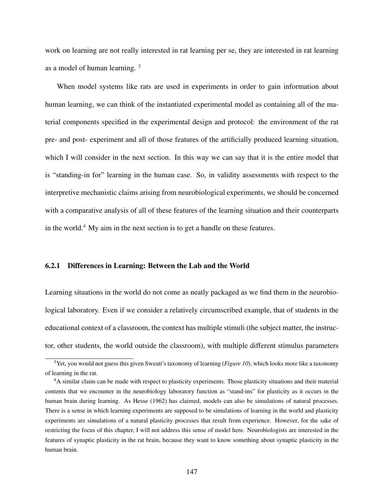work on learning are not really interested in rat learning per se, they are interested in rat learning as a model of human learning. [3](#page-159-0)

When model systems like rats are used in experiments in order to gain information about human learning, we can think of the instantiated experimental model as containing all of the material components specified in the experimental design and protocol: the environment of the rat pre- and post- experiment and all of those features of the artificially produced learning situation, which I will consider in the next section. In this way we can say that it is the entire model that is "standing-in for" learning in the human case. So, in validity assessments with respect to the interpretive mechanistic claims arising from neurobiological experiments, we should be concerned with a comparative analysis of all of these features of the learning situation and their counterparts in the world.<sup>[4](#page-159-1)</sup> My aim in the next section is to get a handle on these features.

#### 6.2.1 Differences in Learning: Between the Lab and the World

Learning situations in the world do not come as neatly packaged as we find them in the neurobiological laboratory. Even if we consider a relatively circumscribed example, that of students in the educational context of a classroom, the context has multiple stimuli (the subject matter, the instructor, other students, the world outside the classroom), with multiple different stimulus parameters

<span id="page-159-0"></span><sup>&</sup>lt;sup>3</sup>Yet, you would not guess this given Sweatt's taxonomy of learning (*Figure 10*), which looks more like a taxonomy of learning in the rat.

<span id="page-159-1"></span><sup>4</sup>A similar claim can be made with respect to plasticity experiments. Those plasticity situations and their material contents that we encounter in the neurobiology laboratory function as "stand-ins" for plasticity as it occurs in the human brain during learning. As Hesse (1962) has claimed, models can also be simulations of natural processes. There is a sense in which learning experiments are supposed to be simulations of learning in the world and plasticity experiments are simulations of a natural plasticity processes that result from experience. However, for the sake of restricting the focus of this chapter, I will not address this sense of model here. Neurobiologists are interested in the features of synaptic plasticity in the rat brain, because they want to know something about synaptic plasticity in the human brain.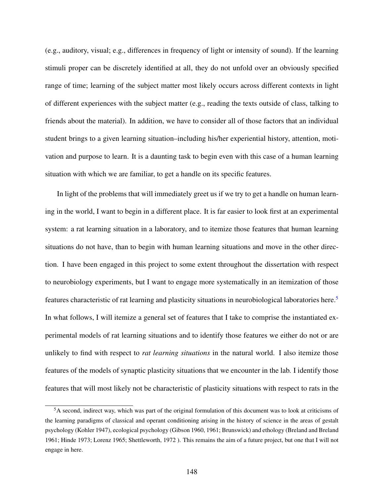(e.g., auditory, visual; e.g., differences in frequency of light or intensity of sound). If the learning stimuli proper can be discretely identified at all, they do not unfold over an obviously specified range of time; learning of the subject matter most likely occurs across different contexts in light of different experiences with the subject matter (e.g., reading the texts outside of class, talking to friends about the material). In addition, we have to consider all of those factors that an individual student brings to a given learning situation–including his/her experiential history, attention, motivation and purpose to learn. It is a daunting task to begin even with this case of a human learning situation with which we are familiar, to get a handle on its specific features.

In light of the problems that will immediately greet us if we try to get a handle on human learning in the world, I want to begin in a different place. It is far easier to look first at an experimental system: a rat learning situation in a laboratory, and to itemize those features that human learning situations do not have, than to begin with human learning situations and move in the other direction. I have been engaged in this project to some extent throughout the dissertation with respect to neurobiology experiments, but I want to engage more systematically in an itemization of those features characteristic of rat learning and plasticity situations in neurobiological laboratories here.[5](#page-160-0) In what follows, I will itemize a general set of features that I take to comprise the instantiated experimental models of rat learning situations and to identify those features we either do not or are unlikely to find with respect to *rat learning situations* in the natural world. I also itemize those features of the models of synaptic plasticity situations that we encounter in the lab. I identify those features that will most likely not be characteristic of plasticity situations with respect to rats in the

<span id="page-160-0"></span><sup>5</sup>A second, indirect way, which was part of the original formulation of this document was to look at criticisms of the learning paradigms of classical and operant conditioning arising in the history of science in the areas of gestalt psychology (Kohler 1947), ecological psychology (Gibson 1960, 1961; Brunswick) and ethology (Breland and Breland 1961; Hinde 1973; Lorenz 1965; Shettleworth, 1972 ). This remains the aim of a future project, but one that I will not engage in here.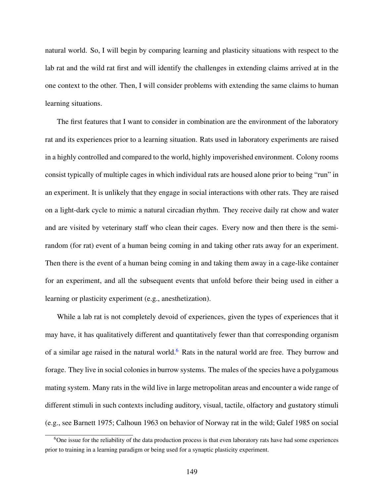natural world. So, I will begin by comparing learning and plasticity situations with respect to the lab rat and the wild rat first and will identify the challenges in extending claims arrived at in the one context to the other. Then, I will consider problems with extending the same claims to human learning situations.

The first features that I want to consider in combination are the environment of the laboratory rat and its experiences prior to a learning situation. Rats used in laboratory experiments are raised in a highly controlled and compared to the world, highly impoverished environment. Colony rooms consist typically of multiple cages in which individual rats are housed alone prior to being "run" in an experiment. It is unlikely that they engage in social interactions with other rats. They are raised on a light-dark cycle to mimic a natural circadian rhythm. They receive daily rat chow and water and are visited by veterinary staff who clean their cages. Every now and then there is the semirandom (for rat) event of a human being coming in and taking other rats away for an experiment. Then there is the event of a human being coming in and taking them away in a cage-like container for an experiment, and all the subsequent events that unfold before their being used in either a learning or plasticity experiment (e.g., anesthetization).

While a lab rat is not completely devoid of experiences, given the types of experiences that it may have, it has qualitatively different and quantitatively fewer than that corresponding organism of a similar age raised in the natural world.<sup>[6](#page-161-0)</sup> Rats in the natural world are free. They burrow and forage. They live in social colonies in burrow systems. The males of the species have a polygamous mating system. Many rats in the wild live in large metropolitan areas and encounter a wide range of different stimuli in such contexts including auditory, visual, tactile, olfactory and gustatory stimuli (e.g., see Barnett 1975; Calhoun 1963 on behavior of Norway rat in the wild; Galef 1985 on social

<span id="page-161-0"></span> $6$ One issue for the reliability of the data production process is that even laboratory rats have had some experiences prior to training in a learning paradigm or being used for a synaptic plasticity experiment.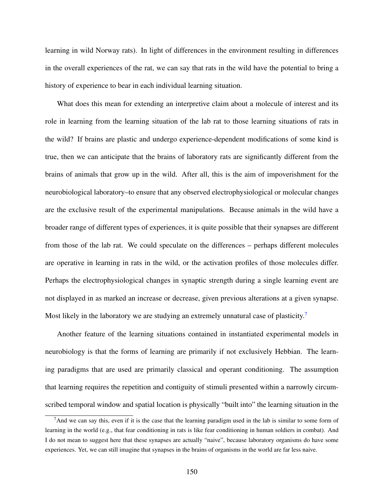learning in wild Norway rats). In light of differences in the environment resulting in differences in the overall experiences of the rat, we can say that rats in the wild have the potential to bring a history of experience to bear in each individual learning situation.

What does this mean for extending an interpretive claim about a molecule of interest and its role in learning from the learning situation of the lab rat to those learning situations of rats in the wild? If brains are plastic and undergo experience-dependent modifications of some kind is true, then we can anticipate that the brains of laboratory rats are significantly different from the brains of animals that grow up in the wild. After all, this is the aim of impoverishment for the neurobiological laboratory–to ensure that any observed electrophysiological or molecular changes are the exclusive result of the experimental manipulations. Because animals in the wild have a broader range of different types of experiences, it is quite possible that their synapses are different from those of the lab rat. We could speculate on the differences – perhaps different molecules are operative in learning in rats in the wild, or the activation profiles of those molecules differ. Perhaps the electrophysiological changes in synaptic strength during a single learning event are not displayed in as marked an increase or decrease, given previous alterations at a given synapse. Most likely in the laboratory we are studying an extremely unnatural case of plasticity.<sup>[7](#page-162-0)</sup>

Another feature of the learning situations contained in instantiated experimental models in neurobiology is that the forms of learning are primarily if not exclusively Hebbian. The learning paradigms that are used are primarily classical and operant conditioning. The assumption that learning requires the repetition and contiguity of stimuli presented within a narrowly circumscribed temporal window and spatial location is physically "built into" the learning situation in the

<span id="page-162-0"></span> $<sup>7</sup>$ And we can say this, even if it is the case that the learning paradigm used in the lab is similar to some form of</sup> learning in the world (e.g., that fear conditioning in rats is like fear conditioning in human soldiers in combat). And I do not mean to suggest here that these synapses are actually "naive", because laboratory organisms do have some experiences. Yet, we can still imagine that synapses in the brains of organisms in the world are far less naive.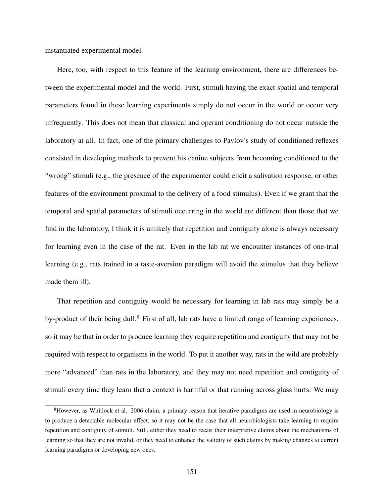instantiated experimental model.

Here, too, with respect to this feature of the learning environment, there are differences between the experimental model and the world. First, stimuli having the exact spatial and temporal parameters found in these learning experiments simply do not occur in the world or occur very infrequently. This does not mean that classical and operant conditioning do not occur outside the laboratory at all. In fact, one of the primary challenges to Pavlov's study of conditioned reflexes consisted in developing methods to prevent his canine subjects from becoming conditioned to the "wrong" stimuli (e.g., the presence of the experimenter could elicit a salivation response, or other features of the environment proximal to the delivery of a food stimulus). Even if we grant that the temporal and spatial parameters of stimuli occurring in the world are different than those that we find in the laboratory, I think it is unlikely that repetition and contiguity alone is always necessary for learning even in the case of the rat. Even in the lab rat we encounter instances of one-trial learning (e.g., rats trained in a taste-aversion paradigm will avoid the stimulus that they believe made them ill).

That repetition and contiguity would be necessary for learning in lab rats may simply be a by-product of their being dull.<sup>[8](#page-163-0)</sup> First of all, lab rats have a limited range of learning experiences, so it may be that in order to produce learning they require repetition and contiguity that may not be required with respect to organisms in the world. To put it another way, rats in the wild are probably more "advanced" than rats in the laboratory, and they may not need repetition and contiguity of stimuli every time they learn that a context is harmful or that running across glass hurts. We may

<span id="page-163-0"></span><sup>&</sup>lt;sup>8</sup>However, as Whitlock et al. 2006 claim, a primary reason that iterative paradigms are used in neurobiology is to produce a detectable molecular effect, so it may not be the case that all neurobiologists take learning to require repetition and contiguity of stimuli. Still, either they need to recast their interpretive claims about the mechanisms of learning so that they are not invalid, or they need to enhance the validity of such claims by making changes to current learning paradigms or developing new ones.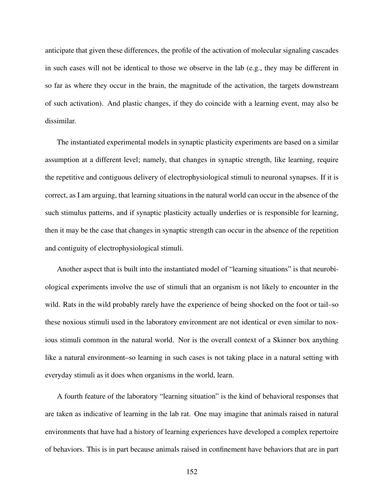anticipate that given these differences, the profile of the activation of molecular signaling cascades in such cases will not be identical to those we observe in the lab (e.g., they may be different in so far as where they occur in the brain, the magnitude of the activation, the targets downstream of such activation). And plastic changes, if they do coincide with a learning event, may also be dissimilar.

The instantiated experimental models in synaptic plasticity experiments are based on a similar assumption at a different level; namely, that changes in synaptic strength, like learning, require the repetitive and contiguous delivery of electrophysiological stimuli to neuronal synapses. If it is correct, as I am arguing, that learning situations in the natural world can occur in the absence of the such stimulus patterns, and if synaptic plasticity actually underlies or is responsible for learning, then it may be the case that changes in synaptic strength can occur in the absence of the repetition and contiguity of electrophysiological stimuli.

Another aspect that is built into the instantiated model of "learning situations" is that neurobiological experiments involve the use of stimuli that an organism is not likely to encounter in the wild. Rats in the wild probably rarely have the experience of being shocked on the foot or tail–so these noxious stimuli used in the laboratory environment are not identical or even similar to noxious stimuli common in the natural world. Nor is the overall context of a Skinner box anything like a natural environment–so learning in such cases is not taking place in a natural setting with everyday stimuli as it does when organisms in the world, learn.

A fourth feature of the laboratory "learning situation" is the kind of behavioral responses that are taken as indicative of learning in the lab rat. One may imagine that animals raised in natural environments that have had a history of learning experiences have developed a complex repertoire of behaviors. This is in part because animals raised in confinement have behaviors that are in part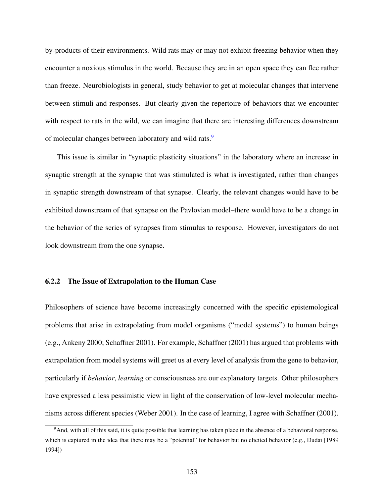by-products of their environments. Wild rats may or may not exhibit freezing behavior when they encounter a noxious stimulus in the world. Because they are in an open space they can flee rather than freeze. Neurobiologists in general, study behavior to get at molecular changes that intervene between stimuli and responses. But clearly given the repertoire of behaviors that we encounter with respect to rats in the wild, we can imagine that there are interesting differences downstream of molecular changes between laboratory and wild rats.<sup>[9](#page-165-0)</sup>

This issue is similar in "synaptic plasticity situations" in the laboratory where an increase in synaptic strength at the synapse that was stimulated is what is investigated, rather than changes in synaptic strength downstream of that synapse. Clearly, the relevant changes would have to be exhibited downstream of that synapse on the Pavlovian model–there would have to be a change in the behavior of the series of synapses from stimulus to response. However, investigators do not look downstream from the one synapse.

#### 6.2.2 The Issue of Extrapolation to the Human Case

Philosophers of science have become increasingly concerned with the specific epistemological problems that arise in extrapolating from model organisms ("model systems") to human beings (e.g., Ankeny 2000; Schaffner 2001). For example, Schaffner (2001) has argued that problems with extrapolation from model systems will greet us at every level of analysis from the gene to behavior, particularly if *behavior*, *learning* or consciousness are our explanatory targets. Other philosophers have expressed a less pessimistic view in light of the conservation of low-level molecular mechanisms across different species (Weber 2001). In the case of learning, I agree with Schaffner (2001).

<span id="page-165-0"></span><sup>9</sup>And, with all of this said, it is quite possible that learning has taken place in the absence of a behavioral response, which is captured in the idea that there may be a "potential" for behavior but no elicited behavior (e.g., Dudai [1989] 1994])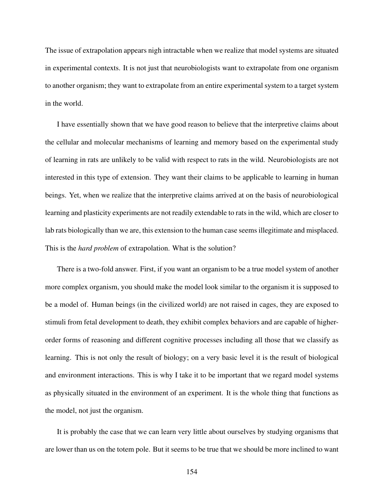The issue of extrapolation appears nigh intractable when we realize that model systems are situated in experimental contexts. It is not just that neurobiologists want to extrapolate from one organism to another organism; they want to extrapolate from an entire experimental system to a target system in the world.

I have essentially shown that we have good reason to believe that the interpretive claims about the cellular and molecular mechanisms of learning and memory based on the experimental study of learning in rats are unlikely to be valid with respect to rats in the wild. Neurobiologists are not interested in this type of extension. They want their claims to be applicable to learning in human beings. Yet, when we realize that the interpretive claims arrived at on the basis of neurobiological learning and plasticity experiments are not readily extendable to rats in the wild, which are closer to lab rats biologically than we are, this extension to the human case seems illegitimate and misplaced. This is the *hard problem* of extrapolation. What is the solution?

There is a two-fold answer. First, if you want an organism to be a true model system of another more complex organism, you should make the model look similar to the organism it is supposed to be a model of. Human beings (in the civilized world) are not raised in cages, they are exposed to stimuli from fetal development to death, they exhibit complex behaviors and are capable of higherorder forms of reasoning and different cognitive processes including all those that we classify as learning. This is not only the result of biology; on a very basic level it is the result of biological and environment interactions. This is why I take it to be important that we regard model systems as physically situated in the environment of an experiment. It is the whole thing that functions as the model, not just the organism.

It is probably the case that we can learn very little about ourselves by studying organisms that are lower than us on the totem pole. But it seems to be true that we should be more inclined to want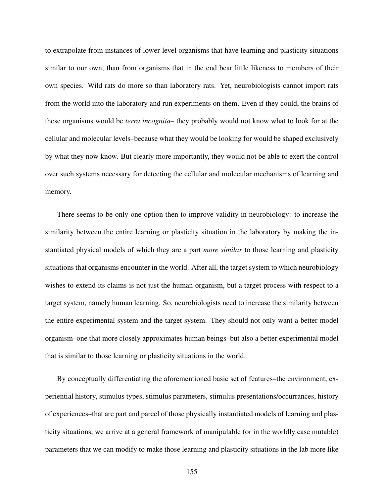to extrapolate from instances of lower-level organisms that have learning and plasticity situations similar to our own, than from organisms that in the end bear little likeness to members of their own species. Wild rats do more so than laboratory rats. Yet, neurobiologists cannot import rats from the world into the laboratory and run experiments on them. Even if they could, the brains of these organisms would be *terra incognita*– they probably would not know what to look for at the cellular and molecular levels–because what they would be looking for would be shaped exclusively by what they now know. But clearly more importantly, they would not be able to exert the control over such systems necessary for detecting the cellular and molecular mechanisms of learning and memory.

There seems to be only one option then to improve validity in neurobiology: to increase the similarity between the entire learning or plasticity situation in the laboratory by making the instantiated physical models of which they are a part *more similar* to those learning and plasticity situations that organisms encounter in the world. After all, the target system to which neurobiology wishes to extend its claims is not just the human organism, but a target process with respect to a target system, namely human learning. So, neurobiologists need to increase the similarity between the entire experimental system and the target system. They should not only want a better model organism–one that more closely approximates human beings–but also a better experimental model that is similar to those learning or plasticity situations in the world.

By conceptually differentiating the aforementioned basic set of features–the environment, experiential history, stimulus types, stimulus parameters, stimulus presentations/occurrances, history of experiences–that are part and parcel of those physically instantiated models of learning and plasticity situations, we arrive at a general framework of manipulable (or in the worldly case mutable) parameters that we can modify to make those learning and plasticity situations in the lab more like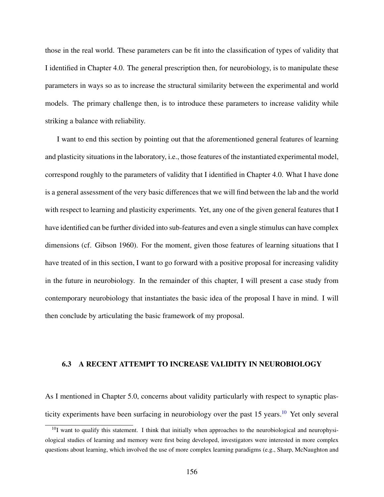those in the real world. These parameters can be fit into the classification of types of validity that I identified in Chapter 4.0. The general prescription then, for neurobiology, is to manipulate these parameters in ways so as to increase the structural similarity between the experimental and world models. The primary challenge then, is to introduce these parameters to increase validity while striking a balance with reliability.

I want to end this section by pointing out that the aforementioned general features of learning and plasticity situations in the laboratory, i.e., those features of the instantiated experimental model, correspond roughly to the parameters of validity that I identified in Chapter 4.0. What I have done is a general assessment of the very basic differences that we will find between the lab and the world with respect to learning and plasticity experiments. Yet, any one of the given general features that I have identified can be further divided into sub-features and even a single stimulus can have complex dimensions (cf. Gibson 1960). For the moment, given those features of learning situations that I have treated of in this section, I want to go forward with a positive proposal for increasing validity in the future in neurobiology. In the remainder of this chapter, I will present a case study from contemporary neurobiology that instantiates the basic idea of the proposal I have in mind. I will then conclude by articulating the basic framework of my proposal.

### 6.3 A RECENT ATTEMPT TO INCREASE VALIDITY IN NEUROBIOLOGY

As I mentioned in Chapter 5.0, concerns about validity particularly with respect to synaptic plas-ticity experiments have been surfacing in neurobiology over the past 15 years.<sup>[10](#page-168-0)</sup> Yet only several

<span id="page-168-0"></span> $10I$  want to qualify this statement. I think that initially when approaches to the neurobiological and neurophysiological studies of learning and memory were first being developed, investigators were interested in more complex questions about learning, which involved the use of more complex learning paradigms (e.g., Sharp, McNaughton and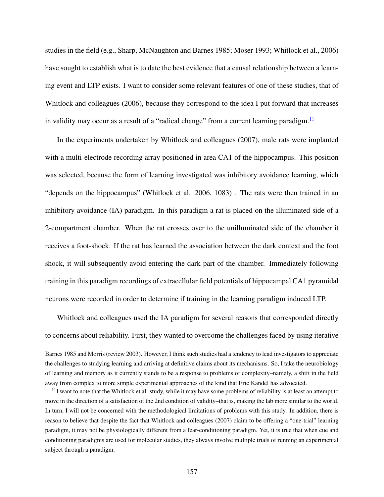studies in the field (e.g., Sharp, McNaughton and Barnes 1985; Moser 1993; Whitlock et al., 2006) have sought to establish what is to date the best evidence that a causal relationship between a learning event and LTP exists. I want to consider some relevant features of one of these studies, that of Whitlock and colleagues (2006), because they correspond to the idea I put forward that increases in validity may occur as a result of a "radical change" from a current learning paradigm.<sup>[11](#page-169-0)</sup>

In the experiments undertaken by Whitlock and colleagues (2007), male rats were implanted with a multi-electrode recording array positioned in area CA1 of the hippocampus. This position was selected, because the form of learning investigated was inhibitory avoidance learning, which "depends on the hippocampus" (Whitlock et al. 2006, 1083) . The rats were then trained in an inhibitory avoidance (IA) paradigm. In this paradigm a rat is placed on the illuminated side of a 2-compartment chamber. When the rat crosses over to the unilluminated side of the chamber it receives a foot-shock. If the rat has learned the association between the dark context and the foot shock, it will subsequently avoid entering the dark part of the chamber. Immediately following training in this paradigm recordings of extracellular field potentials of hippocampal CA1 pyramidal neurons were recorded in order to determine if training in the learning paradigm induced LTP.

Whitlock and colleagues used the IA paradigm for several reasons that corresponded directly to concerns about reliability. First, they wanted to overcome the challenges faced by using iterative

Barnes 1985 and Morris (review 2003). However, I think such studies had a tendency to lead investigators to appreciate the challenges to studying learning and arriving at definitive claims about its mechanisms. So, I take the neurobiology of learning and memory as it currently stands to be a response to problems of complexity–namely, a shift in the field away from complex to more simple experimental approaches of the kind that Eric Kandel has advocated.

<span id="page-169-0"></span> $11$ I want to note that the Whitlock et al. study, while it may have some problems of reliability is at least an attempt to move in the direction of a satisfaction of the 2nd condition of validity–that is, making the lab more similar to the world. In turn, I will not be concerned with the methodological limitations of problems with this study. In addition, there is reason to believe that despite the fact that Whitlock and colleagues (2007) claim to be offering a "one-trial" learning paradigm, it may not be physiologically different from a fear-conditioning paradigm. Yet, it is true that when cue and conditioning paradigms are used for molecular studies, they always involve multiple trials of running an experimental subject through a paradigm.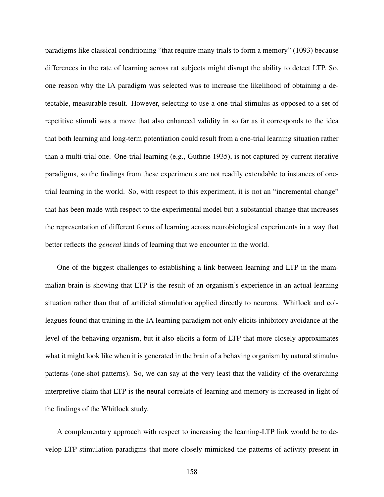paradigms like classical conditioning "that require many trials to form a memory" (1093) because differences in the rate of learning across rat subjects might disrupt the ability to detect LTP. So, one reason why the IA paradigm was selected was to increase the likelihood of obtaining a detectable, measurable result. However, selecting to use a one-trial stimulus as opposed to a set of repetitive stimuli was a move that also enhanced validity in so far as it corresponds to the idea that both learning and long-term potentiation could result from a one-trial learning situation rather than a multi-trial one. One-trial learning (e.g., Guthrie 1935), is not captured by current iterative paradigms, so the findings from these experiments are not readily extendable to instances of onetrial learning in the world. So, with respect to this experiment, it is not an "incremental change" that has been made with respect to the experimental model but a substantial change that increases the representation of different forms of learning across neurobiological experiments in a way that better reflects the *general* kinds of learning that we encounter in the world.

One of the biggest challenges to establishing a link between learning and LTP in the mammalian brain is showing that LTP is the result of an organism's experience in an actual learning situation rather than that of artificial stimulation applied directly to neurons. Whitlock and colleagues found that training in the IA learning paradigm not only elicits inhibitory avoidance at the level of the behaving organism, but it also elicits a form of LTP that more closely approximates what it might look like when it is generated in the brain of a behaving organism by natural stimulus patterns (one-shot patterns). So, we can say at the very least that the validity of the overarching interpretive claim that LTP is the neural correlate of learning and memory is increased in light of the findings of the Whitlock study.

A complementary approach with respect to increasing the learning-LTP link would be to develop LTP stimulation paradigms that more closely mimicked the patterns of activity present in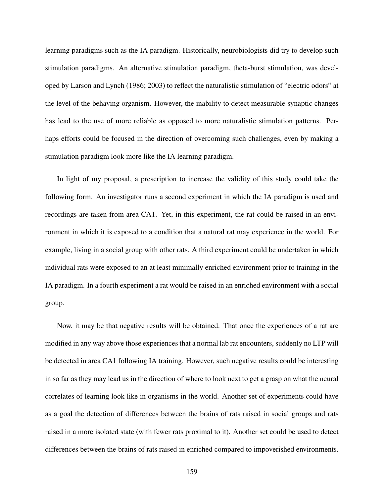learning paradigms such as the IA paradigm. Historically, neurobiologists did try to develop such stimulation paradigms. An alternative stimulation paradigm, theta-burst stimulation, was developed by Larson and Lynch (1986; 2003) to reflect the naturalistic stimulation of "electric odors" at the level of the behaving organism. However, the inability to detect measurable synaptic changes has lead to the use of more reliable as opposed to more naturalistic stimulation patterns. Perhaps efforts could be focused in the direction of overcoming such challenges, even by making a stimulation paradigm look more like the IA learning paradigm.

In light of my proposal, a prescription to increase the validity of this study could take the following form. An investigator runs a second experiment in which the IA paradigm is used and recordings are taken from area CA1. Yet, in this experiment, the rat could be raised in an environment in which it is exposed to a condition that a natural rat may experience in the world. For example, living in a social group with other rats. A third experiment could be undertaken in which individual rats were exposed to an at least minimally enriched environment prior to training in the IA paradigm. In a fourth experiment a rat would be raised in an enriched environment with a social group.

Now, it may be that negative results will be obtained. That once the experiences of a rat are modified in any way above those experiences that a normal lab rat encounters, suddenly no LTP will be detected in area CA1 following IA training. However, such negative results could be interesting in so far as they may lead us in the direction of where to look next to get a grasp on what the neural correlates of learning look like in organisms in the world. Another set of experiments could have as a goal the detection of differences between the brains of rats raised in social groups and rats raised in a more isolated state (with fewer rats proximal to it). Another set could be used to detect differences between the brains of rats raised in enriched compared to impoverished environments.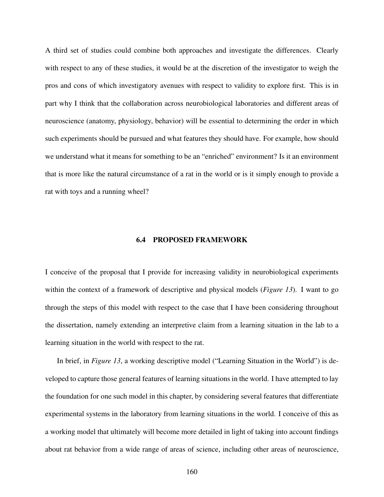A third set of studies could combine both approaches and investigate the differences. Clearly with respect to any of these studies, it would be at the discretion of the investigator to weigh the pros and cons of which investigatory avenues with respect to validity to explore first. This is in part why I think that the collaboration across neurobiological laboratories and different areas of neuroscience (anatomy, physiology, behavior) will be essential to determining the order in which such experiments should be pursued and what features they should have. For example, how should we understand what it means for something to be an "enriched" environment? Is it an environment that is more like the natural circumstance of a rat in the world or is it simply enough to provide a rat with toys and a running wheel?

#### 6.4 PROPOSED FRAMEWORK

I conceive of the proposal that I provide for increasing validity in neurobiological experiments within the context of a framework of descriptive and physical models (*Figure 13*). I want to go through the steps of this model with respect to the case that I have been considering throughout the dissertation, namely extending an interpretive claim from a learning situation in the lab to a learning situation in the world with respect to the rat.

In brief, in *Figure 13*, a working descriptive model ("Learning Situation in the World") is developed to capture those general features of learning situations in the world. I have attempted to lay the foundation for one such model in this chapter, by considering several features that differentiate experimental systems in the laboratory from learning situations in the world. I conceive of this as a working model that ultimately will become more detailed in light of taking into account findings about rat behavior from a wide range of areas of science, including other areas of neuroscience,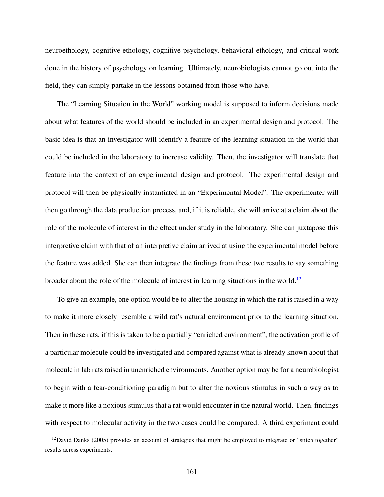neuroethology, cognitive ethology, cognitive psychology, behavioral ethology, and critical work done in the history of psychology on learning. Ultimately, neurobiologists cannot go out into the field, they can simply partake in the lessons obtained from those who have.

The "Learning Situation in the World" working model is supposed to inform decisions made about what features of the world should be included in an experimental design and protocol. The basic idea is that an investigator will identify a feature of the learning situation in the world that could be included in the laboratory to increase validity. Then, the investigator will translate that feature into the context of an experimental design and protocol. The experimental design and protocol will then be physically instantiated in an "Experimental Model". The experimenter will then go through the data production process, and, if it is reliable, she will arrive at a claim about the role of the molecule of interest in the effect under study in the laboratory. She can juxtapose this interpretive claim with that of an interpretive claim arrived at using the experimental model before the feature was added. She can then integrate the findings from these two results to say something broader about the role of the molecule of interest in learning situations in the world.<sup>[12](#page-173-0)</sup>

To give an example, one option would be to alter the housing in which the rat is raised in a way to make it more closely resemble a wild rat's natural environment prior to the learning situation. Then in these rats, if this is taken to be a partially "enriched environment", the activation profile of a particular molecule could be investigated and compared against what is already known about that molecule in lab rats raised in unenriched environments. Another option may be for a neurobiologist to begin with a fear-conditioning paradigm but to alter the noxious stimulus in such a way as to make it more like a noxious stimulus that a rat would encounter in the natural world. Then, findings with respect to molecular activity in the two cases could be compared. A third experiment could

<span id="page-173-0"></span><sup>&</sup>lt;sup>12</sup>David Danks (2005) provides an account of strategies that might be employed to integrate or "stitch together" results across experiments.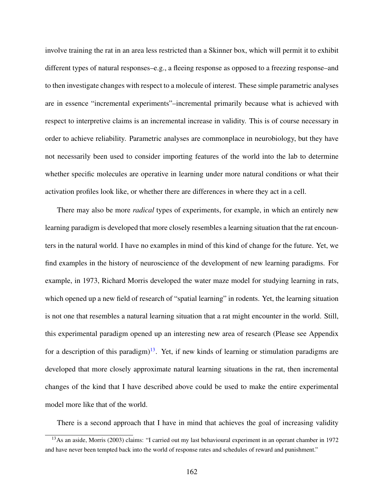involve training the rat in an area less restricted than a Skinner box, which will permit it to exhibit different types of natural responses–e.g., a fleeing response as opposed to a freezing response–and to then investigate changes with respect to a molecule of interest. These simple parametric analyses are in essence "incremental experiments"–incremental primarily because what is achieved with respect to interpretive claims is an incremental increase in validity. This is of course necessary in order to achieve reliability. Parametric analyses are commonplace in neurobiology, but they have not necessarily been used to consider importing features of the world into the lab to determine whether specific molecules are operative in learning under more natural conditions or what their activation profiles look like, or whether there are differences in where they act in a cell.

There may also be more *radical* types of experiments, for example, in which an entirely new learning paradigm is developed that more closely resembles a learning situation that the rat encounters in the natural world. I have no examples in mind of this kind of change for the future. Yet, we find examples in the history of neuroscience of the development of new learning paradigms. For example, in 1973, Richard Morris developed the water maze model for studying learning in rats, which opened up a new field of research of "spatial learning" in rodents. Yet, the learning situation is not one that resembles a natural learning situation that a rat might encounter in the world. Still, this experimental paradigm opened up an interesting new area of research (Please see Appendix for a description of this paradigm)<sup>[13](#page-174-0)</sup>. Yet, if new kinds of learning or stimulation paradigms are developed that more closely approximate natural learning situations in the rat, then incremental changes of the kind that I have described above could be used to make the entire experimental model more like that of the world.

There is a second approach that I have in mind that achieves the goal of increasing validity

<span id="page-174-0"></span><sup>&</sup>lt;sup>13</sup>As an aside, Morris (2003) claims: "I carried out my last behavioural experiment in an operant chamber in 1972 and have never been tempted back into the world of response rates and schedules of reward and punishment."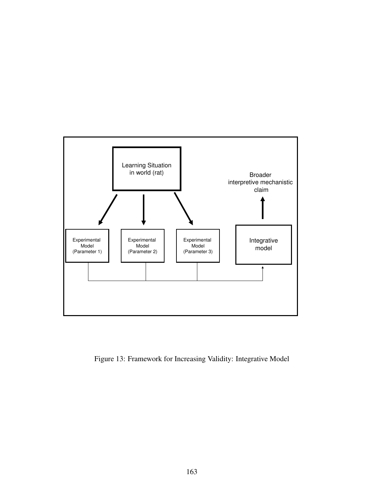

Figure 13: Framework for Increasing Validity: Integrative Model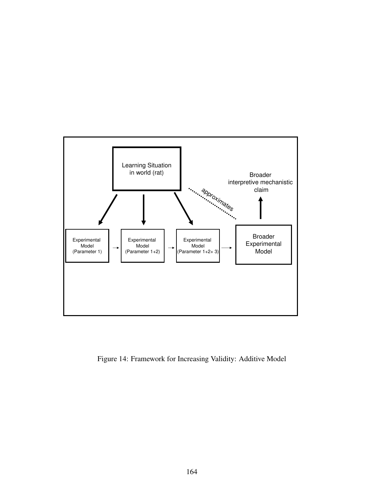

Figure 14: Framework for Increasing Validity: Additive Model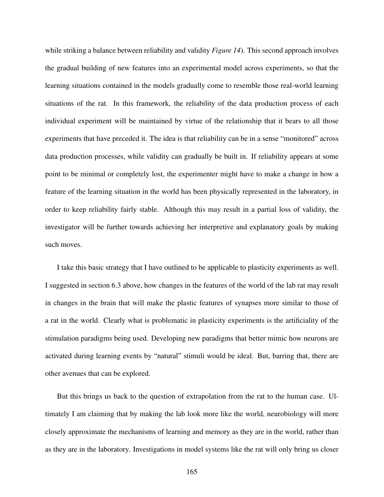while striking a balance between reliability and validity *Figure 14*). This second approach involves the gradual building of new features into an experimental model across experiments, so that the learning situations contained in the models gradually come to resemble those real-world learning situations of the rat. In this framework, the reliability of the data production process of each individual experiment will be maintained by virtue of the relationship that it bears to all those experiments that have preceded it. The idea is that reliability can be in a sense "monitored" across data production processes, while validity can gradually be built in. If reliability appears at some point to be minimal or completely lost, the experimenter might have to make a change in how a feature of the learning situation in the world has been physically represented in the laboratory, in order to keep reliability fairly stable. Although this may result in a partial loss of validity, the investigator will be further towards achieving her interpretive and explanatory goals by making such moves.

I take this basic strategy that I have outlined to be applicable to plasticity experiments as well. I suggested in section 6.3 above, how changes in the features of the world of the lab rat may result in changes in the brain that will make the plastic features of synapses more similar to those of a rat in the world. Clearly what is problematic in plasticity experiments is the artificiality of the stimulation paradigms being used. Developing new paradigms that better mimic how neurons are activated during learning events by "natural" stimuli would be ideal. But, barring that, there are other avenues that can be explored.

But this brings us back to the question of extrapolation from the rat to the human case. Ultimately I am claiming that by making the lab look more like the world, neurobiology will more closely approximate the mechanisms of learning and memory as they are in the world, rather than as they are in the laboratory. Investigations in model systems like the rat will only bring us closer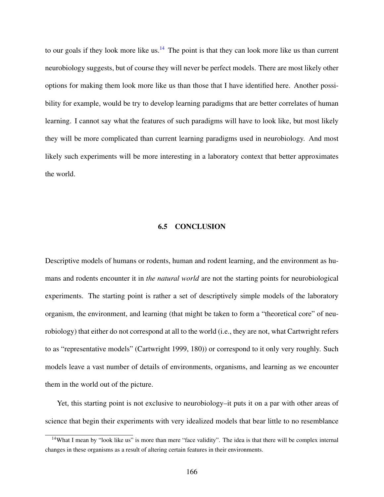to our goals if they look more like us. $14$  The point is that they can look more like us than current neurobiology suggests, but of course they will never be perfect models. There are most likely other options for making them look more like us than those that I have identified here. Another possibility for example, would be try to develop learning paradigms that are better correlates of human learning. I cannot say what the features of such paradigms will have to look like, but most likely they will be more complicated than current learning paradigms used in neurobiology. And most likely such experiments will be more interesting in a laboratory context that better approximates the world.

#### 6.5 CONCLUSION

Descriptive models of humans or rodents, human and rodent learning, and the environment as humans and rodents encounter it in *the natural world* are not the starting points for neurobiological experiments. The starting point is rather a set of descriptively simple models of the laboratory organism, the environment, and learning (that might be taken to form a "theoretical core" of neurobiology) that either do not correspond at all to the world (i.e., they are not, what Cartwright refers to as "representative models" (Cartwright 1999, 180)) or correspond to it only very roughly. Such models leave a vast number of details of environments, organisms, and learning as we encounter them in the world out of the picture.

Yet, this starting point is not exclusive to neurobiology–it puts it on a par with other areas of science that begin their experiments with very idealized models that bear little to no resemblance

<span id="page-178-0"></span><sup>&</sup>lt;sup>14</sup>What I mean by "look like us" is more than mere "face validity". The idea is that there will be complex internal changes in these organisms as a result of altering certain features in their environments.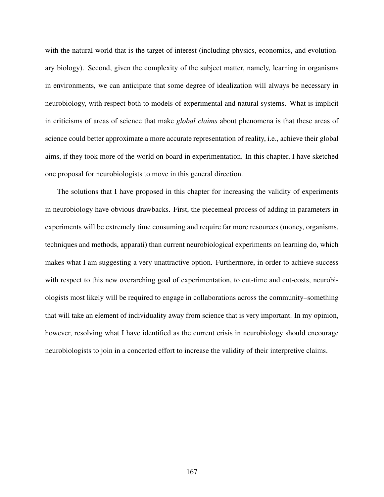with the natural world that is the target of interest (including physics, economics, and evolutionary biology). Second, given the complexity of the subject matter, namely, learning in organisms in environments, we can anticipate that some degree of idealization will always be necessary in neurobiology, with respect both to models of experimental and natural systems. What is implicit in criticisms of areas of science that make *global claims* about phenomena is that these areas of science could better approximate a more accurate representation of reality, i.e., achieve their global aims, if they took more of the world on board in experimentation. In this chapter, I have sketched one proposal for neurobiologists to move in this general direction.

The solutions that I have proposed in this chapter for increasing the validity of experiments in neurobiology have obvious drawbacks. First, the piecemeal process of adding in parameters in experiments will be extremely time consuming and require far more resources (money, organisms, techniques and methods, apparati) than current neurobiological experiments on learning do, which makes what I am suggesting a very unattractive option. Furthermore, in order to achieve success with respect to this new overarching goal of experimentation, to cut-time and cut-costs, neurobiologists most likely will be required to engage in collaborations across the community–something that will take an element of individuality away from science that is very important. In my opinion, however, resolving what I have identified as the current crisis in neurobiology should encourage neurobiologists to join in a concerted effort to increase the validity of their interpretive claims.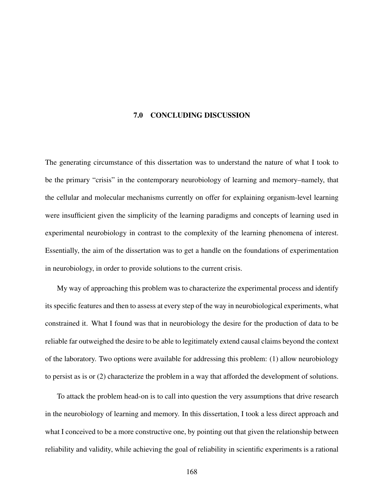## 7.0 CONCLUDING DISCUSSION

The generating circumstance of this dissertation was to understand the nature of what I took to be the primary "crisis" in the contemporary neurobiology of learning and memory–namely, that the cellular and molecular mechanisms currently on offer for explaining organism-level learning were insufficient given the simplicity of the learning paradigms and concepts of learning used in experimental neurobiology in contrast to the complexity of the learning phenomena of interest. Essentially, the aim of the dissertation was to get a handle on the foundations of experimentation in neurobiology, in order to provide solutions to the current crisis.

My way of approaching this problem was to characterize the experimental process and identify its specific features and then to assess at every step of the way in neurobiological experiments, what constrained it. What I found was that in neurobiology the desire for the production of data to be reliable far outweighed the desire to be able to legitimately extend causal claims beyond the context of the laboratory. Two options were available for addressing this problem: (1) allow neurobiology to persist as is or (2) characterize the problem in a way that afforded the development of solutions.

To attack the problem head-on is to call into question the very assumptions that drive research in the neurobiology of learning and memory. In this dissertation, I took a less direct approach and what I conceived to be a more constructive one, by pointing out that given the relationship between reliability and validity, while achieving the goal of reliability in scientific experiments is a rational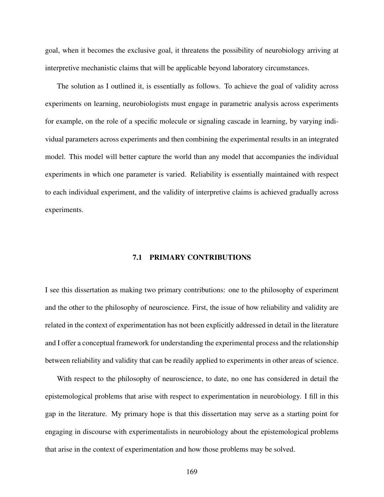goal, when it becomes the exclusive goal, it threatens the possibility of neurobiology arriving at interpretive mechanistic claims that will be applicable beyond laboratory circumstances.

The solution as I outlined it, is essentially as follows. To achieve the goal of validity across experiments on learning, neurobiologists must engage in parametric analysis across experiments for example, on the role of a specific molecule or signaling cascade in learning, by varying individual parameters across experiments and then combining the experimental results in an integrated model. This model will better capture the world than any model that accompanies the individual experiments in which one parameter is varied. Reliability is essentially maintained with respect to each individual experiment, and the validity of interpretive claims is achieved gradually across experiments.

## 7.1 PRIMARY CONTRIBUTIONS

I see this dissertation as making two primary contributions: one to the philosophy of experiment and the other to the philosophy of neuroscience. First, the issue of how reliability and validity are related in the context of experimentation has not been explicitly addressed in detail in the literature and I offer a conceptual framework for understanding the experimental process and the relationship between reliability and validity that can be readily applied to experiments in other areas of science.

With respect to the philosophy of neuroscience, to date, no one has considered in detail the epistemological problems that arise with respect to experimentation in neurobiology. I fill in this gap in the literature. My primary hope is that this dissertation may serve as a starting point for engaging in discourse with experimentalists in neurobiology about the epistemological problems that arise in the context of experimentation and how those problems may be solved.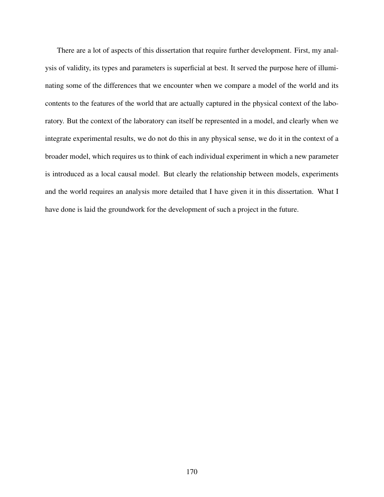There are a lot of aspects of this dissertation that require further development. First, my analysis of validity, its types and parameters is superficial at best. It served the purpose here of illuminating some of the differences that we encounter when we compare a model of the world and its contents to the features of the world that are actually captured in the physical context of the laboratory. But the context of the laboratory can itself be represented in a model, and clearly when we integrate experimental results, we do not do this in any physical sense, we do it in the context of a broader model, which requires us to think of each individual experiment in which a new parameter is introduced as a local causal model. But clearly the relationship between models, experiments and the world requires an analysis more detailed that I have given it in this dissertation. What I have done is laid the groundwork for the development of such a project in the future.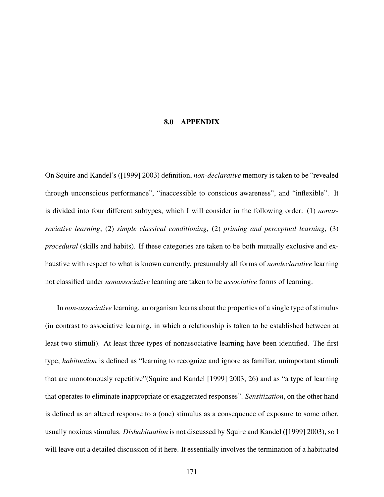## 8.0 APPENDIX

On Squire and Kandel's ([1999] 2003) definition, *non-declarative* memory is taken to be "revealed through unconscious performance", "inaccessible to conscious awareness", and "inflexible". It is divided into four different subtypes, which I will consider in the following order: (1) *nonassociative learning*, (2) *simple classical conditioning*, (2) *priming and perceptual learning*, (3) *procedural* (skills and habits). If these categories are taken to be both mutually exclusive and exhaustive with respect to what is known currently, presumably all forms of *nondeclarative* learning not classified under *nonassociative* learning are taken to be *associative* forms of learning.

In *non-associative* learning, an organism learns about the properties of a single type of stimulus (in contrast to associative learning, in which a relationship is taken to be established between at least two stimuli). At least three types of nonassociative learning have been identified. The first type, *habituation* is defined as "learning to recognize and ignore as familiar, unimportant stimuli that are monotonously repetitive"(Squire and Kandel [1999] 2003, 26) and as "a type of learning that operates to eliminate inappropriate or exaggerated responses". *Sensitization*, on the other hand is defined as an altered response to a (one) stimulus as a consequence of exposure to some other, usually noxious stimulus. *Dishabituation* is not discussed by Squire and Kandel ([1999] 2003), so I will leave out a detailed discussion of it here. It essentially involves the termination of a habituated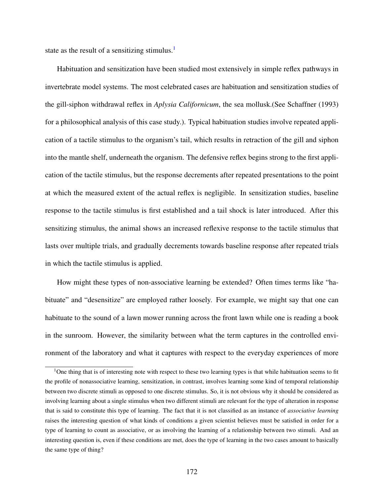state as the result of a sensitizing stimulus.<sup>[1](#page-184-0)</sup>

Habituation and sensitization have been studied most extensively in simple reflex pathways in invertebrate model systems. The most celebrated cases are habituation and sensitization studies of the gill-siphon withdrawal reflex in *Aplysia Californicum*, the sea mollusk.(See Schaffner (1993) for a philosophical analysis of this case study.). Typical habituation studies involve repeated application of a tactile stimulus to the organism's tail, which results in retraction of the gill and siphon into the mantle shelf, underneath the organism. The defensive reflex begins strong to the first application of the tactile stimulus, but the response decrements after repeated presentations to the point at which the measured extent of the actual reflex is negligible. In sensitization studies, baseline response to the tactile stimulus is first established and a tail shock is later introduced. After this sensitizing stimulus, the animal shows an increased reflexive response to the tactile stimulus that lasts over multiple trials, and gradually decrements towards baseline response after repeated trials in which the tactile stimulus is applied.

How might these types of non-associative learning be extended? Often times terms like "habituate" and "desensitize" are employed rather loosely. For example, we might say that one can habituate to the sound of a lawn mower running across the front lawn while one is reading a book in the sunroom. However, the similarity between what the term captures in the controlled environment of the laboratory and what it captures with respect to the everyday experiences of more

<span id="page-184-0"></span><sup>&</sup>lt;sup>1</sup>One thing that is of interesting note with respect to these two learning types is that while habituation seems to fit the profile of nonassociative learning, sensitization, in contrast, involves learning some kind of temporal relationship between two discrete stimuli as opposed to one discrete stimulus. So, it is not obvious why it should be considered as involving learning about a single stimulus when two different stimuli are relevant for the type of alteration in response that is said to constitute this type of learning. The fact that it is not classified as an instance of *associative learning* raises the interesting question of what kinds of conditions a given scientist believes must be satisfied in order for a type of learning to count as associative, or as involving the learning of a relationship between two stimuli. And an interesting question is, even if these conditions are met, does the type of learning in the two cases amount to basically the same type of thing?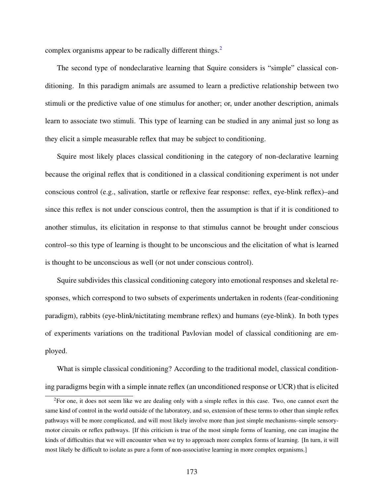complex organisms appear to be radically different things.<sup>[2](#page-185-0)</sup>

The second type of nondeclarative learning that Squire considers is "simple" classical conditioning. In this paradigm animals are assumed to learn a predictive relationship between two stimuli or the predictive value of one stimulus for another; or, under another description, animals learn to associate two stimuli. This type of learning can be studied in any animal just so long as they elicit a simple measurable reflex that may be subject to conditioning.

Squire most likely places classical conditioning in the category of non-declarative learning because the original reflex that is conditioned in a classical conditioning experiment is not under conscious control (e.g., salivation, startle or reflexive fear response: reflex, eye-blink reflex)–and since this reflex is not under conscious control, then the assumption is that if it is conditioned to another stimulus, its elicitation in response to that stimulus cannot be brought under conscious control–so this type of learning is thought to be unconscious and the elicitation of what is learned is thought to be unconscious as well (or not under conscious control).

Squire subdivides this classical conditioning category into emotional responses and skeletal responses, which correspond to two subsets of experiments undertaken in rodents (fear-conditioning paradigm), rabbits (eye-blink/nictitating membrane reflex) and humans (eye-blink). In both types of experiments variations on the traditional Pavlovian model of classical conditioning are employed.

What is simple classical conditioning? According to the traditional model, classical conditioning paradigms begin with a simple innate reflex (an unconditioned response or UCR) that is elicited

<span id="page-185-0"></span> ${}^{2}$ For one, it does not seem like we are dealing only with a simple reflex in this case. Two, one cannot exert the same kind of control in the world outside of the laboratory, and so, extension of these terms to other than simple reflex pathways will be more complicated, and will most likely involve more than just simple mechanisms–simple sensorymotor circuits or reflex pathways. [If this criticism is true of the most simple forms of learning, one can imagine the kinds of difficulties that we will encounter when we try to approach more complex forms of learning. [In turn, it will most likely be difficult to isolate as pure a form of non-associative learning in more complex organisms.]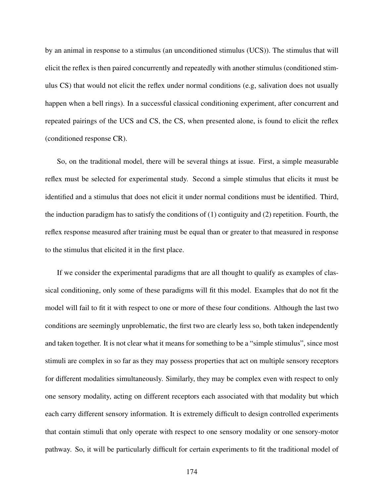by an animal in response to a stimulus (an unconditioned stimulus (UCS)). The stimulus that will elicit the reflex is then paired concurrently and repeatedly with another stimulus (conditioned stimulus CS) that would not elicit the reflex under normal conditions (e.g, salivation does not usually happen when a bell rings). In a successful classical conditioning experiment, after concurrent and repeated pairings of the UCS and CS, the CS, when presented alone, is found to elicit the reflex (conditioned response CR).

So, on the traditional model, there will be several things at issue. First, a simple measurable reflex must be selected for experimental study. Second a simple stimulus that elicits it must be identified and a stimulus that does not elicit it under normal conditions must be identified. Third, the induction paradigm has to satisfy the conditions of  $(1)$  contiguity and  $(2)$  repetition. Fourth, the reflex response measured after training must be equal than or greater to that measured in response to the stimulus that elicited it in the first place.

If we consider the experimental paradigms that are all thought to qualify as examples of classical conditioning, only some of these paradigms will fit this model. Examples that do not fit the model will fail to fit it with respect to one or more of these four conditions. Although the last two conditions are seemingly unproblematic, the first two are clearly less so, both taken independently and taken together. It is not clear what it means for something to be a "simple stimulus", since most stimuli are complex in so far as they may possess properties that act on multiple sensory receptors for different modalities simultaneously. Similarly, they may be complex even with respect to only one sensory modality, acting on different receptors each associated with that modality but which each carry different sensory information. It is extremely difficult to design controlled experiments that contain stimuli that only operate with respect to one sensory modality or one sensory-motor pathway. So, it will be particularly difficult for certain experiments to fit the traditional model of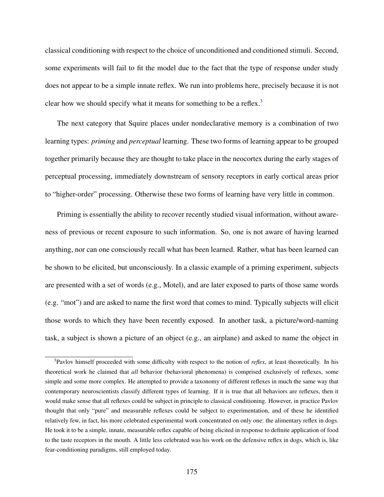classical conditioning with respect to the choice of unconditioned and conditioned stimuli. Second, some experiments will fail to fit the model due to the fact that the type of response under study does not appear to be a simple innate reflex. We run into problems here, precisely because it is not clear how we should specify what it means for something to be a reflex.<sup>[3](#page-187-0)</sup>

The next category that Squire places under nondeclarative memory is a combination of two learning types: *priming* and *perceptual* learning. These two forms of learning appear to be grouped together primarily because they are thought to take place in the neocortex during the early stages of perceptual processing, immediately downstream of sensory receptors in early cortical areas prior to "higher-order" processing. Otherwise these two forms of learning have very little in common.

Priming is essentially the ability to recover recently studied visual information, without awareness of previous or recent exposure to such information. So, one is not aware of having learned anything, nor can one consciously recall what has been learned. Rather, what has been learned can be shown to be elicited, but unconsciously. In a classic example of a priming experiment, subjects are presented with a set of words (e.g., Motel), and are later exposed to parts of those same words (e.g. "mot") and are asked to name the first word that comes to mind. Typically subjects will elicit those words to which they have been recently exposed. In another task, a picture/word-naming task, a subject is shown a picture of an object (e.g., an airplane) and asked to name the object in

<span id="page-187-0"></span><sup>3</sup>Pavlov himself proceeded with some difficulty with respect to the notion of *reflex*, at least theoretically. In his theoretical work he claimed that *all* behavior (behavioral phenomena) is comprised exclusively of reflexes, some simple and some more complex. He attempted to provide a taxonomy of different reflexes in much the same way that contemporary neuroscientists classify different types of learning. If it is true that all behaviors are reflexes, then it would make sense that all reflexes could be subject in principle to classical conditioning. However, in practice Pavlov thought that only "pure" and measurable reflexes could be subject to experimentation, and of these he identified relatively few, in fact, his more celebrated experimental work concentrated on only one: the alimentary reflex in dogs. He took it to be a simple, innate, measurable reflex capable of being elicited in response to definite application of food to the taste receptors in the mouth. A little less celebrated was his work on the defensive reflex in dogs, which is, like fear-conditioning paradigms, still employed today.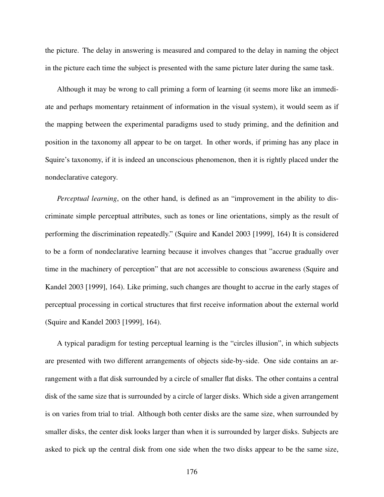the picture. The delay in answering is measured and compared to the delay in naming the object in the picture each time the subject is presented with the same picture later during the same task.

Although it may be wrong to call priming a form of learning (it seems more like an immediate and perhaps momentary retainment of information in the visual system), it would seem as if the mapping between the experimental paradigms used to study priming, and the definition and position in the taxonomy all appear to be on target. In other words, if priming has any place in Squire's taxonomy, if it is indeed an unconscious phenomenon, then it is rightly placed under the nondeclarative category.

*Perceptual learning*, on the other hand, is defined as an "improvement in the ability to discriminate simple perceptual attributes, such as tones or line orientations, simply as the result of performing the discrimination repeatedly." (Squire and Kandel 2003 [1999], 164) It is considered to be a form of nondeclarative learning because it involves changes that "accrue gradually over time in the machinery of perception" that are not accessible to conscious awareness (Squire and Kandel 2003 [1999], 164). Like priming, such changes are thought to accrue in the early stages of perceptual processing in cortical structures that first receive information about the external world (Squire and Kandel 2003 [1999], 164).

A typical paradigm for testing perceptual learning is the "circles illusion", in which subjects are presented with two different arrangements of objects side-by-side. One side contains an arrangement with a flat disk surrounded by a circle of smaller flat disks. The other contains a central disk of the same size that is surrounded by a circle of larger disks. Which side a given arrangement is on varies from trial to trial. Although both center disks are the same size, when surrounded by smaller disks, the center disk looks larger than when it is surrounded by larger disks. Subjects are asked to pick up the central disk from one side when the two disks appear to be the same size,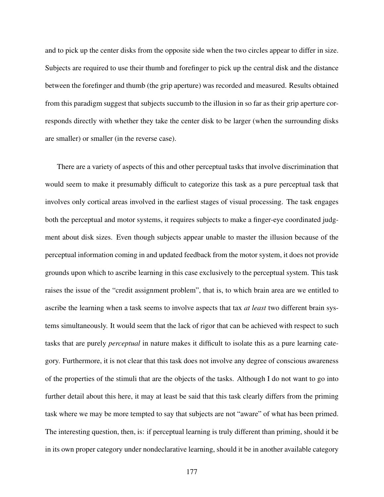and to pick up the center disks from the opposite side when the two circles appear to differ in size. Subjects are required to use their thumb and forefinger to pick up the central disk and the distance between the forefinger and thumb (the grip aperture) was recorded and measured. Results obtained from this paradigm suggest that subjects succumb to the illusion in so far as their grip aperture corresponds directly with whether they take the center disk to be larger (when the surrounding disks are smaller) or smaller (in the reverse case).

There are a variety of aspects of this and other perceptual tasks that involve discrimination that would seem to make it presumably difficult to categorize this task as a pure perceptual task that involves only cortical areas involved in the earliest stages of visual processing. The task engages both the perceptual and motor systems, it requires subjects to make a finger-eye coordinated judgment about disk sizes. Even though subjects appear unable to master the illusion because of the perceptual information coming in and updated feedback from the motor system, it does not provide grounds upon which to ascribe learning in this case exclusively to the perceptual system. This task raises the issue of the "credit assignment problem", that is, to which brain area are we entitled to ascribe the learning when a task seems to involve aspects that tax *at least* two different brain systems simultaneously. It would seem that the lack of rigor that can be achieved with respect to such tasks that are purely *perceptual* in nature makes it difficult to isolate this as a pure learning category. Furthermore, it is not clear that this task does not involve any degree of conscious awareness of the properties of the stimuli that are the objects of the tasks. Although I do not want to go into further detail about this here, it may at least be said that this task clearly differs from the priming task where we may be more tempted to say that subjects are not "aware" of what has been primed. The interesting question, then, is: if perceptual learning is truly different than priming, should it be in its own proper category under nondeclarative learning, should it be in another available category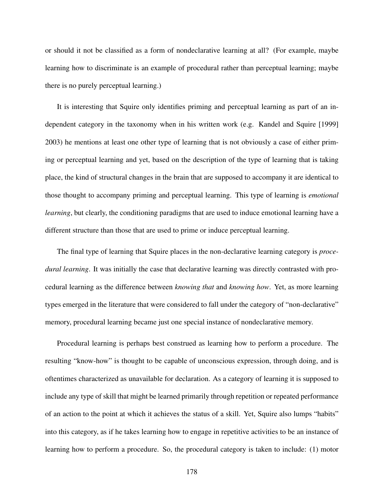or should it not be classified as a form of nondeclarative learning at all? (For example, maybe learning how to discriminate is an example of procedural rather than perceptual learning; maybe there is no purely perceptual learning.)

It is interesting that Squire only identifies priming and perceptual learning as part of an independent category in the taxonomy when in his written work (e.g. Kandel and Squire [1999] 2003) he mentions at least one other type of learning that is not obviously a case of either priming or perceptual learning and yet, based on the description of the type of learning that is taking place, the kind of structural changes in the brain that are supposed to accompany it are identical to those thought to accompany priming and perceptual learning. This type of learning is *emotional learning*, but clearly, the conditioning paradigms that are used to induce emotional learning have a different structure than those that are used to prime or induce perceptual learning.

The final type of learning that Squire places in the non-declarative learning category is *procedural learning*. It was initially the case that declarative learning was directly contrasted with procedural learning as the difference between *knowing that* and *knowing how*. Yet, as more learning types emerged in the literature that were considered to fall under the category of "non-declarative" memory, procedural learning became just one special instance of nondeclarative memory.

Procedural learning is perhaps best construed as learning how to perform a procedure. The resulting "know-how" is thought to be capable of unconscious expression, through doing, and is oftentimes characterized as unavailable for declaration. As a category of learning it is supposed to include any type of skill that might be learned primarily through repetition or repeated performance of an action to the point at which it achieves the status of a skill. Yet, Squire also lumps "habits" into this category, as if he takes learning how to engage in repetitive activities to be an instance of learning how to perform a procedure. So, the procedural category is taken to include: (1) motor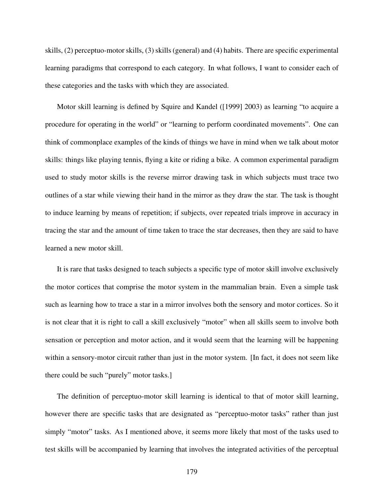skills, (2) perceptuo-motor skills, (3) skills (general) and (4) habits. There are specific experimental learning paradigms that correspond to each category. In what follows, I want to consider each of these categories and the tasks with which they are associated.

Motor skill learning is defined by Squire and Kandel ([1999] 2003) as learning "to acquire a procedure for operating in the world" or "learning to perform coordinated movements". One can think of commonplace examples of the kinds of things we have in mind when we talk about motor skills: things like playing tennis, flying a kite or riding a bike. A common experimental paradigm used to study motor skills is the reverse mirror drawing task in which subjects must trace two outlines of a star while viewing their hand in the mirror as they draw the star. The task is thought to induce learning by means of repetition; if subjects, over repeated trials improve in accuracy in tracing the star and the amount of time taken to trace the star decreases, then they are said to have learned a new motor skill.

It is rare that tasks designed to teach subjects a specific type of motor skill involve exclusively the motor cortices that comprise the motor system in the mammalian brain. Even a simple task such as learning how to trace a star in a mirror involves both the sensory and motor cortices. So it is not clear that it is right to call a skill exclusively "motor" when all skills seem to involve both sensation or perception and motor action, and it would seem that the learning will be happening within a sensory-motor circuit rather than just in the motor system. [In fact, it does not seem like there could be such "purely" motor tasks.]

The definition of perceptuo-motor skill learning is identical to that of motor skill learning, however there are specific tasks that are designated as "perceptuo-motor tasks" rather than just simply "motor" tasks. As I mentioned above, it seems more likely that most of the tasks used to test skills will be accompanied by learning that involves the integrated activities of the perceptual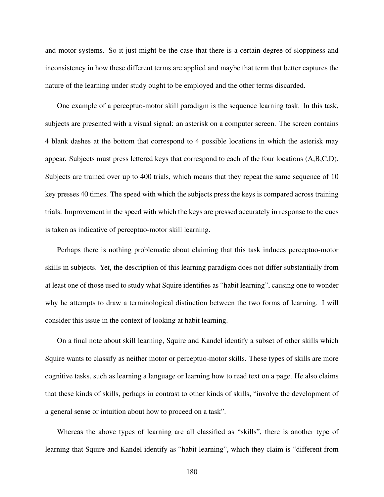and motor systems. So it just might be the case that there is a certain degree of sloppiness and inconsistency in how these different terms are applied and maybe that term that better captures the nature of the learning under study ought to be employed and the other terms discarded.

One example of a perceptuo-motor skill paradigm is the sequence learning task. In this task, subjects are presented with a visual signal: an asterisk on a computer screen. The screen contains 4 blank dashes at the bottom that correspond to 4 possible locations in which the asterisk may appear. Subjects must press lettered keys that correspond to each of the four locations (A,B,C,D). Subjects are trained over up to 400 trials, which means that they repeat the same sequence of 10 key presses 40 times. The speed with which the subjects press the keys is compared across training trials. Improvement in the speed with which the keys are pressed accurately in response to the cues is taken as indicative of perceptuo-motor skill learning.

Perhaps there is nothing problematic about claiming that this task induces perceptuo-motor skills in subjects. Yet, the description of this learning paradigm does not differ substantially from at least one of those used to study what Squire identifies as "habit learning", causing one to wonder why he attempts to draw a terminological distinction between the two forms of learning. I will consider this issue in the context of looking at habit learning.

On a final note about skill learning, Squire and Kandel identify a subset of other skills which Squire wants to classify as neither motor or perceptuo-motor skills. These types of skills are more cognitive tasks, such as learning a language or learning how to read text on a page. He also claims that these kinds of skills, perhaps in contrast to other kinds of skills, "involve the development of a general sense or intuition about how to proceed on a task".

Whereas the above types of learning are all classified as "skills", there is another type of learning that Squire and Kandel identify as "habit learning", which they claim is "different from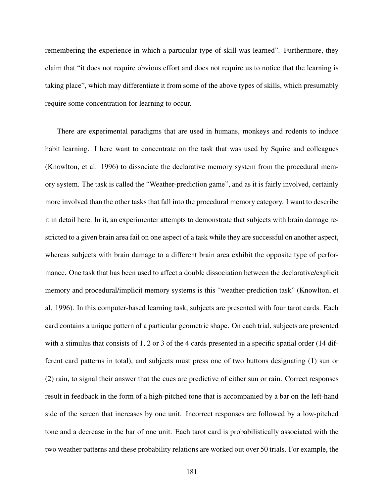remembering the experience in which a particular type of skill was learned". Furthermore, they claim that "it does not require obvious effort and does not require us to notice that the learning is taking place", which may differentiate it from some of the above types of skills, which presumably require some concentration for learning to occur.

There are experimental paradigms that are used in humans, monkeys and rodents to induce habit learning. I here want to concentrate on the task that was used by Squire and colleagues (Knowlton, et al. 1996) to dissociate the declarative memory system from the procedural memory system. The task is called the "Weather-prediction game", and as it is fairly involved, certainly more involved than the other tasks that fall into the procedural memory category. I want to describe it in detail here. In it, an experimenter attempts to demonstrate that subjects with brain damage restricted to a given brain area fail on one aspect of a task while they are successful on another aspect, whereas subjects with brain damage to a different brain area exhibit the opposite type of performance. One task that has been used to affect a double dissociation between the declarative/explicit memory and procedural/implicit memory systems is this "weather-prediction task" (Knowlton, et al. 1996). In this computer-based learning task, subjects are presented with four tarot cards. Each card contains a unique pattern of a particular geometric shape. On each trial, subjects are presented with a stimulus that consists of 1, 2 or 3 of the 4 cards presented in a specific spatial order (14 different card patterns in total), and subjects must press one of two buttons designating (1) sun or (2) rain, to signal their answer that the cues are predictive of either sun or rain. Correct responses result in feedback in the form of a high-pitched tone that is accompanied by a bar on the left-hand side of the screen that increases by one unit. Incorrect responses are followed by a low-pitched tone and a decrease in the bar of one unit. Each tarot card is probabilistically associated with the two weather patterns and these probability relations are worked out over 50 trials. For example, the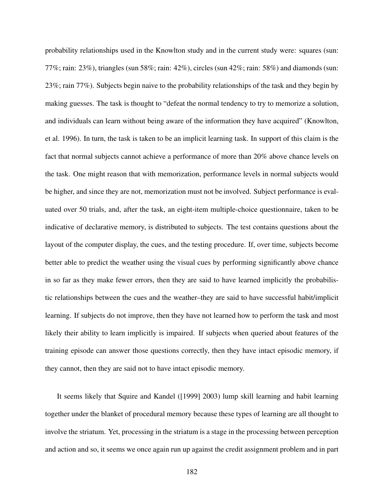probability relationships used in the Knowlton study and in the current study were: squares (sun: 77%; rain: 23%), triangles (sun 58%; rain: 42%), circles (sun 42%; rain: 58%) and diamonds (sun: 23%; rain 77%). Subjects begin naive to the probability relationships of the task and they begin by making guesses. The task is thought to "defeat the normal tendency to try to memorize a solution, and individuals can learn without being aware of the information they have acquired" (Knowlton, et al. 1996). In turn, the task is taken to be an implicit learning task. In support of this claim is the fact that normal subjects cannot achieve a performance of more than 20% above chance levels on the task. One might reason that with memorization, performance levels in normal subjects would be higher, and since they are not, memorization must not be involved. Subject performance is evaluated over 50 trials, and, after the task, an eight-item multiple-choice questionnaire, taken to be indicative of declarative memory, is distributed to subjects. The test contains questions about the layout of the computer display, the cues, and the testing procedure. If, over time, subjects become better able to predict the weather using the visual cues by performing significantly above chance in so far as they make fewer errors, then they are said to have learned implicitly the probabilistic relationships between the cues and the weather–they are said to have successful habit/implicit learning. If subjects do not improve, then they have not learned how to perform the task and most likely their ability to learn implicitly is impaired. If subjects when queried about features of the training episode can answer those questions correctly, then they have intact episodic memory, if they cannot, then they are said not to have intact episodic memory.

It seems likely that Squire and Kandel ([1999] 2003) lump skill learning and habit learning together under the blanket of procedural memory because these types of learning are all thought to involve the striatum. Yet, processing in the striatum is a stage in the processing between perception and action and so, it seems we once again run up against the credit assignment problem and in part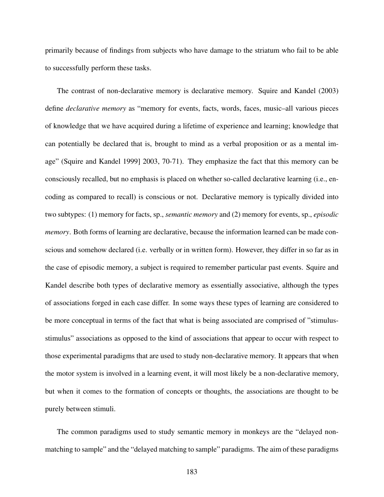primarily because of findings from subjects who have damage to the striatum who fail to be able to successfully perform these tasks.

The contrast of non-declarative memory is declarative memory. Squire and Kandel (2003) define *declarative memory* as "memory for events, facts, words, faces, music–all various pieces of knowledge that we have acquired during a lifetime of experience and learning; knowledge that can potentially be declared that is, brought to mind as a verbal proposition or as a mental image" (Squire and Kandel 1999] 2003, 70-71). They emphasize the fact that this memory can be consciously recalled, but no emphasis is placed on whether so-called declarative learning (i.e., encoding as compared to recall) is conscious or not. Declarative memory is typically divided into two subtypes: (1) memory for facts, sp., *semantic memory* and (2) memory for events, sp., *episodic memory*. Both forms of learning are declarative, because the information learned can be made conscious and somehow declared (i.e. verbally or in written form). However, they differ in so far as in the case of episodic memory, a subject is required to remember particular past events. Squire and Kandel describe both types of declarative memory as essentially associative, although the types of associations forged in each case differ. In some ways these types of learning are considered to be more conceptual in terms of the fact that what is being associated are comprised of "stimulusstimulus" associations as opposed to the kind of associations that appear to occur with respect to those experimental paradigms that are used to study non-declarative memory. It appears that when the motor system is involved in a learning event, it will most likely be a non-declarative memory, but when it comes to the formation of concepts or thoughts, the associations are thought to be purely between stimuli.

The common paradigms used to study semantic memory in monkeys are the "delayed nonmatching to sample" and the "delayed matching to sample" paradigms. The aim of these paradigms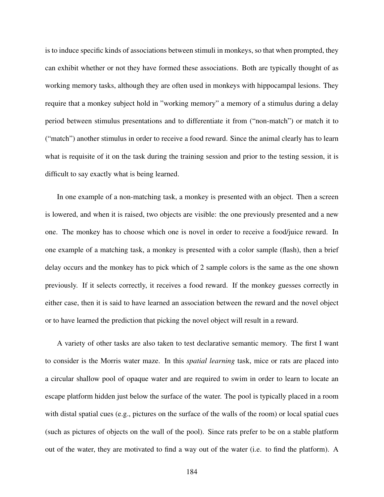is to induce specific kinds of associations between stimuli in monkeys, so that when prompted, they can exhibit whether or not they have formed these associations. Both are typically thought of as working memory tasks, although they are often used in monkeys with hippocampal lesions. They require that a monkey subject hold in "working memory" a memory of a stimulus during a delay period between stimulus presentations and to differentiate it from ("non-match") or match it to ("match") another stimulus in order to receive a food reward. Since the animal clearly has to learn what is requisite of it on the task during the training session and prior to the testing session, it is difficult to say exactly what is being learned.

In one example of a non-matching task, a monkey is presented with an object. Then a screen is lowered, and when it is raised, two objects are visible: the one previously presented and a new one. The monkey has to choose which one is novel in order to receive a food/juice reward. In one example of a matching task, a monkey is presented with a color sample (flash), then a brief delay occurs and the monkey has to pick which of 2 sample colors is the same as the one shown previously. If it selects correctly, it receives a food reward. If the monkey guesses correctly in either case, then it is said to have learned an association between the reward and the novel object or to have learned the prediction that picking the novel object will result in a reward.

A variety of other tasks are also taken to test declarative semantic memory. The first I want to consider is the Morris water maze. In this *spatial learning* task, mice or rats are placed into a circular shallow pool of opaque water and are required to swim in order to learn to locate an escape platform hidden just below the surface of the water. The pool is typically placed in a room with distal spatial cues (e.g., pictures on the surface of the walls of the room) or local spatial cues (such as pictures of objects on the wall of the pool). Since rats prefer to be on a stable platform out of the water, they are motivated to find a way out of the water (i.e. to find the platform). A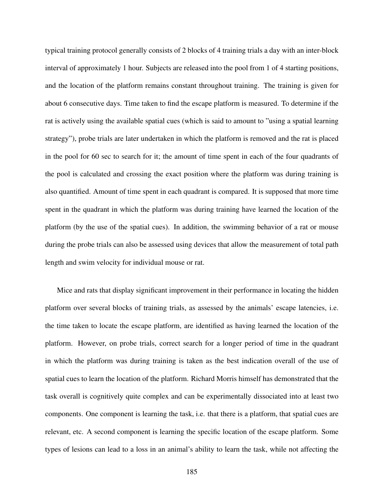typical training protocol generally consists of 2 blocks of 4 training trials a day with an inter-block interval of approximately 1 hour. Subjects are released into the pool from 1 of 4 starting positions, and the location of the platform remains constant throughout training. The training is given for about 6 consecutive days. Time taken to find the escape platform is measured. To determine if the rat is actively using the available spatial cues (which is said to amount to "using a spatial learning strategy"), probe trials are later undertaken in which the platform is removed and the rat is placed in the pool for 60 sec to search for it; the amount of time spent in each of the four quadrants of the pool is calculated and crossing the exact position where the platform was during training is also quantified. Amount of time spent in each quadrant is compared. It is supposed that more time spent in the quadrant in which the platform was during training have learned the location of the platform (by the use of the spatial cues). In addition, the swimming behavior of a rat or mouse during the probe trials can also be assessed using devices that allow the measurement of total path length and swim velocity for individual mouse or rat.

Mice and rats that display significant improvement in their performance in locating the hidden platform over several blocks of training trials, as assessed by the animals' escape latencies, i.e. the time taken to locate the escape platform, are identified as having learned the location of the platform. However, on probe trials, correct search for a longer period of time in the quadrant in which the platform was during training is taken as the best indication overall of the use of spatial cues to learn the location of the platform. Richard Morris himself has demonstrated that the task overall is cognitively quite complex and can be experimentally dissociated into at least two components. One component is learning the task, i.e. that there is a platform, that spatial cues are relevant, etc. A second component is learning the specific location of the escape platform. Some types of lesions can lead to a loss in an animal's ability to learn the task, while not affecting the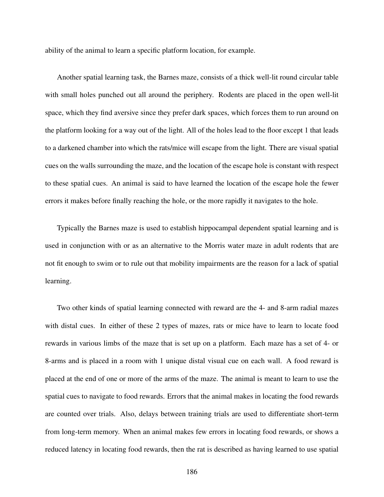ability of the animal to learn a specific platform location, for example.

Another spatial learning task, the Barnes maze, consists of a thick well-lit round circular table with small holes punched out all around the periphery. Rodents are placed in the open well-lit space, which they find aversive since they prefer dark spaces, which forces them to run around on the platform looking for a way out of the light. All of the holes lead to the floor except 1 that leads to a darkened chamber into which the rats/mice will escape from the light. There are visual spatial cues on the walls surrounding the maze, and the location of the escape hole is constant with respect to these spatial cues. An animal is said to have learned the location of the escape hole the fewer errors it makes before finally reaching the hole, or the more rapidly it navigates to the hole.

Typically the Barnes maze is used to establish hippocampal dependent spatial learning and is used in conjunction with or as an alternative to the Morris water maze in adult rodents that are not fit enough to swim or to rule out that mobility impairments are the reason for a lack of spatial learning.

Two other kinds of spatial learning connected with reward are the 4- and 8-arm radial mazes with distal cues. In either of these 2 types of mazes, rats or mice have to learn to locate food rewards in various limbs of the maze that is set up on a platform. Each maze has a set of 4- or 8-arms and is placed in a room with 1 unique distal visual cue on each wall. A food reward is placed at the end of one or more of the arms of the maze. The animal is meant to learn to use the spatial cues to navigate to food rewards. Errors that the animal makes in locating the food rewards are counted over trials. Also, delays between training trials are used to differentiate short-term from long-term memory. When an animal makes few errors in locating food rewards, or shows a reduced latency in locating food rewards, then the rat is described as having learned to use spatial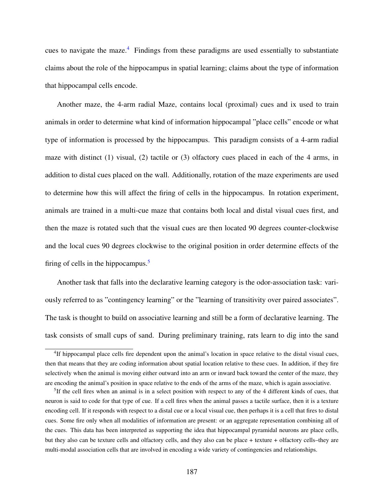cues to navigate the maze.<sup>[4](#page-199-0)</sup> Findings from these paradigms are used essentially to substantiate claims about the role of the hippocampus in spatial learning; claims about the type of information that hippocampal cells encode.

Another maze, the 4-arm radial Maze, contains local (proximal) cues and ix used to train animals in order to determine what kind of information hippocampal "place cells" encode or what type of information is processed by the hippocampus. This paradigm consists of a 4-arm radial maze with distinct (1) visual, (2) tactile or (3) olfactory cues placed in each of the 4 arms, in addition to distal cues placed on the wall. Additionally, rotation of the maze experiments are used to determine how this will affect the firing of cells in the hippocampus. In rotation experiment, animals are trained in a multi-cue maze that contains both local and distal visual cues first, and then the maze is rotated such that the visual cues are then located 90 degrees counter-clockwise and the local cues 90 degrees clockwise to the original position in order determine effects of the firing of cells in the hippocampus. $\frac{5}{5}$  $\frac{5}{5}$  $\frac{5}{5}$ 

Another task that falls into the declarative learning category is the odor-association task: variously referred to as "contingency learning" or the "learning of transitivity over paired associates". The task is thought to build on associative learning and still be a form of declarative learning. The task consists of small cups of sand. During preliminary training, rats learn to dig into the sand

<span id="page-199-0"></span><sup>&</sup>lt;sup>4</sup>If hippocampal place cells fire dependent upon the animal's location in space relative to the distal visual cues, then that means that they are coding information about spatial location relative to these cues. In addition, if they fire selectively when the animal is moving either outward into an arm or inward back toward the center of the maze, they are encoding the animal's position in space relative to the ends of the arms of the maze, which is again associative.

<span id="page-199-1"></span><sup>&</sup>lt;sup>5</sup>If the cell fires when an animal is in a select position with respect to any of the 4 different kinds of cues, that neuron is said to code for that type of cue. If a cell fires when the animal passes a tactile surface, then it is a texture encoding cell. If it responds with respect to a distal cue or a local visual cue, then perhaps it is a cell that fires to distal cues. Some fire only when all modalities of information are present: or an aggregate representation combining all of the cues. This data has been interpreted as supporting the idea that hippocampal pyramidal neurons are place cells, but they also can be texture cells and olfactory cells, and they also can be place + texture + olfactory cells–they are multi-modal association cells that are involved in encoding a wide variety of contingencies and relationships.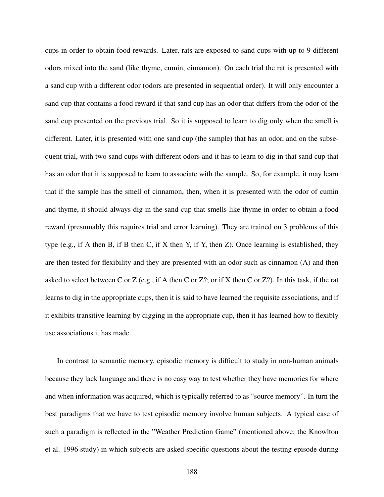cups in order to obtain food rewards. Later, rats are exposed to sand cups with up to 9 different odors mixed into the sand (like thyme, cumin, cinnamon). On each trial the rat is presented with a sand cup with a different odor (odors are presented in sequential order). It will only encounter a sand cup that contains a food reward if that sand cup has an odor that differs from the odor of the sand cup presented on the previous trial. So it is supposed to learn to dig only when the smell is different. Later, it is presented with one sand cup (the sample) that has an odor, and on the subsequent trial, with two sand cups with different odors and it has to learn to dig in that sand cup that has an odor that it is supposed to learn to associate with the sample. So, for example, it may learn that if the sample has the smell of cinnamon, then, when it is presented with the odor of cumin and thyme, it should always dig in the sand cup that smells like thyme in order to obtain a food reward (presumably this requires trial and error learning). They are trained on 3 problems of this type (e.g., if A then B, if B then C, if X then Y, if Y, then Z). Once learning is established, they are then tested for flexibility and they are presented with an odor such as cinnamon (A) and then asked to select between C or Z (e.g., if A then C or Z?; or if X then C or Z?). In this task, if the rat learns to dig in the appropriate cups, then it is said to have learned the requisite associations, and if it exhibits transitive learning by digging in the appropriate cup, then it has learned how to flexibly use associations it has made.

In contrast to semantic memory, episodic memory is difficult to study in non-human animals because they lack language and there is no easy way to test whether they have memories for where and when information was acquired, which is typically referred to as "source memory". In turn the best paradigms that we have to test episodic memory involve human subjects. A typical case of such a paradigm is reflected in the "Weather Prediction Game" (mentioned above; the Knowlton et al. 1996 study) in which subjects are asked specific questions about the testing episode during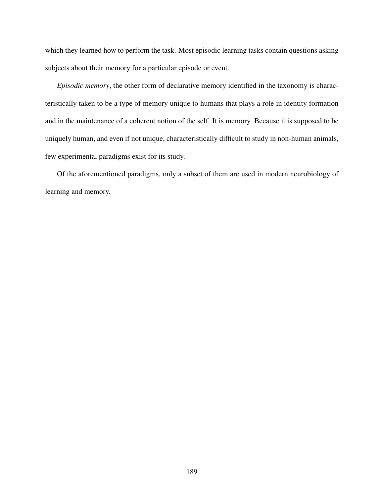which they learned how to perform the task. Most episodic learning tasks contain questions asking subjects about their memory for a particular episode or event.

*Episodic memory*, the other form of declarative memory identified in the taxonomy is characteristically taken to be a type of memory unique to humans that plays a role in identity formation and in the maintenance of a coherent notion of the self. It is memory. Because it is supposed to be uniquely human, and even if not unique, characteristically difficult to study in non-human animals, few experimental paradigms exist for its study.

Of the aforementioned paradigms, only a subset of them are used in modern neurobiology of learning and memory.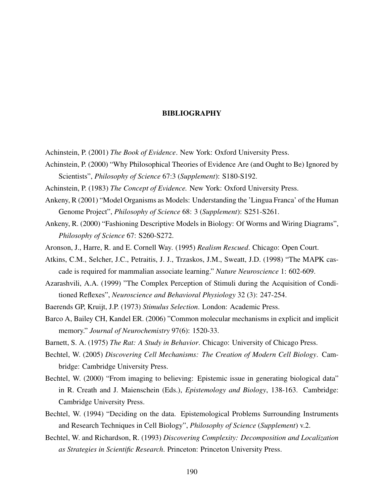## BIBLIOGRAPHY

- Achinstein, P. (2001) *The Book of Evidence*. New York: Oxford University Press.
- Achinstein, P. (2000) "Why Philosophical Theories of Evidence Are (and Ought to Be) Ignored by Scientists", *Philosophy of Science* 67:3 (*Supplement*): S180-S192.
- Achinstein, P. (1983) *The Concept of Evidence.* New York: Oxford University Press.
- Ankeny, R (2001) "Model Organisms as Models: Understanding the 'Lingua Franca' of the Human Genome Project", *Philosophy of Science* 68: 3 (*Supplement*): S251-S261.
- Ankeny, R. (2000) "Fashioning Descriptive Models in Biology: Of Worms and Wiring Diagrams", *Philosophy of Science* 67: S260-S272.
- Aronson, J., Harre, R. and E. Cornell Way. (1995) *Realism Rescued*. Chicago: Open Court.
- Atkins, C.M., Selcher, J.C., Petraitis, J. J., Trzaskos, J.M., Sweatt, J.D. (1998) "The MAPK cascade is required for mammalian associate learning." *Nature Neuroscience* 1: 602-609.
- Azarashvili, A.A. (1999) "The Complex Perception of Stimuli during the Acquisition of Conditioned Reflexes", *Neuroscience and Behavioral Physiology* 32 (3): 247-254.
- Baerends GP, Kruijt, J.P. (1973) *Stimulus Selection*. London: Academic Press.
- Barco A, Bailey CH, Kandel ER. (2006) "Common molecular mechanisms in explicit and implicit memory." *Journal of Neurochemistry* 97(6): 1520-33.
- Barnett, S. A. (1975) *The Rat: A Study in Behavior*. Chicago: University of Chicago Press.
- Bechtel, W. (2005) *Discovering Cell Mechanisms: The Creation of Modern Cell Biology*. Cambridge: Cambridge University Press.
- Bechtel, W. (2000) "From imaging to believing: Epistemic issue in generating biological data" in R. Creath and J. Maienschein (Eds.), *Epistemology and Biology*, 138-163. Cambridge: Cambridge University Press.
- Bechtel, W. (1994) "Deciding on the data. Epistemological Problems Surrounding Instruments and Research Techniques in Cell Biology", *Philosophy of Science* (*Supplement*) v.2.
- Bechtel, W. and Richardson, R. (1993) *Discovering Complexity: Decomposition and Localization as Strategies in Scientific Research*. Princeton: Princeton University Press.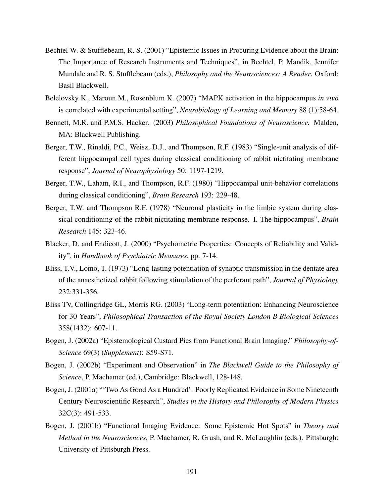- Bechtel W. & Stufflebeam, R. S. (2001) "Epistemic Issues in Procuring Evidence about the Brain: The Importance of Research Instruments and Techniques", in Bechtel, P. Mandik, Jennifer Mundale and R. S. Stufflebeam (eds.), *Philosophy and the Neurosciences: A Reader*. Oxford: Basil Blackwell.
- Belelovsky K., Maroun M., Rosenblum K. (2007) "MAPK activation in the hippocampus *in vivo* is correlated with experimental setting", *Neurobiology of Learning and Memory* 88 (1):58-64.
- Bennett, M.R. and P.M.S. Hacker. (2003) *Philosophical Foundations of Neuroscience.* Malden, MA: Blackwell Publishing.
- Berger, T.W., Rinaldi, P.C., Weisz, D.J., and Thompson, R.F. (1983) "Single-unit analysis of different hippocampal cell types during classical conditioning of rabbit nictitating membrane response", *Journal of Neurophysiology* 50: 1197-1219.
- Berger, T.W., Laham, R.I., and Thompson, R.F. (1980) "Hippocampal unit-behavior correlations during classical conditioning", *Brain Research* 193: 229-48.
- Berger, T.W. and Thompson R.F. (1978) "Neuronal plasticity in the limbic system during classical conditioning of the rabbit nictitating membrane response. I. The hippocampus", *Brain Research* 145: 323-46.
- Blacker, D. and Endicott, J. (2000) "Psychometric Properties: Concepts of Reliability and Validity", in *Handbook of Psychiatric Measures*, pp. 7-14.
- Bliss, T.V., Lomo, T. (1973) "Long-lasting potentiation of synaptic transmission in the dentate area of the anaesthetized rabbit following stimulation of the perforant path", *Journal of Physiology* 232:331-356.
- Bliss TV, Collingridge GL, Morris RG. (2003) "Long-term potentiation: Enhancing Neuroscience for 30 Years", *Philosophical Transaction of the Royal Society London B Biological Sciences* 358(1432): 607-11.
- Bogen, J. (2002a) "Epistemological Custard Pies from Functional Brain Imaging." *Philosophy-of-Science* 69(3) (*Supplement*): S59-S71.
- Bogen, J. (2002b) "Experiment and Observation" in *The Blackwell Guide to the Philosophy of Science*, P. Machamer (ed.), Cambridge: Blackwell, 128-148.
- Bogen, J. (2001a) "'Two As Good As a Hundred': Poorly Replicated Evidence in Some Nineteenth Century Neuroscientific Research", *Studies in the History and Philosophy of Modern Physics* 32C(3): 491-533.
- Bogen, J. (2001b) "Functional Imaging Evidence: Some Epistemic Hot Spots" in *Theory and Method in the Neurosciences*, P. Machamer, R. Grush, and R. McLaughlin (eds.). Pittsburgh: University of Pittsburgh Press.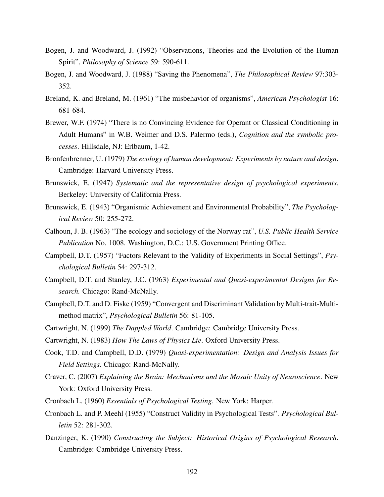- Bogen, J. and Woodward, J. (1992) "Observations, Theories and the Evolution of the Human Spirit", *Philosophy of Science* 59: 590-611.
- Bogen, J. and Woodward, J. (1988) "Saving the Phenomena", *The Philosophical Review* 97:303- 352.
- Breland, K. and Breland, M. (1961) "The misbehavior of organisms", *American Psychologist* 16: 681-684.
- Brewer, W.F. (1974) "There is no Convincing Evidence for Operant or Classical Conditioning in Adult Humans" in W.B. Weimer and D.S. Palermo (eds.), *Cognition and the symbolic processes*. Hillsdale, NJ: Erlbaum, 1-42.
- Bronfenbrenner, U. (1979) *The ecology of human development: Experiments by nature and design*. Cambridge: Harvard University Press.
- Brunswick, E. (1947) *Systematic and the representative design of psychological experiments*. Berkeley: University of California Press.
- Brunswick, E. (1943) "Organismic Achievement and Environmental Probability", *The Psychological Review* 50: 255-272.
- Calhoun, J. B. (1963) "The ecology and sociology of the Norway rat", *U.S. Public Health Service Publication* No. 1008. Washington, D.C.: U.S. Government Printing Office.
- Campbell, D.T. (1957) "Factors Relevant to the Validity of Experiments in Social Settings", *Psychological Bulletin* 54: 297-312.
- Campbell, D.T. and Stanley, J.C. (1963) *Experimental and Quasi-experimental Designs for Research.* Chicago: Rand-McNally.
- Campbell, D.T. and D. Fiske (1959) "Convergent and Discriminant Validation by Multi-trait-Multimethod matrix", *Psychological Bulletin* 56: 81-105.
- Cartwright, N. (1999) *The Dappled World*. Cambridge: Cambridge University Press.
- Cartwright, N. (1983) *How The Laws of Physics Lie*. Oxford University Press.
- Cook, T.D. and Campbell, D.D. (1979) *Quasi-experimentation: Design and Analysis Issues for Field Settings*. Chicago: Rand-McNally.
- Craver, C. (2007) *Explaining the Brain: Mechanisms and the Mosaic Unity of Neuroscience*. New York: Oxford University Press.
- Cronbach L. (1960) *Essentials of Psychological Testing*. New York: Harper.
- Cronbach L. and P. Meehl (1955) "Construct Validity in Psychological Tests". *Psychological Bulletin* 52: 281-302.
- Danzinger, K. (1990) *Constructing the Subject: Historical Origins of Psychological Research*. Cambridge: Cambridge University Press.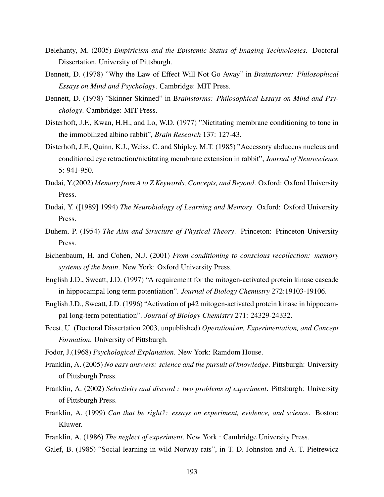- Delehanty, M. (2005) *Empiricism and the Epistemic Status of Imaging Technologies*. Doctoral Dissertation, University of Pittsburgh.
- Dennett, D. (1978) "Why the Law of Effect Will Not Go Away" in *Brainstorms: Philosophical Essays on Mind and Psychology*. Cambridge: MIT Press.
- Dennett, D. (1978) "Skinner Skinned" in B*rainstorms: Philosophical Essays on Mind and Psychology*. Cambridge: MIT Press.
- Disterhoft, J.F., Kwan, H.H., and Lo, W.D. (1977) "Nictitating membrane conditioning to tone in the immobilized albino rabbit", *Brain Research* 137: 127-43.
- Disterhoft, J.F., Quinn, K.J., Weiss, C. and Shipley, M.T. (1985) "Accessory abducens nucleus and conditioned eye retraction/nictitating membrane extension in rabbit", *Journal of Neuroscience* 5: 941-950.
- Dudai, Y.(2002) *Memory from A to Z Keywords, Concepts, and Beyond*. Oxford: Oxford University Press.
- Dudai, Y. ([1989] 1994) *The Neurobiology of Learning and Memory*. Oxford: Oxford University Press.
- Duhem, P. (1954) *The Aim and Structure of Physical Theory*. Princeton: Princeton University Press.
- Eichenbaum, H. and Cohen, N.J. (2001) *From conditioning to conscious recollection: memory systems of the brain*. New York: Oxford University Press.
- English J.D., Sweatt, J.D. (1997) "A requirement for the mitogen-activated protein kinase cascade in hippocampal long term potentiation". *Journal of Biology Chemistry* 272:19103-19106.
- English J.D., Sweatt, J.D. (1996) "Activation of p42 mitogen-activated protein kinase in hippocampal long-term potentiation". *Journal of Biology Chemistry* 271: 24329-24332.
- Feest, U. (Doctoral Dissertation 2003, unpublished) *Operationism, Experimentation, and Concept Formation*. University of Pittsburgh.
- Fodor, J.(1968) *Psychological Explanation*. New York: Ramdom House.
- Franklin, A. (2005) *No easy answers: science and the pursuit of knowledge*. Pittsburgh: University of Pittsburgh Press.
- Franklin, A. (2002) *Selectivity and discord : two problems of experiment*. Pittsburgh: University of Pittsburgh Press.
- Franklin, A. (1999) *Can that be right?: essays on experiment, evidence, and science*. Boston: Kluwer.
- Franklin, A. (1986) *The neglect of experiment*. New York : Cambridge University Press.
- Galef, B. (1985) "Social learning in wild Norway rats", in T. D. Johnston and A. T. Pietrewicz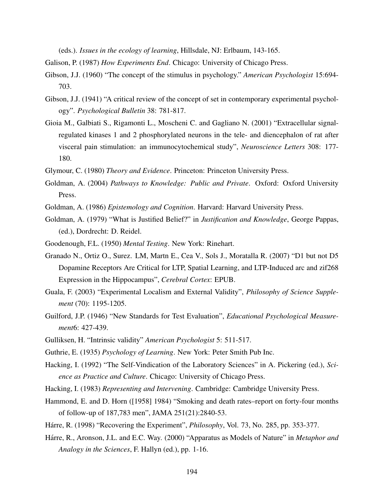(eds.). *Issues in the ecology of learning*, Hillsdale, NJ: Erlbaum, 143-165.

- Galison, P. (1987) *How Experiments End*. Chicago: University of Chicago Press.
- Gibson, J.J. (1960) "The concept of the stimulus in psychology." *American Psychologist* 15:694- 703.
- Gibson, J.J. (1941) "A critical review of the concept of set in contemporary experimental psychology". *Psychological Bulletin* 38: 781-817.
- Gioia M., Galbiati S., Rigamonti L., Moscheni C. and Gagliano N. (2001) "Extracellular signalregulated kinases 1 and 2 phosphorylated neurons in the tele- and diencephalon of rat after visceral pain stimulation: an immunocytochemical study", *Neuroscience Letters* 308: 177- 180.
- Glymour, C. (1980) *Theory and Evidence*. Princeton: Princeton University Press.
- Goldman, A. (2004) *Pathways to Knowledge: Public and Private*. Oxford: Oxford University Press.
- Goldman, A. (1986) *Epistemology and Cognition*. Harvard: Harvard University Press.
- Goldman, A. (1979) "What is Justified Belief?" in *Justification and Knowledge*, George Pappas, (ed.), Dordrecht: D. Reidel.
- Goodenough, F.L. (1950) *Mental Testing*. New York: Rinehart.
- Granado N., Ortiz O., Surez. LM, Martn E., Cea V., Sols J., Moratalla R. (2007) "D1 but not D5 Dopamine Receptors Are Critical for LTP, Spatial Learning, and LTP-Induced arc and zif268 Expression in the Hippocampus", *Cerebral Cortex*: EPUB.
- Guala, F. (2003) "Experimental Localism and External Validity", *Philosophy of Science Supplement* (70): 1195-1205.
- Guilford, J.P. (1946) "New Standards for Test Evaluation", *Educational Psychological Measurement*6: 427-439.
- Gulliksen, H. "Intrinsic validity" *American Psychologist* 5: 511-517.
- Guthrie, E. (1935) *Psychology of Learning*. New York: Peter Smith Pub Inc.
- Hacking, I. (1992) "The Self-Vindication of the Laboratory Sciences" in A. Pickering (ed.), *Science as Practice and Culture*. Chicago: University of Chicago Press.
- Hacking, I. (1983) *Representing and Intervening*. Cambridge: Cambridge University Press.
- Hammond, E. and D. Horn ([1958] 1984) "Smoking and death rates–report on forty-four months of follow-up of 187,783 men", JAMA 251(21):2840-53.
- Hárre, R. (1998) "Recovering the Experiment", *Philosophy*, Vol. 73, No. 285, pp. 353-377.
- Hárre, R., Aronson, J.L. and E.C. Way. (2000) "Apparatus as Models of Nature" in *Metaphor and Analogy in the Sciences*, F. Hallyn (ed.), pp. 1-16.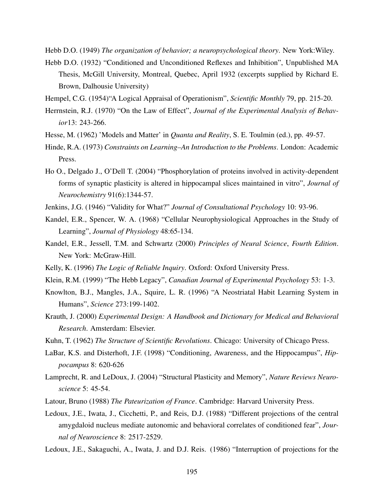Hebb D.O. (1949) *The organization of behavior; a neuropsychological theory*. New York:Wiley.

- Hebb D.O. (1932) "Conditioned and Unconditioned Reflexes and Inhibition", Unpublished MA Thesis, McGill University, Montreal, Quebec, April 1932 (excerpts supplied by Richard E. Brown, Dalhousie University)
- Hempel, C.G. (1954)"A Logical Appraisal of Operationism", *Scientific Monthly* 79, pp. 215-20.
- Herrnstein, R.J. (1970) "On the Law of Effect", *Journal of the Experimental Analysis of Behavior*13: 243-266.
- Hesse, M. (1962) 'Models and Matter' in *Quanta and Reality*, S. E. Toulmin (ed.), pp. 49-57.
- Hinde, R.A. (1973) *Constraints on Learning–An Introduction to the Problems*. London: Academic Press.
- Ho O., Delgado J., O'Dell T. (2004) "Phosphorylation of proteins involved in activity-dependent forms of synaptic plasticity is altered in hippocampal slices maintained in vitro", *Journal of Neurochemistry* 91(6):1344-57.
- Jenkins, J.G. (1946) "Validity for What?" *Journal of Consultational Psychology* 10: 93-96.
- Kandel, E.R., Spencer, W. A. (1968) "Cellular Neurophysiological Approaches in the Study of Learning", *Journal of Physiology* 48:65-134.
- Kandel, E.R., Jessell, T.M. and Schwartz (2000) *Principles of Neural Science*, *Fourth Edition*. New York: McGraw-Hill.
- Kelly, K. (1996) *The Logic of Reliable Inquiry*. Oxford: Oxford University Press.
- Klein, R.M. (1999) "The Hebb Legacy", *Canadian Journal of Experimental Psychology* 53: 1-3.
- Knowlton, B.J., Mangles, J.A., Squire, L. R. (1996) "A Neostriatal Habit Learning System in Humans", *Science* 273:199-1402.
- Krauth, J. (2000) *Experimental Design: A Handbook and Dictionary for Medical and Behavioral Research*. Amsterdam: Elsevier.
- Kuhn, T. (1962) *The Structure of Scientific Revolutions*. Chicago: University of Chicago Press.
- LaBar, K.S. and Disterhoft, J.F. (1998) "Conditioning, Awareness, and the Hippocampus", *Hippocampus* 8: 620-626
- Lamprecht, R. and LeDoux, J. (2004) "Structural Plasticity and Memory", *Nature Reviews Neuroscience* 5: 45-54.
- Latour, Bruno (1988) *The Pateurization of France*. Cambridge: Harvard University Press.
- Ledoux, J.E., Iwata, J., Cicchetti, P., and Reis, D.J. (1988) "Different projections of the central amygdaloid nucleus mediate autonomic and behavioral correlates of conditioned fear", *Journal of Neuroscience* 8: 2517-2529.
- Ledoux, J.E., Sakaguchi, A., Iwata, J. and D.J. Reis. (1986) "Interruption of projections for the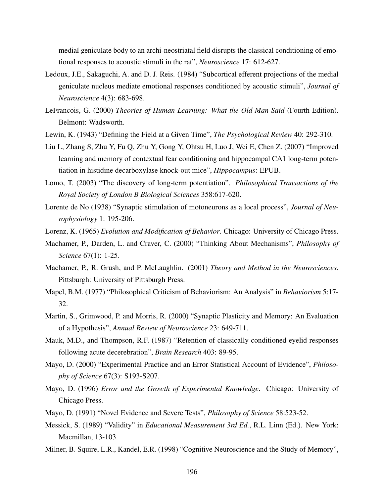medial geniculate body to an archi-neostriatal field disrupts the classical conditioning of emotional responses to acoustic stimuli in the rat", *Neuroscience* 17: 612-627.

- Ledoux, J.E., Sakaguchi, A. and D. J. Reis. (1984) "Subcortical efferent projections of the medial geniculate nucleus mediate emotional responses conditioned by acoustic stimuli", *Journal of Neuroscience* 4(3): 683-698.
- LeFrancois, G. (2000) *Theories of Human Learning: What the Old Man Said* (Fourth Edition). Belmont: Wadsworth.
- Lewin, K. (1943) "Defining the Field at a Given Time", *The Psychological Review* 40: 292-310.
- Liu L, Zhang S, Zhu Y, Fu Q, Zhu Y, Gong Y, Ohtsu H, Luo J, Wei E, Chen Z. (2007) "Improved learning and memory of contextual fear conditioning and hippocampal CA1 long-term potentiation in histidine decarboxylase knock-out mice", *Hippocampus*: EPUB.
- Lomo, T. (2003) "The discovery of long-term potentiation". *Philosophical Transactions of the Royal Society of London B Biological Sciences* 358:617-620.
- Lorente de No (1938) "Synaptic stimulation of motoneurons as a local process", *Journal of Neurophysiology* 1: 195-206.
- Lorenz, K. (1965) *Evolution and Modification of Behavior*. Chicago: University of Chicago Press.
- Machamer, P., Darden, L. and Craver, C. (2000) "Thinking About Mechanisms", *Philosophy of Science* 67(1): 1-25.
- Machamer, P., R. Grush, and P. McLaughlin. (2001) *Theory and Method in the Neurosciences*. Pittsburgh: University of Pittsburgh Press.
- Mapel, B.M. (1977) "Philosophical Criticism of Behaviorism: An Analysis" in *Behaviorism* 5:17- 32.
- Martin, S., Grimwood, P. and Morris, R. (2000) "Synaptic Plasticity and Memory: An Evaluation of a Hypothesis", *Annual Review of Neuroscience* 23: 649-711.
- Mauk, M.D., and Thompson, R.F. (1987) "Retention of classically conditioned eyelid responses following acute decerebration", *Brain Research* 403: 89-95.
- Mayo, D. (2000) "Experimental Practice and an Error Statistical Account of Evidence", *Philosophy of Science* 67(3): S193-S207.
- Mayo, D. (1996) *Error and the Growth of Experimental Knowledge*. Chicago: University of Chicago Press.
- Mayo, D. (1991) "Novel Evidence and Severe Tests", *Philosophy of Science* 58:523-52.
- Messick, S. (1989) "Validity" in *Educational Measurement 3rd Ed.*, R.L. Linn (Ed.). New York: Macmillan, 13-103.
- Milner, B. Squire, L.R., Kandel, E.R. (1998) "Cognitive Neuroscience and the Study of Memory",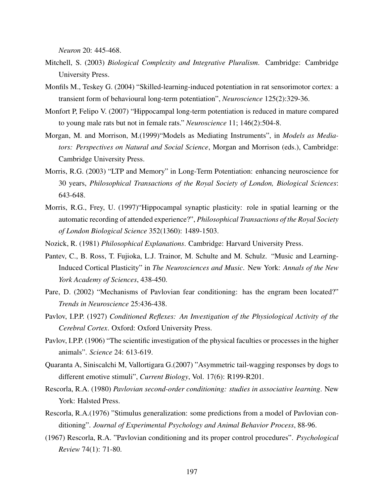*Neuron* 20: 445-468.

- Mitchell, S. (2003) *Biological Complexity and Integrative Pluralism*. Cambridge: Cambridge University Press.
- Monfils M., Teskey G. (2004) "Skilled-learning-induced potentiation in rat sensorimotor cortex: a transient form of behavioural long-term potentiation", *Neuroscience* 125(2):329-36.
- Monfort P, Felipo V. (2007) "Hippocampal long-term potentiation is reduced in mature compared to young male rats but not in female rats." *Neuroscience* 11; 146(2):504-8.
- Morgan, M. and Morrison, M.(1999)"Models as Mediating Instruments", in *Models as Mediators: Perspectives on Natural and Social Science*, Morgan and Morrison (eds.), Cambridge: Cambridge University Press.
- Morris, R.G. (2003) "LTP and Memory" in Long-Term Potentiation: enhancing neuroscience for 30 years, *Philosophical Transactions of the Royal Society of London, Biological Sciences*: 643-648.
- Morris, R.G., Frey, U. (1997)"Hippocampal synaptic plasticity: role in spatial learning or the automatic recording of attended experience?", *Philosophical Transactions of the Royal Society of London Biological Science* 352(1360): 1489-1503.
- Nozick, R. (1981) *Philosophical Explanations*. Cambridge: Harvard University Press.
- Pantev, C., B. Ross, T. Fujioka, L.J. Trainor, M. Schulte and M. Schulz. "Music and Learning-Induced Cortical Plasticity" in *The Neurosciences and Music*. New York: *Annals of the New York Academy of Sciences*, 438-450.
- Pare, D. (2002) "Mechanisms of Pavlovian fear conditioning: has the engram been located?" *Trends in Neuroscience* 25:436-438.
- Pavlov, I.P.P. (1927) *Conditioned Reflexes: An Investigation of the Physiological Activity of the Cerebral Cortex*. Oxford: Oxford University Press.
- Pavlov, I.P.P. (1906) "The scientific investigation of the physical faculties or processes in the higher animals". *Science* 24: 613-619.
- Quaranta A, Siniscalchi M, Vallortigara G.(2007) "Asymmetric tail-wagging responses by dogs to different emotive stimuli", *Current Biology*, Vol. 17(6): R199-R201.
- Rescorla, R.A. (1980) *Pavlovian second-order conditioning: studies in associative learning*. New York: Halsted Press.
- Rescorla, R.A.(1976) "Stimulus generalization: some predictions from a model of Pavlovian conditioning". *Journal of Experimental Psychology and Animal Behavior Process*, 88-96.
- (1967) Rescorla, R.A. "Pavlovian conditioning and its proper control procedures". *Psychological Review* 74(1): 71-80.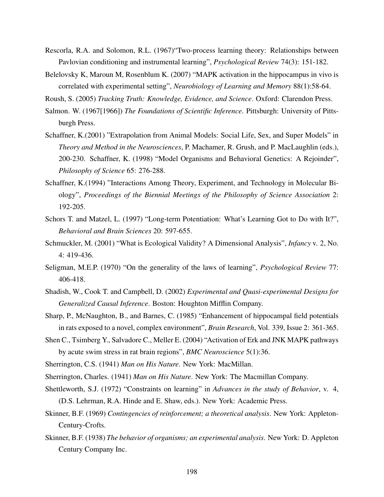- Rescorla, R.A. and Solomon, R.L. (1967)"Two-process learning theory: Relationships between Pavlovian conditioning and instrumental learning", *Psychological Review* 74(3): 151-182.
- Belelovsky K, Maroun M, Rosenblum K. (2007) "MAPK activation in the hippocampus in vivo is correlated with experimental setting", *Neurobiology of Learning and Memory* 88(1):58-64.
- Roush, S. (2005) *Tracking Truth: Knowledge, Evidence, and Science*. Oxford: Clarendon Press.
- Salmon. W. (1967[1966]) *The Foundations of Scientific Inference*. Pittsburgh: University of Pittsburgh Press.
- Schaffner, K.(2001) "Extrapolation from Animal Models: Social Life, Sex, and Super Models" in *Theory and Method in the Neurosciences*, P. Machamer, R. Grush, and P. MacLaughlin (eds.), 200-230. Schaffner, K. (1998) "Model Organisms and Behavioral Genetics: A Rejoinder", *Philosophy of Science* 65: 276-288.
- Schaffner, K.(1994) "Interactions Among Theory, Experiment, and Technology in Molecular Biology", *Proceedings of the Biennial Meetings of the Philosophy of Science Association* 2: 192-205.
- Schors T. and Matzel, L. (1997) "Long-term Potentiation: What's Learning Got to Do with It?", *Behavioral and Brain Sciences* 20: 597-655.
- Schmuckler, M. (2001) "What is Ecological Validity? A Dimensional Analysis", *Infancy* v. 2, No. 4: 419-436.
- Seligman, M.E.P. (1970) "On the generality of the laws of learning", *Psychological Review* 77: 406-418.
- Shadish, W., Cook T. and Campbell, D. (2002) *Experimental and Quasi-experimental Designs for Generalized Causal Inference*. Boston: Houghton Mifflin Company.
- Sharp, P., McNaughton, B., and Barnes, C. (1985) "Enhancement of hippocampal field potentials in rats exposed to a novel, complex environment", *Brain Research*, Vol. 339, Issue 2: 361-365.
- Shen C., Tsimberg Y., Salvadore C., Meller E. (2004) "Activation of Erk and JNK MAPK pathways by acute swim stress in rat brain regions", *BMC Neuroscience* 5(1):36.
- Sherrington, C.S. (1941) *Man on His Nature*. New York: MacMillan.
- Sherrington, Charles. (1941) *Man on His Nature*. New York: The Macmillan Company.
- Shettleworth, S.J. (1972) "Constraints on learning" in *Advances in the study of Behavior*, v. 4, (D.S. Lehrman, R.A. Hinde and E. Shaw, eds.). New York: Academic Press.
- Skinner, B.F. (1969) *Contingencies of reinforcement; a theoretical analysis*. New York: Appleton-Century-Crofts.
- Skinner, B.F. (1938) *The behavior of organisms; an experimental analysis*. New York: D. Appleton Century Company Inc.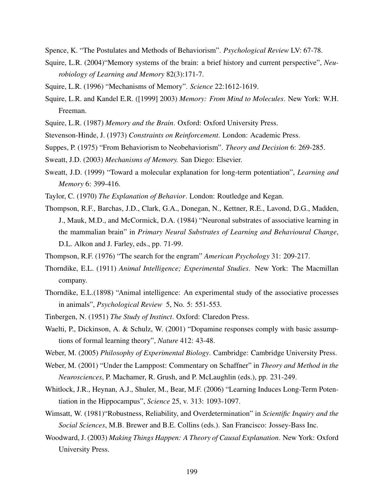- Spence, K. "The Postulates and Methods of Behaviorism". *Psychological Review* LV: 67-78.
- Squire, L.R. (2004)"Memory systems of the brain: a brief history and current perspective", *Neurobiology of Learning and Memory* 82(3):171-7.
- Squire, L.R. (1996) "Mechanisms of Memory". *Science* 22:1612-1619.
- Squire, L.R. and Kandel E.R. ([1999] 2003) *Memory: From Mind to Molecules*. New York: W.H. Freeman.
- Squire, L.R. (1987) *Memory and the Brain*. Oxford: Oxford University Press.
- Stevenson-Hinde, J. (1973) *Constraints on Reinforcement*. London: Academic Press.
- Suppes, P. (1975) "From Behaviorism to Neobehaviorism". *Theory and Decision* 6: 269-285.
- Sweatt, J.D. (2003) *Mechanisms of Memory.* San Diego: Elsevier.
- Sweatt, J.D. (1999) "Toward a molecular explanation for long-term potentiation", *Learning and Memory* 6: 399-416.
- Taylor, C. (1970) *The Explanation of Behavior*. London: Routledge and Kegan.
- Thompson, R.F., Barchas, J.D., Clark, G.A., Donegan, N., Kettner, R.E., Lavond, D.G., Madden, J., Mauk, M.D., and McCormick, D.A. (1984) "Neuronal substrates of associative learning in the mammalian brain" in *Primary Neural Substrates of Learning and Behavioural Change*, D.L. Alkon and J. Farley, eds., pp. 71-99.
- Thompson, R.F. (1976) "The search for the engram" *American Psychology* 31: 209-217.
- Thorndike, E.L. (1911) *Animal Intelligence; Experimental Studies*. New York: The Macmillan company.
- Thorndike, E.L.(1898) "Animal intelligence: An experimental study of the associative processes in animals", *Psychological Review* 5, No. 5: 551-553.
- Tinbergen, N. (1951) *The Study of Instinct*. Oxford: Claredon Press.
- Waelti, P., Dickinson, A. & Schulz, W. (2001) "Dopamine responses comply with basic assumptions of formal learning theory", *Nature* 412: 43-48.
- Weber, M. (2005) *Philosophy of Experimental Biology*. Cambridge: Cambridge University Press.
- Weber, M. (2001) "Under the Lamppost: Commentary on Schaffner" in *Theory and Method in the Neurosciences*, P. Machamer, R. Grush, and P. McLaughlin (eds.), pp. 231-249.
- Whitlock, J.R., Heynan, A.J., Shuler, M., Bear, M.F. (2006) "Learning Induces Long-Term Potentiation in the Hippocampus", *Science* 25, v. 313: 1093-1097.
- Wimsatt, W. (1981)"Robustness, Reliability, and Overdetermination" in *Scientific Inquiry and the Social Sciences*, M.B. Brewer and B.E. Collins (eds.). San Francisco: Jossey-Bass Inc.
- Woodward, J. (2003) *Making Things Happen: A Theory of Causal Explanation*. New York: Oxford University Press.